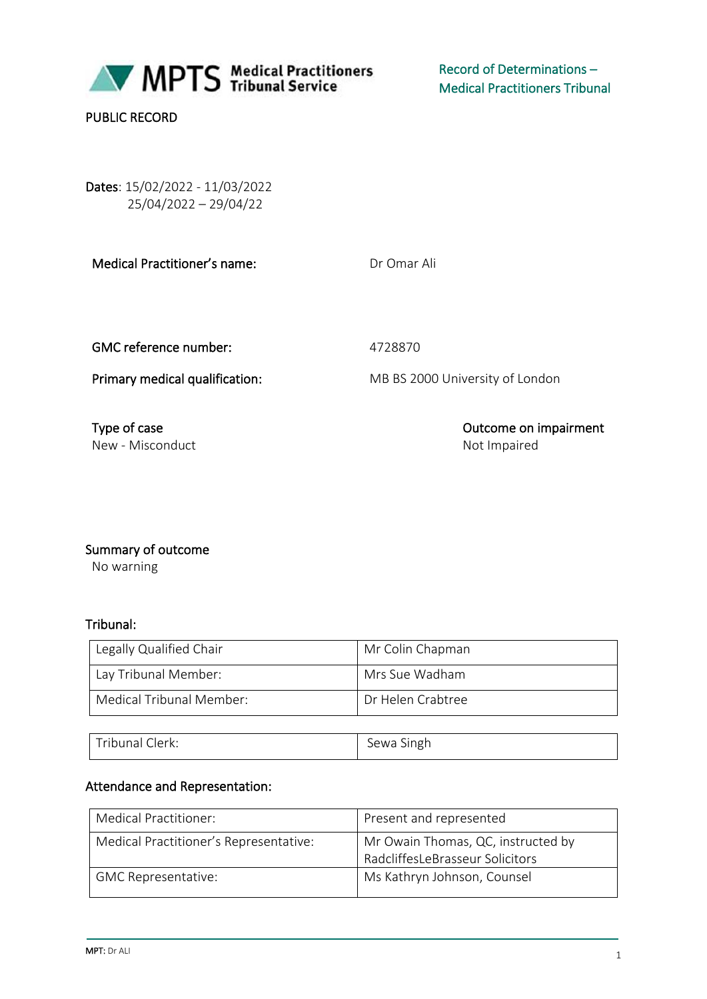

# PUBLIC RECORD

Dates: 15/02/2022 - 11/03/2022 25/04/2022 – 29/04/22

Medical Practitioner's name:

Dr Omar Ali

GMC reference number: 4728870

Primary medical qualification: MB BS 2000 University of London

New - Misconduct Not Impaired

Type of case **Outcome on impairment** 

Summary of outcome

No warning

#### Tribunal:

| Legally Qualified Chair  | Mr Colin Chapman  |
|--------------------------|-------------------|
| Lay Tribunal Member:     | Mrs Sue Wadham    |
| Medical Tribunal Member: | Dr Helen Crabtree |

| Tribunal Clerk: | Sewa Singh |
|-----------------|------------|

#### Attendance and Representation:

| Medical Practitioner:                  | Present and represented                                               |
|----------------------------------------|-----------------------------------------------------------------------|
| Medical Practitioner's Representative: | Mr Owain Thomas, QC, instructed by<br>RadcliffesLeBrasseur Solicitors |
| <b>GMC Representative:</b>             | Ms Kathryn Johnson, Counsel                                           |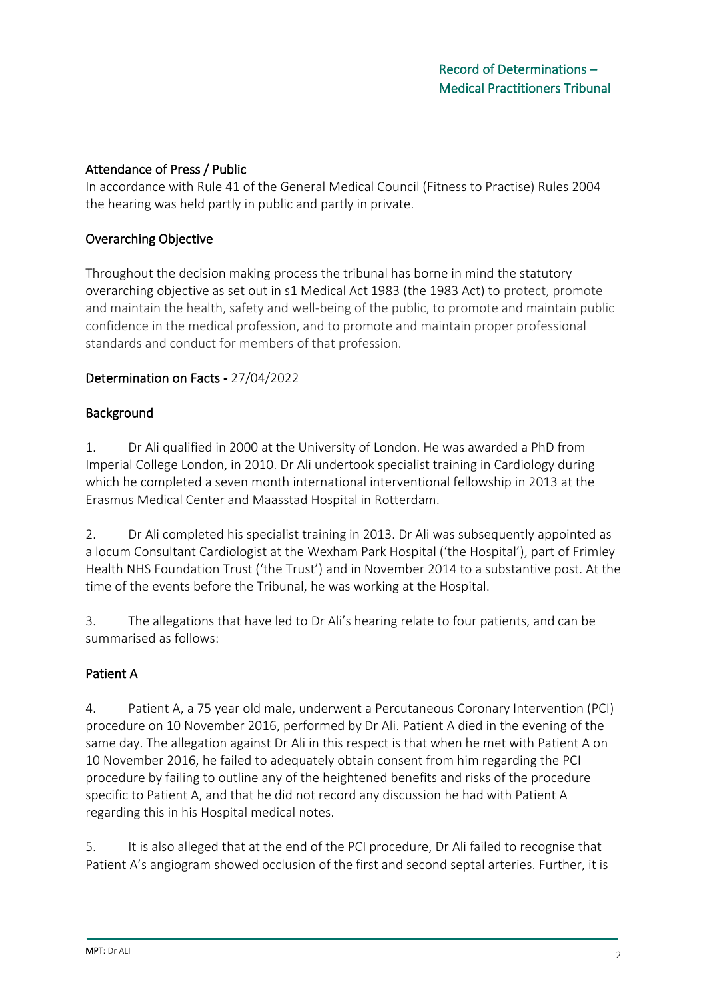#### Attendance of Press / Public

In accordance with Rule 41 of the General Medical Council (Fitness to Practise) Rules 2004 the hearing was held partly in public and partly in private.

#### Overarching Objective

Throughout the decision making process the tribunal has borne in mind the statutory overarching objective as set out in s1 Medical Act 1983 (the 1983 Act) to protect, promote and maintain the health, safety and well-being of the public, to promote and maintain public confidence in the medical profession, and to promote and maintain proper professional standards and conduct for members of that profession.

#### Determination on Facts - 27/04/2022

#### Background

1. Dr Ali qualified in 2000 at the University of London. He was awarded a PhD from Imperial College London, in 2010. Dr Ali undertook specialist training in Cardiology during which he completed a seven month international interventional fellowship in 2013 at the Erasmus Medical Center and Maasstad Hospital in Rotterdam.

2. Dr Ali completed his specialist training in 2013. Dr Ali was subsequently appointed as a locum Consultant Cardiologist at the Wexham Park Hospital ('the Hospital'), part of Frimley Health NHS Foundation Trust ('the Trust') and in November 2014 to a substantive post. At the time of the events before the Tribunal, he was working at the Hospital.

3. The allegations that have led to Dr Ali's hearing relate to four patients, and can be summarised as follows:

#### Patient A

4. Patient A, a 75 year old male, underwent a Percutaneous Coronary Intervention (PCI) procedure on 10 November 2016, performed by Dr Ali. Patient A died in the evening of the same day. The allegation against Dr Ali in this respect is that when he met with Patient A on 10 November 2016, he failed to adequately obtain consent from him regarding the PCI procedure by failing to outline any of the heightened benefits and risks of the procedure specific to Patient A, and that he did not record any discussion he had with Patient A regarding this in his Hospital medical notes.

5. It is also alleged that at the end of the PCI procedure, Dr Ali failed to recognise that Patient A's angiogram showed occlusion of the first and second septal arteries. Further, it is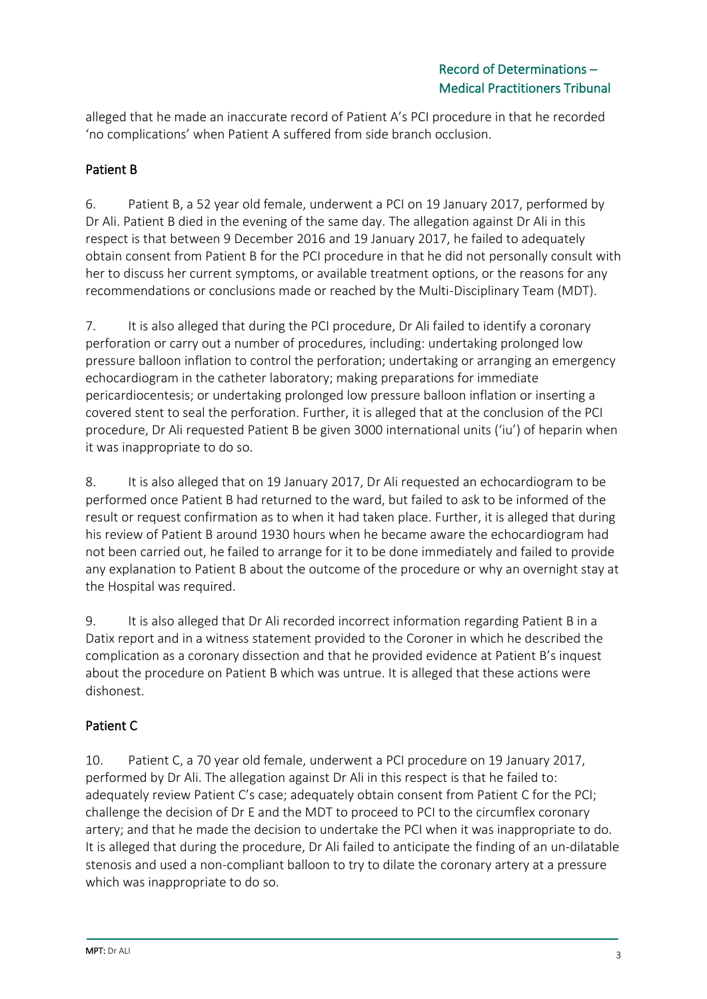alleged that he made an inaccurate record of Patient A's PCI procedure in that he recorded 'no complications' when Patient A suffered from side branch occlusion.

# Patient B

6. Patient B, a 52 year old female, underwent a PCI on 19 January 2017, performed by Dr Ali. Patient B died in the evening of the same day. The allegation against Dr Ali in this respect is that between 9 December 2016 and 19 January 2017, he failed to adequately obtain consent from Patient B for the PCI procedure in that he did not personally consult with her to discuss her current symptoms, or available treatment options, or the reasons for any recommendations or conclusions made or reached by the Multi-Disciplinary Team (MDT).

7. It is also alleged that during the PCI procedure, Dr Ali failed to identify a coronary perforation or carry out a number of procedures, including: undertaking prolonged low pressure balloon inflation to control the perforation; undertaking or arranging an emergency echocardiogram in the catheter laboratory; making preparations for immediate pericardiocentesis; or undertaking prolonged low pressure balloon inflation or inserting a covered stent to seal the perforation. Further, it is alleged that at the conclusion of the PCI procedure, Dr Ali requested Patient B be given 3000 international units ('iu') of heparin when it was inappropriate to do so.

8. It is also alleged that on 19 January 2017, Dr Ali requested an echocardiogram to be performed once Patient B had returned to the ward, but failed to ask to be informed of the result or request confirmation as to when it had taken place. Further, it is alleged that during his review of Patient B around 1930 hours when he became aware the echocardiogram had not been carried out, he failed to arrange for it to be done immediately and failed to provide any explanation to Patient B about the outcome of the procedure or why an overnight stay at the Hospital was required.

9. It is also alleged that Dr Ali recorded incorrect information regarding Patient B in a Datix report and in a witness statement provided to the Coroner in which he described the complication as a coronary dissection and that he provided evidence at Patient B's inquest about the procedure on Patient B which was untrue. It is alleged that these actions were dishonest.

# Patient C

10. Patient C, a 70 year old female, underwent a PCI procedure on 19 January 2017, performed by Dr Ali. The allegation against Dr Ali in this respect is that he failed to: adequately review Patient C's case; adequately obtain consent from Patient C for the PCI; challenge the decision of Dr E and the MDT to proceed to PCI to the circumflex coronary artery; and that he made the decision to undertake the PCI when it was inappropriate to do. It is alleged that during the procedure, Dr Ali failed to anticipate the finding of an un-dilatable stenosis and used a non-compliant balloon to try to dilate the coronary artery at a pressure which was inappropriate to do so.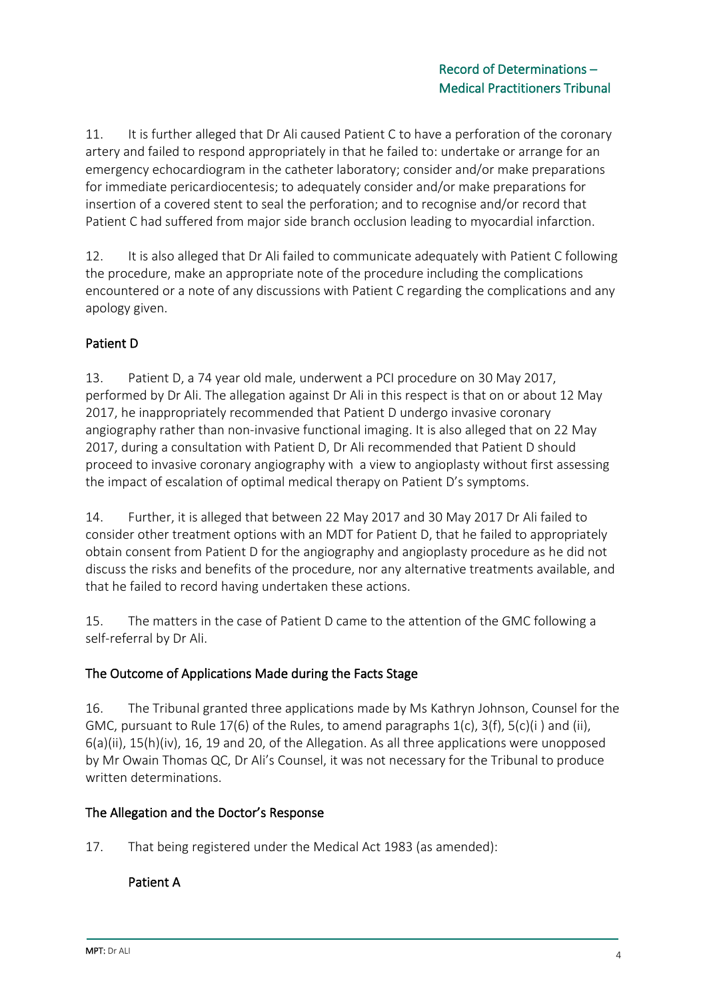11. It is further alleged that Dr Ali caused Patient C to have a perforation of the coronary artery and failed to respond appropriately in that he failed to: undertake or arrange for an emergency echocardiogram in the catheter laboratory; consider and/or make preparations for immediate pericardiocentesis; to adequately consider and/or make preparations for insertion of a covered stent to seal the perforation; and to recognise and/or record that Patient C had suffered from major side branch occlusion leading to myocardial infarction.

12. It is also alleged that Dr Ali failed to communicate adequately with Patient C following the procedure, make an appropriate note of the procedure including the complications encountered or a note of any discussions with Patient C regarding the complications and any apology given.

# Patient D

13. Patient D, a 74 year old male, underwent a PCI procedure on 30 May 2017, performed by Dr Ali. The allegation against Dr Ali in this respect is that on or about 12 May 2017, he inappropriately recommended that Patient D undergo invasive coronary angiography rather than non-invasive functional imaging. It is also alleged that on 22 May 2017, during a consultation with Patient D, Dr Ali recommended that Patient D should proceed to invasive coronary angiography with a view to angioplasty without first assessing the impact of escalation of optimal medical therapy on Patient D's symptoms.

14. Further, it is alleged that between 22 May 2017 and 30 May 2017 Dr Ali failed to consider other treatment options with an MDT for Patient D, that he failed to appropriately obtain consent from Patient D for the angiography and angioplasty procedure as he did not discuss the risks and benefits of the procedure, nor any alternative treatments available, and that he failed to record having undertaken these actions.

15. The matters in the case of Patient D came to the attention of the GMC following a self-referral by Dr Ali.

#### The Outcome of Applications Made during the Facts Stage

16. The Tribunal granted three applications made by Ms Kathryn Johnson, Counsel for the GMC, pursuant to Rule 17(6) of the Rules, to amend paragraphs  $1(c)$ ,  $3(f)$ ,  $5(c)(i)$  and (ii), 6(a)(ii), 15(h)(iv), 16, 19 and 20, of the Allegation. As all three applications were unopposed by Mr Owain Thomas QC, Dr Ali's Counsel, it was not necessary for the Tribunal to produce written determinations.

#### The Allegation and the Doctor's Response

17. That being registered under the Medical Act 1983 (as amended):

# Patient A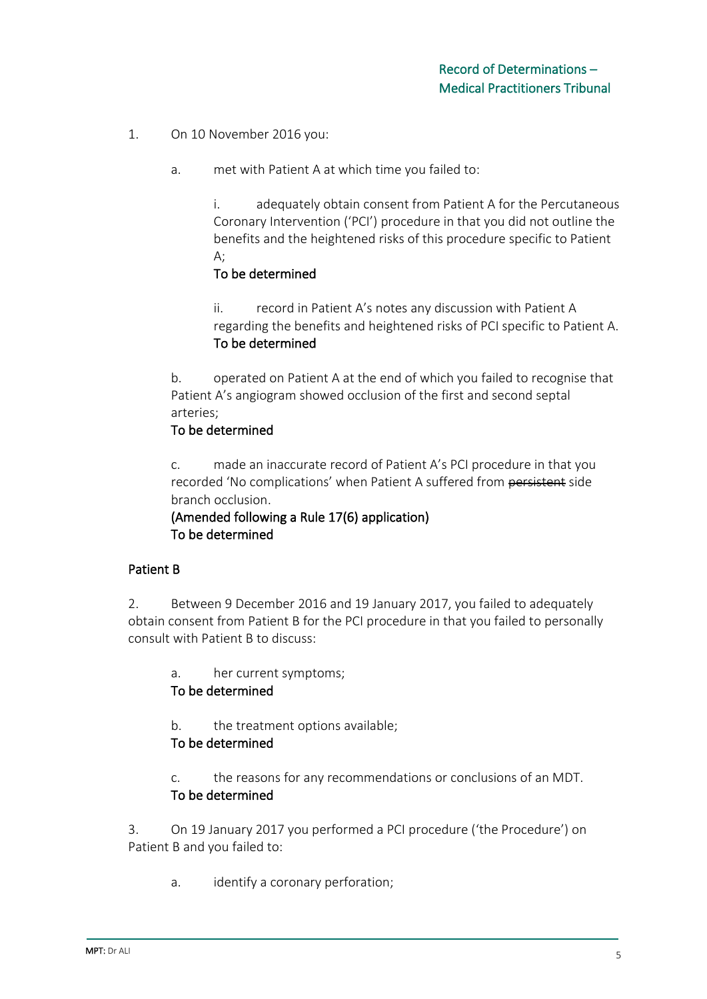- 1. On 10 November 2016 you:
	- a. met with Patient A at which time you failed to:

i. adequately obtain consent from Patient A for the Percutaneous Coronary Intervention ('PCI') procedure in that you did not outline the benefits and the heightened risks of this procedure specific to Patient  $A$ :

#### To be determined

ii. record in Patient A's notes any discussion with Patient A regarding the benefits and heightened risks of PCI specific to Patient A. To be determined

b. operated on Patient A at the end of which you failed to recognise that Patient A's angiogram showed occlusion of the first and second septal arteries;

#### To be determined

c. made an inaccurate record of Patient A's PCI procedure in that you recorded 'No complications' when Patient A suffered from persistent side branch occlusion.

## (Amended following a Rule 17(6) application) To be determined

#### Patient B

2. Between 9 December 2016 and 19 January 2017, you failed to adequately obtain consent from Patient B for the PCI procedure in that you failed to personally consult with Patient B to discuss:

a. her current symptoms;

## To be determined

b. the treatment options available;

## To be determined

c. the reasons for any recommendations or conclusions of an MDT. To be determined

3. On 19 January 2017 you performed a PCI procedure ('the Procedure') on Patient B and you failed to:

a. identify a coronary perforation;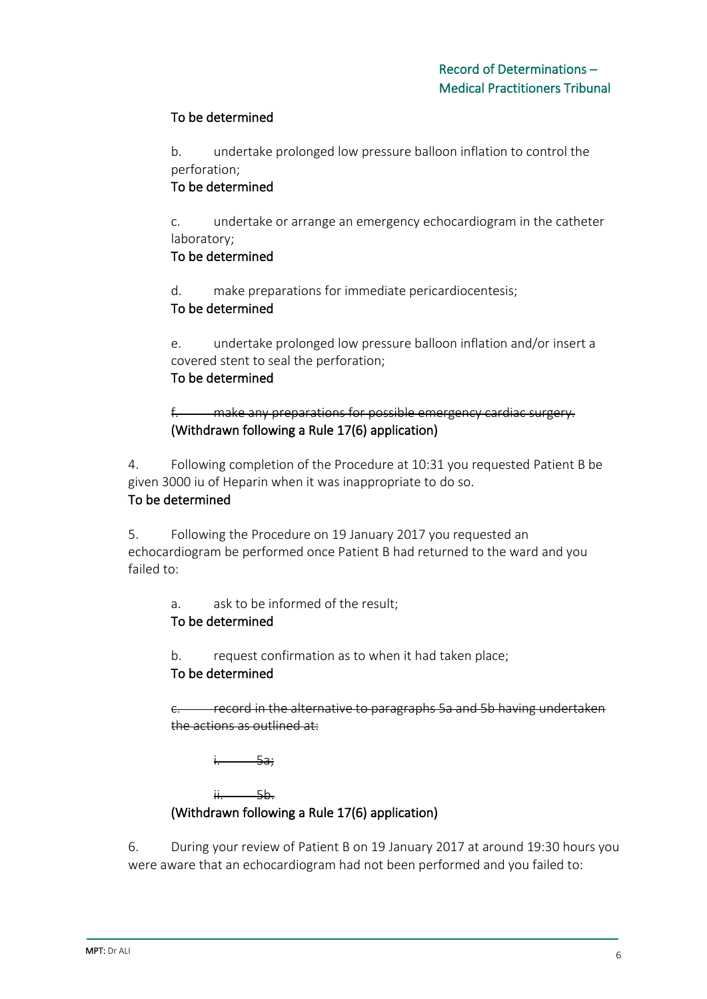## To be determined

b. undertake prolonged low pressure balloon inflation to control the perforation;

#### To be determined

c. undertake or arrange an emergency echocardiogram in the catheter laboratory;

## To be determined

d. make preparations for immediate pericardiocentesis;

#### To be determined

e. undertake prolonged low pressure balloon inflation and/or insert a covered stent to seal the perforation;

## To be determined

f. make any preparations for possible emergency cardiac surgery. (Withdrawn following a Rule 17(6) application)

4. Following completion of the Procedure at 10:31 you requested Patient B be given 3000 iu of Heparin when it was inappropriate to do so.

## To be determined

5. Following the Procedure on 19 January 2017 you requested an echocardiogram be performed once Patient B had returned to the ward and you failed to:

a. ask to be informed of the result;

#### To be determined

b. request confirmation as to when it had taken place; To be determined

c. record in the alternative to paragraphs 5a and 5b having undertaken the actions as outlined at:

i. 5a;

 $-5b.$ 

# (Withdrawn following a Rule 17(6) application)

6. During your review of Patient B on 19 January 2017 at around 19:30 hours you were aware that an echocardiogram had not been performed and you failed to: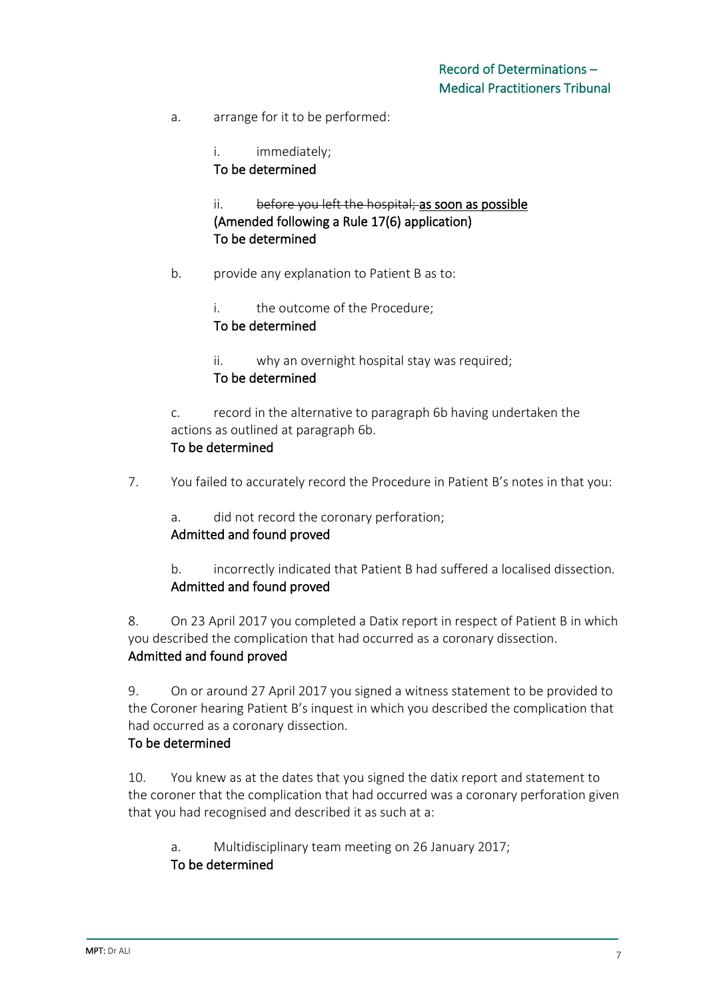a. arrange for it to be performed:

i. immediately;

To be determined

ii. before you left the hospital; as soon as possible (Amended following a Rule 17(6) application) To be determined

b. provide any explanation to Patient B as to:

i. the outcome of the Procedure; To be determined

ii. why an overnight hospital stay was required; To be determined

c. record in the alternative to paragraph 6b having undertaken the actions as outlined at paragraph 6b. To be determined

7. You failed to accurately record the Procedure in Patient B's notes in that you:

a. did not record the coronary perforation; Admitted and found proved

b. incorrectly indicated that Patient B had suffered a localised dissection. Admitted and found proved

8. On 23 April 2017 you completed a Datix report in respect of Patient B in which you described the complication that had occurred as a coronary dissection. Admitted and found proved

9. On or around 27 April 2017 you signed a witness statement to be provided to the Coroner hearing Patient B's inquest in which you described the complication that had occurred as a coronary dissection.

#### To be determined

10. You knew as at the dates that you signed the datix report and statement to the coroner that the complication that had occurred was a coronary perforation given that you had recognised and described it as such at a:

a. Multidisciplinary team meeting on 26 January 2017; To be determined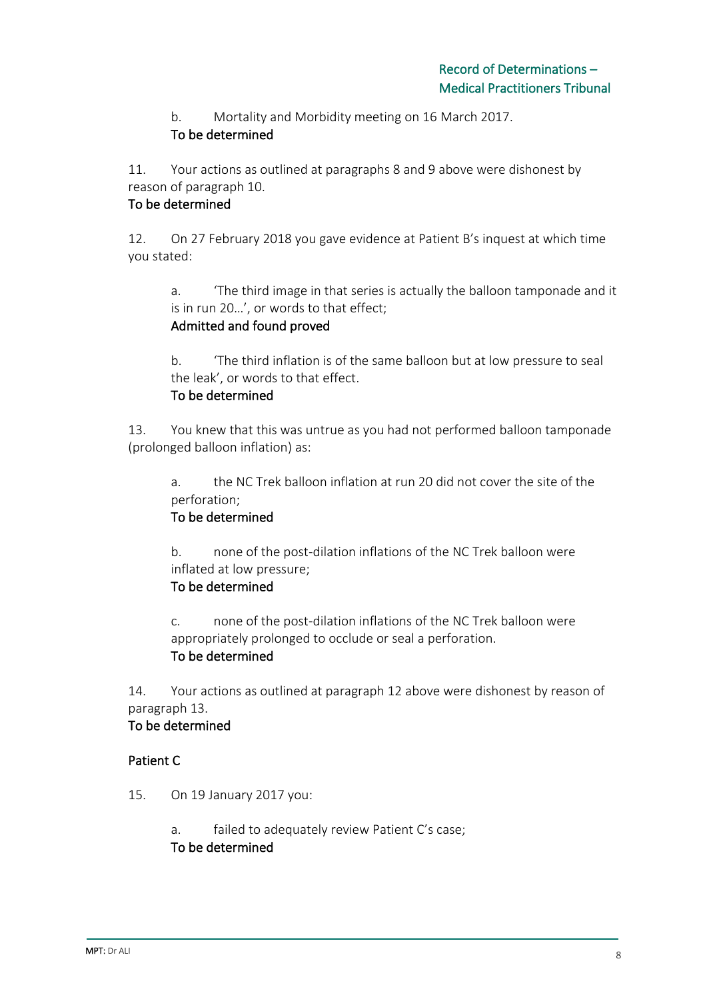b. Mortality and Morbidity meeting on 16 March 2017. To be determined

11. Your actions as outlined at paragraphs 8 and 9 above were dishonest by reason of paragraph 10.

## To be determined

12. On 27 February 2018 you gave evidence at Patient B's inquest at which time you stated:

a. 'The third image in that series is actually the balloon tamponade and it is in run 20…', or words to that effect;

# Admitted and found proved

b. 'The third inflation is of the same balloon but at low pressure to seal the leak', or words to that effect.

## To be determined

13. You knew that this was untrue as you had not performed balloon tamponade (prolonged balloon inflation) as:

a. the NC Trek balloon inflation at run 20 did not cover the site of the perforation;

#### To be determined

b. none of the post-dilation inflations of the NC Trek balloon were inflated at low pressure;

# To be determined

c. none of the post-dilation inflations of the NC Trek balloon were appropriately prolonged to occlude or seal a perforation. To be determined

14. Your actions as outlined at paragraph 12 above were dishonest by reason of paragraph 13.

# To be determined

#### Patient C

15. On 19 January 2017 you:

a. failed to adequately review Patient C's case; To be determined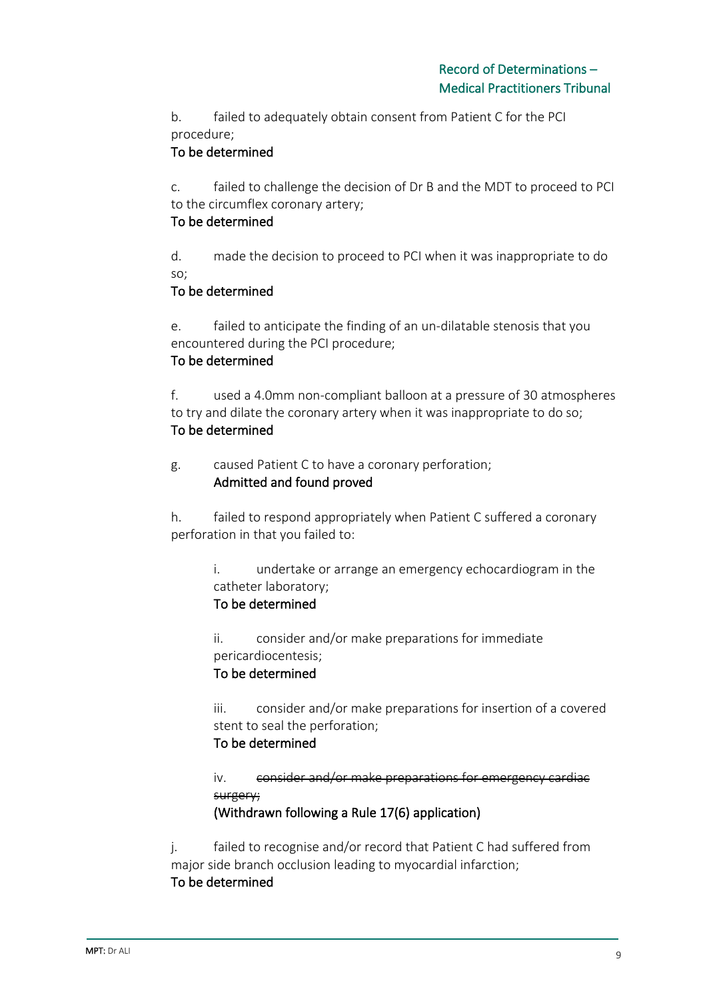b. failed to adequately obtain consent from Patient C for the PCI procedure;

# To be determined

c. failed to challenge the decision of Dr B and the MDT to proceed to PCI to the circumflex coronary artery;

# To be determined

d. made the decision to proceed to PCI when it was inappropriate to do so;

## To be determined

e. failed to anticipate the finding of an un-dilatable stenosis that you encountered during the PCI procedure;

## To be determined

f. used a 4.0mm non-compliant balloon at a pressure of 30 atmospheres to try and dilate the coronary artery when it was inappropriate to do so; To be determined

g. caused Patient C to have a coronary perforation; Admitted and found proved

h. failed to respond appropriately when Patient C suffered a coronary perforation in that you failed to:

i. undertake or arrange an emergency echocardiogram in the catheter laboratory;

# To be determined

ii. consider and/or make preparations for immediate pericardiocentesis;

## To be determined

iii. consider and/or make preparations for insertion of a covered stent to seal the perforation; To be determined

iv. consider and/or make preparations for emergency cardiac surgery; (Withdrawn following a Rule 17(6) application)

j. failed to recognise and/or record that Patient C had suffered from major side branch occlusion leading to myocardial infarction;

# To be determined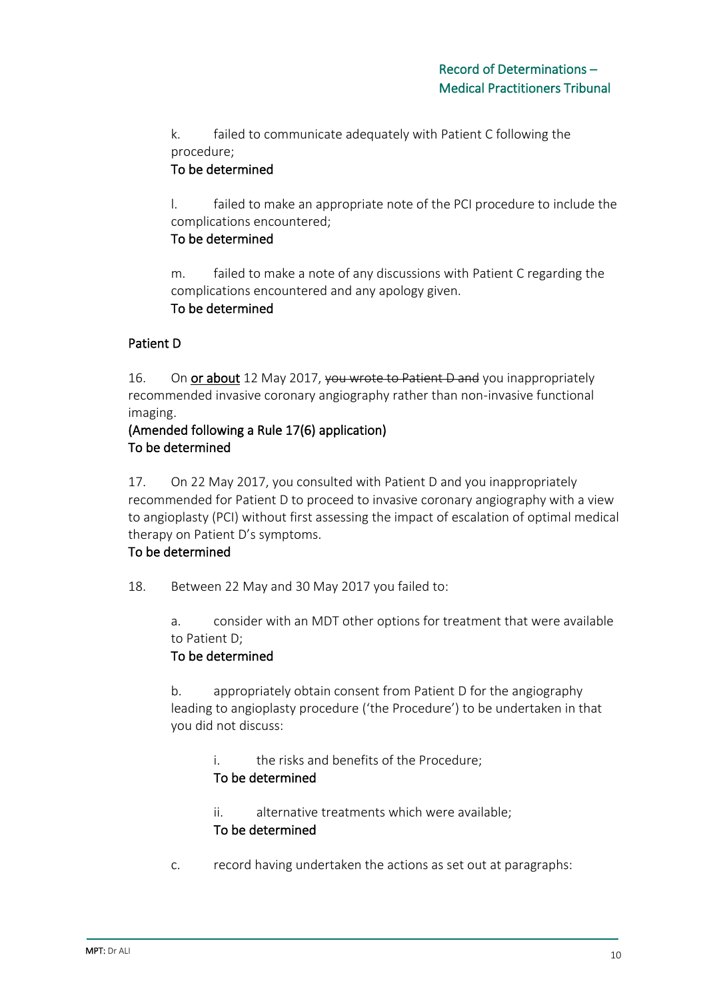k. failed to communicate adequately with Patient C following the procedure;

## To be determined

l. failed to make an appropriate note of the PCI procedure to include the complications encountered;

## To be determined

m. failed to make a note of any discussions with Patient C regarding the complications encountered and any apology given.

#### To be determined

#### Patient D

16. On or about 12 May 2017, you wrote to Patient D and you inappropriately recommended invasive coronary angiography rather than non-invasive functional imaging.

## (Amended following a Rule 17(6) application) To be determined

17. On 22 May 2017, you consulted with Patient D and you inappropriately recommended for Patient D to proceed to invasive coronary angiography with a view to angioplasty (PCI) without first assessing the impact of escalation of optimal medical therapy on Patient D's symptoms.

#### To be determined

18. Between 22 May and 30 May 2017 you failed to:

a. consider with an MDT other options for treatment that were available to Patient D;

# To be determined

b. appropriately obtain consent from Patient D for the angiography leading to angioplasty procedure ('the Procedure') to be undertaken in that you did not discuss:

i. the risks and benefits of the Procedure: To be determined

# ii. alternative treatments which were available;

# To be determined

c. record having undertaken the actions as set out at paragraphs: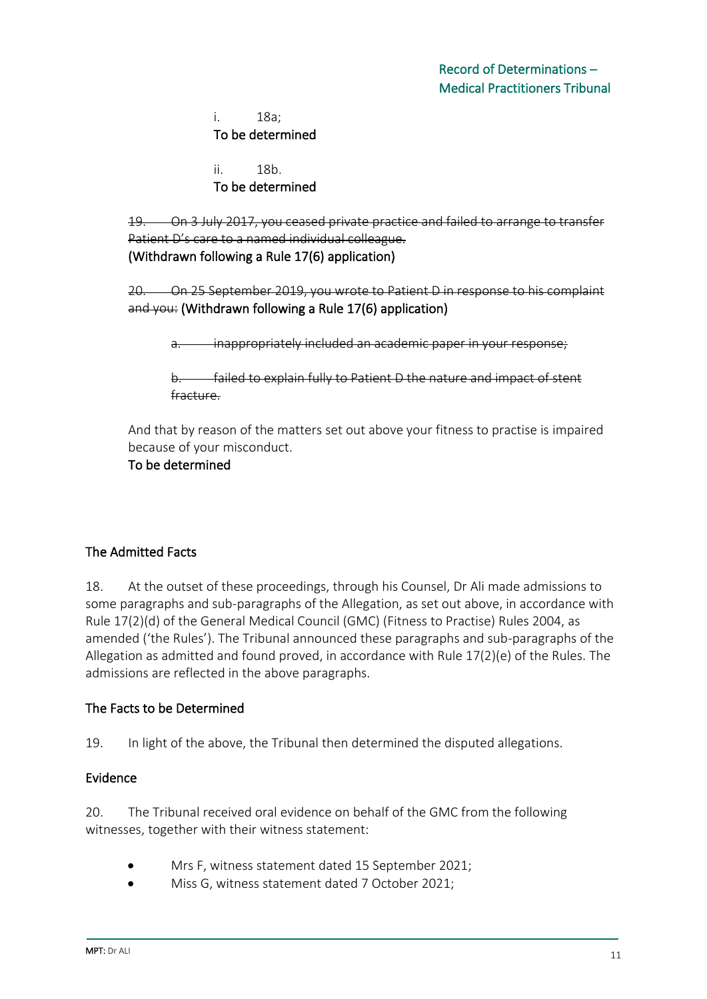i. 18a; To be determined

ii. 18b. To be determined

19. On 3 July 2017, you ceased private practice and failed to arrange to transfer Patient D's care to a named individual colleague. (Withdrawn following a Rule 17(6) application)

20. On 25 September 2019, you wrote to Patient D in response to his complaint and you: (Withdrawn following a Rule 17(6) application)

inappropriately included an academic paper in your response;

b. failed to explain fully to Patient D the nature and impact of stent fracture.

And that by reason of the matters set out above your fitness to practise is impaired because of your misconduct.

To be determined

# The Admitted Facts

18. At the outset of these proceedings, through his Counsel, Dr Ali made admissions to some paragraphs and sub-paragraphs of the Allegation, as set out above, in accordance with Rule 17(2)(d) of the General Medical Council (GMC) (Fitness to Practise) Rules 2004, as amended ('the Rules'). The Tribunal announced these paragraphs and sub-paragraphs of the Allegation as admitted and found proved, in accordance with Rule 17(2)(e) of the Rules. The admissions are reflected in the above paragraphs.

# The Facts to be Determined

19. In light of the above, the Tribunal then determined the disputed allegations.

# Evidence

20. The Tribunal received oral evidence on behalf of the GMC from the following witnesses, together with their witness statement:

- Mrs F, witness statement dated 15 September 2021;
- Miss G, witness statement dated 7 October 2021;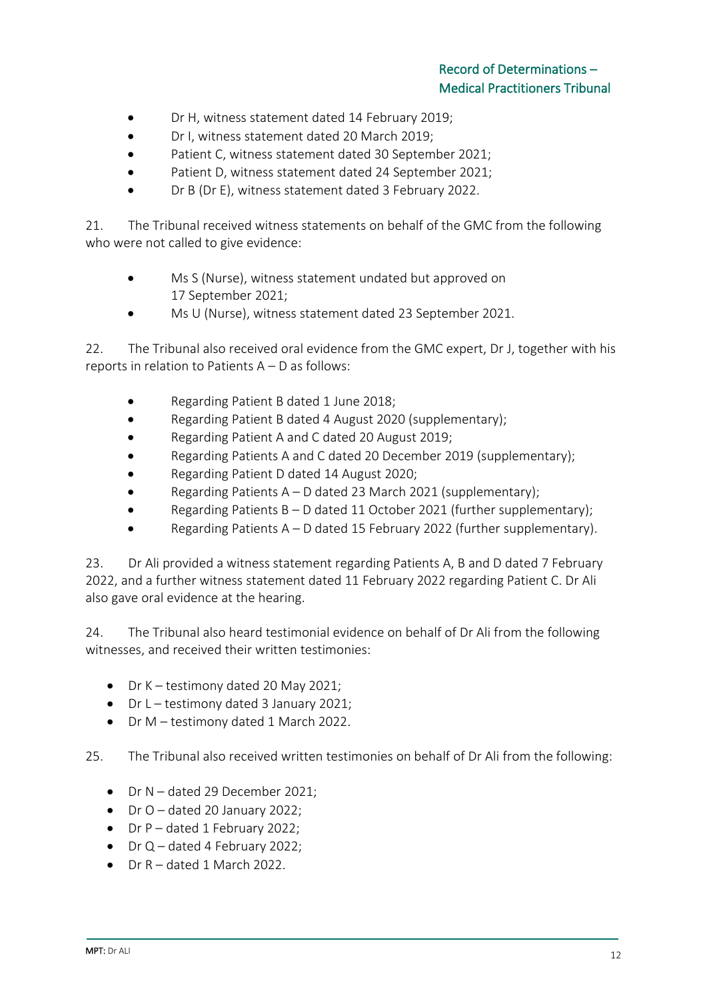- Dr H, witness statement dated 14 February 2019;
- Dr I, witness statement dated 20 March 2019;
- Patient C, witness statement dated 30 September 2021;
- Patient D, witness statement dated 24 September 2021;
- Dr B (Dr E), witness statement dated 3 February 2022.

21. The Tribunal received witness statements on behalf of the GMC from the following who were not called to give evidence:

- Ms S (Nurse), witness statement undated but approved on 17 September 2021;
- Ms U (Nurse), witness statement dated 23 September 2021.

22. The Tribunal also received oral evidence from the GMC expert, Dr J, together with his reports in relation to Patients A – D as follows:

- Regarding Patient B dated 1 June 2018;
- Regarding Patient B dated 4 August 2020 (supplementary);
- Regarding Patient A and C dated 20 August 2019;
- Regarding Patients A and C dated 20 December 2019 (supplementary);
- Regarding Patient D dated 14 August 2020;
- Regarding Patients A D dated 23 March 2021 (supplementary);
- Regarding Patients B D dated 11 October 2021 (further supplementary);
- Regarding Patients  $A D$  dated 15 February 2022 (further supplementary).

23. Dr Ali provided a witness statement regarding Patients A, B and D dated 7 February 2022, and a further witness statement dated 11 February 2022 regarding Patient C. Dr Ali also gave oral evidence at the hearing.

24. The Tribunal also heard testimonial evidence on behalf of Dr Ali from the following witnesses, and received their written testimonies:

- Dr K testimony dated 20 May 2021;
- Dr L testimony dated 3 January 2021;
- Dr M testimony dated 1 March 2022.

25. The Tribunal also received written testimonies on behalf of Dr Ali from the following:

- Dr N dated 29 December 2021;
- Dr O dated 20 January 2022;
- Dr P dated 1 February 2022;
- Dr Q dated 4 February 2022;
- Dr R dated 1 March 2022.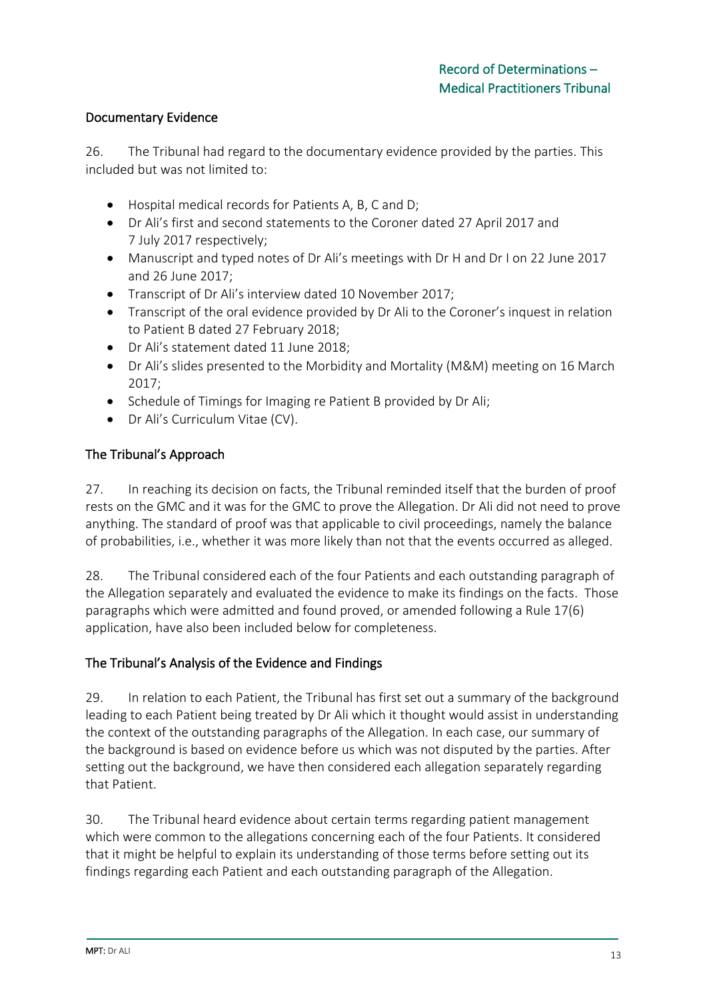## Documentary Evidence

26. The Tribunal had regard to the documentary evidence provided by the parties. This included but was not limited to:

- Hospital medical records for Patients A, B, C and D;
- Dr Ali's first and second statements to the Coroner dated 27 April 2017 and 7 July 2017 respectively;
- Manuscript and typed notes of Dr Ali's meetings with Dr H and Dr I on 22 June 2017 and 26 June 2017;
- Transcript of Dr Ali's interview dated 10 November 2017;
- Transcript of the oral evidence provided by Dr Ali to the Coroner's inquest in relation to Patient B dated 27 February 2018;
- Dr Ali's statement dated 11 June 2018;
- Dr Ali's slides presented to the Morbidity and Mortality (M&M) meeting on 16 March 2017;
- Schedule of Timings for Imaging re Patient B provided by Dr Ali;
- Dr Ali's Curriculum Vitae (CV).

## The Tribunal's Approach

27. In reaching its decision on facts, the Tribunal reminded itself that the burden of proof rests on the GMC and it was for the GMC to prove the Allegation. Dr Ali did not need to prove anything. The standard of proof was that applicable to civil proceedings, namely the balance of probabilities, i.e., whether it was more likely than not that the events occurred as alleged.

28. The Tribunal considered each of the four Patients and each outstanding paragraph of the Allegation separately and evaluated the evidence to make its findings on the facts. Those paragraphs which were admitted and found proved, or amended following a Rule 17(6) application, have also been included below for completeness.

#### The Tribunal's Analysis of the Evidence and Findings

29. In relation to each Patient, the Tribunal has first set out a summary of the background leading to each Patient being treated by Dr Ali which it thought would assist in understanding the context of the outstanding paragraphs of the Allegation. In each case, our summary of the background is based on evidence before us which was not disputed by the parties. After setting out the background, we have then considered each allegation separately regarding that Patient.

30. The Tribunal heard evidence about certain terms regarding patient management which were common to the allegations concerning each of the four Patients. It considered that it might be helpful to explain its understanding of those terms before setting out its findings regarding each Patient and each outstanding paragraph of the Allegation.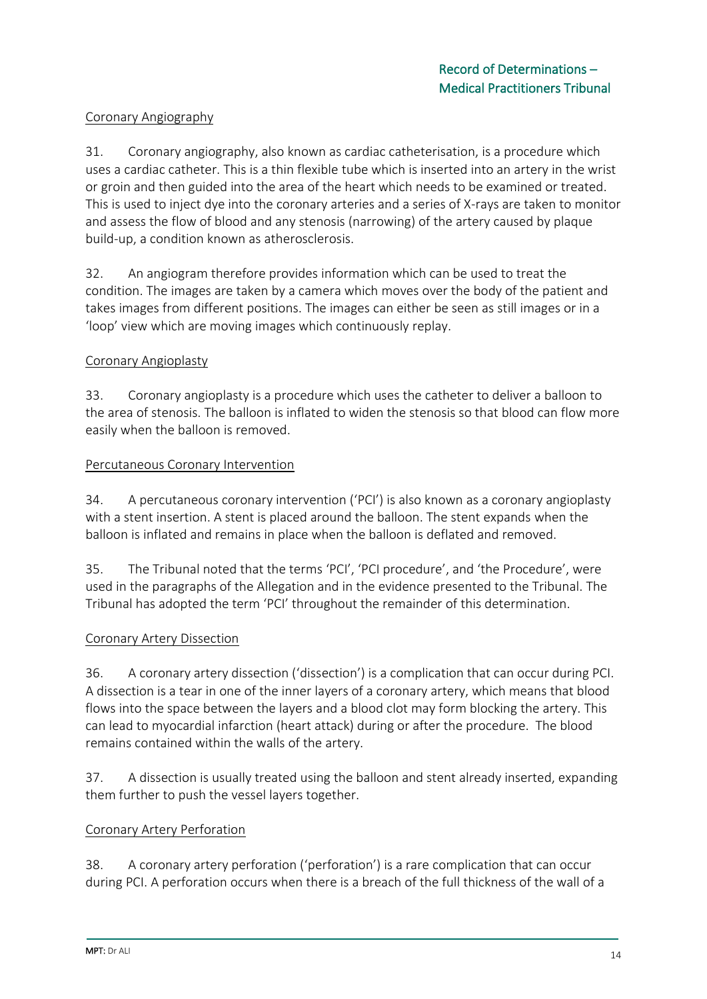#### Coronary Angiography

31. Coronary angiography, also known as cardiac catheterisation, is a procedure which uses a cardiac catheter. This is a thin flexible tube which is inserted into an artery in the wrist or groin and then guided into the area of the heart which needs to be examined or treated. This is used to inject dye into the coronary arteries and a series of X-rays are taken to monitor and assess the flow of blood and any stenosis (narrowing) of the artery caused by plaque build-up, a condition known as atherosclerosis.

32. An angiogram therefore provides information which can be used to treat the condition. The images are taken by a camera which moves over the body of the patient and takes images from different positions. The images can either be seen as still images or in a 'loop' view which are moving images which continuously replay.

#### Coronary Angioplasty

33. Coronary angioplasty is a procedure which uses the catheter to deliver a balloon to the area of stenosis. The balloon is inflated to widen the stenosis so that blood can flow more easily when the balloon is removed.

#### Percutaneous Coronary Intervention

34. A percutaneous coronary intervention ('PCI') is also known as a coronary angioplasty with a stent insertion. A stent is placed around the balloon. The stent expands when the balloon is inflated and remains in place when the balloon is deflated and removed.

35. The Tribunal noted that the terms 'PCI', 'PCI procedure', and 'the Procedure', were used in the paragraphs of the Allegation and in the evidence presented to the Tribunal. The Tribunal has adopted the term 'PCI' throughout the remainder of this determination.

#### Coronary Artery Dissection

36. A coronary artery dissection ('dissection') is a complication that can occur during PCI. A dissection is a tear in one of the inner layers of a coronary artery, which means that blood flows into the space between the layers and a blood clot may form blocking the artery. This can lead to myocardial infarction (heart attack) during or after the procedure. The blood remains contained within the walls of the artery.

37. A dissection is usually treated using the balloon and stent already inserted, expanding them further to push the vessel layers together.

#### Coronary Artery Perforation

38. A coronary artery perforation ('perforation') is a rare complication that can occur during PCI. A perforation occurs when there is a breach of the full thickness of the wall of a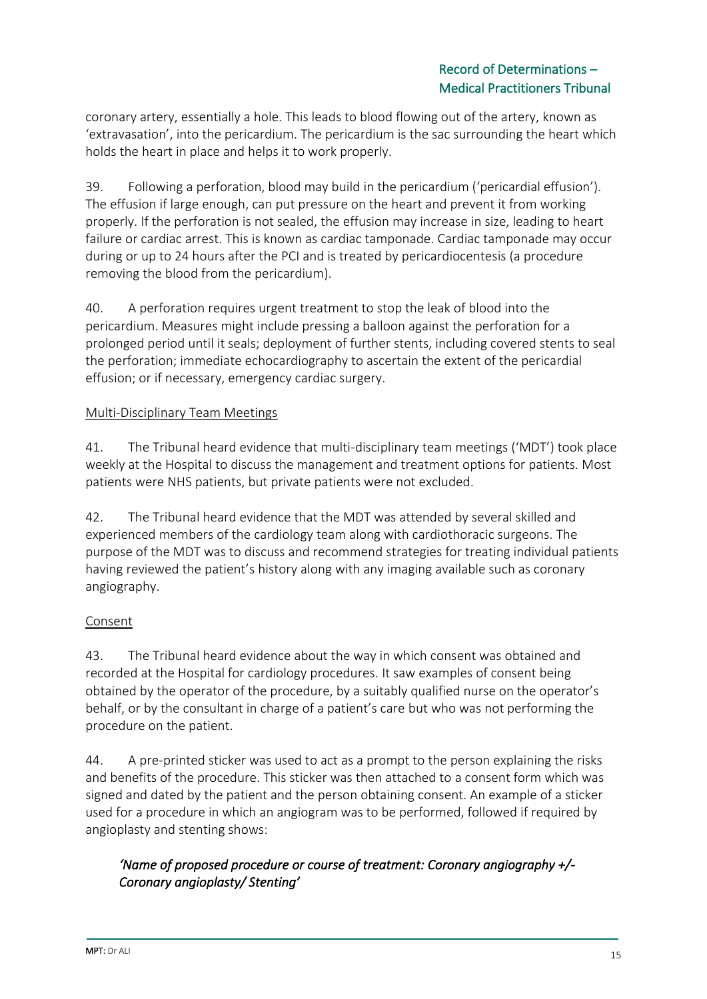coronary artery, essentially a hole. This leads to blood flowing out of the artery, known as 'extravasation', into the pericardium. The pericardium is the sac surrounding the heart which holds the heart in place and helps it to work properly.

39. Following a perforation, blood may build in the pericardium ('pericardial effusion'). The effusion if large enough, can put pressure on the heart and prevent it from working properly. If the perforation is not sealed, the effusion may increase in size, leading to heart failure or cardiac arrest. This is known as cardiac tamponade. Cardiac tamponade may occur during or up to 24 hours after the PCI and is treated by pericardiocentesis (a procedure removing the blood from the pericardium).

40. A perforation requires urgent treatment to stop the leak of blood into the pericardium. Measures might include pressing a balloon against the perforation for a prolonged period until it seals; deployment of further stents, including covered stents to seal the perforation; immediate echocardiography to ascertain the extent of the pericardial effusion; or if necessary, emergency cardiac surgery.

# Multi-Disciplinary Team Meetings

41. The Tribunal heard evidence that multi-disciplinary team meetings ('MDT') took place weekly at the Hospital to discuss the management and treatment options for patients. Most patients were NHS patients, but private patients were not excluded.

42. The Tribunal heard evidence that the MDT was attended by several skilled and experienced members of the cardiology team along with cardiothoracic surgeons. The purpose of the MDT was to discuss and recommend strategies for treating individual patients having reviewed the patient's history along with any imaging available such as coronary angiography.

# Consent

43. The Tribunal heard evidence about the way in which consent was obtained and recorded at the Hospital for cardiology procedures. It saw examples of consent being obtained by the operator of the procedure, by a suitably qualified nurse on the operator's behalf, or by the consultant in charge of a patient's care but who was not performing the procedure on the patient.

44. A pre-printed sticker was used to act as a prompt to the person explaining the risks and benefits of the procedure. This sticker was then attached to a consent form which was signed and dated by the patient and the person obtaining consent. An example of a sticker used for a procedure in which an angiogram was to be performed, followed if required by angioplasty and stenting shows:

# *'Name of proposed procedure or course of treatment: Coronary angiography +/- Coronary angioplasty/ Stenting'*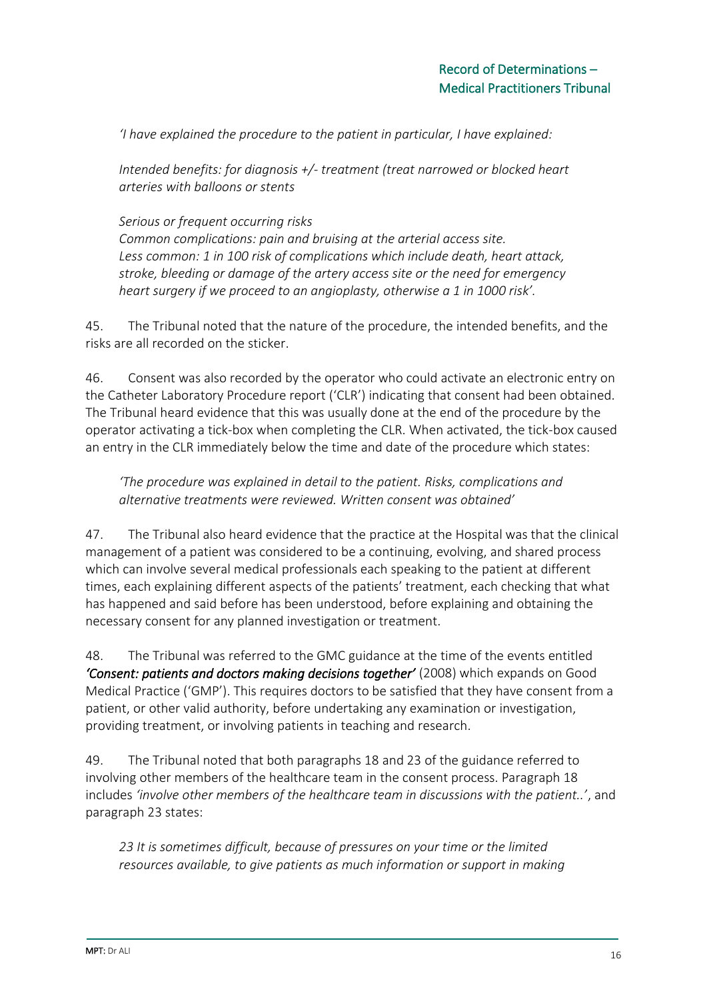*'I have explained the procedure to the patient in particular, I have explained:* 

*Intended benefits: for diagnosis +/- treatment (treat narrowed or blocked heart arteries with balloons or stents*

#### *Serious or frequent occurring risks*

*Common complications: pain and bruising at the arterial access site. Less common: 1 in 100 risk of complications which include death, heart attack, stroke, bleeding or damage of the artery access site or the need for emergency heart surgery if we proceed to an angioplasty, otherwise a 1 in 1000 risk'.*

45. The Tribunal noted that the nature of the procedure, the intended benefits, and the risks are all recorded on the sticker.

46. Consent was also recorded by the operator who could activate an electronic entry on the Catheter Laboratory Procedure report ('CLR') indicating that consent had been obtained. The Tribunal heard evidence that this was usually done at the end of the procedure by the operator activating a tick-box when completing the CLR. When activated, the tick-box caused an entry in the CLR immediately below the time and date of the procedure which states:

## *'The procedure was explained in detail to the patient. Risks, complications and alternative treatments were reviewed. Written consent was obtained'*

47. The Tribunal also heard evidence that the practice at the Hospital was that the clinical management of a patient was considered to be a continuing, evolving, and shared process which can involve several medical professionals each speaking to the patient at different times, each explaining different aspects of the patients' treatment, each checking that what has happened and said before has been understood, before explaining and obtaining the necessary consent for any planned investigation or treatment.

48. The Tribunal was referred to the GMC guidance at the time of the events entitled *'Consent: patients and doctors making decisions together'* (2008) which expands on Good Medical Practice ('GMP'). This requires doctors to be satisfied that they have consent from a patient, or other valid authority, before undertaking any examination or investigation, providing treatment, or involving patients in teaching and research.

49. The Tribunal noted that both paragraphs 18 and 23 of the guidance referred to involving other members of the healthcare team in the consent process. Paragraph 18 includes *'involve other members of the healthcare team in discussions with the patient..'*, and paragraph 23 states:

*23 It is sometimes difficult, because of pressures on your time or the limited resources available, to give patients as much information or support in making*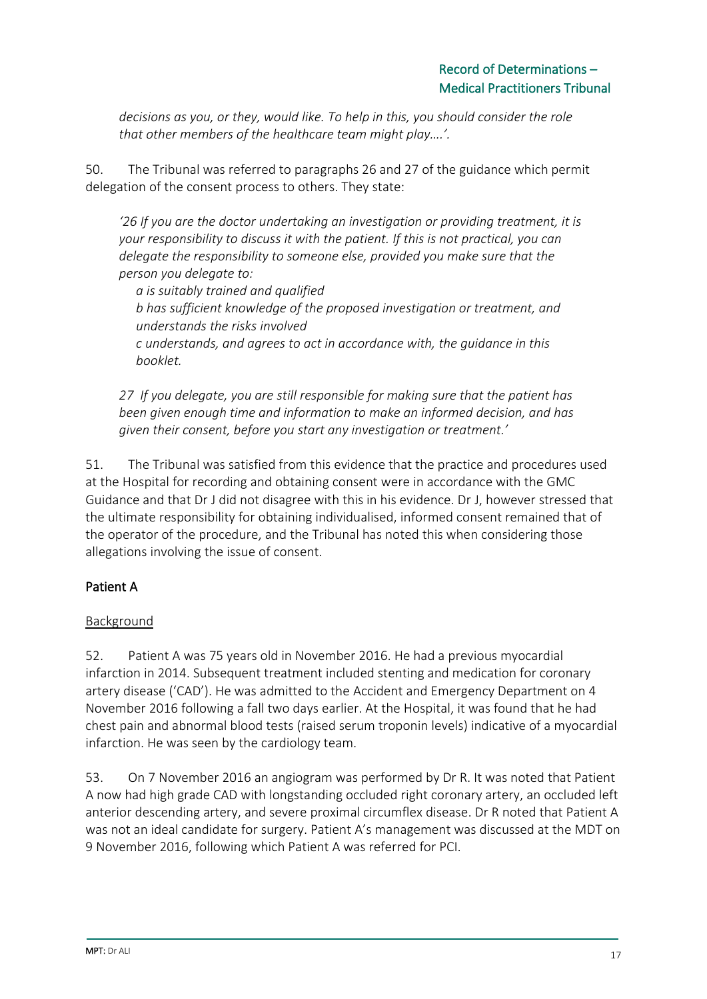*decisions as you, or they, would like. To help in this, you should consider the role that other members of the healthcare team might play….'.*

50. The Tribunal was referred to paragraphs 26 and 27 of the guidance which permit delegation of the consent process to others. They state:

*'26 If you are the doctor undertaking an investigation or providing treatment, it is your responsibility to discuss it with the patient. If this is not practical, you can delegate the responsibility to someone else, provided you make sure that the person you delegate to:*

*a is suitably trained and qualified b has sufficient knowledge of the proposed investigation or treatment, and understands the risks involved c understands, and agrees to act in accordance with, the guidance in this booklet.*

*27 If you delegate, you are still responsible for making sure that the patient has been given enough time and information to make an informed decision, and has given their consent, before you start any investigation or treatment.'*

51. The Tribunal was satisfied from this evidence that the practice and procedures used at the Hospital for recording and obtaining consent were in accordance with the GMC Guidance and that Dr J did not disagree with this in his evidence. Dr J, however stressed that the ultimate responsibility for obtaining individualised, informed consent remained that of the operator of the procedure, and the Tribunal has noted this when considering those allegations involving the issue of consent.

# Patient A

# Background

52. Patient A was 75 years old in November 2016. He had a previous myocardial infarction in 2014. Subsequent treatment included stenting and medication for coronary artery disease ('CAD'). He was admitted to the Accident and Emergency Department on 4 November 2016 following a fall two days earlier. At the Hospital, it was found that he had chest pain and abnormal blood tests (raised serum troponin levels) indicative of a myocardial infarction. He was seen by the cardiology team.

53. On 7 November 2016 an angiogram was performed by Dr R. It was noted that Patient A now had high grade CAD with longstanding occluded right coronary artery, an occluded left anterior descending artery, and severe proximal circumflex disease. Dr R noted that Patient A was not an ideal candidate for surgery. Patient A's management was discussed at the MDT on 9 November 2016, following which Patient A was referred for PCI.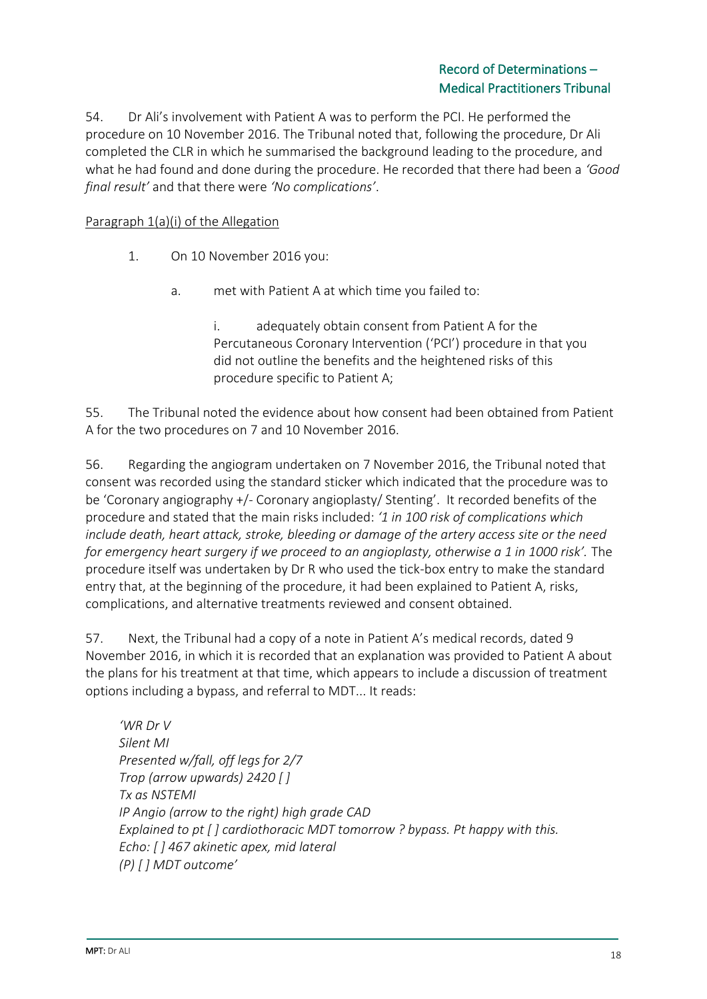54. Dr Ali's involvement with Patient A was to perform the PCI. He performed the procedure on 10 November 2016. The Tribunal noted that, following the procedure, Dr Ali completed the CLR in which he summarised the background leading to the procedure, and what he had found and done during the procedure. He recorded that there had been a *'Good final result'* and that there were *'No complications'*.

#### Paragraph 1(a)(i) of the Allegation

- 1. On 10 November 2016 you:
	- a. met with Patient A at which time you failed to:

i. adequately obtain consent from Patient A for the Percutaneous Coronary Intervention ('PCI') procedure in that you did not outline the benefits and the heightened risks of this procedure specific to Patient A;

55. The Tribunal noted the evidence about how consent had been obtained from Patient A for the two procedures on 7 and 10 November 2016.

56. Regarding the angiogram undertaken on 7 November 2016, the Tribunal noted that consent was recorded using the standard sticker which indicated that the procedure was to be 'Coronary angiography +/- Coronary angioplasty/ Stenting'. It recorded benefits of the procedure and stated that the main risks included: *'1 in 100 risk of complications which include death, heart attack, stroke, bleeding or damage of the artery access site or the need*  for emergency heart surgery if we proceed to an angioplasty, otherwise a 1 in 1000 risk'. The procedure itself was undertaken by Dr R who used the tick-box entry to make the standard entry that, at the beginning of the procedure, it had been explained to Patient A, risks, complications, and alternative treatments reviewed and consent obtained.

57. Next, the Tribunal had a copy of a note in Patient A's medical records, dated 9 November 2016, in which it is recorded that an explanation was provided to Patient A about the plans for his treatment at that time, which appears to include a discussion of treatment options including a bypass, and referral to MDT... It reads:

*'WR Dr V Silent MI Presented w/fall, off legs for 2/7 Trop (arrow upwards) 2420 [ ] Tx as NSTEMI IP Angio (arrow to the right) high grade CAD Explained to pt [ ] cardiothoracic MDT tomorrow ? bypass. Pt happy with this. Echo: [ ] 467 akinetic apex, mid lateral (P) [ ] MDT outcome'*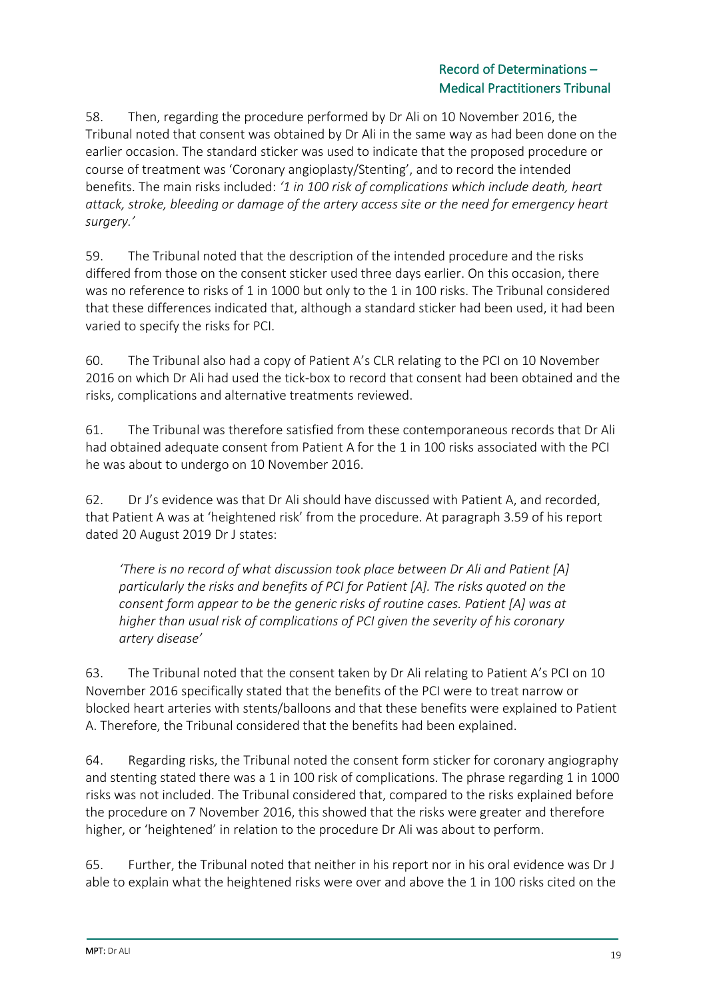58. Then, regarding the procedure performed by Dr Ali on 10 November 2016, the Tribunal noted that consent was obtained by Dr Ali in the same way as had been done on the earlier occasion. The standard sticker was used to indicate that the proposed procedure or course of treatment was 'Coronary angioplasty/Stenting', and to record the intended benefits. The main risks included: *'1 in 100 risk of complications which include death, heart attack, stroke, bleeding or damage of the artery access site or the need for emergency heart surgery.'* 

59. The Tribunal noted that the description of the intended procedure and the risks differed from those on the consent sticker used three days earlier. On this occasion, there was no reference to risks of 1 in 1000 but only to the 1 in 100 risks. The Tribunal considered that these differences indicated that, although a standard sticker had been used, it had been varied to specify the risks for PCI.

60. The Tribunal also had a copy of Patient A's CLR relating to the PCI on 10 November 2016 on which Dr Ali had used the tick-box to record that consent had been obtained and the risks, complications and alternative treatments reviewed.

61. The Tribunal was therefore satisfied from these contemporaneous records that Dr Ali had obtained adequate consent from Patient A for the 1 in 100 risks associated with the PCI he was about to undergo on 10 November 2016.

62. Dr J's evidence was that Dr Ali should have discussed with Patient A, and recorded, that Patient A was at 'heightened risk' from the procedure. At paragraph 3.59 of his report dated 20 August 2019 Dr J states:

*'There is no record of what discussion took place between Dr Ali and Patient [A] particularly the risks and benefits of PCI for Patient [A]. The risks quoted on the consent form appear to be the generic risks of routine cases. Patient [A] was at higher than usual risk of complications of PCI given the severity of his coronary artery disease'* 

63. The Tribunal noted that the consent taken by Dr Ali relating to Patient A's PCI on 10 November 2016 specifically stated that the benefits of the PCI were to treat narrow or blocked heart arteries with stents/balloons and that these benefits were explained to Patient A. Therefore, the Tribunal considered that the benefits had been explained.

64. Regarding risks, the Tribunal noted the consent form sticker for coronary angiography and stenting stated there was a 1 in 100 risk of complications. The phrase regarding 1 in 1000 risks was not included. The Tribunal considered that, compared to the risks explained before the procedure on 7 November 2016, this showed that the risks were greater and therefore higher, or 'heightened' in relation to the procedure Dr Ali was about to perform.

65. Further, the Tribunal noted that neither in his report nor in his oral evidence was Dr J able to explain what the heightened risks were over and above the 1 in 100 risks cited on the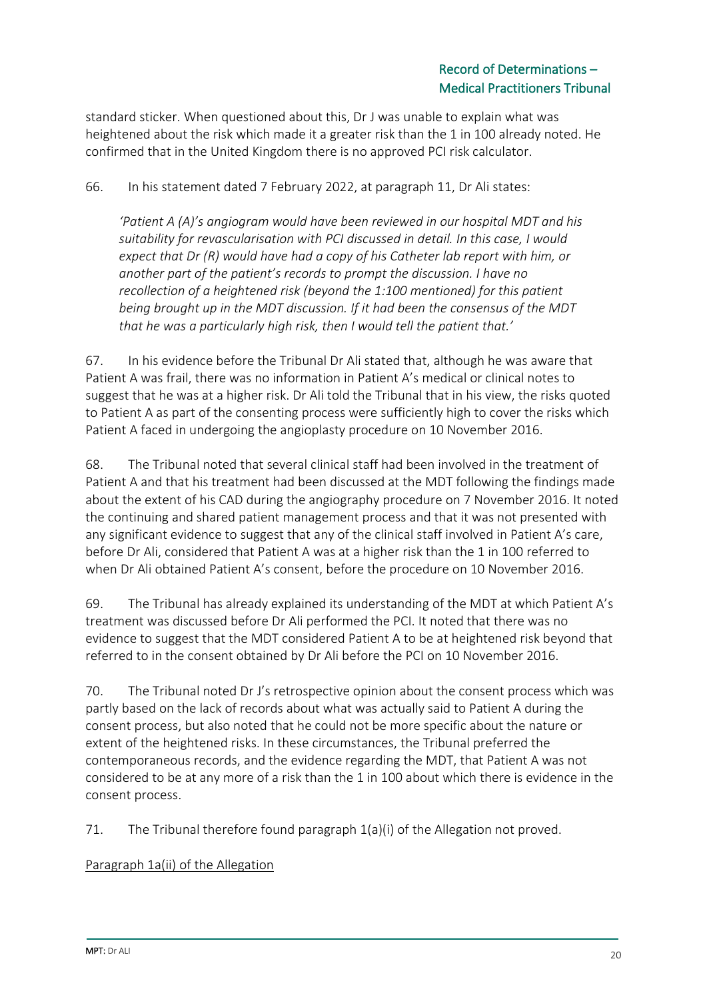standard sticker. When questioned about this, Dr J was unable to explain what was heightened about the risk which made it a greater risk than the 1 in 100 already noted. He confirmed that in the United Kingdom there is no approved PCI risk calculator.

66. In his statement dated 7 February 2022, at paragraph 11, Dr Ali states:

*'Patient A (A)'s angiogram would have been reviewed in our hospital MDT and his suitability for revascularisation with PCI discussed in detail. In this case, I would expect that Dr (R) would have had a copy of his Catheter lab report with him, or another part of the patient's records to prompt the discussion. I have no recollection of a heightened risk (beyond the 1:100 mentioned) for this patient being brought up in the MDT discussion. If it had been the consensus of the MDT that he was a particularly high risk, then I would tell the patient that.'* 

67. In his evidence before the Tribunal Dr Ali stated that, although he was aware that Patient A was frail, there was no information in Patient A's medical or clinical notes to suggest that he was at a higher risk. Dr Ali told the Tribunal that in his view, the risks quoted to Patient A as part of the consenting process were sufficiently high to cover the risks which Patient A faced in undergoing the angioplasty procedure on 10 November 2016.

68. The Tribunal noted that several clinical staff had been involved in the treatment of Patient A and that his treatment had been discussed at the MDT following the findings made about the extent of his CAD during the angiography procedure on 7 November 2016. It noted the continuing and shared patient management process and that it was not presented with any significant evidence to suggest that any of the clinical staff involved in Patient A's care, before Dr Ali, considered that Patient A was at a higher risk than the 1 in 100 referred to when Dr Ali obtained Patient A's consent, before the procedure on 10 November 2016.

69. The Tribunal has already explained its understanding of the MDT at which Patient A's treatment was discussed before Dr Ali performed the PCI. It noted that there was no evidence to suggest that the MDT considered Patient A to be at heightened risk beyond that referred to in the consent obtained by Dr Ali before the PCI on 10 November 2016.

70. The Tribunal noted Dr J's retrospective opinion about the consent process which was partly based on the lack of records about what was actually said to Patient A during the consent process, but also noted that he could not be more specific about the nature or extent of the heightened risks. In these circumstances, the Tribunal preferred the contemporaneous records, and the evidence regarding the MDT, that Patient A was not considered to be at any more of a risk than the 1 in 100 about which there is evidence in the consent process.

71. The Tribunal therefore found paragraph 1(a)(i) of the Allegation not proved.

# Paragraph 1a(ii) of the Allegation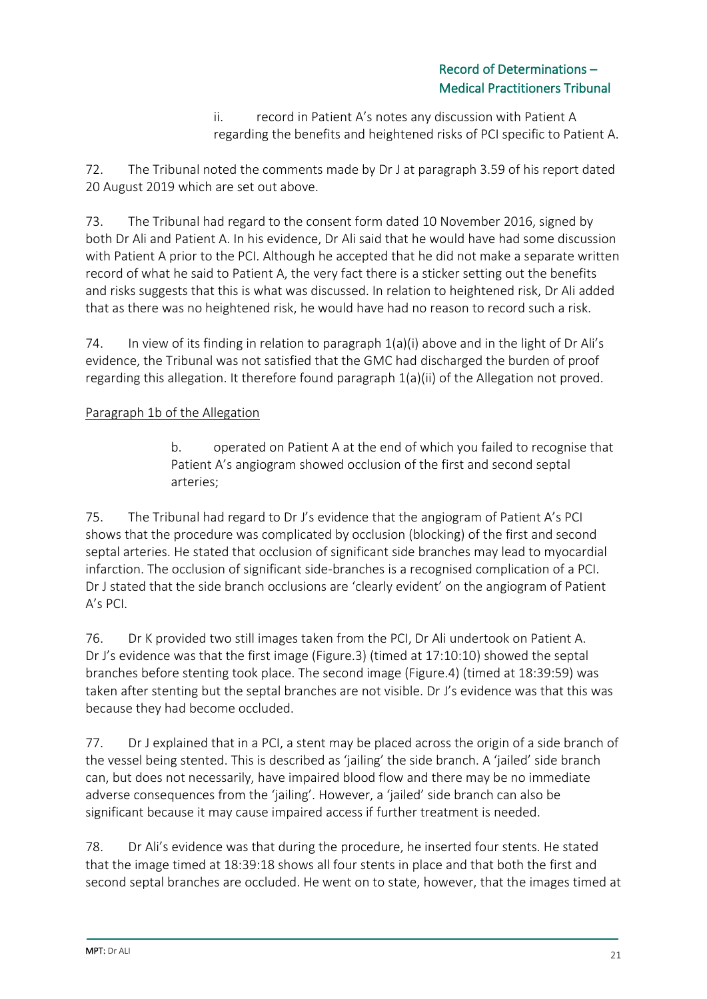ii. record in Patient A's notes any discussion with Patient A regarding the benefits and heightened risks of PCI specific to Patient A.

72. The Tribunal noted the comments made by Dr J at paragraph 3.59 of his report dated 20 August 2019 which are set out above.

73. The Tribunal had regard to the consent form dated 10 November 2016, signed by both Dr Ali and Patient A. In his evidence, Dr Ali said that he would have had some discussion with Patient A prior to the PCI. Although he accepted that he did not make a separate written record of what he said to Patient A, the very fact there is a sticker setting out the benefits and risks suggests that this is what was discussed. In relation to heightened risk, Dr Ali added that as there was no heightened risk, he would have had no reason to record such a risk.

74. In view of its finding in relation to paragraph 1(a)(i) above and in the light of Dr Ali's evidence, the Tribunal was not satisfied that the GMC had discharged the burden of proof regarding this allegation. It therefore found paragraph 1(a)(ii) of the Allegation not proved.

# Paragraph 1b of the Allegation

b. operated on Patient A at the end of which you failed to recognise that Patient A's angiogram showed occlusion of the first and second septal arteries;

75. The Tribunal had regard to Dr J's evidence that the angiogram of Patient A's PCI shows that the procedure was complicated by occlusion (blocking) of the first and second septal arteries. He stated that occlusion of significant side branches may lead to myocardial infarction. The occlusion of significant side-branches is a recognised complication of a PCI. Dr J stated that the side branch occlusions are 'clearly evident' on the angiogram of Patient A's PCI.

76. Dr K provided two still images taken from the PCI, Dr Ali undertook on Patient A. Dr J's evidence was that the first image (Figure.3) (timed at 17:10:10) showed the septal branches before stenting took place. The second image (Figure.4) (timed at 18:39:59) was taken after stenting but the septal branches are not visible. Dr J's evidence was that this was because they had become occluded.

77. Dr J explained that in a PCI, a stent may be placed across the origin of a side branch of the vessel being stented. This is described as 'jailing' the side branch. A 'jailed' side branch can, but does not necessarily, have impaired blood flow and there may be no immediate adverse consequences from the 'jailing'. However, a 'jailed' side branch can also be significant because it may cause impaired access if further treatment is needed.

78. Dr Ali's evidence was that during the procedure, he inserted four stents. He stated that the image timed at 18:39:18 shows all four stents in place and that both the first and second septal branches are occluded. He went on to state, however, that the images timed at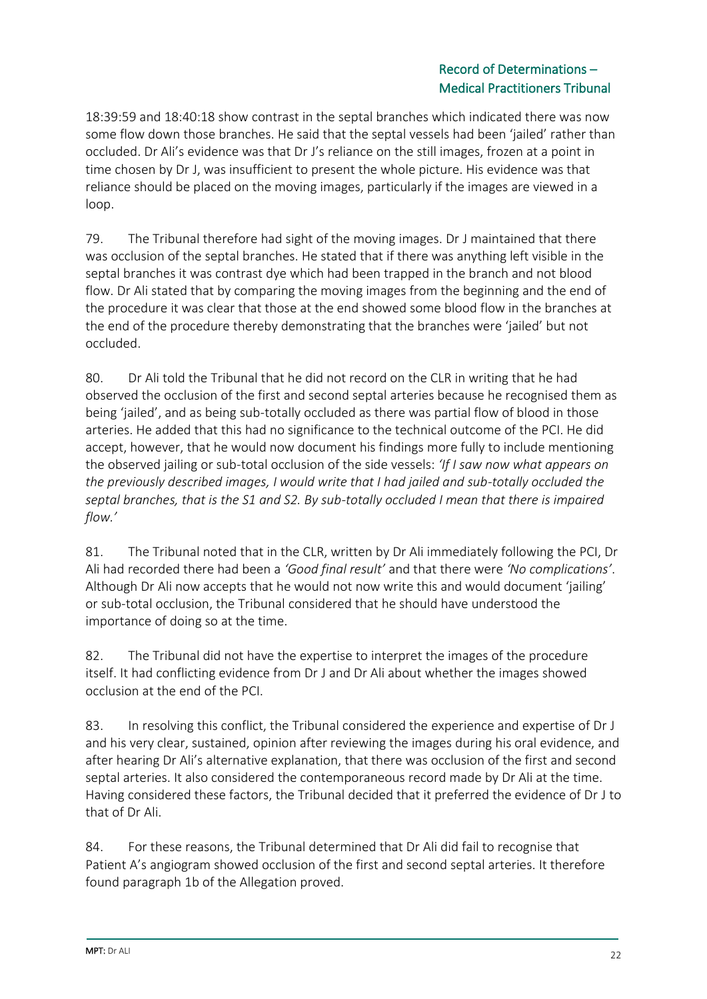18:39:59 and 18:40:18 show contrast in the septal branches which indicated there was now some flow down those branches. He said that the septal vessels had been 'jailed' rather than occluded. Dr Ali's evidence was that Dr J's reliance on the still images, frozen at a point in time chosen by Dr J, was insufficient to present the whole picture. His evidence was that reliance should be placed on the moving images, particularly if the images are viewed in a loop.

79. The Tribunal therefore had sight of the moving images. Dr J maintained that there was occlusion of the septal branches. He stated that if there was anything left visible in the septal branches it was contrast dye which had been trapped in the branch and not blood flow. Dr Ali stated that by comparing the moving images from the beginning and the end of the procedure it was clear that those at the end showed some blood flow in the branches at the end of the procedure thereby demonstrating that the branches were 'jailed' but not occluded.

80. Dr Ali told the Tribunal that he did not record on the CLR in writing that he had observed the occlusion of the first and second septal arteries because he recognised them as being 'jailed', and as being sub-totally occluded as there was partial flow of blood in those arteries. He added that this had no significance to the technical outcome of the PCI. He did accept, however, that he would now document his findings more fully to include mentioning the observed jailing or sub-total occlusion of the side vessels: *'If I saw now what appears on the previously described images, I would write that I had jailed and sub-totally occluded the septal branches, that is the S1 and S2. By sub-totally occluded I mean that there is impaired flow.'*

81. The Tribunal noted that in the CLR, written by Dr Ali immediately following the PCI, Dr Ali had recorded there had been a *'Good final result'* and that there were *'No complications'*. Although Dr Ali now accepts that he would not now write this and would document 'jailing' or sub-total occlusion, the Tribunal considered that he should have understood the importance of doing so at the time.

82. The Tribunal did not have the expertise to interpret the images of the procedure itself. It had conflicting evidence from Dr J and Dr Ali about whether the images showed occlusion at the end of the PCI.

83. In resolving this conflict, the Tribunal considered the experience and expertise of Dr J and his very clear, sustained, opinion after reviewing the images during his oral evidence, and after hearing Dr Ali's alternative explanation, that there was occlusion of the first and second septal arteries. It also considered the contemporaneous record made by Dr Ali at the time. Having considered these factors, the Tribunal decided that it preferred the evidence of Dr J to that of Dr Ali.

84. For these reasons, the Tribunal determined that Dr Ali did fail to recognise that Patient A's angiogram showed occlusion of the first and second septal arteries. It therefore found paragraph 1b of the Allegation proved.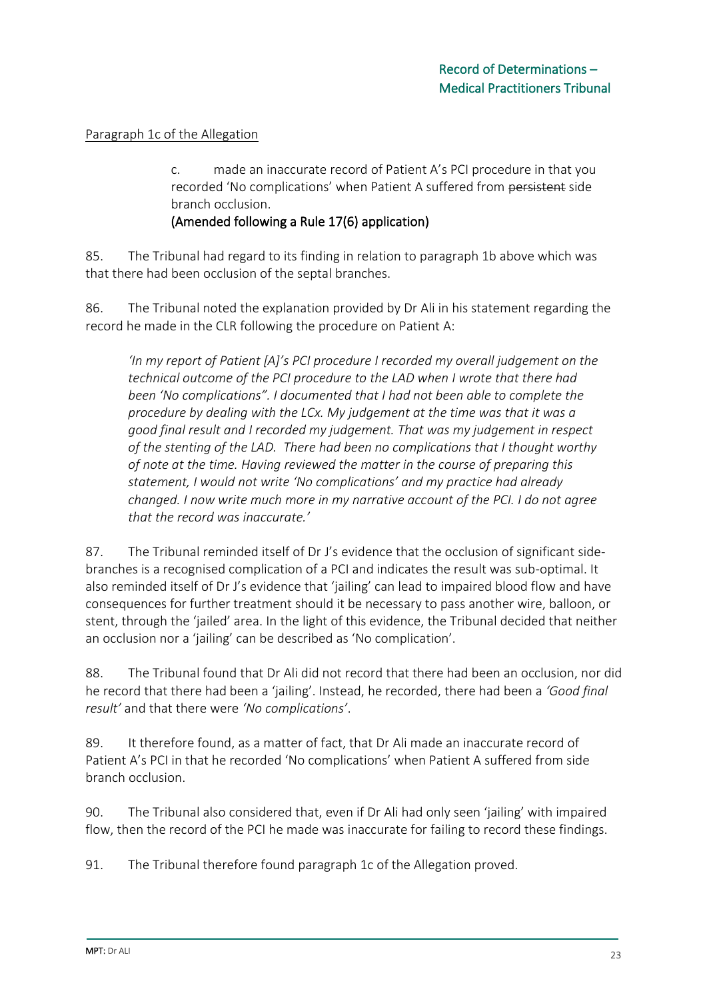## Paragraph 1c of the Allegation

c. made an inaccurate record of Patient A's PCI procedure in that you recorded 'No complications' when Patient A suffered from persistent side branch occlusion.

## (Amended following a Rule 17(6) application)

85. The Tribunal had regard to its finding in relation to paragraph 1b above which was that there had been occlusion of the septal branches.

86. The Tribunal noted the explanation provided by Dr Ali in his statement regarding the record he made in the CLR following the procedure on Patient A:

*'In my report of Patient [A]'s PCI procedure I recorded my overall judgement on the technical outcome of the PCI procedure to the LAD when I wrote that there had been 'No complications". I documented that I had not been able to complete the procedure by dealing with the LCx. My judgement at the time was that it was a good final result and I recorded my judgement. That was my judgement in respect of the stenting of the LAD. There had been no complications that I thought worthy of note at the time. Having reviewed the matter in the course of preparing this statement, I would not write 'No complications' and my practice had already changed. I now write much more in my narrative account of the PCI. I do not agree that the record was inaccurate.'* 

87. The Tribunal reminded itself of Dr J's evidence that the occlusion of significant sidebranches is a recognised complication of a PCI and indicates the result was sub-optimal. It also reminded itself of Dr J's evidence that 'jailing' can lead to impaired blood flow and have consequences for further treatment should it be necessary to pass another wire, balloon, or stent, through the 'jailed' area. In the light of this evidence, the Tribunal decided that neither an occlusion nor a 'jailing' can be described as 'No complication'.

88. The Tribunal found that Dr Ali did not record that there had been an occlusion, nor did he record that there had been a 'jailing'. Instead, he recorded, there had been a *'Good final result'* and that there were *'No complications'*.

89. It therefore found, as a matter of fact, that Dr Ali made an inaccurate record of Patient A's PCI in that he recorded 'No complications' when Patient A suffered from side branch occlusion.

90. The Tribunal also considered that, even if Dr Ali had only seen 'jailing' with impaired flow, then the record of the PCI he made was inaccurate for failing to record these findings.

91. The Tribunal therefore found paragraph 1c of the Allegation proved.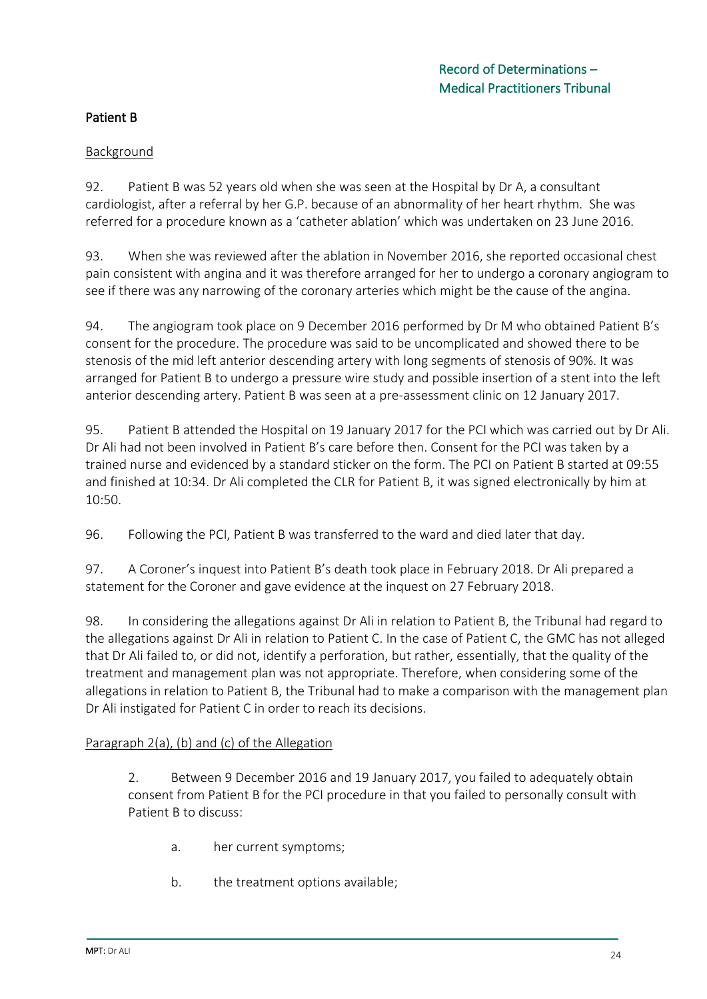# Patient B

## Background

92. Patient B was 52 years old when she was seen at the Hospital by Dr A, a consultant cardiologist, after a referral by her G.P. because of an abnormality of her heart rhythm. She was referred for a procedure known as a 'catheter ablation' which was undertaken on 23 June 2016.

93. When she was reviewed after the ablation in November 2016, she reported occasional chest pain consistent with angina and it was therefore arranged for her to undergo a coronary angiogram to see if there was any narrowing of the coronary arteries which might be the cause of the angina.

94. The angiogram took place on 9 December 2016 performed by Dr M who obtained Patient B's consent for the procedure. The procedure was said to be uncomplicated and showed there to be stenosis of the mid left anterior descending artery with long segments of stenosis of 90%. It was arranged for Patient B to undergo a pressure wire study and possible insertion of a stent into the left anterior descending artery. Patient B was seen at a pre-assessment clinic on 12 January 2017.

95. Patient B attended the Hospital on 19 January 2017 for the PCI which was carried out by Dr Ali. Dr Ali had not been involved in Patient B's care before then. Consent for the PCI was taken by a trained nurse and evidenced by a standard sticker on the form. The PCI on Patient B started at 09:55 and finished at 10:34. Dr Ali completed the CLR for Patient B, it was signed electronically by him at 10:50.

96. Following the PCI, Patient B was transferred to the ward and died later that day.

97. A Coroner's inquest into Patient B's death took place in February 2018. Dr Ali prepared a statement for the Coroner and gave evidence at the inquest on 27 February 2018.

98. In considering the allegations against Dr Ali in relation to Patient B, the Tribunal had regard to the allegations against Dr Ali in relation to Patient C. In the case of Patient C, the GMC has not alleged that Dr Ali failed to, or did not, identify a perforation, but rather, essentially, that the quality of the treatment and management plan was not appropriate. Therefore, when considering some of the allegations in relation to Patient B, the Tribunal had to make a comparison with the management plan Dr Ali instigated for Patient C in order to reach its decisions.

# Paragraph 2(a), (b) and (c) of the Allegation

2. Between 9 December 2016 and 19 January 2017, you failed to adequately obtain consent from Patient B for the PCI procedure in that you failed to personally consult with Patient B to discuss:

- a. her current symptoms;
- b. the treatment options available;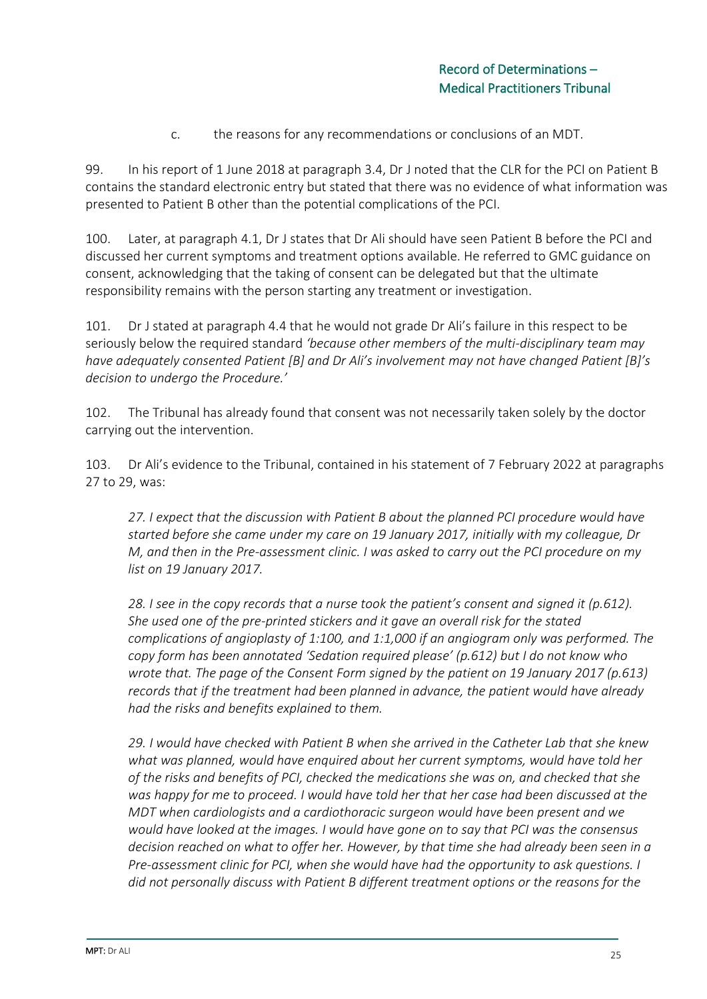c. the reasons for any recommendations or conclusions of an MDT.

99. In his report of 1 June 2018 at paragraph 3.4, Dr J noted that the CLR for the PCI on Patient B contains the standard electronic entry but stated that there was no evidence of what information was presented to Patient B other than the potential complications of the PCI.

100. Later, at paragraph 4.1, Dr J states that Dr Ali should have seen Patient B before the PCI and discussed her current symptoms and treatment options available. He referred to GMC guidance on consent, acknowledging that the taking of consent can be delegated but that the ultimate responsibility remains with the person starting any treatment or investigation.

101. Dr J stated at paragraph 4.4 that he would not grade Dr Ali's failure in this respect to be seriously below the required standard *'because other members of the multi-disciplinary team may have adequately consented Patient [B] and Dr Ali's involvement may not have changed Patient [B]'s decision to undergo the Procedure.'*

102. The Tribunal has already found that consent was not necessarily taken solely by the doctor carrying out the intervention.

103. Dr Ali's evidence to the Tribunal, contained in his statement of 7 February 2022 at paragraphs 27 to 29, was:

*27. I expect that the discussion with Patient B about the planned PCI procedure would have started before she came under my care on 19 January 2017, initially with my colleague, Dr M, and then in the Pre-assessment clinic. I was asked to carry out the PCI procedure on my list on 19 January 2017.*

*28. I see in the copy records that a nurse took the patient's consent and signed it (p.612). She used one of the pre-printed stickers and it gave an overall risk for the stated complications of angioplasty of 1:100, and 1:1,000 if an angiogram only was performed. The copy form has been annotated 'Sedation required please' (p.612) but I do not know who wrote that. The page of the Consent Form signed by the patient on 19 January 2017 (p.613) records that if the treatment had been planned in advance, the patient would have already had the risks and benefits explained to them.*

*29. I would have checked with Patient B when she arrived in the Catheter Lab that she knew what was planned, would have enquired about her current symptoms, would have told her of the risks and benefits of PCI, checked the medications she was on, and checked that she was happy for me to proceed. I would have told her that her case had been discussed at the MDT when cardiologists and a cardiothoracic surgeon would have been present and we would have looked at the images. I would have gone on to say that PCI was the consensus decision reached on what to offer her. However, by that time she had already been seen in a Pre-assessment clinic for PCI, when she would have had the opportunity to ask questions. I did not personally discuss with Patient B different treatment options or the reasons for the*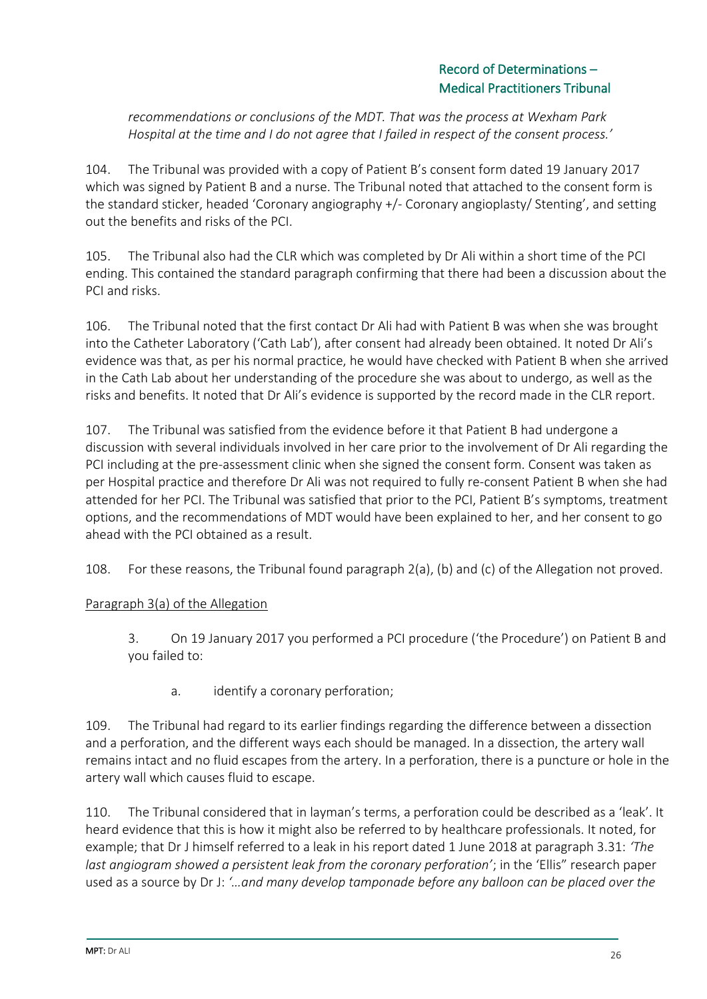*recommendations or conclusions of the MDT. That was the process at Wexham Park Hospital at the time and I do not agree that I failed in respect of the consent process.'*

104. The Tribunal was provided with a copy of Patient B's consent form dated 19 January 2017 which was signed by Patient B and a nurse. The Tribunal noted that attached to the consent form is the standard sticker, headed 'Coronary angiography +/- Coronary angioplasty/ Stenting', and setting out the benefits and risks of the PCI.

105. The Tribunal also had the CLR which was completed by Dr Ali within a short time of the PCI ending. This contained the standard paragraph confirming that there had been a discussion about the PCI and risks.

106. The Tribunal noted that the first contact Dr Ali had with Patient B was when she was brought into the Catheter Laboratory ('Cath Lab'), after consent had already been obtained. It noted Dr Ali's evidence was that, as per his normal practice, he would have checked with Patient B when she arrived in the Cath Lab about her understanding of the procedure she was about to undergo, as well as the risks and benefits. It noted that Dr Ali's evidence is supported by the record made in the CLR report.

107. The Tribunal was satisfied from the evidence before it that Patient B had undergone a discussion with several individuals involved in her care prior to the involvement of Dr Ali regarding the PCI including at the pre-assessment clinic when she signed the consent form. Consent was taken as per Hospital practice and therefore Dr Ali was not required to fully re-consent Patient B when she had attended for her PCI. The Tribunal was satisfied that prior to the PCI, Patient B's symptoms, treatment options, and the recommendations of MDT would have been explained to her, and her consent to go ahead with the PCI obtained as a result.

108. For these reasons, the Tribunal found paragraph 2(a), (b) and (c) of the Allegation not proved.

# Paragraph 3(a) of the Allegation

3. On 19 January 2017 you performed a PCI procedure ('the Procedure') on Patient B and you failed to:

a. identify a coronary perforation;

109. The Tribunal had regard to its earlier findings regarding the difference between a dissection and a perforation, and the different ways each should be managed. In a dissection, the artery wall remains intact and no fluid escapes from the artery. In a perforation, there is a puncture or hole in the artery wall which causes fluid to escape.

110. The Tribunal considered that in layman's terms, a perforation could be described as a 'leak'. It heard evidence that this is how it might also be referred to by healthcare professionals. It noted, for example; that Dr J himself referred to a leak in his report dated 1 June 2018 at paragraph 3.31: *'The last angiogram showed a persistent leak from the coronary perforation'*; in the 'Ellis" research paper used as a source by Dr J: *'…and many develop tamponade before any balloon can be placed over the*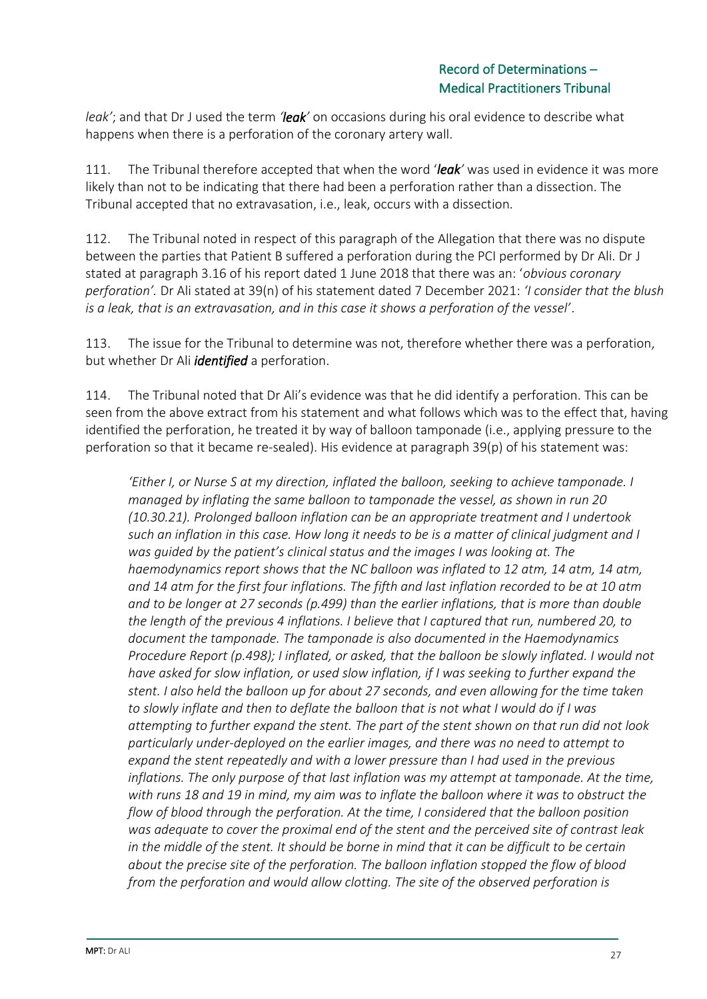*leak'*; and that Dr J used the term *'leak'* on occasions during his oral evidence to describe what happens when there is a perforation of the coronary artery wall.

111. The Tribunal therefore accepted that when the word '*leak'* was used in evidence it was more likely than not to be indicating that there had been a perforation rather than a dissection. The Tribunal accepted that no extravasation, i.e., leak, occurs with a dissection.

112. The Tribunal noted in respect of this paragraph of the Allegation that there was no dispute between the parties that Patient B suffered a perforation during the PCI performed by Dr Ali. Dr J stated at paragraph 3.16 of his report dated 1 June 2018 that there was an: '*obvious coronary perforation'.* Dr Ali stated at 39(n) of his statement dated 7 December 2021: *'I consider that the blush is a leak, that is an extravasation, and in this case it shows a perforation of the vessel'*.

113. The issue for the Tribunal to determine was not, therefore whether there was a perforation, but whether Dr Ali *identified* a perforation.

114. The Tribunal noted that Dr Ali's evidence was that he did identify a perforation. This can be seen from the above extract from his statement and what follows which was to the effect that, having identified the perforation, he treated it by way of balloon tamponade (i.e., applying pressure to the perforation so that it became re-sealed). His evidence at paragraph 39(p) of his statement was:

*'Either I, or Nurse S at my direction, inflated the balloon, seeking to achieve tamponade. I managed by inflating the same balloon to tamponade the vessel, as shown in run 20 (10.30.21). Prolonged balloon inflation can be an appropriate treatment and I undertook such an inflation in this case. How long it needs to be is a matter of clinical judgment and I was guided by the patient's clinical status and the images I was looking at. The haemodynamics report shows that the NC balloon was inflated to 12 atm, 14 atm, 14 atm, and 14 atm for the first four inflations. The fifth and last inflation recorded to be at 10 atm and to be longer at 27 seconds (p.499) than the earlier inflations, that is more than double the length of the previous 4 inflations. I believe that I captured that run, numbered 20, to document the tamponade. The tamponade is also documented in the Haemodynamics Procedure Report (p.498); I inflated, or asked, that the balloon be slowly inflated. I would not have asked for slow inflation, or used slow inflation, if I was seeking to further expand the stent. I also held the balloon up for about 27 seconds, and even allowing for the time taken to slowly inflate and then to deflate the balloon that is not what I would do if I was attempting to further expand the stent. The part of the stent shown on that run did not look particularly under-deployed on the earlier images, and there was no need to attempt to expand the stent repeatedly and with a lower pressure than I had used in the previous*  inflations. The only purpose of that last inflation was my attempt at tamponade. At the time, *with runs 18 and 19 in mind, my aim was to inflate the balloon where it was to obstruct the flow of blood through the perforation. At the time, I considered that the balloon position was adequate to cover the proximal end of the stent and the perceived site of contrast leak in the middle of the stent. It should be borne in mind that it can be difficult to be certain about the precise site of the perforation. The balloon inflation stopped the flow of blood from the perforation and would allow clotting. The site of the observed perforation is*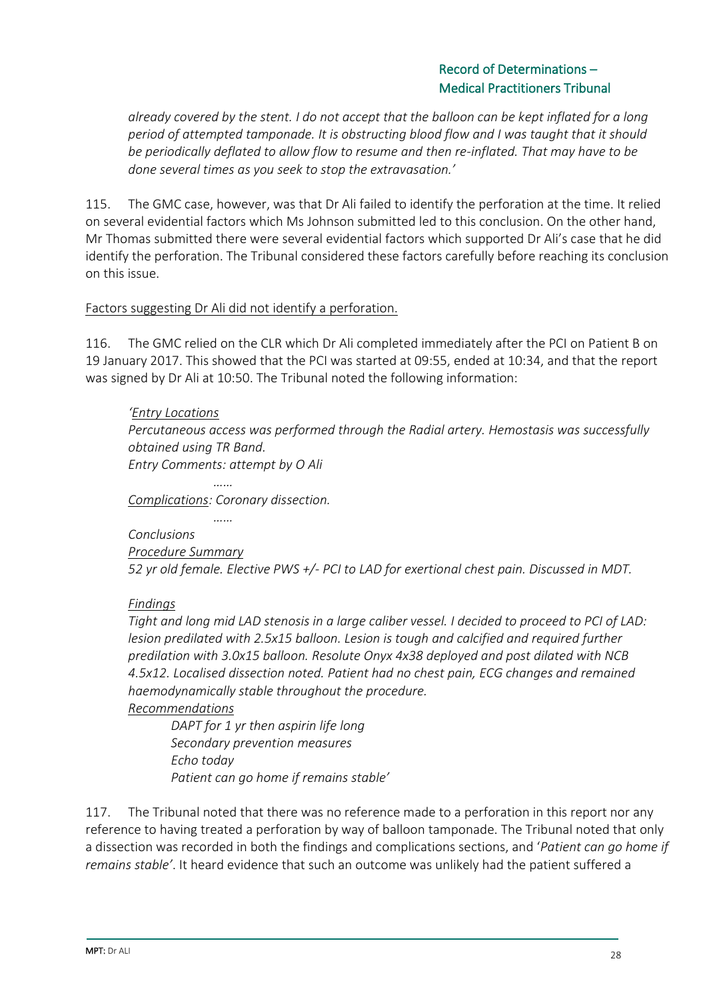*already covered by the stent. I do not accept that the balloon can be kept inflated for a long period of attempted tamponade. It is obstructing blood flow and I was taught that it should be periodically deflated to allow flow to resume and then re-inflated. That may have to be done several times as you seek to stop the extravasation.'*

115. The GMC case, however, was that Dr Ali failed to identify the perforation at the time. It relied on several evidential factors which Ms Johnson submitted led to this conclusion. On the other hand, Mr Thomas submitted there were several evidential factors which supported Dr Ali's case that he did identify the perforation. The Tribunal considered these factors carefully before reaching its conclusion on this issue.

#### Factors suggesting Dr Ali did not identify a perforation.

116. The GMC relied on the CLR which Dr Ali completed immediately after the PCI on Patient B on 19 January 2017. This showed that the PCI was started at 09:55, ended at 10:34, and that the report was signed by Dr Ali at 10:50. The Tribunal noted the following information:

#### *'Entry Locations*

*Percutaneous access was performed through the Radial artery. Hemostasis was successfully obtained using TR Band.*

*Entry Comments: attempt by O Ali ……*

*Complications: Coronary dissection.*

*……*

*Conclusions*

 *Procedure Summary*

*52 yr old female. Elective PWS +/- PCI to LAD for exertional chest pain. Discussed in MDT.*

#### *Findings*

*Tight and long mid LAD stenosis in a large caliber vessel. I decided to proceed to PCI of LAD: lesion predilated with 2.5x15 balloon. Lesion is tough and calcified and required further predilation with 3.0x15 balloon. Resolute Onyx 4x38 deployed and post dilated with NCB 4.5x12. Localised dissection noted. Patient had no chest pain, ECG changes and remained haemodynamically stable throughout the procedure.*

#### *Recommendations*

*DAPT for 1 yr then aspirin life long Secondary prevention measures Echo today Patient can go home if remains stable'*

117. The Tribunal noted that there was no reference made to a perforation in this report nor any reference to having treated a perforation by way of balloon tamponade. The Tribunal noted that only a dissection was recorded in both the findings and complications sections, and '*Patient can go home if remains stable'*. It heard evidence that such an outcome was unlikely had the patient suffered a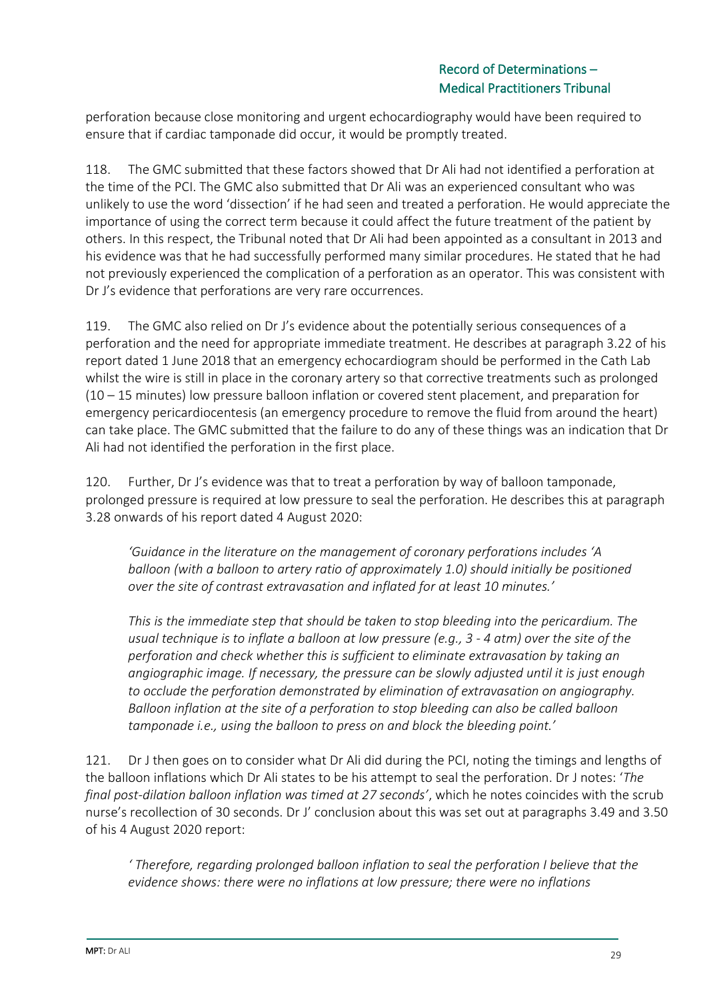perforation because close monitoring and urgent echocardiography would have been required to ensure that if cardiac tamponade did occur, it would be promptly treated.

118. The GMC submitted that these factors showed that Dr Ali had not identified a perforation at the time of the PCI. The GMC also submitted that Dr Ali was an experienced consultant who was unlikely to use the word 'dissection' if he had seen and treated a perforation. He would appreciate the importance of using the correct term because it could affect the future treatment of the patient by others. In this respect, the Tribunal noted that Dr Ali had been appointed as a consultant in 2013 and his evidence was that he had successfully performed many similar procedures. He stated that he had not previously experienced the complication of a perforation as an operator. This was consistent with Dr J's evidence that perforations are very rare occurrences.

119. The GMC also relied on Dr J's evidence about the potentially serious consequences of a perforation and the need for appropriate immediate treatment. He describes at paragraph 3.22 of his report dated 1 June 2018 that an emergency echocardiogram should be performed in the Cath Lab whilst the wire is still in place in the coronary artery so that corrective treatments such as prolonged (10 – 15 minutes) low pressure balloon inflation or covered stent placement, and preparation for emergency pericardiocentesis (an emergency procedure to remove the fluid from around the heart) can take place. The GMC submitted that the failure to do any of these things was an indication that Dr Ali had not identified the perforation in the first place.

120. Further, Dr J's evidence was that to treat a perforation by way of balloon tamponade, prolonged pressure is required at low pressure to seal the perforation. He describes this at paragraph 3.28 onwards of his report dated 4 August 2020:

*'Guidance in the literature on the management of coronary perforations includes 'A balloon (with a balloon to artery ratio of approximately 1.0) should initially be positioned over the site of contrast extravasation and inflated for at least 10 minutes.'*

*This is the immediate step that should be taken to stop bleeding into the pericardium. The usual technique is to inflate a balloon at low pressure (e.g., 3 ‐ 4 atm) over the site of the perforation and check whether this is sufficient to eliminate extravasation by taking an angiographic image. If necessary, the pressure can be slowly adjusted until it is just enough to occlude the perforation demonstrated by elimination of extravasation on angiography. Balloon inflation at the site of a perforation to stop bleeding can also be called balloon tamponade i.e., using the balloon to press on and block the bleeding point.'*

121. Dr J then goes on to consider what Dr Ali did during the PCI, noting the timings and lengths of the balloon inflations which Dr Ali states to be his attempt to seal the perforation. Dr J notes: '*The final post-dilation balloon inflation was timed at 27 seconds'*, which he notes coincides with the scrub nurse's recollection of 30 seconds. Dr J' conclusion about this was set out at paragraphs 3.49 and 3.50 of his 4 August 2020 report:

*' Therefore, regarding prolonged balloon inflation to seal the perforation I believe that the evidence shows: there were no inflations at low pressure; there were no inflations*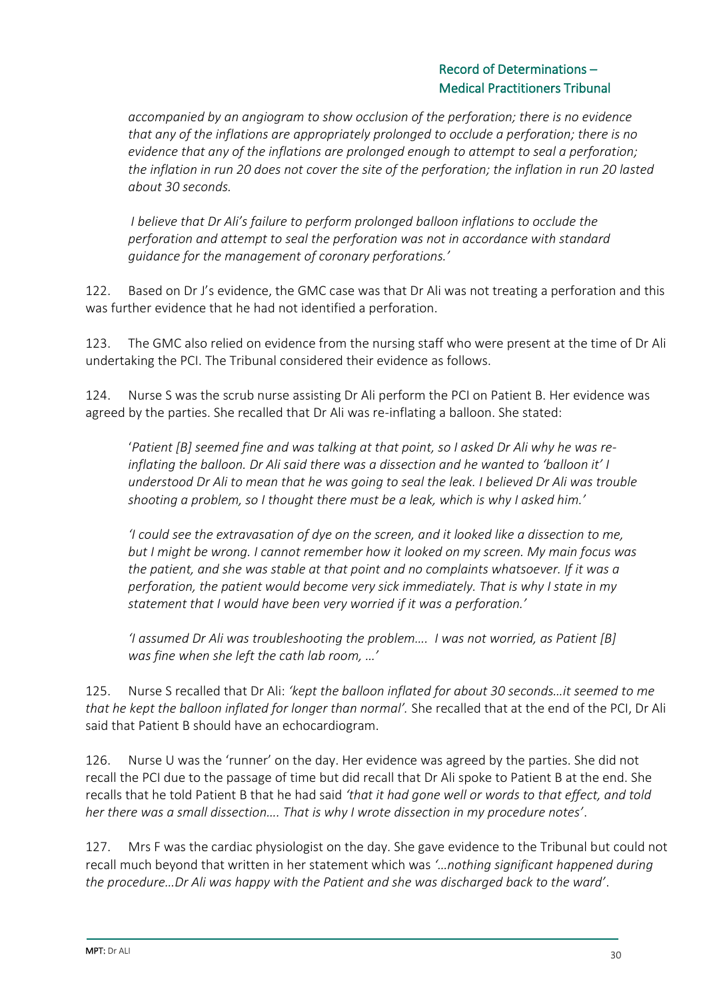*accompanied by an angiogram to show occlusion of the perforation; there is no evidence that any of the inflations are appropriately prolonged to occlude a perforation; there is no evidence that any of the inflations are prolonged enough to attempt to seal a perforation; the inflation in run 20 does not cover the site of the perforation; the inflation in run 20 lasted about 30 seconds.*

*I believe that Dr Ali's failure to perform prolonged balloon inflations to occlude the perforation and attempt to seal the perforation was not in accordance with standard guidance for the management of coronary perforations.'*

122. Based on Dr J's evidence, the GMC case was that Dr Ali was not treating a perforation and this was further evidence that he had not identified a perforation.

123. The GMC also relied on evidence from the nursing staff who were present at the time of Dr Ali undertaking the PCI. The Tribunal considered their evidence as follows.

124. Nurse S was the scrub nurse assisting Dr Ali perform the PCI on Patient B. Her evidence was agreed by the parties. She recalled that Dr Ali was re-inflating a balloon. She stated:

'*Patient [B] seemed fine and was talking at that point, so I asked Dr Ali why he was reinflating the balloon. Dr Ali said there was a dissection and he wanted to 'balloon it' I understood Dr Ali to mean that he was going to seal the leak. I believed Dr Ali was trouble shooting a problem, so I thought there must be a leak, which is why I asked him.'*

*'I could see the extravasation of dye on the screen, and it looked like a dissection to me, but I might be wrong. I cannot remember how it looked on my screen. My main focus was the patient, and she was stable at that point and no complaints whatsoever. If it was a perforation, the patient would become very sick immediately. That is why I state in my statement that I would have been very worried if it was a perforation.'*

*'I assumed Dr Ali was troubleshooting the problem…. I was not worried, as Patient [B] was fine when she left the cath lab room, …'*

125. Nurse S recalled that Dr Ali: *'kept the balloon inflated for about 30 seconds…it seemed to me that he kept the balloon inflated for longer than normal'.* She recalled that at the end of the PCI, Dr Ali said that Patient B should have an echocardiogram.

126. Nurse U was the 'runner' on the day. Her evidence was agreed by the parties. She did not recall the PCI due to the passage of time but did recall that Dr Ali spoke to Patient B at the end. She recalls that he told Patient B that he had said *'that it had gone well or words to that effect, and told her there was a small dissection…. That is why I wrote dissection in my procedure notes'*.

127. Mrs F was the cardiac physiologist on the day. She gave evidence to the Tribunal but could not recall much beyond that written in her statement which was *'…nothing significant happened during the procedure…Dr Ali was happy with the Patient and she was discharged back to the ward'*.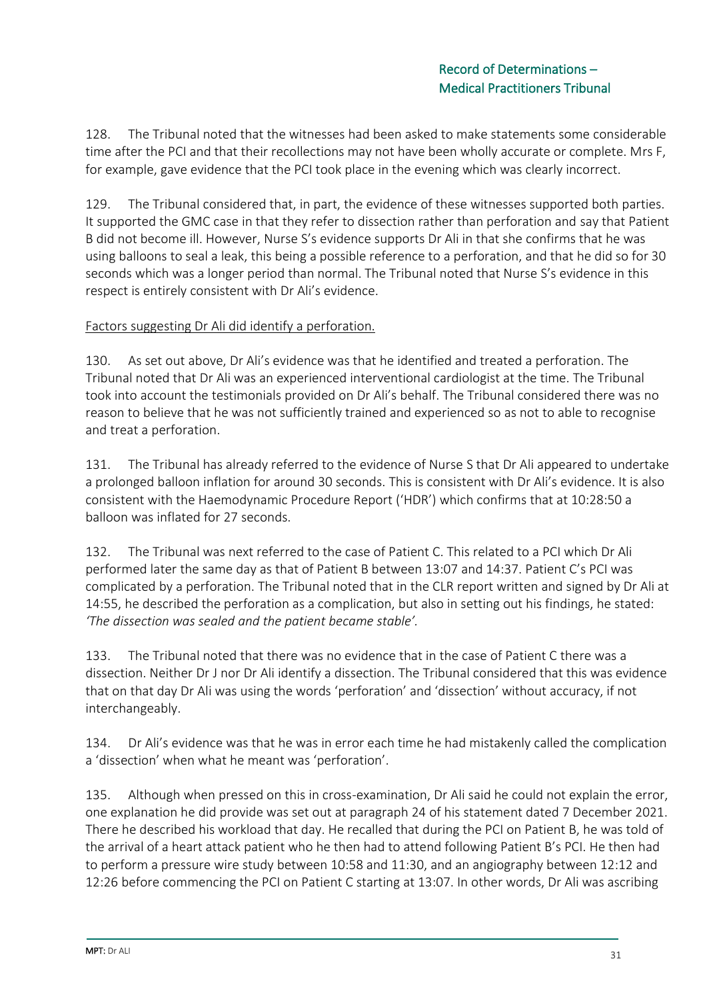128. The Tribunal noted that the witnesses had been asked to make statements some considerable time after the PCI and that their recollections may not have been wholly accurate or complete. Mrs F, for example, gave evidence that the PCI took place in the evening which was clearly incorrect.

129. The Tribunal considered that, in part, the evidence of these witnesses supported both parties. It supported the GMC case in that they refer to dissection rather than perforation and say that Patient B did not become ill. However, Nurse S's evidence supports Dr Ali in that she confirms that he was using balloons to seal a leak, this being a possible reference to a perforation, and that he did so for 30 seconds which was a longer period than normal. The Tribunal noted that Nurse S's evidence in this respect is entirely consistent with Dr Ali's evidence.

#### Factors suggesting Dr Ali did identify a perforation.

130. As set out above, Dr Ali's evidence was that he identified and treated a perforation. The Tribunal noted that Dr Ali was an experienced interventional cardiologist at the time. The Tribunal took into account the testimonials provided on Dr Ali's behalf. The Tribunal considered there was no reason to believe that he was not sufficiently trained and experienced so as not to able to recognise and treat a perforation.

131. The Tribunal has already referred to the evidence of Nurse S that Dr Ali appeared to undertake a prolonged balloon inflation for around 30 seconds. This is consistent with Dr Ali's evidence. It is also consistent with the Haemodynamic Procedure Report ('HDR') which confirms that at 10:28:50 a balloon was inflated for 27 seconds.

132. The Tribunal was next referred to the case of Patient C. This related to a PCI which Dr Ali performed later the same day as that of Patient B between 13:07 and 14:37. Patient C's PCI was complicated by a perforation. The Tribunal noted that in the CLR report written and signed by Dr Ali at 14:55, he described the perforation as a complication, but also in setting out his findings, he stated: *'The dissection was sealed and the patient became stable'.* 

133. The Tribunal noted that there was no evidence that in the case of Patient C there was a dissection. Neither Dr J nor Dr Ali identify a dissection. The Tribunal considered that this was evidence that on that day Dr Ali was using the words 'perforation' and 'dissection' without accuracy, if not interchangeably.

134. Dr Ali's evidence was that he was in error each time he had mistakenly called the complication a 'dissection' when what he meant was 'perforation'.

135. Although when pressed on this in cross-examination, Dr Ali said he could not explain the error, one explanation he did provide was set out at paragraph 24 of his statement dated 7 December 2021. There he described his workload that day. He recalled that during the PCI on Patient B, he was told of the arrival of a heart attack patient who he then had to attend following Patient B's PCI. He then had to perform a pressure wire study between 10:58 and 11:30, and an angiography between 12:12 and 12:26 before commencing the PCI on Patient C starting at 13:07. In other words, Dr Ali was ascribing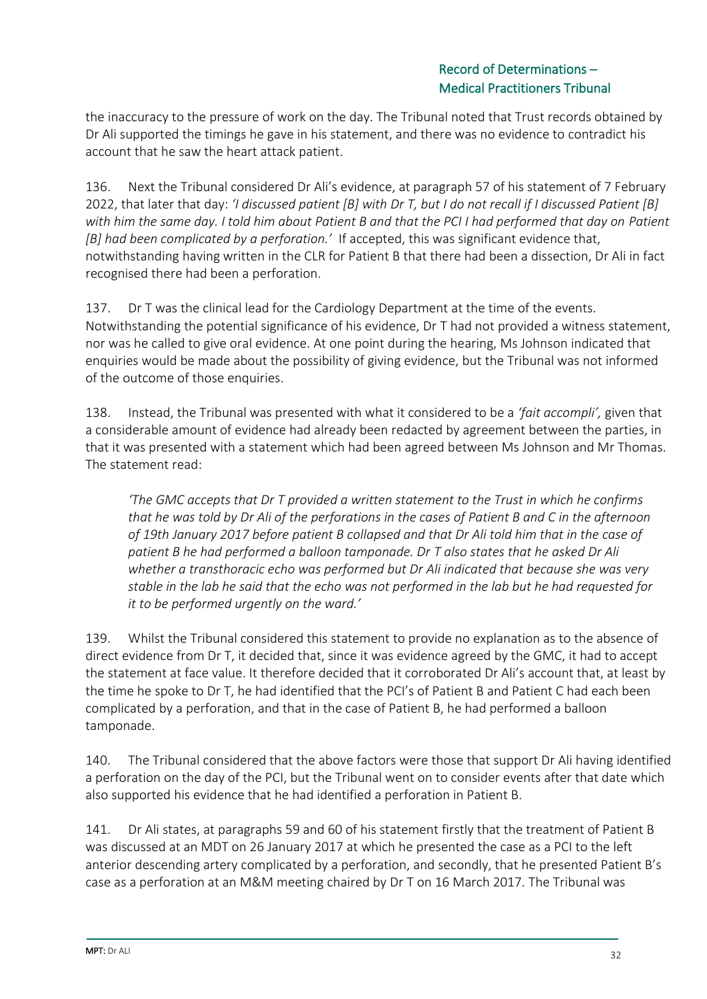the inaccuracy to the pressure of work on the day. The Tribunal noted that Trust records obtained by Dr Ali supported the timings he gave in his statement, and there was no evidence to contradict his account that he saw the heart attack patient.

136. Next the Tribunal considered Dr Ali's evidence, at paragraph 57 of his statement of 7 February 2022, that later that day: *'I discussed patient [B] with Dr T, but I do not recall if I discussed Patient [B] with him the same day. I told him about Patient B and that the PCI I had performed that day on Patient [B] had been complicated by a perforation.'* If accepted, this was significant evidence that, notwithstanding having written in the CLR for Patient B that there had been a dissection, Dr Ali in fact recognised there had been a perforation.

137. Dr T was the clinical lead for the Cardiology Department at the time of the events. Notwithstanding the potential significance of his evidence, Dr T had not provided a witness statement, nor was he called to give oral evidence. At one point during the hearing, Ms Johnson indicated that enquiries would be made about the possibility of giving evidence, but the Tribunal was not informed of the outcome of those enquiries.

138. Instead, the Tribunal was presented with what it considered to be a *'fait accompli',* given that a considerable amount of evidence had already been redacted by agreement between the parties, in that it was presented with a statement which had been agreed between Ms Johnson and Mr Thomas. The statement read:

*'The GMC accepts that Dr T provided a written statement to the Trust in which he confirms that he was told by Dr Ali of the perforations in the cases of Patient B and C in the afternoon of 19th January 2017 before patient B collapsed and that Dr Ali told him that in the case of patient B he had performed a balloon tamponade. Dr T also states that he asked Dr Ali whether a transthoracic echo was performed but Dr Ali indicated that because she was very stable in the lab he said that the echo was not performed in the lab but he had requested for it to be performed urgently on the ward.'*

139. Whilst the Tribunal considered this statement to provide no explanation as to the absence of direct evidence from Dr T, it decided that, since it was evidence agreed by the GMC, it had to accept the statement at face value. It therefore decided that it corroborated Dr Ali's account that, at least by the time he spoke to Dr T, he had identified that the PCI's of Patient B and Patient C had each been complicated by a perforation, and that in the case of Patient B, he had performed a balloon tamponade.

140. The Tribunal considered that the above factors were those that support Dr Ali having identified a perforation on the day of the PCI, but the Tribunal went on to consider events after that date which also supported his evidence that he had identified a perforation in Patient B.

141. Dr Ali states, at paragraphs 59 and 60 of his statement firstly that the treatment of Patient B was discussed at an MDT on 26 January 2017 at which he presented the case as a PCI to the left anterior descending artery complicated by a perforation, and secondly, that he presented Patient B's case as a perforation at an M&M meeting chaired by Dr T on 16 March 2017. The Tribunal was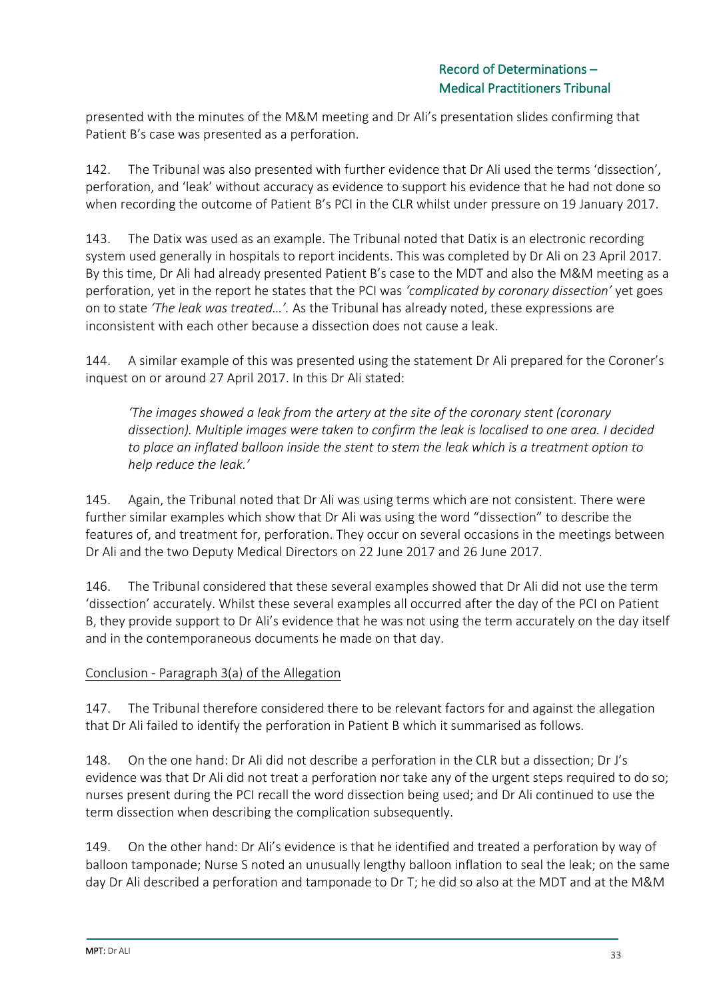presented with the minutes of the M&M meeting and Dr Ali's presentation slides confirming that Patient B's case was presented as a perforation.

142. The Tribunal was also presented with further evidence that Dr Ali used the terms 'dissection', perforation, and 'leak' without accuracy as evidence to support his evidence that he had not done so when recording the outcome of Patient B's PCI in the CLR whilst under pressure on 19 January 2017.

143. The Datix was used as an example. The Tribunal noted that Datix is an electronic recording system used generally in hospitals to report incidents. This was completed by Dr Ali on 23 April 2017. By this time, Dr Ali had already presented Patient B's case to the MDT and also the M&M meeting as a perforation, yet in the report he states that the PCI was *'complicated by coronary dissection'* yet goes on to state *'The leak was treated…'.* As the Tribunal has already noted, these expressions are inconsistent with each other because a dissection does not cause a leak.

144. A similar example of this was presented using the statement Dr Ali prepared for the Coroner's inquest on or around 27 April 2017. In this Dr Ali stated:

*'The images showed a leak from the artery at the site of the coronary stent (coronary dissection). Multiple images were taken to confirm the leak is localised to one area. I decided to place an inflated balloon inside the stent to stem the leak which is a treatment option to help reduce the leak.'*

145. Again, the Tribunal noted that Dr Ali was using terms which are not consistent. There were further similar examples which show that Dr Ali was using the word "dissection" to describe the features of, and treatment for, perforation. They occur on several occasions in the meetings between Dr Ali and the two Deputy Medical Directors on 22 June 2017 and 26 June 2017.

146. The Tribunal considered that these several examples showed that Dr Ali did not use the term 'dissection' accurately. Whilst these several examples all occurred after the day of the PCI on Patient B, they provide support to Dr Ali's evidence that he was not using the term accurately on the day itself and in the contemporaneous documents he made on that day.

#### Conclusion - Paragraph 3(a) of the Allegation

147. The Tribunal therefore considered there to be relevant factors for and against the allegation that Dr Ali failed to identify the perforation in Patient B which it summarised as follows.

148. On the one hand: Dr Ali did not describe a perforation in the CLR but a dissection; Dr J's evidence was that Dr Ali did not treat a perforation nor take any of the urgent steps required to do so; nurses present during the PCI recall the word dissection being used; and Dr Ali continued to use the term dissection when describing the complication subsequently.

149. On the other hand: Dr Ali's evidence is that he identified and treated a perforation by way of balloon tamponade; Nurse S noted an unusually lengthy balloon inflation to seal the leak; on the same day Dr Ali described a perforation and tamponade to Dr T; he did so also at the MDT and at the M&M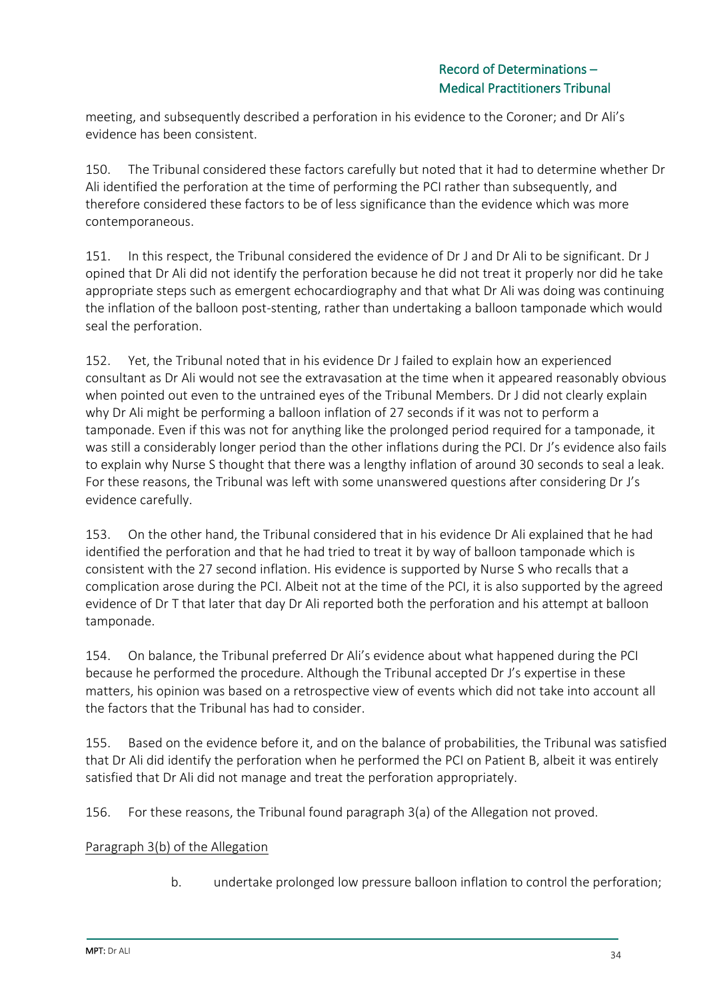meeting, and subsequently described a perforation in his evidence to the Coroner; and Dr Ali's evidence has been consistent.

150. The Tribunal considered these factors carefully but noted that it had to determine whether Dr Ali identified the perforation at the time of performing the PCI rather than subsequently, and therefore considered these factors to be of less significance than the evidence which was more contemporaneous.

151. In this respect, the Tribunal considered the evidence of Dr J and Dr Ali to be significant. Dr J opined that Dr Ali did not identify the perforation because he did not treat it properly nor did he take appropriate steps such as emergent echocardiography and that what Dr Ali was doing was continuing the inflation of the balloon post-stenting, rather than undertaking a balloon tamponade which would seal the perforation.

152. Yet, the Tribunal noted that in his evidence Dr J failed to explain how an experienced consultant as Dr Ali would not see the extravasation at the time when it appeared reasonably obvious when pointed out even to the untrained eyes of the Tribunal Members. Dr J did not clearly explain why Dr Ali might be performing a balloon inflation of 27 seconds if it was not to perform a tamponade. Even if this was not for anything like the prolonged period required for a tamponade, it was still a considerably longer period than the other inflations during the PCI. Dr J's evidence also fails to explain why Nurse S thought that there was a lengthy inflation of around 30 seconds to seal a leak. For these reasons, the Tribunal was left with some unanswered questions after considering Dr J's evidence carefully.

153. On the other hand, the Tribunal considered that in his evidence Dr Ali explained that he had identified the perforation and that he had tried to treat it by way of balloon tamponade which is consistent with the 27 second inflation. His evidence is supported by Nurse S who recalls that a complication arose during the PCI. Albeit not at the time of the PCI, it is also supported by the agreed evidence of Dr T that later that day Dr Ali reported both the perforation and his attempt at balloon tamponade.

154. On balance, the Tribunal preferred Dr Ali's evidence about what happened during the PCI because he performed the procedure. Although the Tribunal accepted Dr J's expertise in these matters, his opinion was based on a retrospective view of events which did not take into account all the factors that the Tribunal has had to consider.

155. Based on the evidence before it, and on the balance of probabilities, the Tribunal was satisfied that Dr Ali did identify the perforation when he performed the PCI on Patient B, albeit it was entirely satisfied that Dr Ali did not manage and treat the perforation appropriately.

156. For these reasons, the Tribunal found paragraph 3(a) of the Allegation not proved.

#### Paragraph 3(b) of the Allegation

b. undertake prolonged low pressure balloon inflation to control the perforation;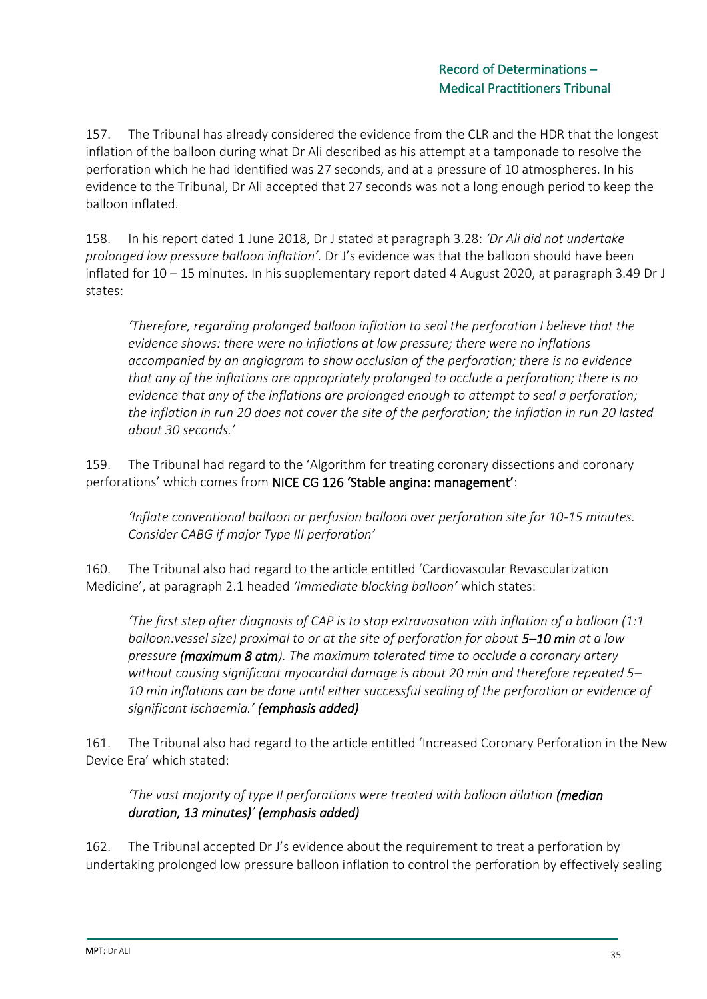157. The Tribunal has already considered the evidence from the CLR and the HDR that the longest inflation of the balloon during what Dr Ali described as his attempt at a tamponade to resolve the perforation which he had identified was 27 seconds, and at a pressure of 10 atmospheres. In his evidence to the Tribunal, Dr Ali accepted that 27 seconds was not a long enough period to keep the balloon inflated.

158. In his report dated 1 June 2018, Dr J stated at paragraph 3.28: *'Dr Ali did not undertake prolonged low pressure balloon inflation'.* Dr J's evidence was that the balloon should have been inflated for 10 – 15 minutes. In his supplementary report dated 4 August 2020, at paragraph 3.49 Dr J states:

*'Therefore, regarding prolonged balloon inflation to seal the perforation I believe that the evidence shows: there were no inflations at low pressure; there were no inflations accompanied by an angiogram to show occlusion of the perforation; there is no evidence that any of the inflations are appropriately prolonged to occlude a perforation; there is no evidence that any of the inflations are prolonged enough to attempt to seal a perforation; the inflation in run 20 does not cover the site of the perforation; the inflation in run 20 lasted about 30 seconds.'*

159. The Tribunal had regard to the 'Algorithm for treating coronary dissections and coronary perforations' which comes from NICE CG 126 'Stable angina: management':

*'Inflate conventional balloon or perfusion balloon over perforation site for 10-15 minutes. Consider CABG if major Type III perforation'*

160. The Tribunal also had regard to the article entitled 'Cardiovascular Revascularization Medicine', at paragraph 2.1 headed *'Immediate blocking balloon'* which states:

*'The first step after diagnosis of CAP is to stop extravasation with inflation of a balloon (1:1 balloon:vessel size) proximal to or at the site of perforation for about 5–10 min at a low pressure (maximum 8 atm). The maximum tolerated time to occlude a coronary artery without causing significant myocardial damage is about 20 min and therefore repeated 5– 10 min inflations can be done until either successful sealing of the perforation or evidence of significant ischaemia.' (emphasis added)*

161. The Tribunal also had regard to the article entitled 'Increased Coronary Perforation in the New Device Era' which stated:

*'The vast majority of type II perforations were treated with balloon dilation (median duration, 13 minutes)' (emphasis added)*

162. The Tribunal accepted Dr J's evidence about the requirement to treat a perforation by undertaking prolonged low pressure balloon inflation to control the perforation by effectively sealing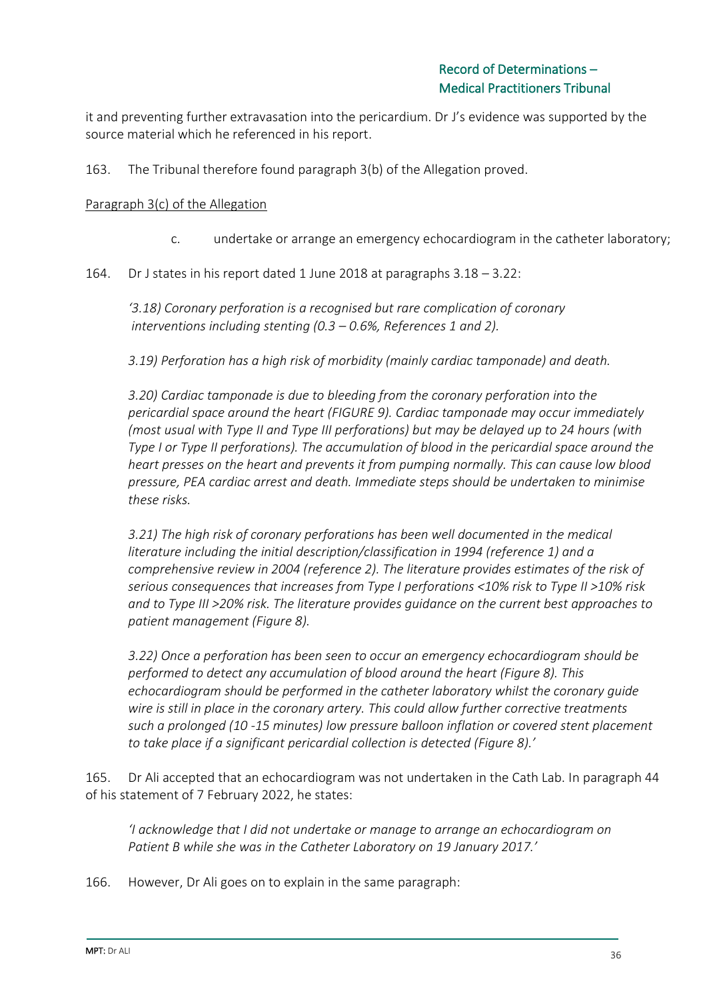it and preventing further extravasation into the pericardium. Dr J's evidence was supported by the source material which he referenced in his report.

163. The Tribunal therefore found paragraph 3(b) of the Allegation proved.

#### Paragraph 3(c) of the Allegation

c. undertake or arrange an emergency echocardiogram in the catheter laboratory;

164. Dr J states in his report dated 1 June 2018 at paragraphs 3.18 – 3.22:

*'3.18) Coronary perforation is a recognised but rare complication of coronary interventions including stenting (0.3 – 0.6%, References 1 and 2).*

*3.19) Perforation has a high risk of morbidity (mainly cardiac tamponade) and death.*

*3.20) Cardiac tamponade is due to bleeding from the coronary perforation into the pericardial space around the heart (FIGURE 9). Cardiac tamponade may occur immediately (most usual with Type II and Type III perforations) but may be delayed up to 24 hours (with Type I or Type II perforations). The accumulation of blood in the pericardial space around the heart presses on the heart and prevents it from pumping normally. This can cause low blood pressure, PEA cardiac arrest and death. Immediate steps should be undertaken to minimise these risks.*

*3.21) The high risk of coronary perforations has been well documented in the medical literature including the initial description/classification in 1994 (reference 1) and a comprehensive review in 2004 (reference 2). The literature provides estimates of the risk of serious consequences that increases from Type I perforations <10% risk to Type II >10% risk and to Type III >20% risk. The literature provides guidance on the current best approaches to patient management (Figure 8).*

*3.22) Once a perforation has been seen to occur an emergency echocardiogram should be performed to detect any accumulation of blood around the heart (Figure 8). This echocardiogram should be performed in the catheter laboratory whilst the coronary guide wire is still in place in the coronary artery. This could allow further corrective treatments such a prolonged (10 -15 minutes) low pressure balloon inflation or covered stent placement to take place if a significant pericardial collection is detected (Figure 8).'*

165. Dr Ali accepted that an echocardiogram was not undertaken in the Cath Lab. In paragraph 44 of his statement of 7 February 2022, he states:

*'I acknowledge that I did not undertake or manage to arrange an echocardiogram on Patient B while she was in the Catheter Laboratory on 19 January 2017.'*

166. However, Dr Ali goes on to explain in the same paragraph: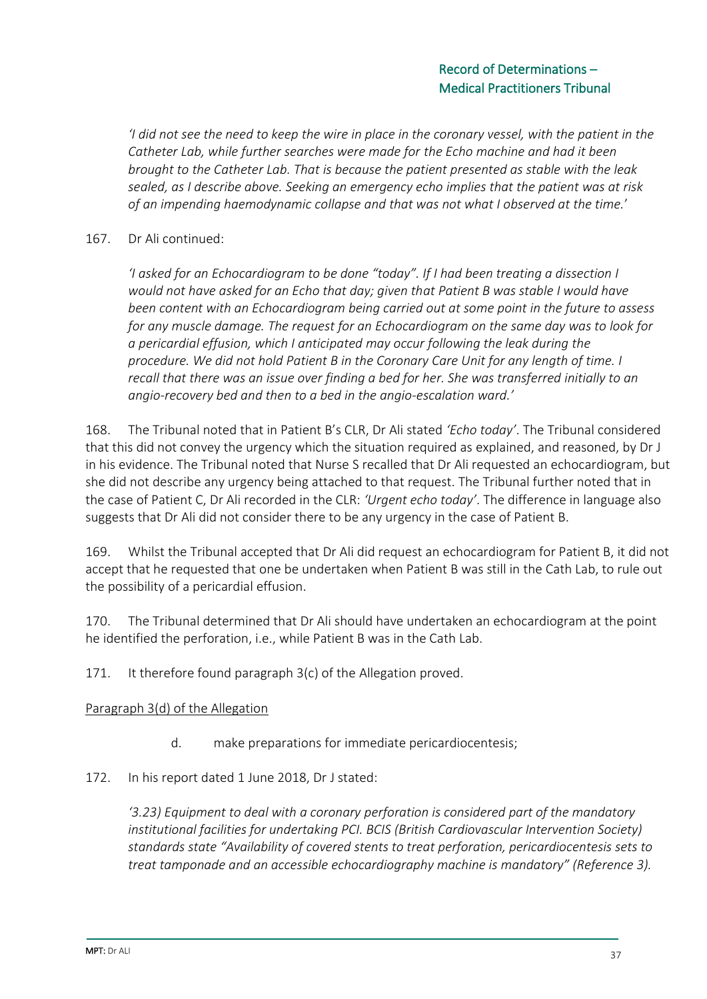*'I did not see the need to keep the wire in place in the coronary vessel, with the patient in the Catheter Lab, while further searches were made for the Echo machine and had it been brought to the Catheter Lab. That is because the patient presented as stable with the leak sealed, as I describe above. Seeking an emergency echo implies that the patient was at risk of an impending haemodynamic collapse and that was not what I observed at the time.*'

# 167. Dr Ali continued:

*'I asked for an Echocardiogram to be done "today". If I had been treating a dissection I would not have asked for an Echo that day; given that Patient B was stable I would have been content with an Echocardiogram being carried out at some point in the future to assess for any muscle damage. The request for an Echocardiogram on the same day was to look for a pericardial effusion, which I anticipated may occur following the leak during the procedure. We did not hold Patient B in the Coronary Care Unit for any length of time. I recall that there was an issue over finding a bed for her. She was transferred initially to an angio-recovery bed and then to a bed in the angio-escalation ward.'*

168. The Tribunal noted that in Patient B's CLR, Dr Ali stated *'Echo today'*. The Tribunal considered that this did not convey the urgency which the situation required as explained, and reasoned, by Dr J in his evidence. The Tribunal noted that Nurse S recalled that Dr Ali requested an echocardiogram, but she did not describe any urgency being attached to that request. The Tribunal further noted that in the case of Patient C, Dr Ali recorded in the CLR: *'Urgent echo today'*. The difference in language also suggests that Dr Ali did not consider there to be any urgency in the case of Patient B.

169. Whilst the Tribunal accepted that Dr Ali did request an echocardiogram for Patient B, it did not accept that he requested that one be undertaken when Patient B was still in the Cath Lab, to rule out the possibility of a pericardial effusion.

170. The Tribunal determined that Dr Ali should have undertaken an echocardiogram at the point he identified the perforation, i.e., while Patient B was in the Cath Lab.

171. It therefore found paragraph 3(c) of the Allegation proved.

# Paragraph 3(d) of the Allegation

- d. make preparations for immediate pericardiocentesis;
- 172. In his report dated 1 June 2018, Dr J stated:

*'3.23) Equipment to deal with a coronary perforation is considered part of the mandatory institutional facilities for undertaking PCI. BCIS (British Cardiovascular Intervention Society) standards state "Availability of covered stents to treat perforation, pericardiocentesis sets to treat tamponade and an accessible echocardiography machine is mandatory" (Reference 3).*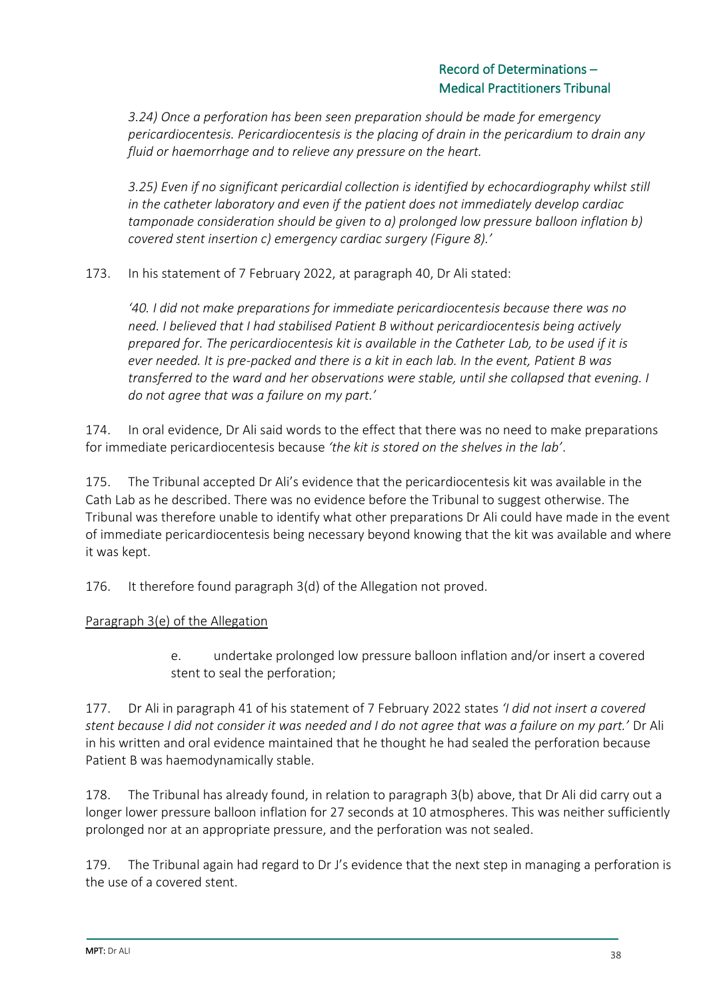*3.24) Once a perforation has been seen preparation should be made for emergency pericardiocentesis. Pericardiocentesis is the placing of drain in the pericardium to drain any fluid or haemorrhage and to relieve any pressure on the heart.*

*3.25) Even if no significant pericardial collection is identified by echocardiography whilst still in the catheter laboratory and even if the patient does not immediately develop cardiac tamponade consideration should be given to a) prolonged low pressure balloon inflation b) covered stent insertion c) emergency cardiac surgery (Figure 8).'*

173. In his statement of 7 February 2022, at paragraph 40, Dr Ali stated:

*'40. I did not make preparations for immediate pericardiocentesis because there was no need. I believed that I had stabilised Patient B without pericardiocentesis being actively prepared for. The pericardiocentesis kit is available in the Catheter Lab, to be used if it is ever needed. It is pre-packed and there is a kit in each lab. In the event, Patient B was transferred to the ward and her observations were stable, until she collapsed that evening. I do not agree that was a failure on my part.'*

174. In oral evidence, Dr Ali said words to the effect that there was no need to make preparations for immediate pericardiocentesis because *'the kit is stored on the shelves in the lab'*.

175. The Tribunal accepted Dr Ali's evidence that the pericardiocentesis kit was available in the Cath Lab as he described. There was no evidence before the Tribunal to suggest otherwise. The Tribunal was therefore unable to identify what other preparations Dr Ali could have made in the event of immediate pericardiocentesis being necessary beyond knowing that the kit was available and where it was kept.

176. It therefore found paragraph 3(d) of the Allegation not proved.

Paragraph 3(e) of the Allegation

e. undertake prolonged low pressure balloon inflation and/or insert a covered stent to seal the perforation;

177. Dr Ali in paragraph 41 of his statement of 7 February 2022 states *'I did not insert a covered stent because I did not consider it was needed and I do not agree that was a failure on my part.'* Dr Ali in his written and oral evidence maintained that he thought he had sealed the perforation because Patient B was haemodynamically stable.

178. The Tribunal has already found, in relation to paragraph 3(b) above, that Dr Ali did carry out a longer lower pressure balloon inflation for 27 seconds at 10 atmospheres. This was neither sufficiently prolonged nor at an appropriate pressure, and the perforation was not sealed.

179. The Tribunal again had regard to Dr J's evidence that the next step in managing a perforation is the use of a covered stent.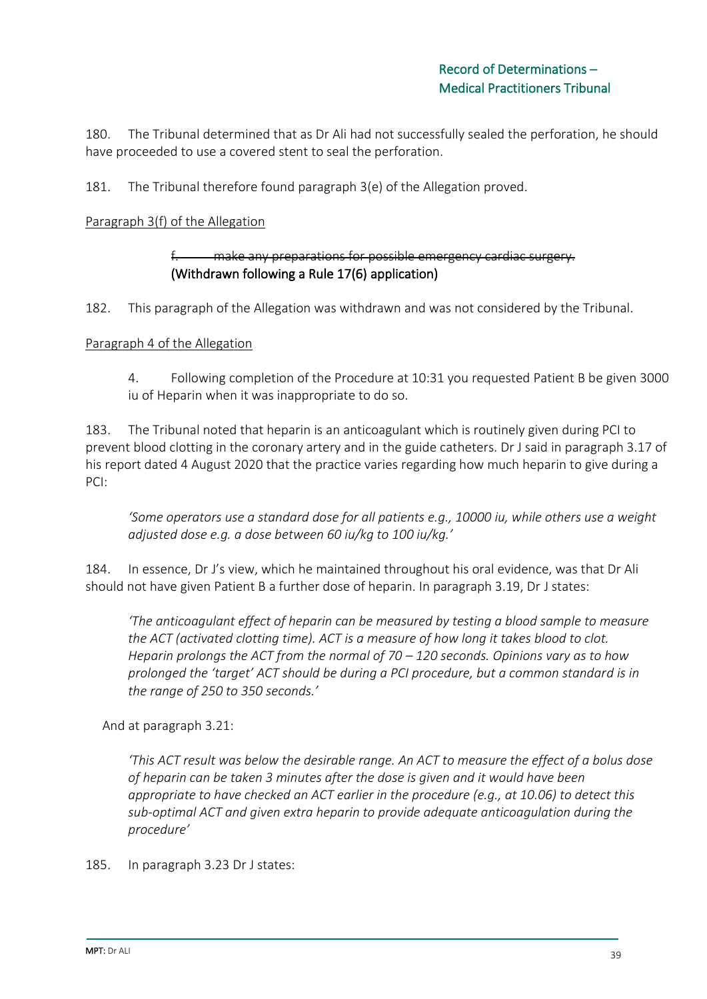180. The Tribunal determined that as Dr Ali had not successfully sealed the perforation, he should have proceeded to use a covered stent to seal the perforation.

181. The Tribunal therefore found paragraph 3(e) of the Allegation proved.

# Paragraph 3(f) of the Allegation

# f. make any preparations for possible emergency cardiac surgery. (Withdrawn following a Rule 17(6) application)

182. This paragraph of the Allegation was withdrawn and was not considered by the Tribunal.

#### Paragraph 4 of the Allegation

4. Following completion of the Procedure at 10:31 you requested Patient B be given 3000 iu of Heparin when it was inappropriate to do so.

183. The Tribunal noted that heparin is an anticoagulant which is routinely given during PCI to prevent blood clotting in the coronary artery and in the guide catheters. Dr J said in paragraph 3.17 of his report dated 4 August 2020 that the practice varies regarding how much heparin to give during a PCI:

*'Some operators use a standard dose for all patients e.g., 10000 iu, while others use a weight adjusted dose e.g. a dose between 60 iu/kg to 100 iu/kg.'*

184. In essence, Dr J's view, which he maintained throughout his oral evidence, was that Dr Ali should not have given Patient B a further dose of heparin. In paragraph 3.19, Dr J states:

*'The anticoagulant effect of heparin can be measured by testing a blood sample to measure the ACT (activated clotting time). ACT is a measure of how long it takes blood to clot. Heparin prolongs the ACT from the normal of 70 – 120 seconds. Opinions vary as to how prolonged the 'target' ACT should be during a PCI procedure, but a common standard is in the range of 250 to 350 seconds.'*

And at paragraph 3.21:

*'This ACT result was below the desirable range. An ACT to measure the effect of a bolus dose of heparin can be taken 3 minutes after the dose is given and it would have been appropriate to have checked an ACT earlier in the procedure (e.g., at 10.06) to detect this sub‐optimal ACT and given extra heparin to provide adequate anticoagulation during the procedure'*

185. In paragraph 3.23 Dr J states: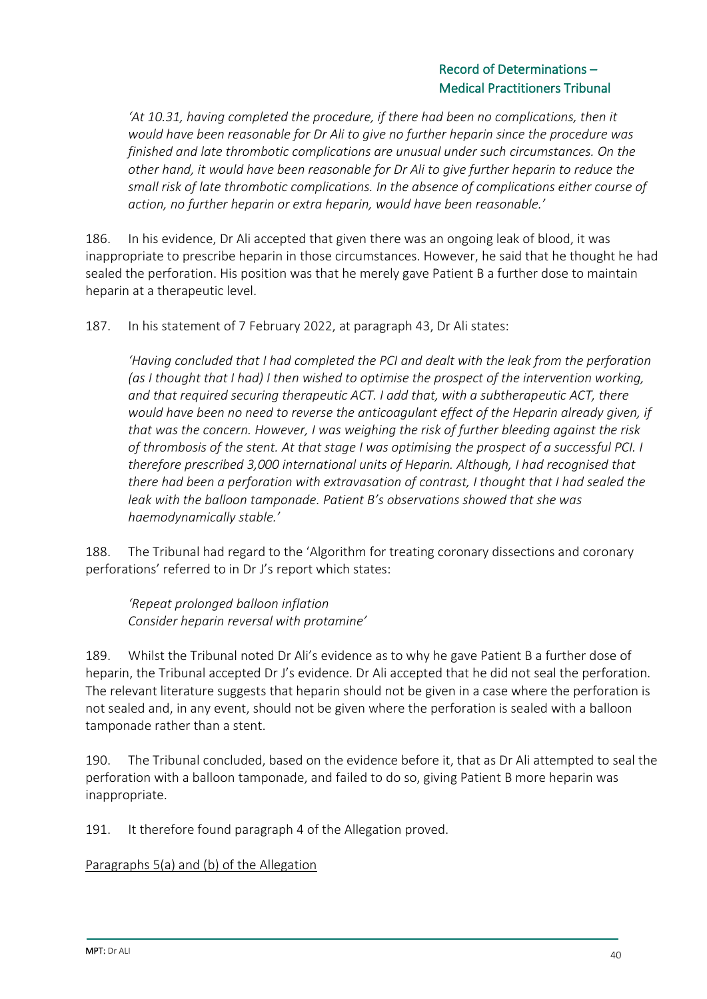*'At 10.31, having completed the procedure, if there had been no complications, then it would have been reasonable for Dr Ali to give no further heparin since the procedure was finished and late thrombotic complications are unusual under such circumstances. On the other hand, it would have been reasonable for Dr Ali to give further heparin to reduce the small risk of late thrombotic complications. In the absence of complications either course of action, no further heparin or extra heparin, would have been reasonable.'*

186. In his evidence, Dr Ali accepted that given there was an ongoing leak of blood, it was inappropriate to prescribe heparin in those circumstances. However, he said that he thought he had sealed the perforation. His position was that he merely gave Patient B a further dose to maintain heparin at a therapeutic level.

187. In his statement of 7 February 2022, at paragraph 43, Dr Ali states:

*'Having concluded that I had completed the PCI and dealt with the leak from the perforation (as I thought that I had) I then wished to optimise the prospect of the intervention working, and that required securing therapeutic ACT. I add that, with a subtherapeutic ACT, there would have been no need to reverse the anticoagulant effect of the Heparin already given, if that was the concern. However, I was weighing the risk of further bleeding against the risk of thrombosis of the stent. At that stage I was optimising the prospect of a successful PCI. I therefore prescribed 3,000 international units of Heparin. Although, I had recognised that there had been a perforation with extravasation of contrast, I thought that I had sealed the leak with the balloon tamponade. Patient B's observations showed that she was haemodynamically stable.'*

188. The Tribunal had regard to the 'Algorithm for treating coronary dissections and coronary perforations' referred to in Dr J's report which states:

*'Repeat prolonged balloon inflation Consider heparin reversal with protamine'*

189. Whilst the Tribunal noted Dr Ali's evidence as to why he gave Patient B a further dose of heparin, the Tribunal accepted Dr J's evidence. Dr Ali accepted that he did not seal the perforation. The relevant literature suggests that heparin should not be given in a case where the perforation is not sealed and, in any event, should not be given where the perforation is sealed with a balloon tamponade rather than a stent.

190. The Tribunal concluded, based on the evidence before it, that as Dr Ali attempted to seal the perforation with a balloon tamponade, and failed to do so, giving Patient B more heparin was inappropriate.

191. It therefore found paragraph 4 of the Allegation proved.

Paragraphs 5(a) and (b) of the Allegation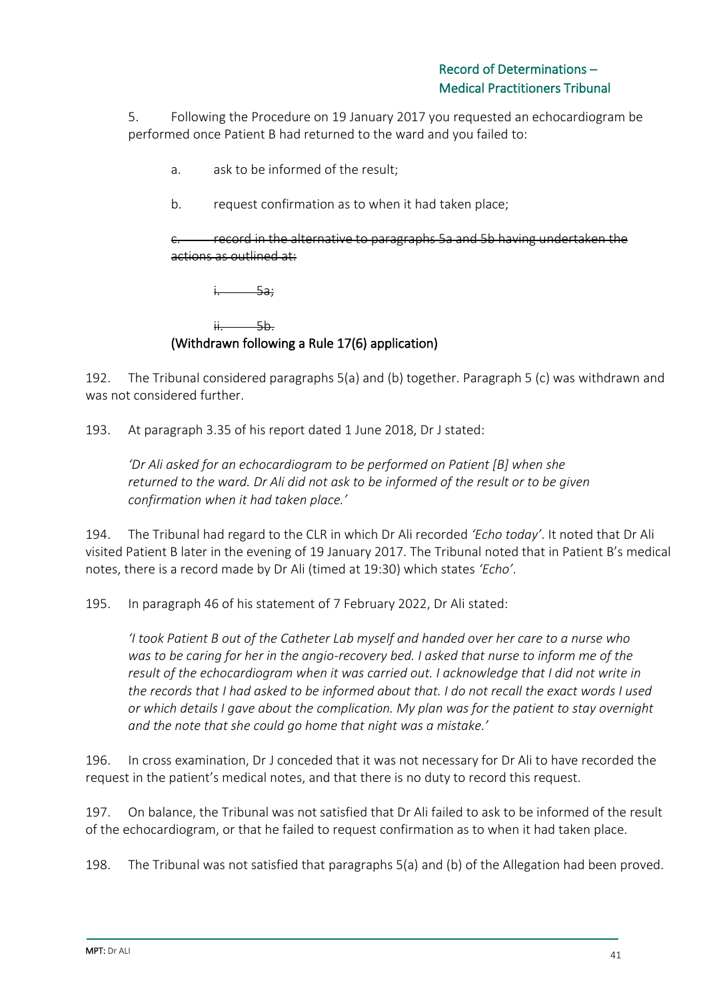5. Following the Procedure on 19 January 2017 you requested an echocardiogram be performed once Patient B had returned to the ward and you failed to:

- a. ask to be informed of the result;
- b. request confirmation as to when it had taken place;

record in the alternative to paragraphs 5a and 5b having undertaken the actions as outlined at:

 $-5a$ 

 $5b$ 

# (Withdrawn following a Rule 17(6) application)

192. The Tribunal considered paragraphs 5(a) and (b) together. Paragraph 5 (c) was withdrawn and was not considered further.

193. At paragraph 3.35 of his report dated 1 June 2018, Dr J stated:

*'Dr Ali asked for an echocardiogram to be performed on Patient [B] when she returned to the ward. Dr Ali did not ask to be informed of the result or to be given confirmation when it had taken place.'*

194. The Tribunal had regard to the CLR in which Dr Ali recorded *'Echo today'*. It noted that Dr Ali visited Patient B later in the evening of 19 January 2017. The Tribunal noted that in Patient B's medical notes, there is a record made by Dr Ali (timed at 19:30) which states *'Echo'*.

195. In paragraph 46 of his statement of 7 February 2022, Dr Ali stated:

*'I took Patient B out of the Catheter Lab myself and handed over her care to a nurse who was to be caring for her in the angio-recovery bed. I asked that nurse to inform me of the result of the echocardiogram when it was carried out. I acknowledge that I did not write in the records that I had asked to be informed about that. I do not recall the exact words I used or which details I gave about the complication. My plan was for the patient to stay overnight and the note that she could go home that night was a mistake.'*

196. In cross examination, Dr J conceded that it was not necessary for Dr Ali to have recorded the request in the patient's medical notes, and that there is no duty to record this request.

197. On balance, the Tribunal was not satisfied that Dr Ali failed to ask to be informed of the result of the echocardiogram, or that he failed to request confirmation as to when it had taken place.

198. The Tribunal was not satisfied that paragraphs 5(a) and (b) of the Allegation had been proved.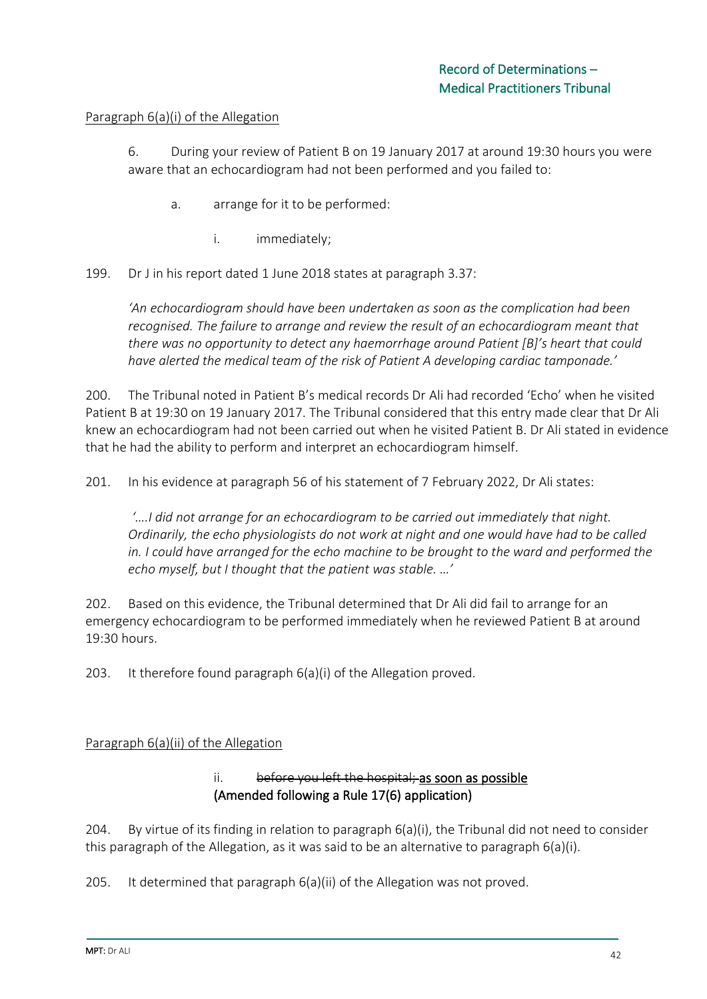# Paragraph 6(a)(i) of the Allegation

6. During your review of Patient B on 19 January 2017 at around 19:30 hours you were aware that an echocardiogram had not been performed and you failed to:

- a. arrange for it to be performed:
	- i. immediately;
- 199. Dr J in his report dated 1 June 2018 states at paragraph 3.37:

*'An echocardiogram should have been undertaken as soon as the complication had been recognised. The failure to arrange and review the result of an echocardiogram meant that there was no opportunity to detect any haemorrhage around Patient [B]'s heart that could have alerted the medical team of the risk of Patient A developing cardiac tamponade.'*

200. The Tribunal noted in Patient B's medical records Dr Ali had recorded 'Echo' when he visited Patient B at 19:30 on 19 January 2017. The Tribunal considered that this entry made clear that Dr Ali knew an echocardiogram had not been carried out when he visited Patient B. Dr Ali stated in evidence that he had the ability to perform and interpret an echocardiogram himself.

201. In his evidence at paragraph 56 of his statement of 7 February 2022, Dr Ali states:

*'….I did not arrange for an echocardiogram to be carried out immediately that night. Ordinarily, the echo physiologists do not work at night and one would have had to be called in. I could have arranged for the echo machine to be brought to the ward and performed the echo myself, but I thought that the patient was stable. …'*

202. Based on this evidence, the Tribunal determined that Dr Ali did fail to arrange for an emergency echocardiogram to be performed immediately when he reviewed Patient B at around 19:30 hours.

203. It therefore found paragraph 6(a)(i) of the Allegation proved.

# Paragraph 6(a)(ii) of the Allegation

#### ii. before you left the hospital; as soon as possible (Amended following a Rule 17(6) application)

204. By virtue of its finding in relation to paragraph 6(a)(i), the Tribunal did not need to consider this paragraph of the Allegation, as it was said to be an alternative to paragraph 6(a)(i).

205. It determined that paragraph 6(a)(ii) of the Allegation was not proved.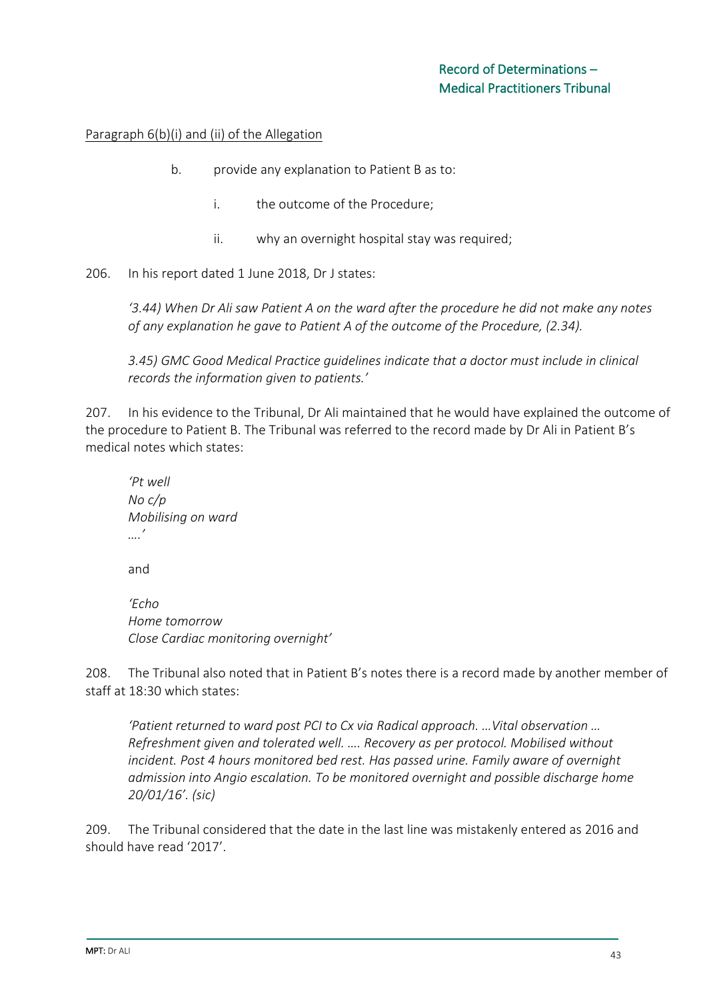#### Paragraph 6(b)(i) and (ii) of the Allegation

- b. provide any explanation to Patient B as to:
	- i. the outcome of the Procedure;
	- ii. why an overnight hospital stay was required;
- 206. In his report dated 1 June 2018, Dr J states:

*'3.44) When Dr Ali saw Patient A on the ward after the procedure he did not make any notes of any explanation he gave to Patient A of the outcome of the Procedure, (2.34).*

*3.45) GMC Good Medical Practice guidelines indicate that a doctor must include in clinical records the information given to patients.'*

207. In his evidence to the Tribunal, Dr Ali maintained that he would have explained the outcome of the procedure to Patient B. The Tribunal was referred to the record made by Dr Ali in Patient B's medical notes which states:

*'Pt well No c/p Mobilising on ward ….'* and *'Echo Home tomorrow*

*Close Cardiac monitoring overnight'*

208. The Tribunal also noted that in Patient B's notes there is a record made by another member of staff at 18:30 which states:

*'Patient returned to ward post PCI to Cx via Radical approach. …Vital observation … Refreshment given and tolerated well. …. Recovery as per protocol. Mobilised without incident. Post 4 hours monitored bed rest. Has passed urine. Family aware of overnight admission into Angio escalation. To be monitored overnight and possible discharge home 20/01/16'. (sic)*

209. The Tribunal considered that the date in the last line was mistakenly entered as 2016 and should have read '2017'.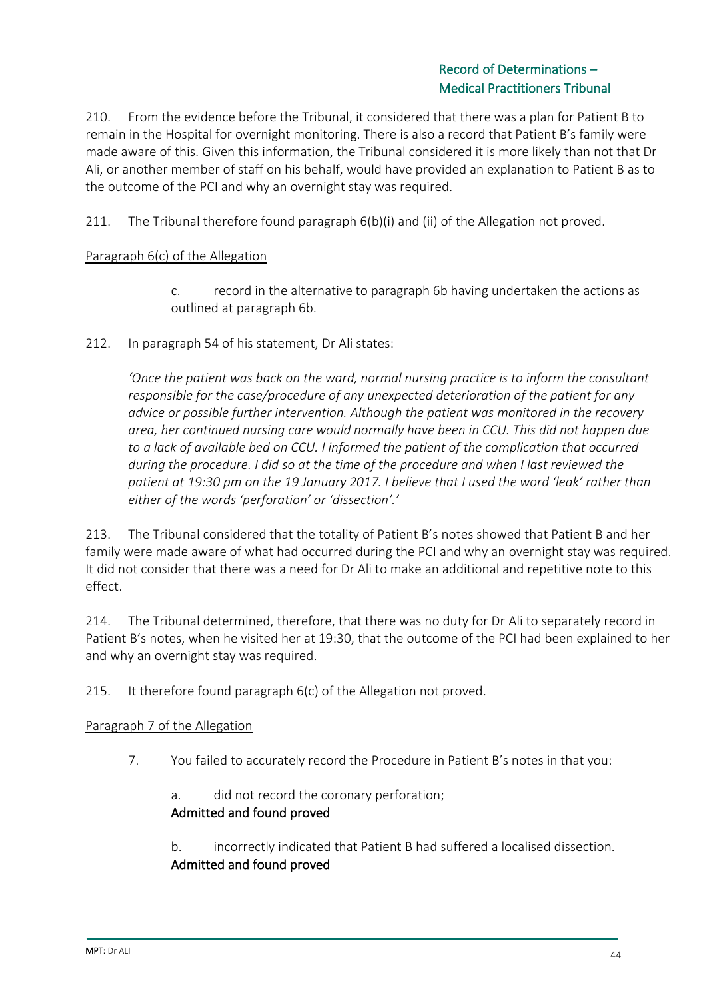210. From the evidence before the Tribunal, it considered that there was a plan for Patient B to remain in the Hospital for overnight monitoring. There is also a record that Patient B's family were made aware of this. Given this information, the Tribunal considered it is more likely than not that Dr Ali, or another member of staff on his behalf, would have provided an explanation to Patient B as to the outcome of the PCI and why an overnight stay was required.

211. The Tribunal therefore found paragraph 6(b)(i) and (ii) of the Allegation not proved.

# Paragraph 6(c) of the Allegation

c. record in the alternative to paragraph 6b having undertaken the actions as outlined at paragraph 6b.

212. In paragraph 54 of his statement, Dr Ali states:

'Once the patient was back on the ward, normal nursing practice is to inform the consultant *responsible for the case/procedure of any unexpected deterioration of the patient for any advice or possible further intervention. Although the patient was monitored in the recovery area, her continued nursing care would normally have been in CCU. This did not happen due to a lack of available bed on CCU. I informed the patient of the complication that occurred during the procedure. I did so at the time of the procedure and when I last reviewed the patient at 19:30 pm on the 19 January 2017. I believe that I used the word 'leak' rather than either of the words 'perforation' or 'dissection'.'*

213. The Tribunal considered that the totality of Patient B's notes showed that Patient B and her family were made aware of what had occurred during the PCI and why an overnight stay was required. It did not consider that there was a need for Dr Ali to make an additional and repetitive note to this effect.

214. The Tribunal determined, therefore, that there was no duty for Dr Ali to separately record in Patient B's notes, when he visited her at 19:30, that the outcome of the PCI had been explained to her and why an overnight stay was required.

215. It therefore found paragraph 6(c) of the Allegation not proved.

# Paragraph 7 of the Allegation

7. You failed to accurately record the Procedure in Patient B's notes in that you:

a. did not record the coronary perforation; Admitted and found proved

b. incorrectly indicated that Patient B had suffered a localised dissection. Admitted and found proved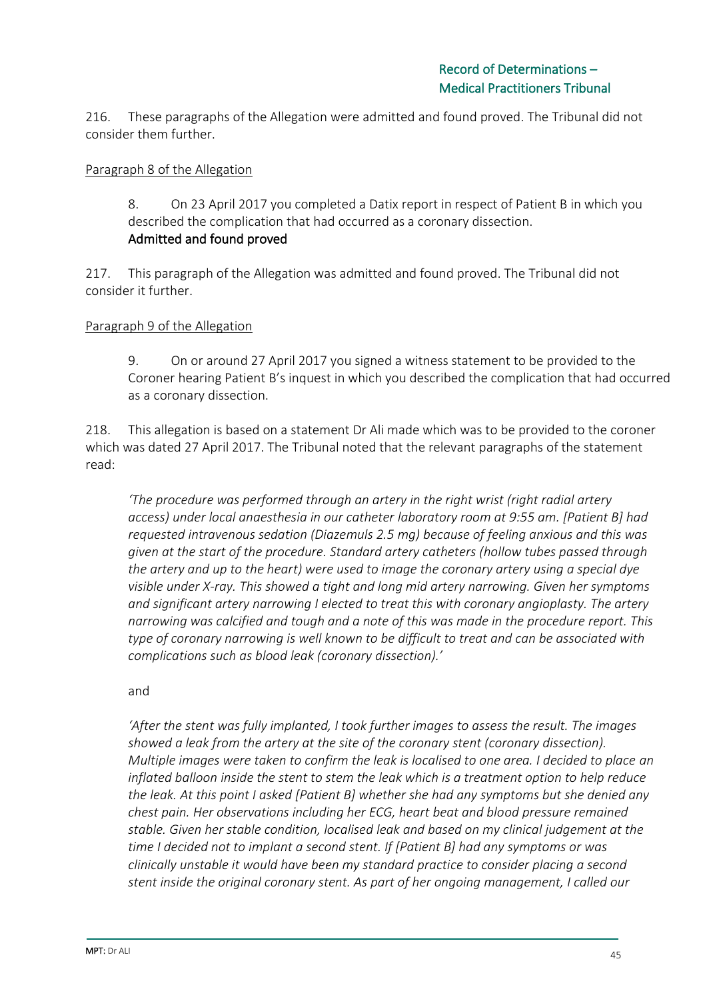216. These paragraphs of the Allegation were admitted and found proved. The Tribunal did not consider them further.

# Paragraph 8 of the Allegation

8. On 23 April 2017 you completed a Datix report in respect of Patient B in which you described the complication that had occurred as a coronary dissection. Admitted and found proved

217. This paragraph of the Allegation was admitted and found proved. The Tribunal did not consider it further.

# Paragraph 9 of the Allegation

9. On or around 27 April 2017 you signed a witness statement to be provided to the Coroner hearing Patient B's inquest in which you described the complication that had occurred as a coronary dissection.

218. This allegation is based on a statement Dr Ali made which was to be provided to the coroner which was dated 27 April 2017. The Tribunal noted that the relevant paragraphs of the statement read:

*'The procedure was performed through an artery in the right wrist (right radial artery access) under local anaesthesia in our catheter laboratory room at 9:55 am. [Patient B] had requested intravenous sedation (Diazemuls 2.5 mg) because of feeling anxious and this was given at the start of the procedure. Standard artery catheters (hollow tubes passed through the artery and up to the heart) were used to image the coronary artery using a special dye visible under X-ray. This showed a tight and long mid artery narrowing. Given her symptoms and significant artery narrowing I elected to treat this with coronary angioplasty. The artery narrowing was calcified and tough and a note of this was made in the procedure report. This type of coronary narrowing is well known to be difficult to treat and can be associated with complications such as blood leak (coronary dissection).'*

#### and

*'After the stent was fully implanted, I took further images to assess the result. The images showed a leak from the artery at the site of the coronary stent (coronary dissection). Multiple images were taken to confirm the leak is localised to one area. I decided to place an inflated balloon inside the stent to stem the leak which is a treatment option to help reduce the leak. At this point I asked [Patient B] whether she had any symptoms but she denied any chest pain. Her observations including her ECG, heart beat and blood pressure remained stable. Given her stable condition, localised leak and based on my clinical judgement at the time I decided not to implant a second stent. If [Patient B] had any symptoms or was clinically unstable it would have been my standard practice to consider placing a second stent inside the original coronary stent. As part of her ongoing management, I called our*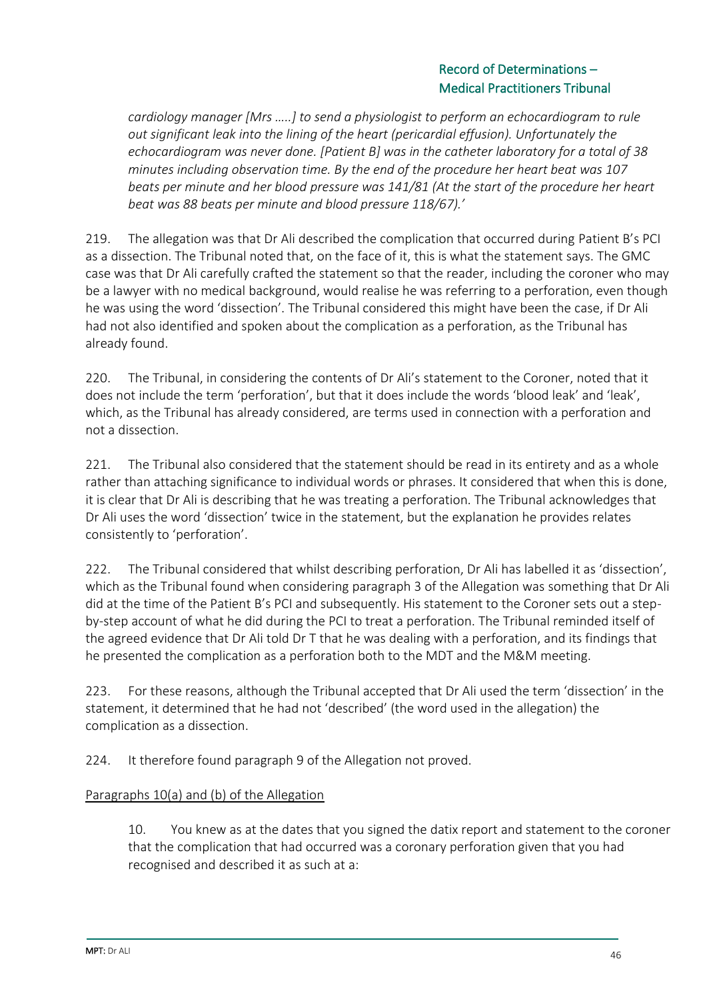*cardiology manager [Mrs …..] to send a physiologist to perform an echocardiogram to rule out significant leak into the lining of the heart (pericardial effusion). Unfortunately the echocardiogram was never done. [Patient B] was in the catheter laboratory for a total of 38 minutes including observation time. By the end of the procedure her heart beat was 107 beats per minute and her blood pressure was 141/81 (At the start of the procedure her heart beat was 88 beats per minute and blood pressure 118/67).'*

219. The allegation was that Dr Ali described the complication that occurred during Patient B's PCI as a dissection. The Tribunal noted that, on the face of it, this is what the statement says. The GMC case was that Dr Ali carefully crafted the statement so that the reader, including the coroner who may be a lawyer with no medical background, would realise he was referring to a perforation, even though he was using the word 'dissection'. The Tribunal considered this might have been the case, if Dr Ali had not also identified and spoken about the complication as a perforation, as the Tribunal has already found.

220. The Tribunal, in considering the contents of Dr Ali's statement to the Coroner, noted that it does not include the term 'perforation', but that it does include the words 'blood leak' and 'leak', which, as the Tribunal has already considered, are terms used in connection with a perforation and not a dissection.

221. The Tribunal also considered that the statement should be read in its entirety and as a whole rather than attaching significance to individual words or phrases. It considered that when this is done, it is clear that Dr Ali is describing that he was treating a perforation. The Tribunal acknowledges that Dr Ali uses the word 'dissection' twice in the statement, but the explanation he provides relates consistently to 'perforation'.

222. The Tribunal considered that whilst describing perforation, Dr Ali has labelled it as 'dissection', which as the Tribunal found when considering paragraph 3 of the Allegation was something that Dr Ali did at the time of the Patient B's PCI and subsequently. His statement to the Coroner sets out a stepby-step account of what he did during the PCI to treat a perforation. The Tribunal reminded itself of the agreed evidence that Dr Ali told Dr T that he was dealing with a perforation, and its findings that he presented the complication as a perforation both to the MDT and the M&M meeting.

223. For these reasons, although the Tribunal accepted that Dr Ali used the term 'dissection' in the statement, it determined that he had not 'described' (the word used in the allegation) the complication as a dissection.

224. It therefore found paragraph 9 of the Allegation not proved.

# Paragraphs 10(a) and (b) of the Allegation

10. You knew as at the dates that you signed the datix report and statement to the coroner that the complication that had occurred was a coronary perforation given that you had recognised and described it as such at a: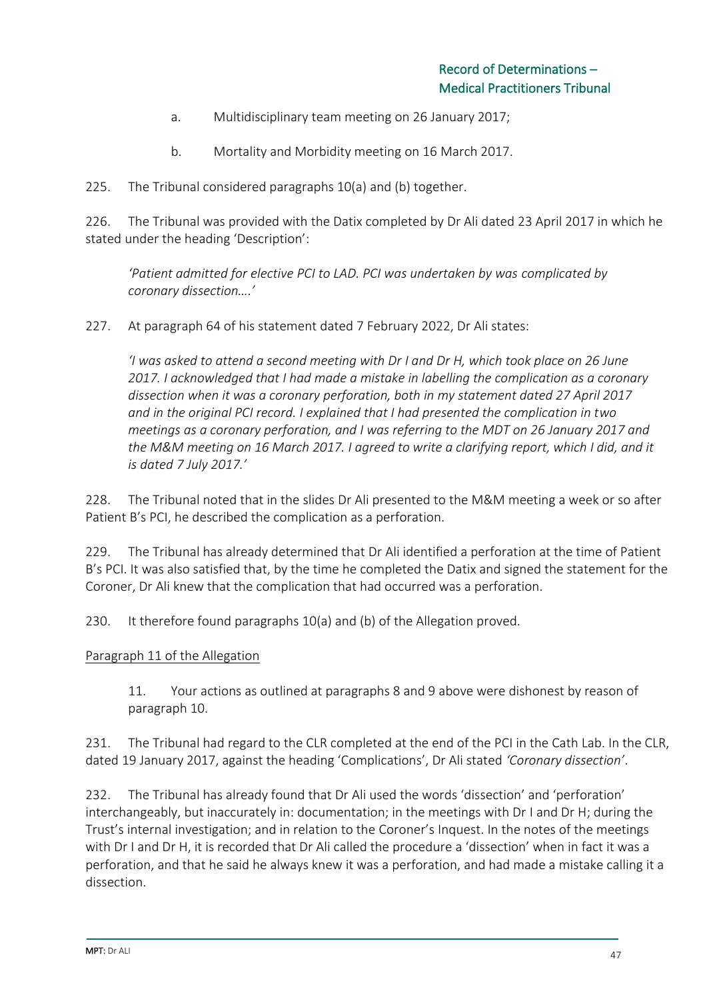- a. Multidisciplinary team meeting on 26 January 2017;
- b. Mortality and Morbidity meeting on 16 March 2017.

225. The Tribunal considered paragraphs 10(a) and (b) together.

226. The Tribunal was provided with the Datix completed by Dr Ali dated 23 April 2017 in which he stated under the heading 'Description':

*'Patient admitted for elective PCI to LAD. PCI was undertaken by was complicated by coronary dissection….'*

227. At paragraph 64 of his statement dated 7 February 2022, Dr Ali states:

*'I was asked to attend a second meeting with Dr I and Dr H, which took place on 26 June 2017. I acknowledged that I had made a mistake in labelling the complication as a coronary dissection when it was a coronary perforation, both in my statement dated 27 April 2017 and in the original PCI record. I explained that I had presented the complication in two meetings as a coronary perforation, and I was referring to the MDT on 26 January 2017 and the M&M meeting on 16 March 2017. I agreed to write a clarifying report, which I did, and it is dated 7 July 2017.'*

228. The Tribunal noted that in the slides Dr Ali presented to the M&M meeting a week or so after Patient B's PCI, he described the complication as a perforation.

229. The Tribunal has already determined that Dr Ali identified a perforation at the time of Patient B's PCI. It was also satisfied that, by the time he completed the Datix and signed the statement for the Coroner, Dr Ali knew that the complication that had occurred was a perforation.

230. It therefore found paragraphs 10(a) and (b) of the Allegation proved.

#### Paragraph 11 of the Allegation

11. Your actions as outlined at paragraphs 8 and 9 above were dishonest by reason of paragraph 10.

231. The Tribunal had regard to the CLR completed at the end of the PCI in the Cath Lab. In the CLR, dated 19 January 2017, against the heading 'Complications', Dr Ali stated *'Coronary dissection'*.

232. The Tribunal has already found that Dr Ali used the words 'dissection' and 'perforation' interchangeably, but inaccurately in: documentation; in the meetings with Dr I and Dr H; during the Trust's internal investigation; and in relation to the Coroner's Inquest. In the notes of the meetings with Dr I and Dr H, it is recorded that Dr Ali called the procedure a 'dissection' when in fact it was a perforation, and that he said he always knew it was a perforation, and had made a mistake calling it a dissection.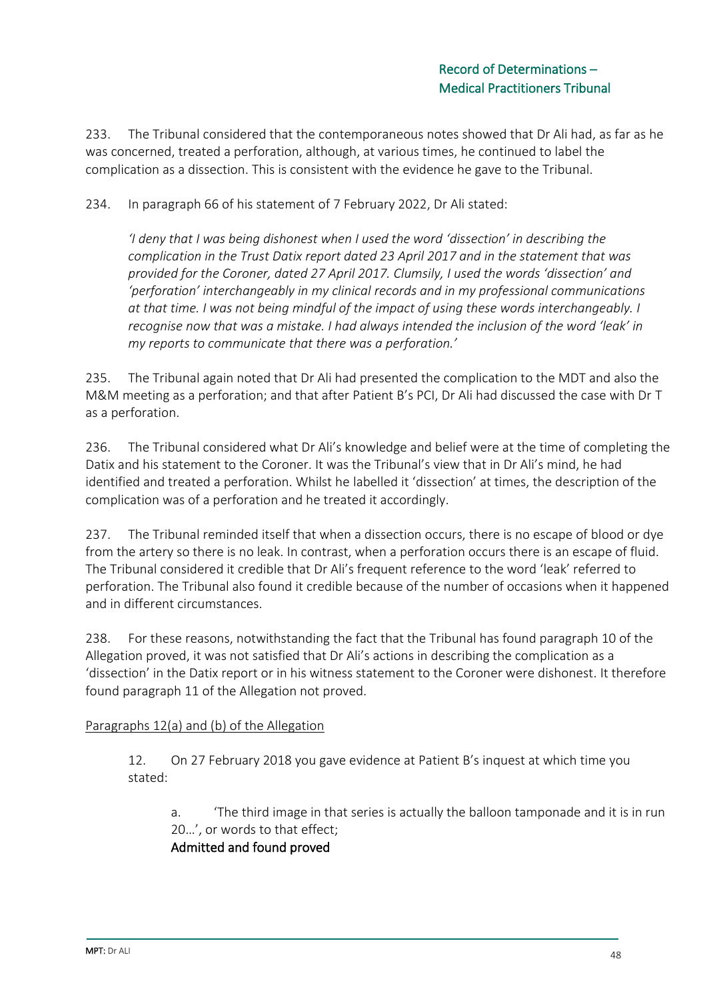233. The Tribunal considered that the contemporaneous notes showed that Dr Ali had, as far as he was concerned, treated a perforation, although, at various times, he continued to label the complication as a dissection. This is consistent with the evidence he gave to the Tribunal.

234. In paragraph 66 of his statement of 7 February 2022, Dr Ali stated:

*'I deny that I was being dishonest when I used the word 'dissection' in describing the complication in the Trust Datix report dated 23 April 2017 and in the statement that was provided for the Coroner, dated 27 April 2017. Clumsily, I used the words 'dissection' and 'perforation' interchangeably in my clinical records and in my professional communications at that time. I was not being mindful of the impact of using these words interchangeably. I recognise now that was a mistake. I had always intended the inclusion of the word 'leak' in my reports to communicate that there was a perforation.'*

235. The Tribunal again noted that Dr Ali had presented the complication to the MDT and also the M&M meeting as a perforation; and that after Patient B's PCI, Dr Ali had discussed the case with Dr T as a perforation.

236. The Tribunal considered what Dr Ali's knowledge and belief were at the time of completing the Datix and his statement to the Coroner. It was the Tribunal's view that in Dr Ali's mind, he had identified and treated a perforation. Whilst he labelled it 'dissection' at times, the description of the complication was of a perforation and he treated it accordingly.

237. The Tribunal reminded itself that when a dissection occurs, there is no escape of blood or dye from the artery so there is no leak. In contrast, when a perforation occurs there is an escape of fluid. The Tribunal considered it credible that Dr Ali's frequent reference to the word 'leak' referred to perforation. The Tribunal also found it credible because of the number of occasions when it happened and in different circumstances.

238. For these reasons, notwithstanding the fact that the Tribunal has found paragraph 10 of the Allegation proved, it was not satisfied that Dr Ali's actions in describing the complication as a 'dissection' in the Datix report or in his witness statement to the Coroner were dishonest. It therefore found paragraph 11 of the Allegation not proved.

# Paragraphs 12(a) and (b) of the Allegation

12. On 27 February 2018 you gave evidence at Patient B's inquest at which time you stated:

a. 'The third image in that series is actually the balloon tamponade and it is in run 20…', or words to that effect; Admitted and found proved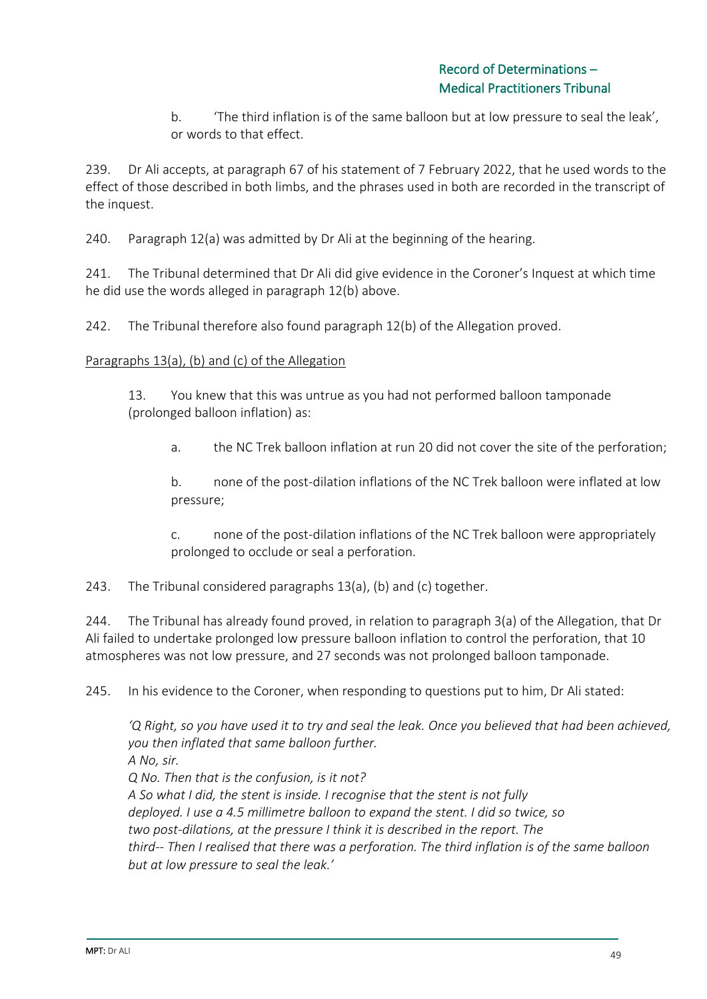b. 'The third inflation is of the same balloon but at low pressure to seal the leak', or words to that effect.

239. Dr Ali accepts, at paragraph 67 of his statement of 7 February 2022, that he used words to the effect of those described in both limbs, and the phrases used in both are recorded in the transcript of the inquest.

240. Paragraph 12(a) was admitted by Dr Ali at the beginning of the hearing.

241. The Tribunal determined that Dr Ali did give evidence in the Coroner's Inquest at which time he did use the words alleged in paragraph 12(b) above.

242. The Tribunal therefore also found paragraph 12(b) of the Allegation proved.

#### Paragraphs 13(a), (b) and (c) of the Allegation

13. You knew that this was untrue as you had not performed balloon tamponade (prolonged balloon inflation) as:

a. the NC Trek balloon inflation at run 20 did not cover the site of the perforation;

b. none of the post-dilation inflations of the NC Trek balloon were inflated at low pressure;

c. none of the post-dilation inflations of the NC Trek balloon were appropriately prolonged to occlude or seal a perforation.

243. The Tribunal considered paragraphs 13(a), (b) and (c) together.

244. The Tribunal has already found proved, in relation to paragraph 3(a) of the Allegation, that Dr Ali failed to undertake prolonged low pressure balloon inflation to control the perforation, that 10 atmospheres was not low pressure, and 27 seconds was not prolonged balloon tamponade.

245. In his evidence to the Coroner, when responding to questions put to him, Dr Ali stated:

*'Q Right, so you have used it to try and seal the leak. Once you believed that had been achieved, you then inflated that same balloon further. A No, sir. Q No. Then that is the confusion, is it not? A So what I did, the stent is inside. I recognise that the stent is not fully deployed. I use a 4.5 millimetre balloon to expand the stent. I did so twice, so*

*two post-dilations, at the pressure I think it is described in the report. The*

*third-- Then I realised that there was a perforation. The third inflation is of the same balloon but at low pressure to seal the leak.'*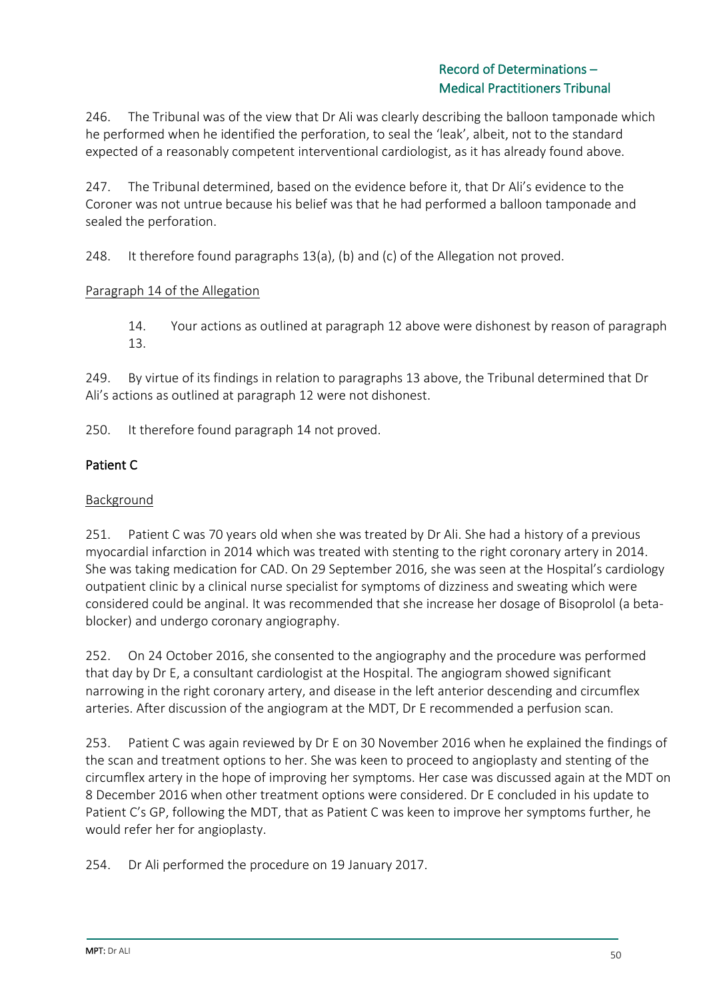246. The Tribunal was of the view that Dr Ali was clearly describing the balloon tamponade which he performed when he identified the perforation, to seal the 'leak', albeit, not to the standard expected of a reasonably competent interventional cardiologist, as it has already found above.

247. The Tribunal determined, based on the evidence before it, that Dr Ali's evidence to the Coroner was not untrue because his belief was that he had performed a balloon tamponade and sealed the perforation.

248. It therefore found paragraphs 13(a), (b) and (c) of the Allegation not proved.

# Paragraph 14 of the Allegation

14. Your actions as outlined at paragraph 12 above were dishonest by reason of paragraph 13.

249. By virtue of its findings in relation to paragraphs 13 above, the Tribunal determined that Dr Ali's actions as outlined at paragraph 12 were not dishonest.

250. It therefore found paragraph 14 not proved.

# Patient C

# Background

251. Patient C was 70 years old when she was treated by Dr Ali. She had a history of a previous myocardial infarction in 2014 which was treated with stenting to the right coronary artery in 2014. She was taking medication for CAD. On 29 September 2016, she was seen at the Hospital's cardiology outpatient clinic by a clinical nurse specialist for symptoms of dizziness and sweating which were considered could be anginal. It was recommended that she increase her dosage of Bisoprolol (a betablocker) and undergo coronary angiography.

252. On 24 October 2016, she consented to the angiography and the procedure was performed that day by Dr E, a consultant cardiologist at the Hospital. The angiogram showed significant narrowing in the right coronary artery, and disease in the left anterior descending and circumflex arteries. After discussion of the angiogram at the MDT, Dr E recommended a perfusion scan.

253. Patient C was again reviewed by Dr E on 30 November 2016 when he explained the findings of the scan and treatment options to her. She was keen to proceed to angioplasty and stenting of the circumflex artery in the hope of improving her symptoms. Her case was discussed again at the MDT on 8 December 2016 when other treatment options were considered. Dr E concluded in his update to Patient C's GP, following the MDT, that as Patient C was keen to improve her symptoms further, he would refer her for angioplasty.

254. Dr Ali performed the procedure on 19 January 2017.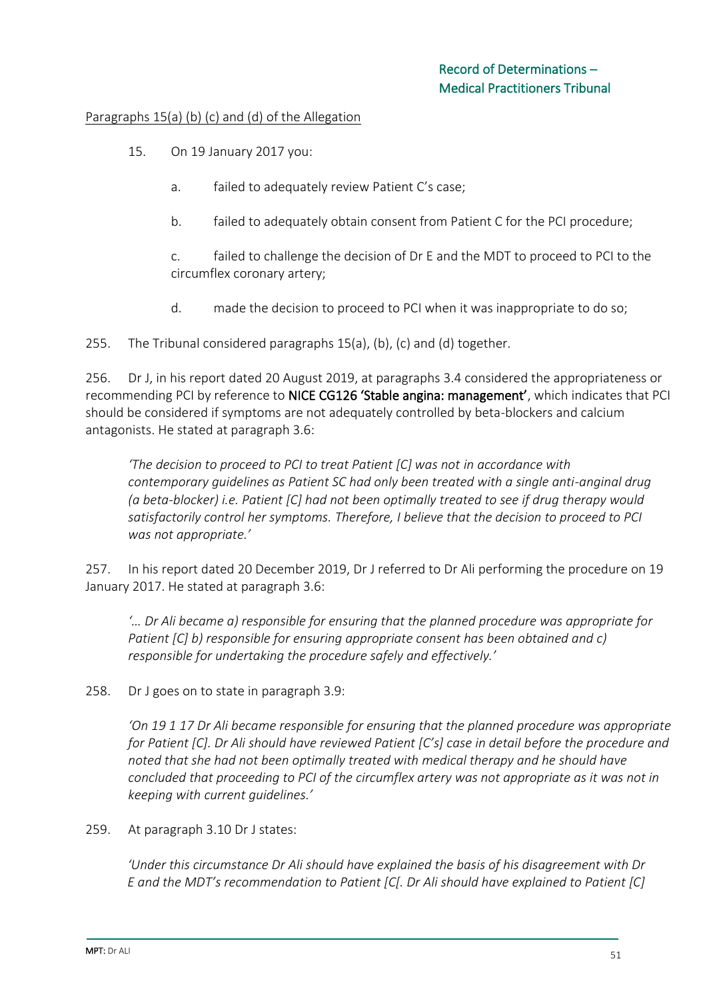#### Paragraphs 15(a) (b) (c) and (d) of the Allegation

- 15. On 19 January 2017 you:
	- a. failed to adequately review Patient C's case;
	- b. failed to adequately obtain consent from Patient C for the PCI procedure;

c. failed to challenge the decision of Dr E and the MDT to proceed to PCI to the circumflex coronary artery;

d. made the decision to proceed to PCI when it was inappropriate to do so;

255. The Tribunal considered paragraphs 15(a), (b), (c) and (d) together.

256. Dr J, in his report dated 20 August 2019, at paragraphs 3.4 considered the appropriateness or recommending PCI by reference to NICE CG126 'Stable angina: management', which indicates that PCI should be considered if symptoms are not adequately controlled by beta-blockers and calcium antagonists. He stated at paragraph 3.6:

*'The decision to proceed to PCI to treat Patient [C] was not in accordance with contemporary guidelines as Patient SC had only been treated with a single anti-anginal drug (a beta-blocker) i.e. Patient [C] had not been optimally treated to see if drug therapy would satisfactorily control her symptoms. Therefore, I believe that the decision to proceed to PCI was not appropriate.'*

257. In his report dated 20 December 2019, Dr J referred to Dr Ali performing the procedure on 19 January 2017. He stated at paragraph 3.6:

*'… Dr Ali became a) responsible for ensuring that the planned procedure was appropriate for Patient [C] b) responsible for ensuring appropriate consent has been obtained and c) responsible for undertaking the procedure safely and effectively.'*

258. Dr J goes on to state in paragraph 3.9:

*'On 19 1 17 Dr Ali became responsible for ensuring that the planned procedure was appropriate for Patient [C]. Dr Ali should have reviewed Patient [C's] case in detail before the procedure and noted that she had not been optimally treated with medical therapy and he should have concluded that proceeding to PCI of the circumflex artery was not appropriate as it was not in keeping with current guidelines.'*

259. At paragraph 3.10 Dr J states:

*'Under this circumstance Dr Ali should have explained the basis of his disagreement with Dr E and the MDT's recommendation to Patient [C[. Dr Ali should have explained to Patient [C]*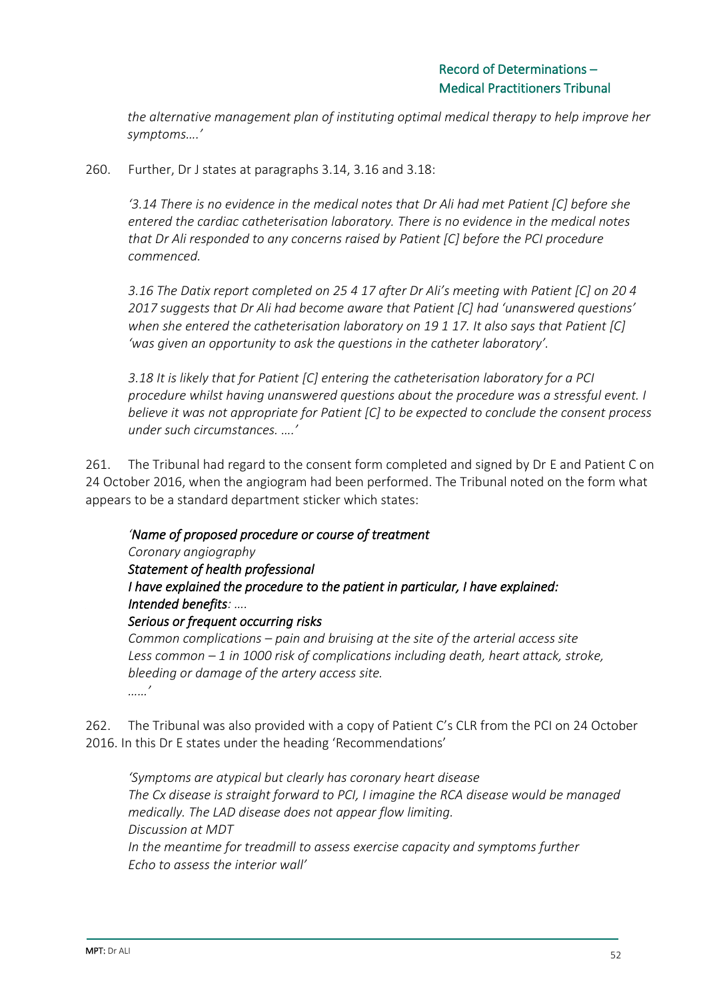*the alternative management plan of instituting optimal medical therapy to help improve her symptoms….'*

260. Further, Dr J states at paragraphs 3.14, 3.16 and 3.18:

*'3.14 There is no evidence in the medical notes that Dr Ali had met Patient [C] before she entered the cardiac catheterisation laboratory. There is no evidence in the medical notes that Dr Ali responded to any concerns raised by Patient [C] before the PCI procedure commenced.*

*3.16 The Datix report completed on 25 4 17 after Dr Ali's meeting with Patient [C] on 20 4 2017 suggests that Dr Ali had become aware that Patient [C] had 'unanswered questions' when she entered the catheterisation laboratory on 19 1 17. It also says that Patient [C] 'was given an opportunity to ask the questions in the catheter laboratory'.*

*3.18 It is likely that for Patient [C] entering the catheterisation laboratory for a PCI procedure whilst having unanswered questions about the procedure was a stressful event. I believe it was not appropriate for Patient [C] to be expected to conclude the consent process under such circumstances. ….'*

261. The Tribunal had regard to the consent form completed and signed by Dr E and Patient C on 24 October 2016, when the angiogram had been performed. The Tribunal noted on the form what appears to be a standard department sticker which states:

*'Name of proposed procedure or course of treatment Coronary angiography Statement of health professional I have explained the procedure to the patient in particular, I have explained: Intended benefits: …. Serious or frequent occurring risks* 

*Common complications – pain and bruising at the site of the arterial access site Less common – 1 in 1000 risk of complications including death, heart attack, stroke, bleeding or damage of the artery access site. ……'*

262. The Tribunal was also provided with a copy of Patient C's CLR from the PCI on 24 October 2016. In this Dr E states under the heading 'Recommendations'

*'Symptoms are atypical but clearly has coronary heart disease The Cx disease is straight forward to PCI, I imagine the RCA disease would be managed medically. The LAD disease does not appear flow limiting. Discussion at MDT In the meantime for treadmill to assess exercise capacity and symptoms further Echo to assess the interior wall'*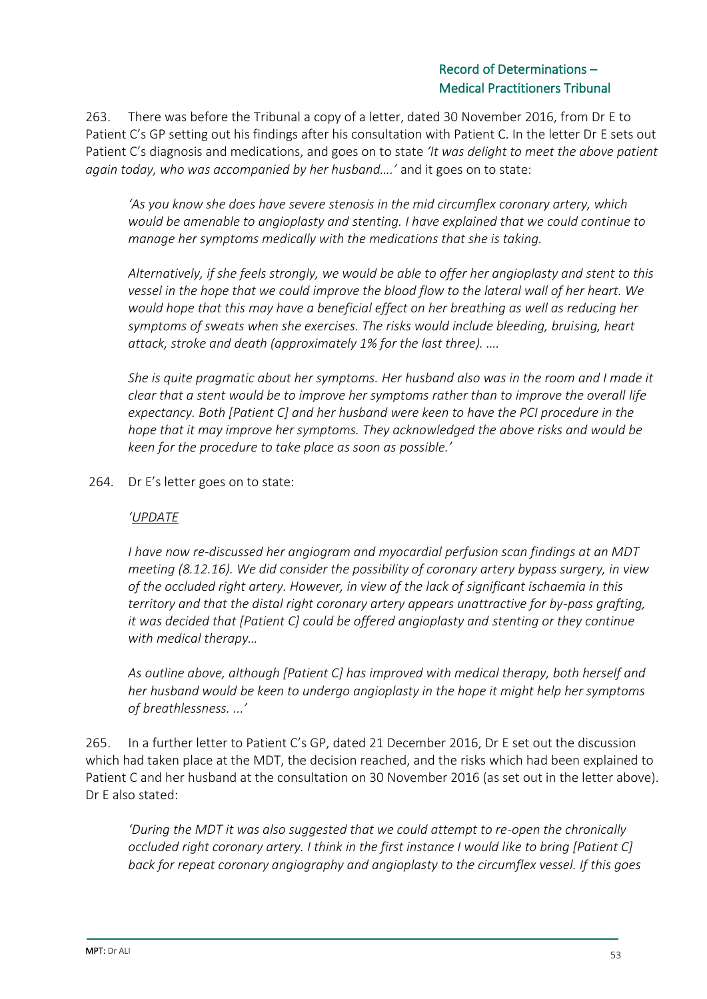263. There was before the Tribunal a copy of a letter, dated 30 November 2016, from Dr E to Patient C's GP setting out his findings after his consultation with Patient C. In the letter Dr E sets out Patient C's diagnosis and medications, and goes on to state *'It was delight to meet the above patient again today, who was accompanied by her husband….'* and it goes on to state:

*'As you know she does have severe stenosis in the mid circumflex coronary artery, which would be amenable to angioplasty and stenting. I have explained that we could continue to manage her symptoms medically with the medications that she is taking.*

*Alternatively, if she feels strongly, we would be able to offer her angioplasty and stent to this vessel in the hope that we could improve the blood flow to the lateral wall of her heart. We would hope that this may have a beneficial effect on her breathing as well as reducing her symptoms of sweats when she exercises. The risks would include bleeding, bruising, heart attack, stroke and death (approximately 1% for the last three). ….*

*She is quite pragmatic about her symptoms. Her husband also was in the room and I made it clear that a stent would be to improve her symptoms rather than to improve the overall life expectancy. Both [Patient C] and her husband were keen to have the PCI procedure in the hope that it may improve her symptoms. They acknowledged the above risks and would be keen for the procedure to take place as soon as possible.'*

264. Dr E's letter goes on to state:

# *'UPDATE*

*I have now re-discussed her angiogram and myocardial perfusion scan findings at an MDT meeting (8.12.16). We did consider the possibility of coronary artery bypass surgery, in view of the occluded right artery. However, in view of the lack of significant ischaemia in this territory and that the distal right coronary artery appears unattractive for by-pass grafting, it was decided that [Patient C] could be offered angioplasty and stenting or they continue with medical therapy…*

*As outline above, although [Patient C] has improved with medical therapy, both herself and her husband would be keen to undergo angioplasty in the hope it might help her symptoms of breathlessness. ...'*

265. In a further letter to Patient C's GP, dated 21 December 2016, Dr E set out the discussion which had taken place at the MDT, the decision reached, and the risks which had been explained to Patient C and her husband at the consultation on 30 November 2016 (as set out in the letter above). Dr E also stated:

*'During the MDT it was also suggested that we could attempt to re-open the chronically occluded right coronary artery. I think in the first instance I would like to bring [Patient C] back for repeat coronary angiography and angioplasty to the circumflex vessel. If this goes*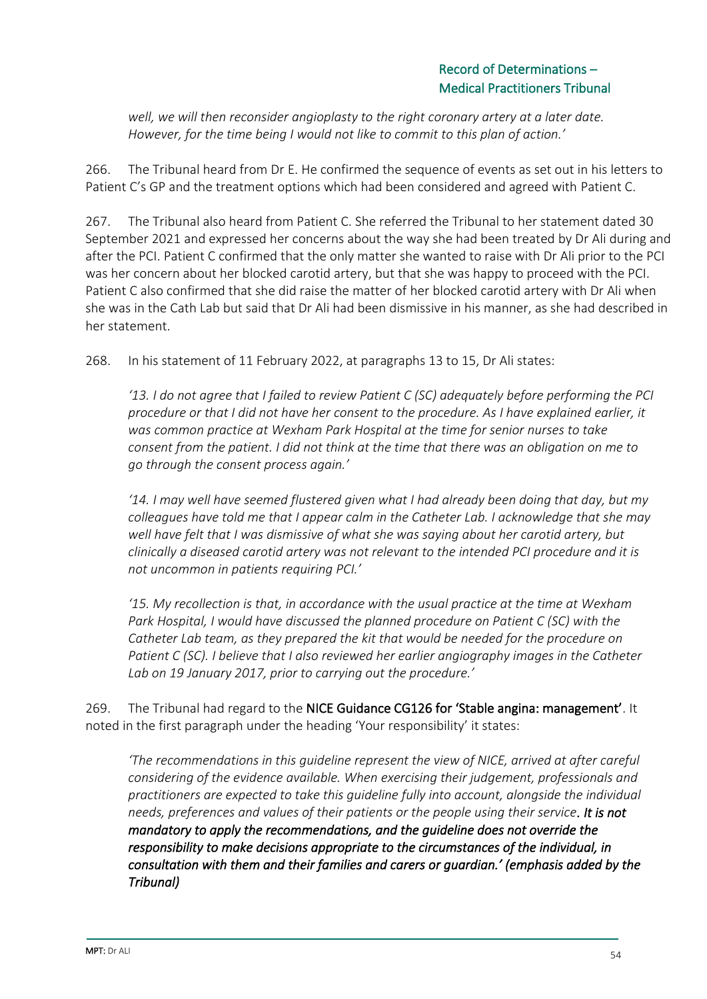*well, we will then reconsider angioplasty to the right coronary artery at a later date. However, for the time being I would not like to commit to this plan of action.'*

266. The Tribunal heard from Dr E. He confirmed the sequence of events as set out in his letters to Patient C's GP and the treatment options which had been considered and agreed with Patient C.

267. The Tribunal also heard from Patient C. She referred the Tribunal to her statement dated 30 September 2021 and expressed her concerns about the way she had been treated by Dr Ali during and after the PCI. Patient C confirmed that the only matter she wanted to raise with Dr Ali prior to the PCI was her concern about her blocked carotid artery, but that she was happy to proceed with the PCI. Patient C also confirmed that she did raise the matter of her blocked carotid artery with Dr Ali when she was in the Cath Lab but said that Dr Ali had been dismissive in his manner, as she had described in her statement.

268. In his statement of 11 February 2022, at paragraphs 13 to 15, Dr Ali states:

*'13. I do not agree that I failed to review Patient C (SC) adequately before performing the PCI procedure or that I did not have her consent to the procedure. As I have explained earlier, it was common practice at Wexham Park Hospital at the time for senior nurses to take consent from the patient. I did not think at the time that there was an obligation on me to go through the consent process again.'*

*'14. I may well have seemed flustered given what I had already been doing that day, but my colleagues have told me that I appear calm in the Catheter Lab. I acknowledge that she may well have felt that I was dismissive of what she was saying about her carotid artery, but clinically a diseased carotid artery was not relevant to the intended PCI procedure and it is not uncommon in patients requiring PCI.'*

*'15. My recollection is that, in accordance with the usual practice at the time at Wexham Park Hospital, I would have discussed the planned procedure on Patient C (SC) with the Catheter Lab team, as they prepared the kit that would be needed for the procedure on Patient C (SC). I believe that I also reviewed her earlier angiography images in the Catheter Lab on 19 January 2017, prior to carrying out the procedure.'*

269. The Tribunal had regard to the NICE Guidance CG126 for 'Stable angina: management'. It noted in the first paragraph under the heading 'Your responsibility' it states:

*'The recommendations in this guideline represent the view of NICE, arrived at after careful considering of the evidence available. When exercising their judgement, professionals and practitioners are expected to take this guideline fully into account, alongside the individual needs, preferences and values of their patients or the people using their service. It is not mandatory to apply the recommendations, and the guideline does not override the responsibility to make decisions appropriate to the circumstances of the individual, in consultation with them and their families and carers or guardian.' (emphasis added by the Tribunal)*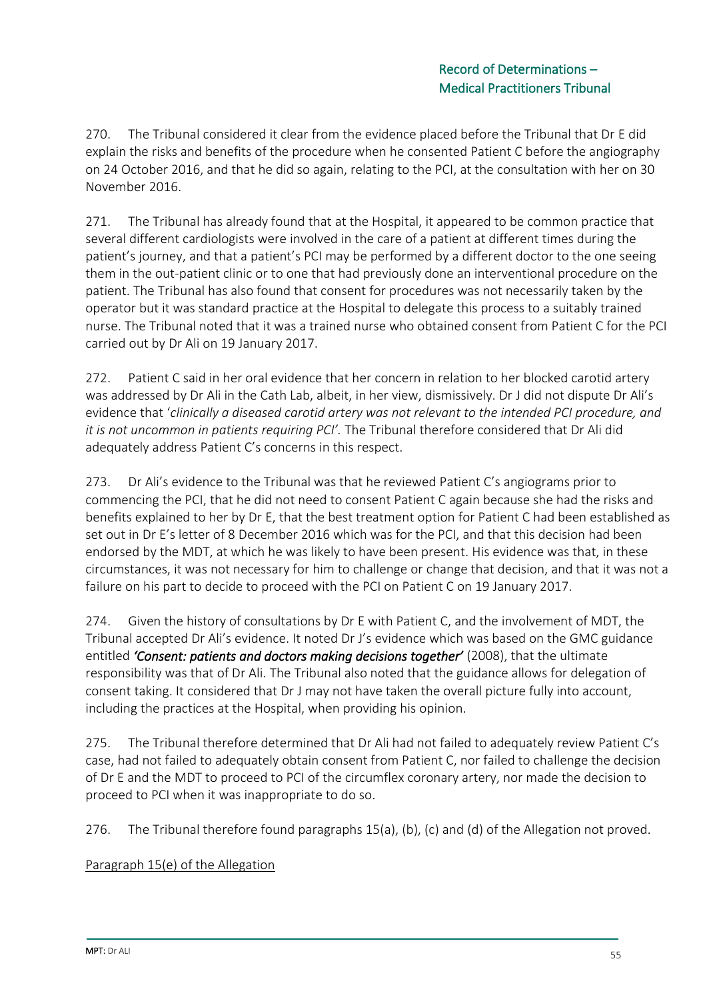270. The Tribunal considered it clear from the evidence placed before the Tribunal that Dr E did explain the risks and benefits of the procedure when he consented Patient C before the angiography on 24 October 2016, and that he did so again, relating to the PCI, at the consultation with her on 30 November 2016.

271. The Tribunal has already found that at the Hospital, it appeared to be common practice that several different cardiologists were involved in the care of a patient at different times during the patient's journey, and that a patient's PCI may be performed by a different doctor to the one seeing them in the out-patient clinic or to one that had previously done an interventional procedure on the patient. The Tribunal has also found that consent for procedures was not necessarily taken by the operator but it was standard practice at the Hospital to delegate this process to a suitably trained nurse. The Tribunal noted that it was a trained nurse who obtained consent from Patient C for the PCI carried out by Dr Ali on 19 January 2017.

272. Patient C said in her oral evidence that her concern in relation to her blocked carotid artery was addressed by Dr Ali in the Cath Lab, albeit, in her view, dismissively. Dr J did not dispute Dr Ali's evidence that '*clinically a diseased carotid artery was not relevant to the intended PCI procedure, and it is not uncommon in patients requiring PCI'.* The Tribunal therefore considered that Dr Ali did adequately address Patient C's concerns in this respect.

273. Dr Ali's evidence to the Tribunal was that he reviewed Patient C's angiograms prior to commencing the PCI, that he did not need to consent Patient C again because she had the risks and benefits explained to her by Dr E, that the best treatment option for Patient C had been established as set out in Dr E's letter of 8 December 2016 which was for the PCI, and that this decision had been endorsed by the MDT, at which he was likely to have been present. His evidence was that, in these circumstances, it was not necessary for him to challenge or change that decision, and that it was not a failure on his part to decide to proceed with the PCI on Patient C on 19 January 2017.

274. Given the history of consultations by Dr E with Patient C, and the involvement of MDT, the Tribunal accepted Dr Ali's evidence. It noted Dr J's evidence which was based on the GMC guidance entitled *'Consent: patients and doctors making decisions together'* (2008), that the ultimate responsibility was that of Dr Ali. The Tribunal also noted that the guidance allows for delegation of consent taking. It considered that Dr J may not have taken the overall picture fully into account, including the practices at the Hospital, when providing his opinion.

275. The Tribunal therefore determined that Dr Ali had not failed to adequately review Patient C's case, had not failed to adequately obtain consent from Patient C, nor failed to challenge the decision of Dr E and the MDT to proceed to PCI of the circumflex coronary artery, nor made the decision to proceed to PCI when it was inappropriate to do so.

276. The Tribunal therefore found paragraphs 15(a), (b), (c) and (d) of the Allegation not proved.

Paragraph 15(e) of the Allegation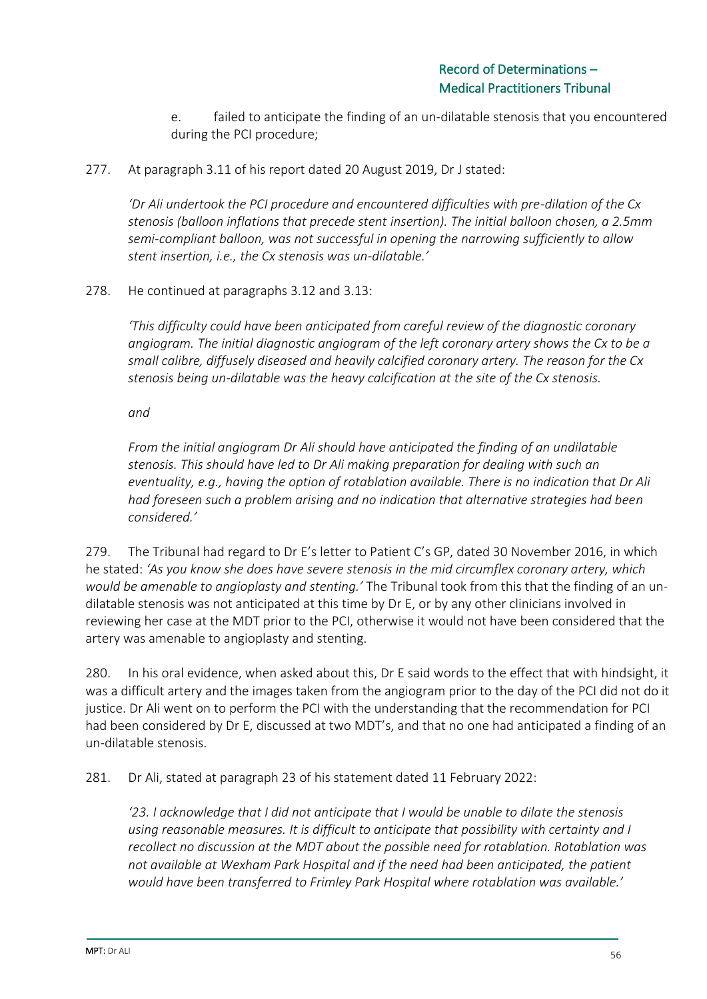e. failed to anticipate the finding of an un-dilatable stenosis that you encountered during the PCI procedure;

277. At paragraph 3.11 of his report dated 20 August 2019, Dr J stated:

*'Dr Ali undertook the PCI procedure and encountered difficulties with pre-dilation of the Cx stenosis (balloon inflations that precede stent insertion). The initial balloon chosen, a 2.5mm semi-compliant balloon, was not successful in opening the narrowing sufficiently to allow stent insertion, i.e., the Cx stenosis was un-dilatable.'*

278. He continued at paragraphs 3.12 and 3.13:

*'This difficulty could have been anticipated from careful review of the diagnostic coronary angiogram. The initial diagnostic angiogram of the left coronary artery shows the Cx to be a small calibre, diffusely diseased and heavily calcified coronary artery. The reason for the Cx stenosis being un-dilatable was the heavy calcification at the site of the Cx stenosis.*

*and*

*From the initial angiogram Dr Ali should have anticipated the finding of an undilatable stenosis. This should have led to Dr Ali making preparation for dealing with such an eventuality, e.g., having the option of rotablation available. There is no indication that Dr Ali had foreseen such a problem arising and no indication that alternative strategies had been considered.'*

279. The Tribunal had regard to Dr E's letter to Patient C's GP, dated 30 November 2016, in which he stated: *'As you know she does have severe stenosis in the mid circumflex coronary artery, which would be amenable to angioplasty and stenting.'* The Tribunal took from this that the finding of an undilatable stenosis was not anticipated at this time by Dr E, or by any other clinicians involved in reviewing her case at the MDT prior to the PCI, otherwise it would not have been considered that the artery was amenable to angioplasty and stenting.

280. In his oral evidence, when asked about this, Dr E said words to the effect that with hindsight, it was a difficult artery and the images taken from the angiogram prior to the day of the PCI did not do it justice. Dr Ali went on to perform the PCI with the understanding that the recommendation for PCI had been considered by Dr E, discussed at two MDT's, and that no one had anticipated a finding of an un-dilatable stenosis.

281. Dr Ali, stated at paragraph 23 of his statement dated 11 February 2022:

*'23. I acknowledge that I did not anticipate that I would be unable to dilate the stenosis using reasonable measures. It is difficult to anticipate that possibility with certainty and I recollect no discussion at the MDT about the possible need for rotablation. Rotablation was not available at Wexham Park Hospital and if the need had been anticipated, the patient would have been transferred to Frimley Park Hospital where rotablation was available.'*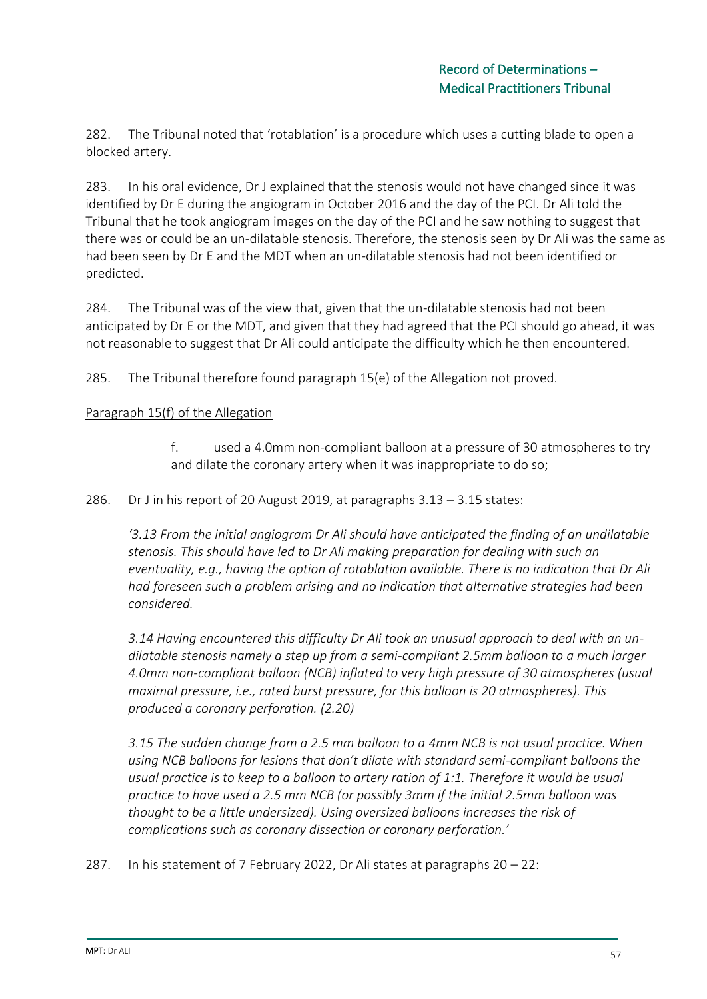282. The Tribunal noted that 'rotablation' is a procedure which uses a cutting blade to open a blocked artery.

283. In his oral evidence, Dr J explained that the stenosis would not have changed since it was identified by Dr E during the angiogram in October 2016 and the day of the PCI. Dr Ali told the Tribunal that he took angiogram images on the day of the PCI and he saw nothing to suggest that there was or could be an un-dilatable stenosis. Therefore, the stenosis seen by Dr Ali was the same as had been seen by Dr E and the MDT when an un-dilatable stenosis had not been identified or predicted.

284. The Tribunal was of the view that, given that the un-dilatable stenosis had not been anticipated by Dr E or the MDT, and given that they had agreed that the PCI should go ahead, it was not reasonable to suggest that Dr Ali could anticipate the difficulty which he then encountered.

285. The Tribunal therefore found paragraph 15(e) of the Allegation not proved.

# Paragraph 15(f) of the Allegation

f. used a 4.0mm non-compliant balloon at a pressure of 30 atmospheres to try and dilate the coronary artery when it was inappropriate to do so;

286. Dr J in his report of 20 August 2019, at paragraphs 3.13 – 3.15 states:

*'3.13 From the initial angiogram Dr Ali should have anticipated the finding of an undilatable stenosis. This should have led to Dr Ali making preparation for dealing with such an eventuality, e.g., having the option of rotablation available. There is no indication that Dr Ali had foreseen such a problem arising and no indication that alternative strategies had been considered.*

*3.14 Having encountered this difficulty Dr Ali took an unusual approach to deal with an undilatable stenosis namely a step up from a semi-compliant 2.5mm balloon to a much larger 4.0mm non-compliant balloon (NCB) inflated to very high pressure of 30 atmospheres (usual maximal pressure, i.e., rated burst pressure, for this balloon is 20 atmospheres). This produced a coronary perforation. (2.20)*

*3.15 The sudden change from a 2.5 mm balloon to a 4mm NCB is not usual practice. When using NCB balloons for lesions that don't dilate with standard semi-compliant balloons the usual practice is to keep to a balloon to artery ration of 1:1. Therefore it would be usual practice to have used a 2.5 mm NCB (or possibly 3mm if the initial 2.5mm balloon was thought to be a little undersized). Using oversized balloons increases the risk of complications such as coronary dissection or coronary perforation.'*

287. In his statement of 7 February 2022, Dr Ali states at paragraphs 20 – 22: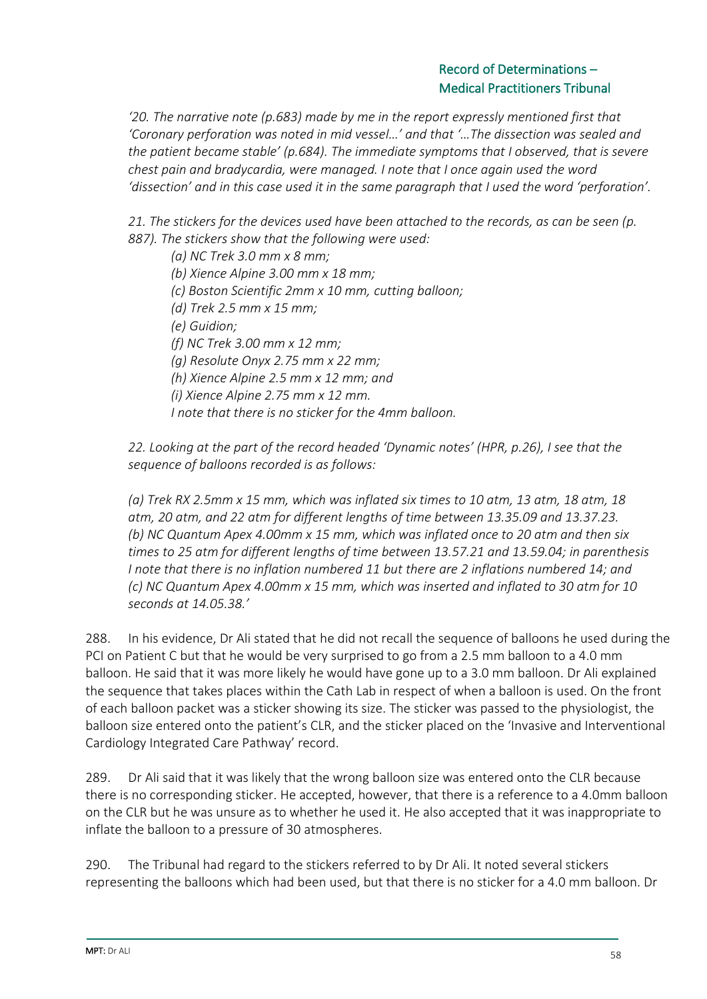*'20. The narrative note (p.683) made by me in the report expressly mentioned first that 'Coronary perforation was noted in mid vessel…' and that '…The dissection was sealed and the patient became stable' (p.684). The immediate symptoms that I observed, that is severe chest pain and bradycardia, were managed. I note that I once again used the word 'dissection' and in this case used it in the same paragraph that I used the word 'perforation'.*

*21. The stickers for the devices used have been attached to the records, as can be seen (p. 887). The stickers show that the following were used:*

*(a) NC Trek 3.0 mm x 8 mm;*

*(b) Xience Alpine 3.00 mm x 18 mm;*

*(c) Boston Scientific 2mm x 10 mm, cutting balloon;*

*(d) Trek 2.5 mm x 15 mm;*

*(e) Guidion;*

*(f) NC Trek 3.00 mm x 12 mm;*

*(g) Resolute Onyx 2.75 mm x 22 mm;*

*(h) Xience Alpine 2.5 mm x 12 mm; and*

*(i) Xience Alpine 2.75 mm x 12 mm.*

*I note that there is no sticker for the 4mm balloon.*

*22. Looking at the part of the record headed 'Dynamic notes' (HPR, p.26), I see that the sequence of balloons recorded is as follows:*

*(a) Trek RX 2.5mm x 15 mm, which was inflated six times to 10 atm, 13 atm, 18 atm, 18 atm, 20 atm, and 22 atm for different lengths of time between 13.35.09 and 13.37.23. (b) NC Quantum Apex 4.00mm x 15 mm, which was inflated once to 20 atm and then six times to 25 atm for different lengths of time between 13.57.21 and 13.59.04; in parenthesis I note that there is no inflation numbered 11 but there are 2 inflations numbered 14; and (c) NC Quantum Apex 4.00mm x 15 mm, which was inserted and inflated to 30 atm for 10 seconds at 14.05.38.'*

288. In his evidence, Dr Ali stated that he did not recall the sequence of balloons he used during the PCI on Patient C but that he would be very surprised to go from a 2.5 mm balloon to a 4.0 mm balloon. He said that it was more likely he would have gone up to a 3.0 mm balloon. Dr Ali explained the sequence that takes places within the Cath Lab in respect of when a balloon is used. On the front of each balloon packet was a sticker showing its size. The sticker was passed to the physiologist, the balloon size entered onto the patient's CLR, and the sticker placed on the 'Invasive and Interventional Cardiology Integrated Care Pathway' record.

289. Dr Ali said that it was likely that the wrong balloon size was entered onto the CLR because there is no corresponding sticker. He accepted, however, that there is a reference to a 4.0mm balloon on the CLR but he was unsure as to whether he used it. He also accepted that it was inappropriate to inflate the balloon to a pressure of 30 atmospheres.

290. The Tribunal had regard to the stickers referred to by Dr Ali. It noted several stickers representing the balloons which had been used, but that there is no sticker for a 4.0 mm balloon. Dr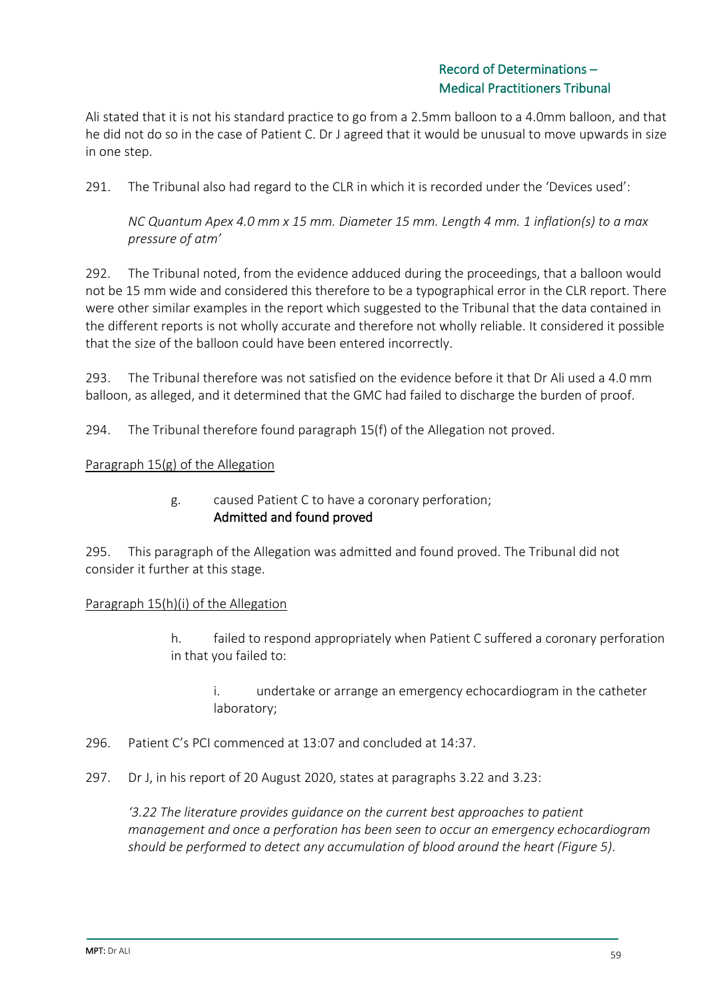Ali stated that it is not his standard practice to go from a 2.5mm balloon to a 4.0mm balloon, and that he did not do so in the case of Patient C. Dr J agreed that it would be unusual to move upwards in size in one step.

291. The Tribunal also had regard to the CLR in which it is recorded under the 'Devices used':

*NC Quantum Apex 4.0 mm x 15 mm. Diameter 15 mm. Length 4 mm. 1 inflation(s) to a max pressure of atm'*

292. The Tribunal noted, from the evidence adduced during the proceedings, that a balloon would not be 15 mm wide and considered this therefore to be a typographical error in the CLR report. There were other similar examples in the report which suggested to the Tribunal that the data contained in the different reports is not wholly accurate and therefore not wholly reliable. It considered it possible that the size of the balloon could have been entered incorrectly.

293. The Tribunal therefore was not satisfied on the evidence before it that Dr Ali used a 4.0 mm balloon, as alleged, and it determined that the GMC had failed to discharge the burden of proof.

294. The Tribunal therefore found paragraph 15(f) of the Allegation not proved.

Paragraph 15(g) of the Allegation

# g. caused Patient C to have a coronary perforation; Admitted and found proved

295. This paragraph of the Allegation was admitted and found proved. The Tribunal did not consider it further at this stage.

# Paragraph 15(h)(i) of the Allegation

h. failed to respond appropriately when Patient C suffered a coronary perforation in that you failed to:

i. undertake or arrange an emergency echocardiogram in the catheter laboratory;

- 296. Patient C's PCI commenced at 13:07 and concluded at 14:37.
- 297. Dr J, in his report of 20 August 2020, states at paragraphs 3.22 and 3.23:

*'3.22 The literature provides guidance on the current best approaches to patient management and once a perforation has been seen to occur an emergency echocardiogram should be performed to detect any accumulation of blood around the heart (Figure 5).*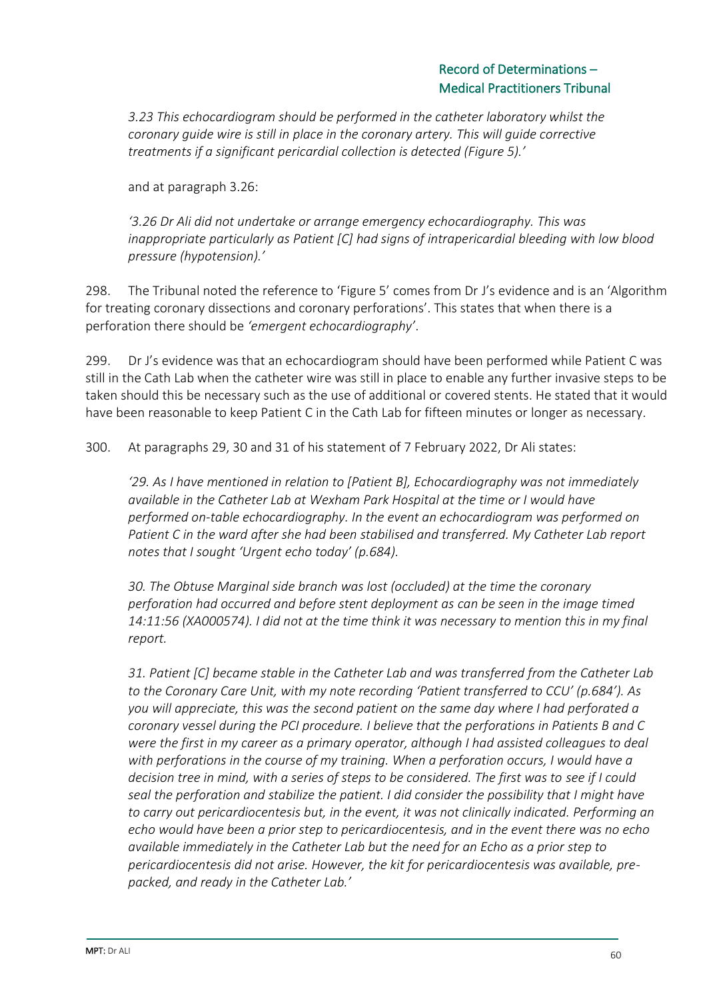*3.23 This echocardiogram should be performed in the catheter laboratory whilst the coronary guide wire is still in place in the coronary artery. This will guide corrective treatments if a significant pericardial collection is detected (Figure 5).'*

and at paragraph 3.26:

*'3.26 Dr Ali did not undertake or arrange emergency echocardiography. This was inappropriate particularly as Patient [C] had signs of intrapericardial bleeding with low blood pressure (hypotension).'*

298. The Tribunal noted the reference to 'Figure 5' comes from Dr J's evidence and is an 'Algorithm for treating coronary dissections and coronary perforations'. This states that when there is a perforation there should be *'emergent echocardiography'*.

299. Dr J's evidence was that an echocardiogram should have been performed while Patient C was still in the Cath Lab when the catheter wire was still in place to enable any further invasive steps to be taken should this be necessary such as the use of additional or covered stents. He stated that it would have been reasonable to keep Patient C in the Cath Lab for fifteen minutes or longer as necessary.

300. At paragraphs 29, 30 and 31 of his statement of 7 February 2022, Dr Ali states:

*'29. As I have mentioned in relation to [Patient B], Echocardiography was not immediately available in the Catheter Lab at Wexham Park Hospital at the time or I would have performed on-table echocardiography. In the event an echocardiogram was performed on Patient C in the ward after she had been stabilised and transferred. My Catheter Lab report notes that I sought 'Urgent echo today' (p.684).*

*30. The Obtuse Marginal side branch was lost (occluded) at the time the coronary perforation had occurred and before stent deployment as can be seen in the image timed 14:11:56 (XA000574). I did not at the time think it was necessary to mention this in my final report.*

*31. Patient [C] became stable in the Catheter Lab and was transferred from the Catheter Lab to the Coronary Care Unit, with my note recording 'Patient transferred to CCU' (p.684'). As you will appreciate, this was the second patient on the same day where I had perforated a coronary vessel during the PCI procedure. I believe that the perforations in Patients B and C were the first in my career as a primary operator, although I had assisted colleagues to deal with perforations in the course of my training. When a perforation occurs, I would have a decision tree in mind, with a series of steps to be considered. The first was to see if I could seal the perforation and stabilize the patient. I did consider the possibility that I might have to carry out pericardiocentesis but, in the event, it was not clinically indicated. Performing an echo would have been a prior step to pericardiocentesis, and in the event there was no echo available immediately in the Catheter Lab but the need for an Echo as a prior step to pericardiocentesis did not arise. However, the kit for pericardiocentesis was available, prepacked, and ready in the Catheter Lab.'*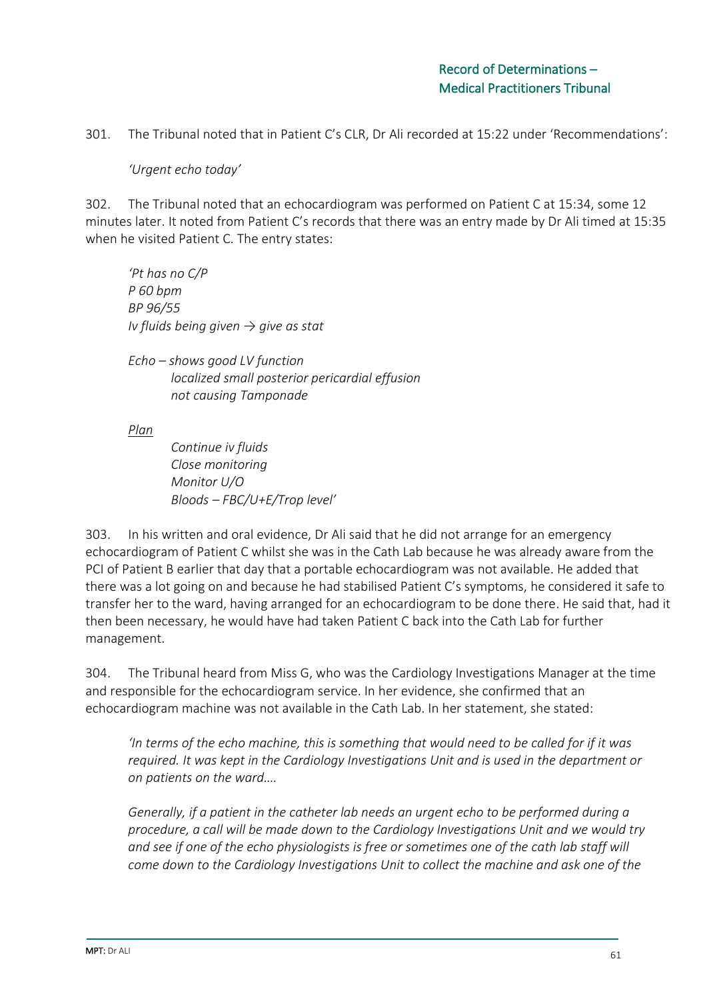301. The Tribunal noted that in Patient C's CLR, Dr Ali recorded at 15:22 under 'Recommendations':

#### *'Urgent echo today'*

302. The Tribunal noted that an echocardiogram was performed on Patient C at 15:34, some 12 minutes later. It noted from Patient C's records that there was an entry made by Dr Ali timed at 15:35 when he visited Patient C. The entry states:

*'Pt has no C/P P 60 bpm BP 96/55 Iv fluids being given → give as stat*

*Echo – shows good LV function localized small posterior pericardial effusion not causing Tamponade*

*Plan*

*Continue iv fluids Close monitoring Monitor U/O Bloods – FBC/U+E/Trop level'*

303. In his written and oral evidence, Dr Ali said that he did not arrange for an emergency echocardiogram of Patient C whilst she was in the Cath Lab because he was already aware from the PCI of Patient B earlier that day that a portable echocardiogram was not available. He added that there was a lot going on and because he had stabilised Patient C's symptoms, he considered it safe to transfer her to the ward, having arranged for an echocardiogram to be done there. He said that, had it then been necessary, he would have had taken Patient C back into the Cath Lab for further management.

304. The Tribunal heard from Miss G, who was the Cardiology Investigations Manager at the time and responsible for the echocardiogram service. In her evidence, she confirmed that an echocardiogram machine was not available in the Cath Lab. In her statement, she stated:

*'In terms of the echo machine, this is something that would need to be called for if it was required. It was kept in the Cardiology Investigations Unit and is used in the department or on patients on the ward….*

*Generally, if a patient in the catheter lab needs an urgent echo to be performed during a procedure, a call will be made down to the Cardiology Investigations Unit and we would try and see if one of the echo physiologists is free or sometimes one of the cath lab staff will come down to the Cardiology Investigations Unit to collect the machine and ask one of the*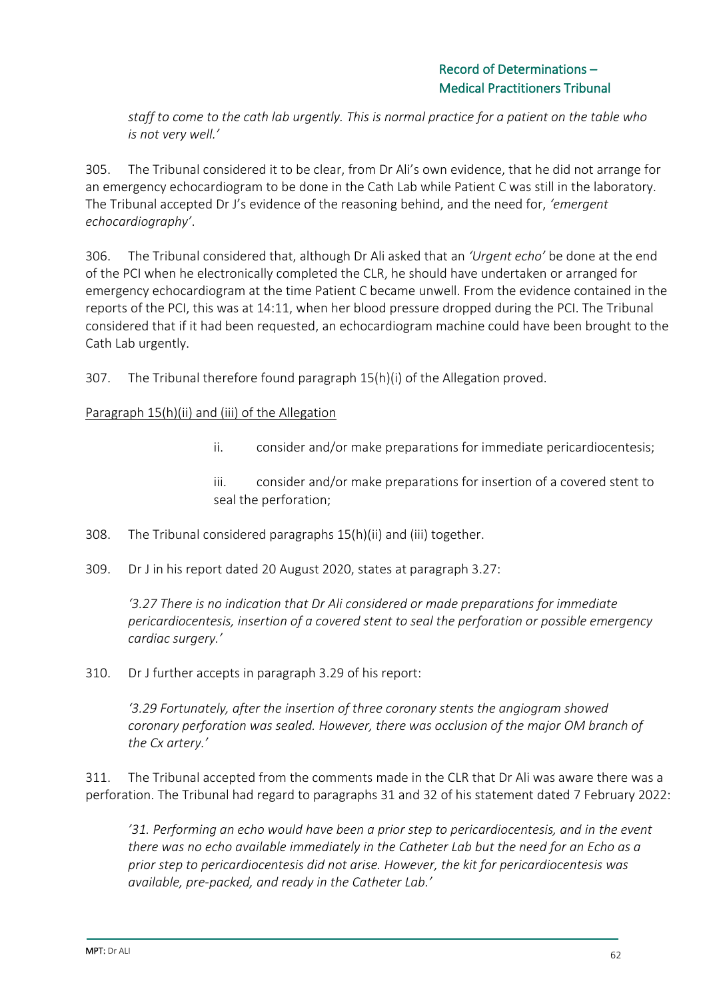*staff to come to the cath lab urgently. This is normal practice for a patient on the table who is not very well.'*

305. The Tribunal considered it to be clear, from Dr Ali's own evidence, that he did not arrange for an emergency echocardiogram to be done in the Cath Lab while Patient C was still in the laboratory. The Tribunal accepted Dr J's evidence of the reasoning behind, and the need for, *'emergent echocardiography'*.

306. The Tribunal considered that, although Dr Ali asked that an *'Urgent echo'* be done at the end of the PCI when he electronically completed the CLR, he should have undertaken or arranged for emergency echocardiogram at the time Patient C became unwell. From the evidence contained in the reports of the PCI, this was at 14:11, when her blood pressure dropped during the PCI. The Tribunal considered that if it had been requested, an echocardiogram machine could have been brought to the Cath Lab urgently.

307. The Tribunal therefore found paragraph 15(h)(i) of the Allegation proved.

# Paragraph 15(h)(ii) and (iii) of the Allegation

- ii. consider and/or make preparations for immediate pericardiocentesis;
- iii. consider and/or make preparations for insertion of a covered stent to seal the perforation;
- 308. The Tribunal considered paragraphs 15(h)(ii) and (iii) together.
- 309. Dr J in his report dated 20 August 2020, states at paragraph 3.27:

*'3.27 There is no indication that Dr Ali considered or made preparations for immediate pericardiocentesis, insertion of a covered stent to seal the perforation or possible emergency cardiac surgery.'*

310. Dr J further accepts in paragraph 3.29 of his report:

*'3.29 Fortunately, after the insertion of three coronary stents the angiogram showed coronary perforation was sealed. However, there was occlusion of the major OM branch of the Cx artery.'*

311. The Tribunal accepted from the comments made in the CLR that Dr Ali was aware there was a perforation. The Tribunal had regard to paragraphs 31 and 32 of his statement dated 7 February 2022:

*'31. Performing an echo would have been a prior step to pericardiocentesis, and in the event there was no echo available immediately in the Catheter Lab but the need for an Echo as a prior step to pericardiocentesis did not arise. However, the kit for pericardiocentesis was available, pre-packed, and ready in the Catheter Lab.'*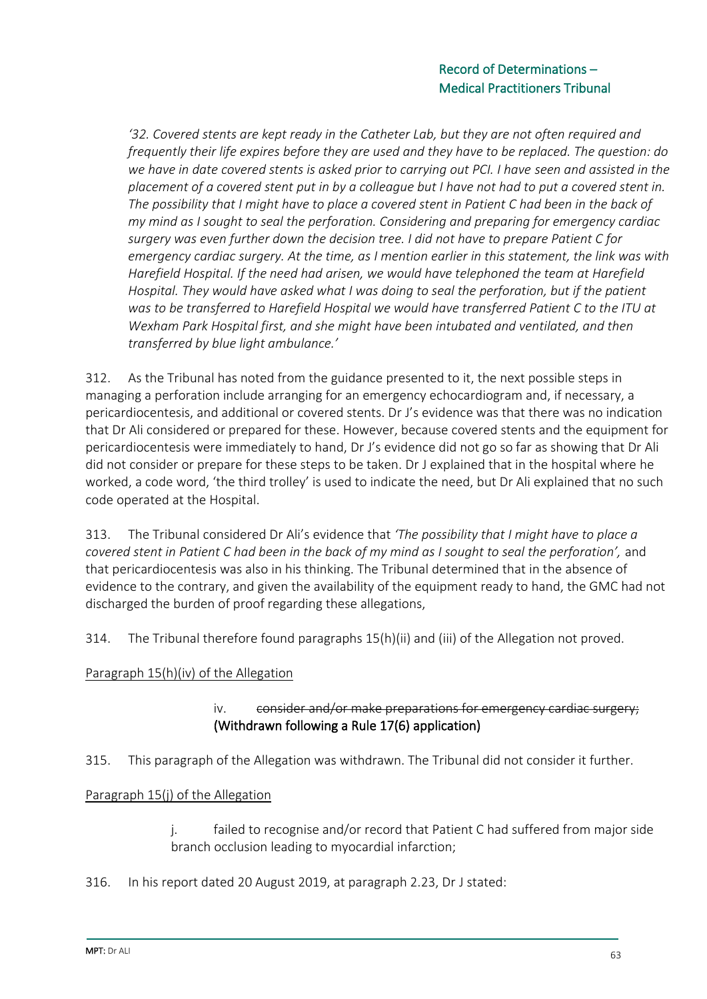*'32. Covered stents are kept ready in the Catheter Lab, but they are not often required and frequently their life expires before they are used and they have to be replaced. The question: do we have in date covered stents is asked prior to carrying out PCI. I have seen and assisted in the placement of a covered stent put in by a colleague but I have not had to put a covered stent in. The possibility that I might have to place a covered stent in Patient C had been in the back of my mind as I sought to seal the perforation. Considering and preparing for emergency cardiac surgery was even further down the decision tree. I did not have to prepare Patient C for emergency cardiac surgery. At the time, as I mention earlier in this statement, the link was with Harefield Hospital. If the need had arisen, we would have telephoned the team at Harefield Hospital. They would have asked what I was doing to seal the perforation, but if the patient was to be transferred to Harefield Hospital we would have transferred Patient C to the ITU at Wexham Park Hospital first, and she might have been intubated and ventilated, and then transferred by blue light ambulance.'*

312. As the Tribunal has noted from the guidance presented to it, the next possible steps in managing a perforation include arranging for an emergency echocardiogram and, if necessary, a pericardiocentesis, and additional or covered stents. Dr J's evidence was that there was no indication that Dr Ali considered or prepared for these. However, because covered stents and the equipment for pericardiocentesis were immediately to hand, Dr J's evidence did not go so far as showing that Dr Ali did not consider or prepare for these steps to be taken. Dr J explained that in the hospital where he worked, a code word, 'the third trolley' is used to indicate the need, but Dr Ali explained that no such code operated at the Hospital.

313. The Tribunal considered Dr Ali's evidence that *'The possibility that I might have to place a covered stent in Patient C had been in the back of my mind as I sought to seal the perforation'*, and that pericardiocentesis was also in his thinking. The Tribunal determined that in the absence of evidence to the contrary, and given the availability of the equipment ready to hand, the GMC had not discharged the burden of proof regarding these allegations,

314. The Tribunal therefore found paragraphs 15(h)(ii) and (iii) of the Allegation not proved.

# Paragraph 15(h)(iv) of the Allegation

# iv. consider and/or make preparations for emergency cardiac (Withdrawn following a Rule 17(6) application)

315. This paragraph of the Allegation was withdrawn. The Tribunal did not consider it further.

# Paragraph 15(j) of the Allegation

j. failed to recognise and/or record that Patient C had suffered from major side branch occlusion leading to myocardial infarction;

316. In his report dated 20 August 2019, at paragraph 2.23, Dr J stated: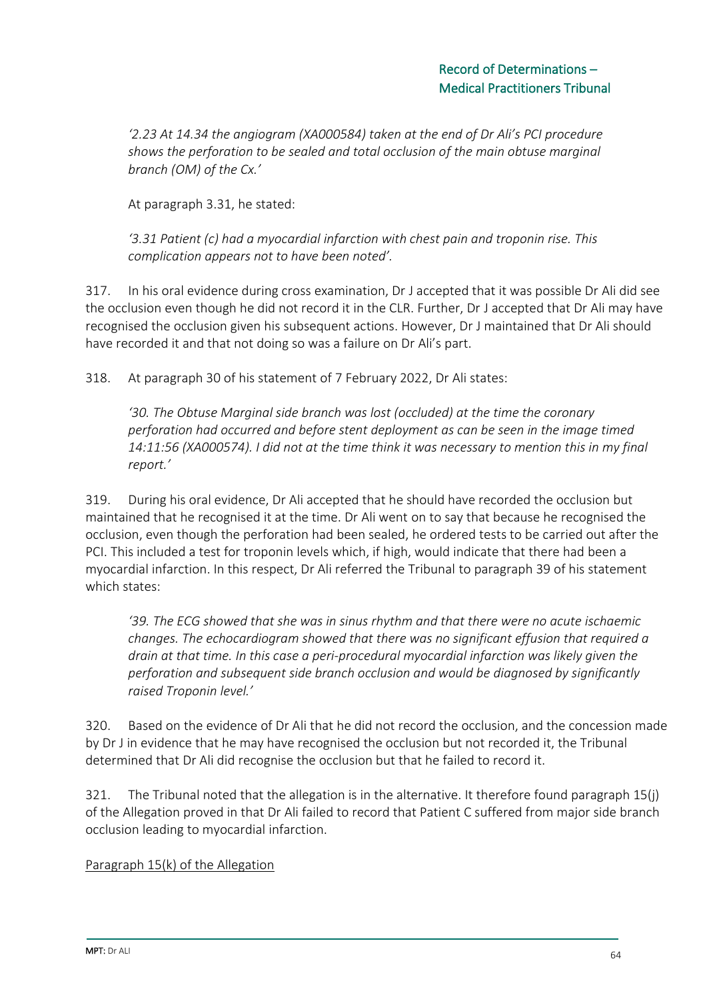*'2.23 At 14.34 the angiogram (XA000584) taken at the end of Dr Ali's PCI procedure shows the perforation to be sealed and total occlusion of the main obtuse marginal branch (OM) of the Cx.'*

At paragraph 3.31, he stated:

*'3.31 Patient (c) had a myocardial infarction with chest pain and troponin rise. This complication appears not to have been noted'.*

317. In his oral evidence during cross examination, Dr J accepted that it was possible Dr Ali did see the occlusion even though he did not record it in the CLR. Further, Dr J accepted that Dr Ali may have recognised the occlusion given his subsequent actions. However, Dr J maintained that Dr Ali should have recorded it and that not doing so was a failure on Dr Ali's part.

318. At paragraph 30 of his statement of 7 February 2022, Dr Ali states:

*'30. The Obtuse Marginal side branch was lost (occluded) at the time the coronary perforation had occurred and before stent deployment as can be seen in the image timed 14:11:56 (XA000574). I did not at the time think it was necessary to mention this in my final report.'*

319. During his oral evidence, Dr Ali accepted that he should have recorded the occlusion but maintained that he recognised it at the time. Dr Ali went on to say that because he recognised the occlusion, even though the perforation had been sealed, he ordered tests to be carried out after the PCI. This included a test for troponin levels which, if high, would indicate that there had been a myocardial infarction. In this respect, Dr Ali referred the Tribunal to paragraph 39 of his statement which states:

*'39. The ECG showed that she was in sinus rhythm and that there were no acute ischaemic changes. The echocardiogram showed that there was no significant effusion that required a drain at that time. In this case a peri-procedural myocardial infarction was likely given the perforation and subsequent side branch occlusion and would be diagnosed by significantly raised Troponin level.'*

320. Based on the evidence of Dr Ali that he did not record the occlusion, and the concession made by Dr J in evidence that he may have recognised the occlusion but not recorded it, the Tribunal determined that Dr Ali did recognise the occlusion but that he failed to record it.

321. The Tribunal noted that the allegation is in the alternative. It therefore found paragraph 15(j) of the Allegation proved in that Dr Ali failed to record that Patient C suffered from major side branch occlusion leading to myocardial infarction.

Paragraph 15(k) of the Allegation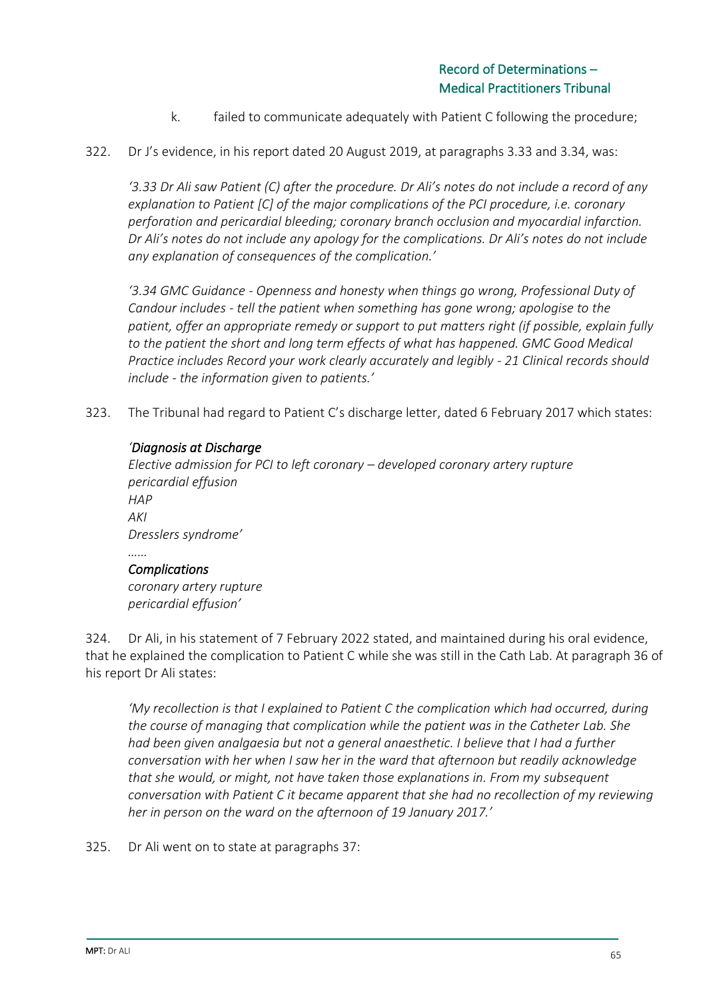- k. failed to communicate adequately with Patient C following the procedure;
- 322. Dr J's evidence, in his report dated 20 August 2019, at paragraphs 3.33 and 3.34, was:

*'3.33 Dr Ali saw Patient (C) after the procedure. Dr Ali's notes do not include a record of any explanation to Patient [C] of the major complications of the PCI procedure, i.e. coronary perforation and pericardial bleeding; coronary branch occlusion and myocardial infarction. Dr Ali's notes do not include any apology for the complications. Dr Ali's notes do not include any explanation of consequences of the complication.'*

*'3.34 GMC Guidance - Openness and honesty when things go wrong, Professional Duty of Candour includes - tell the patient when something has gone wrong; apologise to the patient, offer an appropriate remedy or support to put matters right (if possible, explain fully to the patient the short and long term effects of what has happened. GMC Good Medical Practice includes Record your work clearly accurately and legibly - 21 Clinical records should include - the information given to patients.'*

323. The Tribunal had regard to Patient C's discharge letter, dated 6 February 2017 which states:

#### *'Diagnosis at Discharge*

*Elective admission for PCI to left coronary – developed coronary artery rupture pericardial effusion HAP AKI Dresslers syndrome' …… Complications coronary artery rupture pericardial effusion'*

324. Dr Ali, in his statement of 7 February 2022 stated, and maintained during his oral evidence, that he explained the complication to Patient C while she was still in the Cath Lab. At paragraph 36 of his report Dr Ali states:

*'My recollection is that I explained to Patient C the complication which had occurred, during the course of managing that complication while the patient was in the Catheter Lab. She had been given analgaesia but not a general anaesthetic. I believe that I had a further conversation with her when I saw her in the ward that afternoon but readily acknowledge that she would, or might, not have taken those explanations in. From my subsequent conversation with Patient C it became apparent that she had no recollection of my reviewing her in person on the ward on the afternoon of 19 January 2017.'*

325. Dr Ali went on to state at paragraphs 37: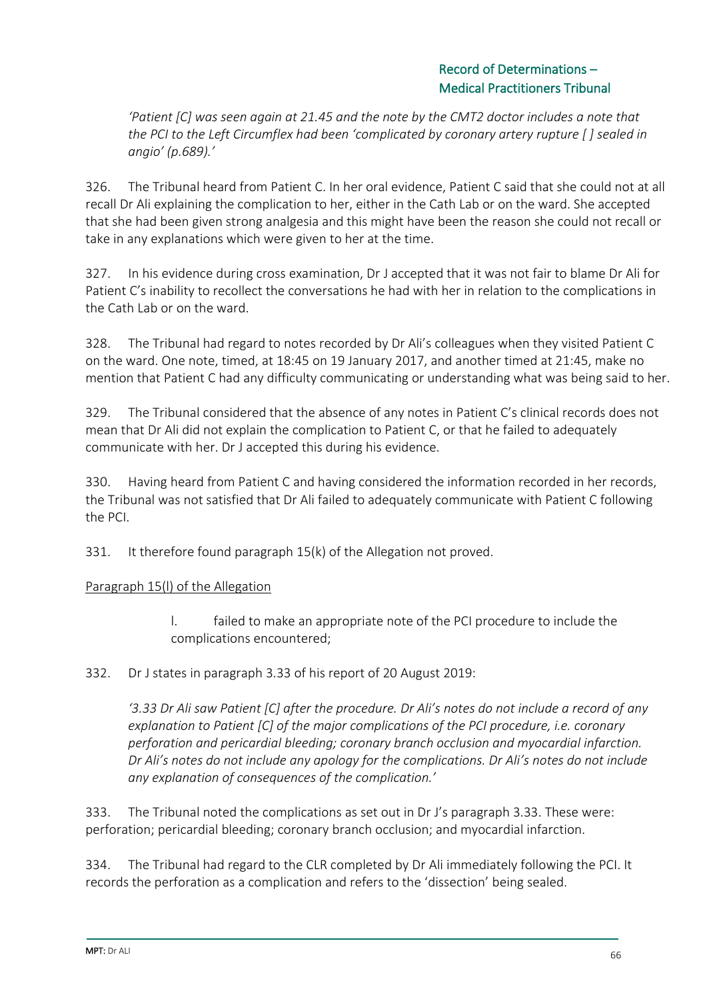*'Patient [C] was seen again at 21.45 and the note by the CMT2 doctor includes a note that the PCI to the Left Circumflex had been 'complicated by coronary artery rupture [ ] sealed in angio' (p.689).'*

326. The Tribunal heard from Patient C. In her oral evidence, Patient C said that she could not at all recall Dr Ali explaining the complication to her, either in the Cath Lab or on the ward. She accepted that she had been given strong analgesia and this might have been the reason she could not recall or take in any explanations which were given to her at the time.

327. In his evidence during cross examination, Dr J accepted that it was not fair to blame Dr Ali for Patient C's inability to recollect the conversations he had with her in relation to the complications in the Cath Lab or on the ward.

328. The Tribunal had regard to notes recorded by Dr Ali's colleagues when they visited Patient C on the ward. One note, timed, at 18:45 on 19 January 2017, and another timed at 21:45, make no mention that Patient C had any difficulty communicating or understanding what was being said to her.

329. The Tribunal considered that the absence of any notes in Patient C's clinical records does not mean that Dr Ali did not explain the complication to Patient C, or that he failed to adequately communicate with her. Dr J accepted this during his evidence.

330. Having heard from Patient C and having considered the information recorded in her records, the Tribunal was not satisfied that Dr Ali failed to adequately communicate with Patient C following the PCI.

331. It therefore found paragraph 15(k) of the Allegation not proved.

Paragraph 15(l) of the Allegation

l. failed to make an appropriate note of the PCI procedure to include the complications encountered;

332. Dr J states in paragraph 3.33 of his report of 20 August 2019:

'3.33 Dr Ali saw Patient [C] after the procedure. Dr Ali's notes do not include a record of any *explanation to Patient [C] of the major complications of the PCI procedure, i.e. coronary perforation and pericardial bleeding; coronary branch occlusion and myocardial infarction. Dr Ali's notes do not include any apology for the complications. Dr Ali's notes do not include any explanation of consequences of the complication.'*

333. The Tribunal noted the complications as set out in Dr J's paragraph 3.33. These were: perforation; pericardial bleeding; coronary branch occlusion; and myocardial infarction.

334. The Tribunal had regard to the CLR completed by Dr Ali immediately following the PCI. It records the perforation as a complication and refers to the 'dissection' being sealed.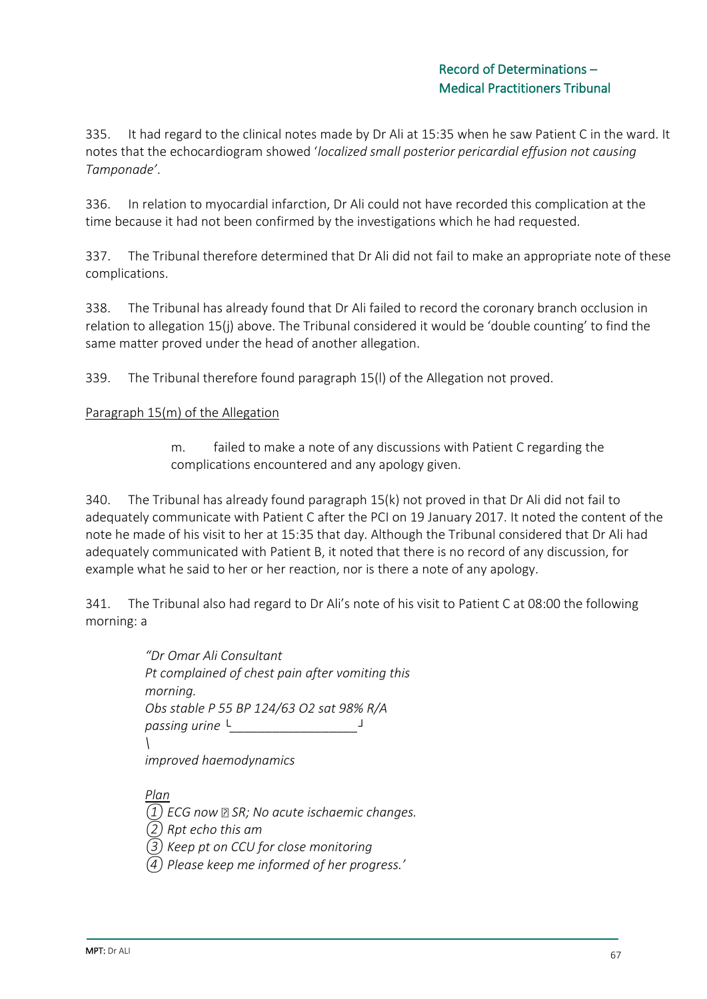335. It had regard to the clinical notes made by Dr Ali at 15:35 when he saw Patient C in the ward. It notes that the echocardiogram showed '*localized small posterior pericardial effusion not causing Tamponade'*.

336. In relation to myocardial infarction, Dr Ali could not have recorded this complication at the time because it had not been confirmed by the investigations which he had requested.

337. The Tribunal therefore determined that Dr Ali did not fail to make an appropriate note of these complications.

338. The Tribunal has already found that Dr Ali failed to record the coronary branch occlusion in relation to allegation 15(j) above. The Tribunal considered it would be 'double counting' to find the same matter proved under the head of another allegation.

339. The Tribunal therefore found paragraph 15(l) of the Allegation not proved.

#### Paragraph 15(m) of the Allegation

m. failed to make a note of any discussions with Patient C regarding the complications encountered and any apology given.

340. The Tribunal has already found paragraph 15(k) not proved in that Dr Ali did not fail to adequately communicate with Patient C after the PCI on 19 January 2017. It noted the content of the note he made of his visit to her at 15:35 that day. Although the Tribunal considered that Dr Ali had adequately communicated with Patient B, it noted that there is no record of any discussion, for example what he said to her or her reaction, nor is there a note of any apology.

341. The Tribunal also had regard to Dr Ali's note of his visit to Patient C at 08:00 the following morning: a

> *"Dr Omar Ali Consultant Pt complained of chest pain after vomiting this morning. Obs stable P 55 BP 124/63 O2 sat 98% R/A passing urine └\_\_\_\_\_\_\_\_\_\_\_\_\_\_\_\_\_\_┘ \ improved haemodynamics*

*Plan*

*① ECG now SR; No acute ischaemic changes.*

*② Rpt echo this am*

*③ Keep pt on CCU for close monitoring*

*④ Please keep me informed of her progress.'*

**MPT:** Dr ALI 67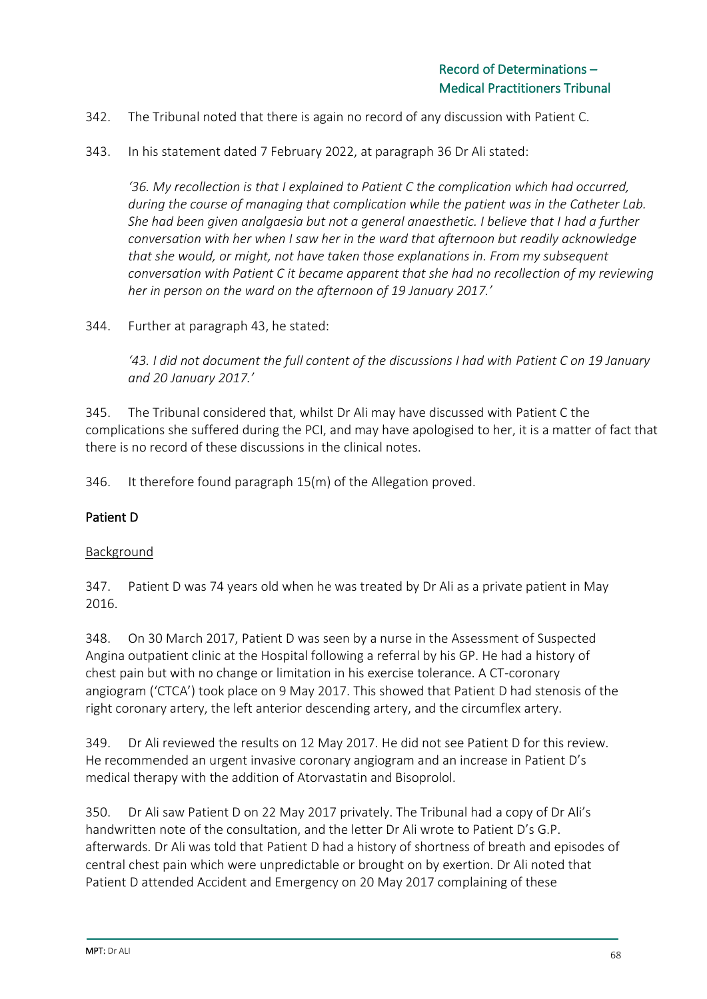- 342. The Tribunal noted that there is again no record of any discussion with Patient C.
- 343. In his statement dated 7 February 2022, at paragraph 36 Dr Ali stated:

*'36. My recollection is that I explained to Patient C the complication which had occurred, during the course of managing that complication while the patient was in the Catheter Lab. She had been given analgaesia but not a general anaesthetic. I believe that I had a further conversation with her when I saw her in the ward that afternoon but readily acknowledge that she would, or might, not have taken those explanations in. From my subsequent conversation with Patient C it became apparent that she had no recollection of my reviewing her in person on the ward on the afternoon of 19 January 2017.'*

344. Further at paragraph 43, he stated:

*'43. I did not document the full content of the discussions I had with Patient C on 19 January and 20 January 2017.'*

345. The Tribunal considered that, whilst Dr Ali may have discussed with Patient C the complications she suffered during the PCI, and may have apologised to her, it is a matter of fact that there is no record of these discussions in the clinical notes.

346. It therefore found paragraph 15(m) of the Allegation proved.

# Patient D

#### Background

347. Patient D was 74 years old when he was treated by Dr Ali as a private patient in May 2016.

348. On 30 March 2017, Patient D was seen by a nurse in the Assessment of Suspected Angina outpatient clinic at the Hospital following a referral by his GP. He had a history of chest pain but with no change or limitation in his exercise tolerance. A CT-coronary angiogram ('CTCA') took place on 9 May 2017. This showed that Patient D had stenosis of the right coronary artery, the left anterior descending artery, and the circumflex artery.

349. Dr Ali reviewed the results on 12 May 2017. He did not see Patient D for this review. He recommended an urgent invasive coronary angiogram and an increase in Patient D's medical therapy with the addition of Atorvastatin and Bisoprolol.

350. Dr Ali saw Patient D on 22 May 2017 privately. The Tribunal had a copy of Dr Ali's handwritten note of the consultation, and the letter Dr Ali wrote to Patient D's G.P. afterwards. Dr Ali was told that Patient D had a history of shortness of breath and episodes of central chest pain which were unpredictable or brought on by exertion. Dr Ali noted that Patient D attended Accident and Emergency on 20 May 2017 complaining of these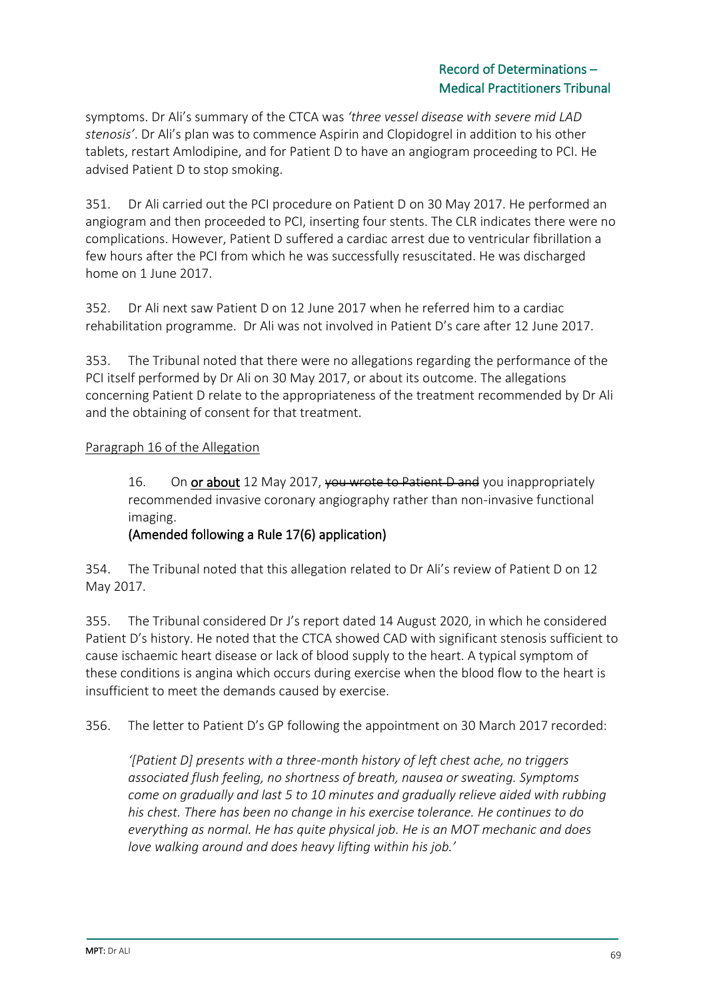symptoms. Dr Ali's summary of the CTCA was *'three vessel disease with severe mid LAD stenosis'*. Dr Ali's plan was to commence Aspirin and Clopidogrel in addition to his other tablets, restart Amlodipine, and for Patient D to have an angiogram proceeding to PCI. He advised Patient D to stop smoking.

351. Dr Ali carried out the PCI procedure on Patient D on 30 May 2017. He performed an angiogram and then proceeded to PCI, inserting four stents. The CLR indicates there were no complications. However, Patient D suffered a cardiac arrest due to ventricular fibrillation a few hours after the PCI from which he was successfully resuscitated. He was discharged home on 1 June 2017.

352. Dr Ali next saw Patient D on 12 June 2017 when he referred him to a cardiac rehabilitation programme. Dr Ali was not involved in Patient D's care after 12 June 2017.

353. The Tribunal noted that there were no allegations regarding the performance of the PCI itself performed by Dr Ali on 30 May 2017, or about its outcome. The allegations concerning Patient D relate to the appropriateness of the treatment recommended by Dr Ali and the obtaining of consent for that treatment.

# Paragraph 16 of the Allegation

16. On or about 12 May 2017, you wrote to Patient D and you inappropriately recommended invasive coronary angiography rather than non-invasive functional imaging.

# (Amended following a Rule 17(6) application)

354. The Tribunal noted that this allegation related to Dr Ali's review of Patient D on 12 May 2017.

355. The Tribunal considered Dr J's report dated 14 August 2020, in which he considered Patient D's history. He noted that the CTCA showed CAD with significant stenosis sufficient to cause ischaemic heart disease or lack of blood supply to the heart. A typical symptom of these conditions is angina which occurs during exercise when the blood flow to the heart is insufficient to meet the demands caused by exercise.

356. The letter to Patient D's GP following the appointment on 30 March 2017 recorded:

*'[Patient D] presents with a three-month history of left chest ache, no triggers associated flush feeling, no shortness of breath, nausea or sweating. Symptoms come on gradually and last 5 to 10 minutes and gradually relieve aided with rubbing his chest. There has been no change in his exercise tolerance. He continues to do everything as normal. He has quite physical job. He is an MOT mechanic and does love walking around and does heavy lifting within his job.'*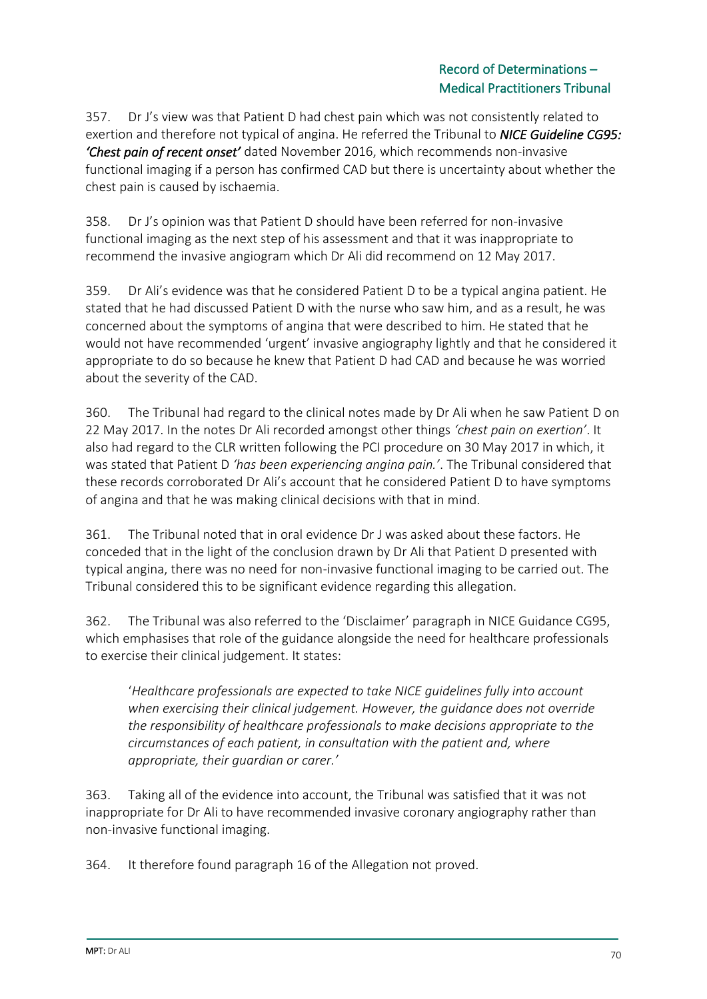357. Dr J's view was that Patient D had chest pain which was not consistently related to exertion and therefore not typical of angina. He referred the Tribunal to *NICE Guideline CG95: 'Chest pain of recent onset'* dated November 2016, which recommends non-invasive functional imaging if a person has confirmed CAD but there is uncertainty about whether the chest pain is caused by ischaemia.

358. Dr J's opinion was that Patient D should have been referred for non-invasive functional imaging as the next step of his assessment and that it was inappropriate to recommend the invasive angiogram which Dr Ali did recommend on 12 May 2017.

359. Dr Ali's evidence was that he considered Patient D to be a typical angina patient. He stated that he had discussed Patient D with the nurse who saw him, and as a result, he was concerned about the symptoms of angina that were described to him. He stated that he would not have recommended 'urgent' invasive angiography lightly and that he considered it appropriate to do so because he knew that Patient D had CAD and because he was worried about the severity of the CAD.

360. The Tribunal had regard to the clinical notes made by Dr Ali when he saw Patient D on 22 May 2017. In the notes Dr Ali recorded amongst other things *'chest pain on exertion'*. It also had regard to the CLR written following the PCI procedure on 30 May 2017 in which, it was stated that Patient D *'has been experiencing angina pain.'*. The Tribunal considered that these records corroborated Dr Ali's account that he considered Patient D to have symptoms of angina and that he was making clinical decisions with that in mind.

361. The Tribunal noted that in oral evidence Dr J was asked about these factors. He conceded that in the light of the conclusion drawn by Dr Ali that Patient D presented with typical angina, there was no need for non-invasive functional imaging to be carried out. The Tribunal considered this to be significant evidence regarding this allegation.

362. The Tribunal was also referred to the 'Disclaimer' paragraph in NICE Guidance CG95, which emphasises that role of the guidance alongside the need for healthcare professionals to exercise their clinical judgement. It states:

'*Healthcare professionals are expected to take NICE guidelines fully into account when exercising their clinical judgement. However, the guidance does not override the responsibility of healthcare professionals to make decisions appropriate to the circumstances of each patient, in consultation with the patient and, where appropriate, their guardian or carer.'*

363. Taking all of the evidence into account, the Tribunal was satisfied that it was not inappropriate for Dr Ali to have recommended invasive coronary angiography rather than non-invasive functional imaging.

364. It therefore found paragraph 16 of the Allegation not proved.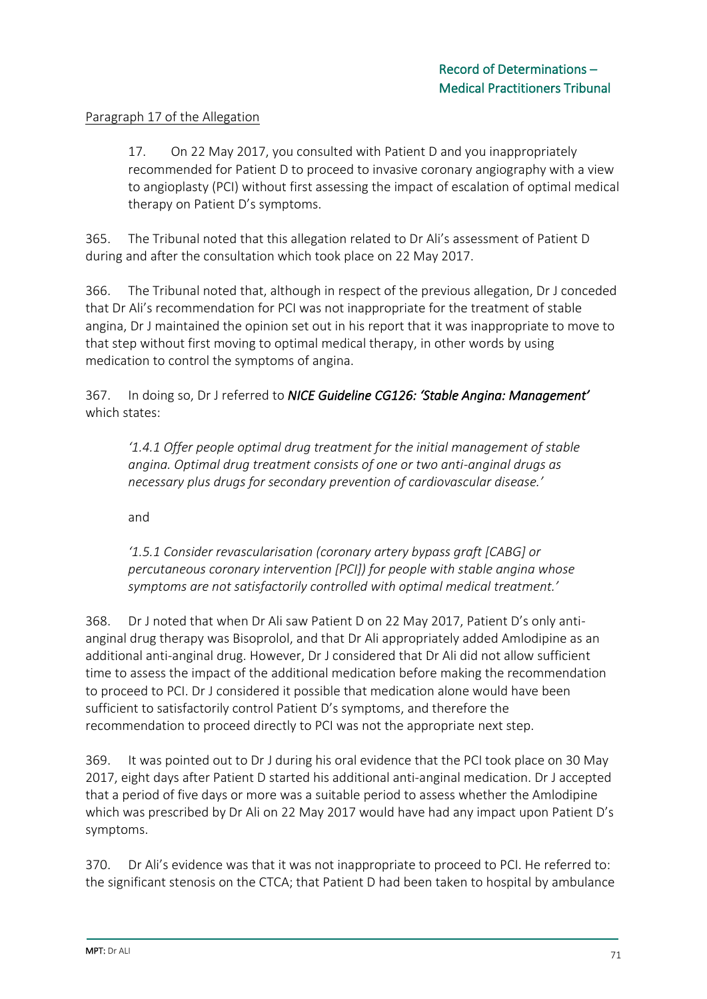# Paragraph 17 of the Allegation

17. On 22 May 2017, you consulted with Patient D and you inappropriately recommended for Patient D to proceed to invasive coronary angiography with a view to angioplasty (PCI) without first assessing the impact of escalation of optimal medical therapy on Patient D's symptoms.

365. The Tribunal noted that this allegation related to Dr Ali's assessment of Patient D during and after the consultation which took place on 22 May 2017.

366. The Tribunal noted that, although in respect of the previous allegation, Dr J conceded that Dr Ali's recommendation for PCI was not inappropriate for the treatment of stable angina, Dr J maintained the opinion set out in his report that it was inappropriate to move to that step without first moving to optimal medical therapy, in other words by using medication to control the symptoms of angina.

367. In doing so, Dr J referred to *NICE Guideline CG126: 'Stable Angina: Management'* which states:

*'1.4.1 Offer people optimal drug treatment for the initial management of stable angina. Optimal drug treatment consists of one or two anti-anginal drugs as necessary plus drugs for secondary prevention of cardiovascular disease.'* 

and

*'1.5.1 Consider revascularisation (coronary artery bypass graft [CABG] or percutaneous coronary intervention [PCI]) for people with stable angina whose symptoms are not satisfactorily controlled with optimal medical treatment.'*

368. Dr J noted that when Dr Ali saw Patient D on 22 May 2017, Patient D's only antianginal drug therapy was Bisoprolol, and that Dr Ali appropriately added Amlodipine as an additional anti-anginal drug. However, Dr J considered that Dr Ali did not allow sufficient time to assess the impact of the additional medication before making the recommendation to proceed to PCI. Dr J considered it possible that medication alone would have been sufficient to satisfactorily control Patient D's symptoms, and therefore the recommendation to proceed directly to PCI was not the appropriate next step.

369. It was pointed out to Dr J during his oral evidence that the PCI took place on 30 May 2017, eight days after Patient D started his additional anti-anginal medication. Dr J accepted that a period of five days or more was a suitable period to assess whether the Amlodipine which was prescribed by Dr Ali on 22 May 2017 would have had any impact upon Patient D's symptoms.

370. Dr Ali's evidence was that it was not inappropriate to proceed to PCI. He referred to: the significant stenosis on the CTCA; that Patient D had been taken to hospital by ambulance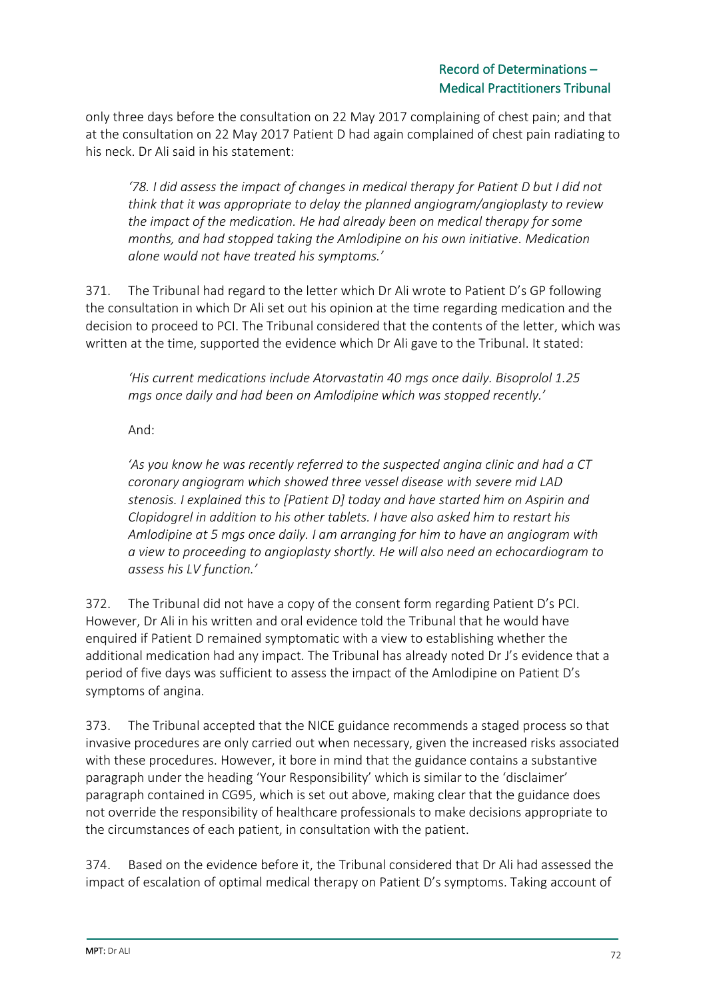only three days before the consultation on 22 May 2017 complaining of chest pain; and that at the consultation on 22 May 2017 Patient D had again complained of chest pain radiating to his neck. Dr Ali said in his statement:

*'78. I did assess the impact of changes in medical therapy for Patient D but I did not think that it was appropriate to delay the planned angiogram/angioplasty to review the impact of the medication. He had already been on medical therapy for some months, and had stopped taking the Amlodipine on his own initiative. Medication alone would not have treated his symptoms.'*

371. The Tribunal had regard to the letter which Dr Ali wrote to Patient D's GP following the consultation in which Dr Ali set out his opinion at the time regarding medication and the decision to proceed to PCI. The Tribunal considered that the contents of the letter, which was written at the time, supported the evidence which Dr Ali gave to the Tribunal. It stated:

*'His current medications include Atorvastatin 40 mgs once daily. Bisoprolol 1.25 mgs once daily and had been on Amlodipine which was stopped recently.'*

And:

*'As you know he was recently referred to the suspected angina clinic and had a CT coronary angiogram which showed three vessel disease with severe mid LAD stenosis. I explained this to [Patient D] today and have started him on Aspirin and Clopidogrel in addition to his other tablets. I have also asked him to restart his Amlodipine at 5 mgs once daily. I am arranging for him to have an angiogram with a view to proceeding to angioplasty shortly. He will also need an echocardiogram to assess his LV function.'*

372. The Tribunal did not have a copy of the consent form regarding Patient D's PCI. However, Dr Ali in his written and oral evidence told the Tribunal that he would have enquired if Patient D remained symptomatic with a view to establishing whether the additional medication had any impact. The Tribunal has already noted Dr J's evidence that a period of five days was sufficient to assess the impact of the Amlodipine on Patient D's symptoms of angina.

373. The Tribunal accepted that the NICE guidance recommends a staged process so that invasive procedures are only carried out when necessary, given the increased risks associated with these procedures. However, it bore in mind that the guidance contains a substantive paragraph under the heading 'Your Responsibility' which is similar to the 'disclaimer' paragraph contained in CG95, which is set out above, making clear that the guidance does not override the responsibility of healthcare professionals to make decisions appropriate to the circumstances of each patient, in consultation with the patient.

374. Based on the evidence before it, the Tribunal considered that Dr Ali had assessed the impact of escalation of optimal medical therapy on Patient D's symptoms. Taking account of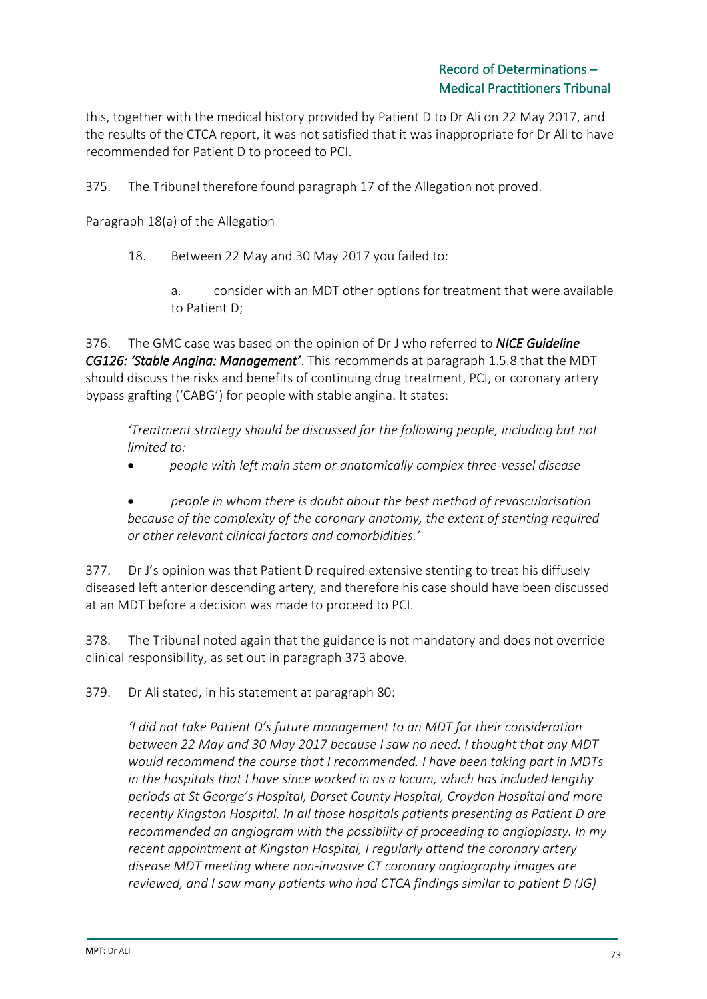this, together with the medical history provided by Patient D to Dr Ali on 22 May 2017, and the results of the CTCA report, it was not satisfied that it was inappropriate for Dr Ali to have recommended for Patient D to proceed to PCI.

375. The Tribunal therefore found paragraph 17 of the Allegation not proved.

#### Paragraph 18(a) of the Allegation

18. Between 22 May and 30 May 2017 you failed to:

a. consider with an MDT other options for treatment that were available to Patient D;

376. The GMC case was based on the opinion of Dr J who referred to *NICE Guideline CG126: 'Stable Angina: Management'*. This recommends at paragraph 1.5.8 that the MDT should discuss the risks and benefits of continuing drug treatment, PCI, or coronary artery bypass grafting ('CABG') for people with stable angina. It states:

*'Treatment strategy should be discussed for the following people, including but not limited to:* 

• *people with left main stem or anatomically complex three-vessel disease*

• *people in whom there is doubt about the best method of revascularisation because of the complexity of the coronary anatomy, the extent of stenting required or other relevant clinical factors and comorbidities.'*

377. Dr J's opinion was that Patient D required extensive stenting to treat his diffusely diseased left anterior descending artery, and therefore his case should have been discussed at an MDT before a decision was made to proceed to PCI.

378. The Tribunal noted again that the guidance is not mandatory and does not override clinical responsibility, as set out in paragraph 373 above.

379. Dr Ali stated, in his statement at paragraph 80:

*'I did not take Patient D's future management to an MDT for their consideration between 22 May and 30 May 2017 because I saw no need. I thought that any MDT would recommend the course that I recommended. I have been taking part in MDTs in the hospitals that I have since worked in as a locum, which has included lengthy periods at St George's Hospital, Dorset County Hospital, Croydon Hospital and more recently Kingston Hospital. In all those hospitals patients presenting as Patient D are recommended an angiogram with the possibility of proceeding to angioplasty. In my recent appointment at Kingston Hospital, I regularly attend the coronary artery disease MDT meeting where non-invasive CT coronary angiography images are reviewed, and I saw many patients who had CTCA findings similar to patient D (JG)*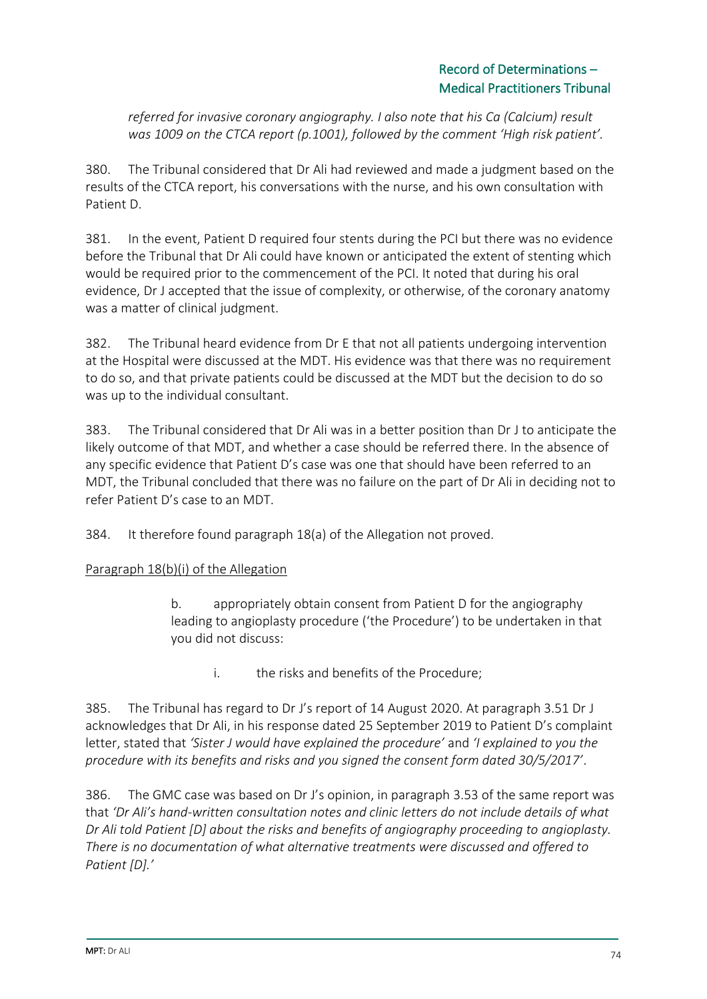*referred for invasive coronary angiography. I also note that his Ca (Calcium) result was 1009 on the CTCA report (p.1001), followed by the comment 'High risk patient'.*

380. The Tribunal considered that Dr Ali had reviewed and made a judgment based on the results of the CTCA report, his conversations with the nurse, and his own consultation with Patient D.

381. In the event, Patient D required four stents during the PCI but there was no evidence before the Tribunal that Dr Ali could have known or anticipated the extent of stenting which would be required prior to the commencement of the PCI. It noted that during his oral evidence, Dr J accepted that the issue of complexity, or otherwise, of the coronary anatomy was a matter of clinical judgment.

382. The Tribunal heard evidence from Dr E that not all patients undergoing intervention at the Hospital were discussed at the MDT. His evidence was that there was no requirement to do so, and that private patients could be discussed at the MDT but the decision to do so was up to the individual consultant.

383. The Tribunal considered that Dr Ali was in a better position than Dr J to anticipate the likely outcome of that MDT, and whether a case should be referred there. In the absence of any specific evidence that Patient D's case was one that should have been referred to an MDT, the Tribunal concluded that there was no failure on the part of Dr Ali in deciding not to refer Patient D's case to an MDT.

384. It therefore found paragraph 18(a) of the Allegation not proved.

#### Paragraph 18(b)(i) of the Allegation

- b. appropriately obtain consent from Patient D for the angiography leading to angioplasty procedure ('the Procedure') to be undertaken in that you did not discuss:
	- i. the risks and benefits of the Procedure;

385. The Tribunal has regard to Dr J's report of 14 August 2020. At paragraph 3.51 Dr J acknowledges that Dr Ali, in his response dated 25 September 2019 to Patient D's complaint letter, stated that *'Sister J would have explained the procedure'* and *'I explained to you the procedure with its benefits and risks and you signed the consent form dated 30/5/2017'*.

386. The GMC case was based on Dr J's opinion, in paragraph 3.53 of the same report was that *'Dr Ali's hand-written consultation notes and clinic letters do not include details of what Dr Ali told Patient [D] about the risks and benefits of angiography proceeding to angioplasty. There is no documentation of what alternative treatments were discussed and offered to Patient [D].'*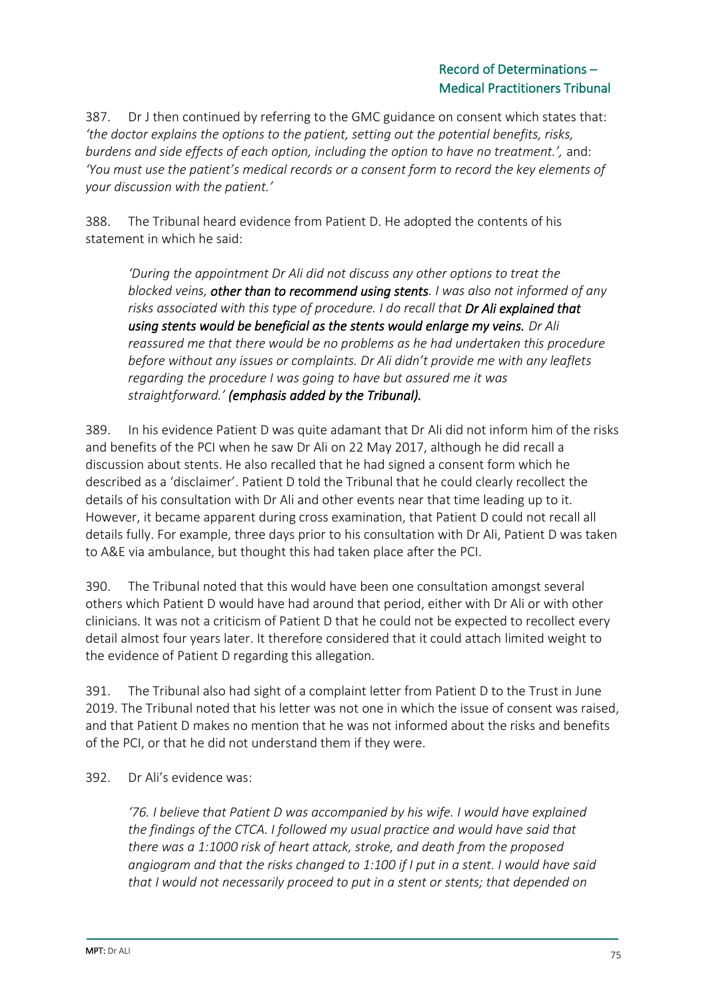## Record of Determinations – Medical Practitioners Tribunal

387. Dr J then continued by referring to the GMC guidance on consent which states that: *'the doctor explains the options to the patient, setting out the potential benefits, risks, burdens and side effects of each option, including the option to have no treatment.',* and: *'You must use the patient's medical records or a consent form to record the key elements of your discussion with the patient.'*

388. The Tribunal heard evidence from Patient D. He adopted the contents of his statement in which he said:

*'During the appointment Dr Ali did not discuss any other options to treat the blocked veins, other than to recommend using stents. I was also not informed of any risks associated with this type of procedure. I do recall that Dr Ali explained that using stents would be beneficial as the stents would enlarge my veins. Dr Ali reassured me that there would be no problems as he had undertaken this procedure before without any issues or complaints. Dr Ali didn't provide me with any leaflets regarding the procedure I was going to have but assured me it was straightforward.' (emphasis added by the Tribunal).*

389. In his evidence Patient D was quite adamant that Dr Ali did not inform him of the risks and benefits of the PCI when he saw Dr Ali on 22 May 2017, although he did recall a discussion about stents. He also recalled that he had signed a consent form which he described as a 'disclaimer'. Patient D told the Tribunal that he could clearly recollect the details of his consultation with Dr Ali and other events near that time leading up to it. However, it became apparent during cross examination, that Patient D could not recall all details fully. For example, three days prior to his consultation with Dr Ali, Patient D was taken to A&E via ambulance, but thought this had taken place after the PCI.

390. The Tribunal noted that this would have been one consultation amongst several others which Patient D would have had around that period, either with Dr Ali or with other clinicians. It was not a criticism of Patient D that he could not be expected to recollect every detail almost four years later. It therefore considered that it could attach limited weight to the evidence of Patient D regarding this allegation.

391. The Tribunal also had sight of a complaint letter from Patient D to the Trust in June 2019. The Tribunal noted that his letter was not one in which the issue of consent was raised, and that Patient D makes no mention that he was not informed about the risks and benefits of the PCI, or that he did not understand them if they were.

392. Dr Ali's evidence was:

*'76. I believe that Patient D was accompanied by his wife. I would have explained the findings of the CTCA. I followed my usual practice and would have said that there was a 1:1000 risk of heart attack, stroke, and death from the proposed angiogram and that the risks changed to 1:100 if I put in a stent. I would have said that I would not necessarily proceed to put in a stent or stents; that depended on*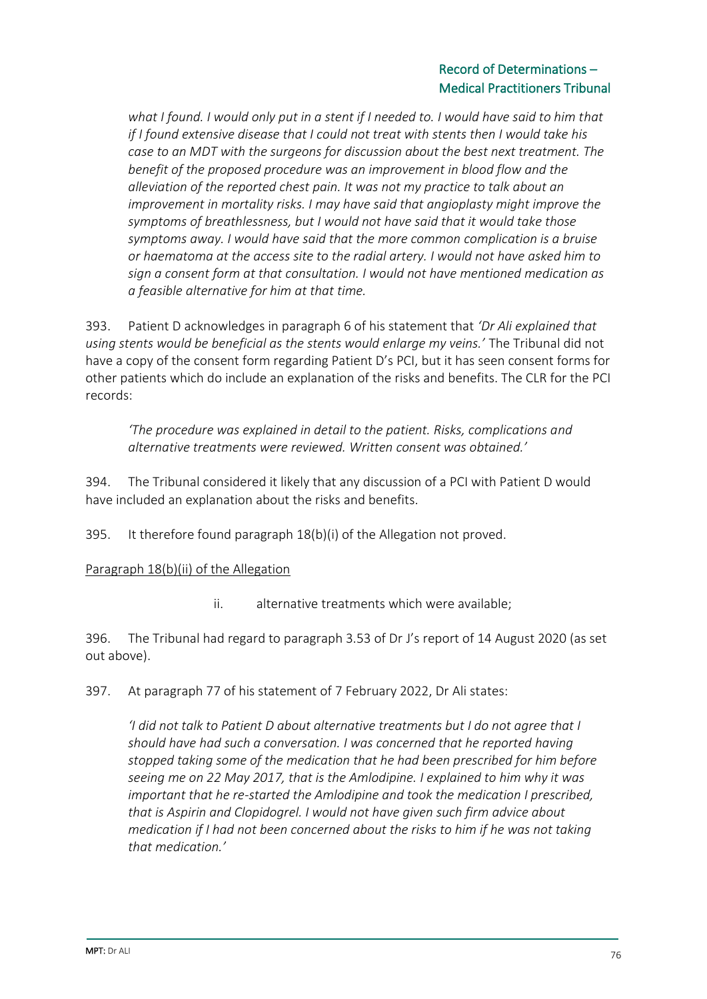## Record of Determinations – Medical Practitioners Tribunal

*what I found. I would only put in a stent if I needed to. I would have said to him that if I found extensive disease that I could not treat with stents then I would take his case to an MDT with the surgeons for discussion about the best next treatment. The benefit of the proposed procedure was an improvement in blood flow and the alleviation of the reported chest pain. It was not my practice to talk about an improvement in mortality risks. I may have said that angioplasty might improve the symptoms of breathlessness, but I would not have said that it would take those symptoms away. I would have said that the more common complication is a bruise or haematoma at the access site to the radial artery. I would not have asked him to sign a consent form at that consultation. I would not have mentioned medication as a feasible alternative for him at that time.*

393. Patient D acknowledges in paragraph 6 of his statement that *'Dr Ali explained that using stents would be beneficial as the stents would enlarge my veins.'* The Tribunal did not have a copy of the consent form regarding Patient D's PCI, but it has seen consent forms for other patients which do include an explanation of the risks and benefits. The CLR for the PCI records:

*'The procedure was explained in detail to the patient. Risks, complications and alternative treatments were reviewed. Written consent was obtained.'*

394. The Tribunal considered it likely that any discussion of a PCI with Patient D would have included an explanation about the risks and benefits.

395. It therefore found paragraph 18(b)(i) of the Allegation not proved.

#### Paragraph 18(b)(ii) of the Allegation

ii. alternative treatments which were available;

396. The Tribunal had regard to paragraph 3.53 of Dr J's report of 14 August 2020 (as set out above).

397. At paragraph 77 of his statement of 7 February 2022, Dr Ali states:

*'I did not talk to Patient D about alternative treatments but I do not agree that I should have had such a conversation. I was concerned that he reported having stopped taking some of the medication that he had been prescribed for him before seeing me on 22 May 2017, that is the Amlodipine. I explained to him why it was important that he re-started the Amlodipine and took the medication I prescribed, that is Aspirin and Clopidogrel. I would not have given such firm advice about medication if I had not been concerned about the risks to him if he was not taking that medication.'*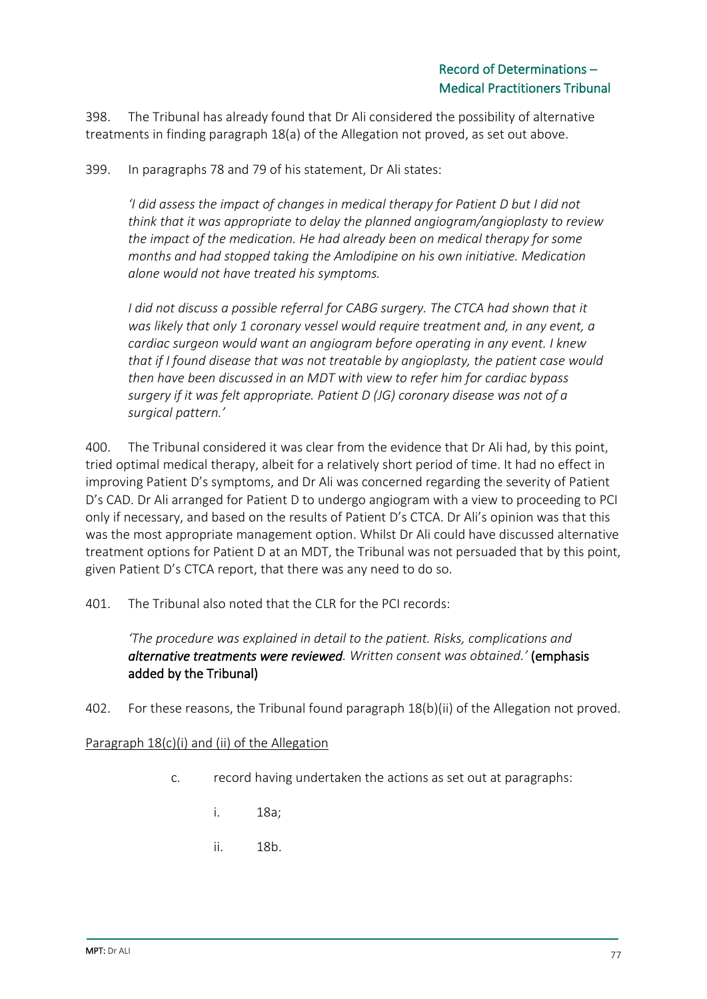398. The Tribunal has already found that Dr Ali considered the possibility of alternative treatments in finding paragraph 18(a) of the Allegation not proved, as set out above.

399. In paragraphs 78 and 79 of his statement, Dr Ali states:

*'I did assess the impact of changes in medical therapy for Patient D but I did not think that it was appropriate to delay the planned angiogram/angioplasty to review the impact of the medication. He had already been on medical therapy for some months and had stopped taking the Amlodipine on his own initiative. Medication alone would not have treated his symptoms.*

*I did not discuss a possible referral for CABG surgery. The CTCA had shown that it was likely that only 1 coronary vessel would require treatment and, in any event, a cardiac surgeon would want an angiogram before operating in any event. I knew that if I found disease that was not treatable by angioplasty, the patient case would then have been discussed in an MDT with view to refer him for cardiac bypass surgery if it was felt appropriate. Patient D (JG) coronary disease was not of a surgical pattern.'*

400. The Tribunal considered it was clear from the evidence that Dr Ali had, by this point, tried optimal medical therapy, albeit for a relatively short period of time. It had no effect in improving Patient D's symptoms, and Dr Ali was concerned regarding the severity of Patient D's CAD. Dr Ali arranged for Patient D to undergo angiogram with a view to proceeding to PCI only if necessary, and based on the results of Patient D's CTCA. Dr Ali's opinion was that this was the most appropriate management option. Whilst Dr Ali could have discussed alternative treatment options for Patient D at an MDT, the Tribunal was not persuaded that by this point, given Patient D's CTCA report, that there was any need to do so.

401. The Tribunal also noted that the CLR for the PCI records:

*'The procedure was explained in detail to the patient. Risks, complications and alternative treatments were reviewed. Written consent was obtained.'* (emphasis added by the Tribunal)

402. For these reasons, the Tribunal found paragraph 18(b)(ii) of the Allegation not proved.

Paragraph 18(c)(i) and (ii) of the Allegation

- c. record having undertaken the actions as set out at paragraphs:
	- i. 18a;
	- ii. 18b.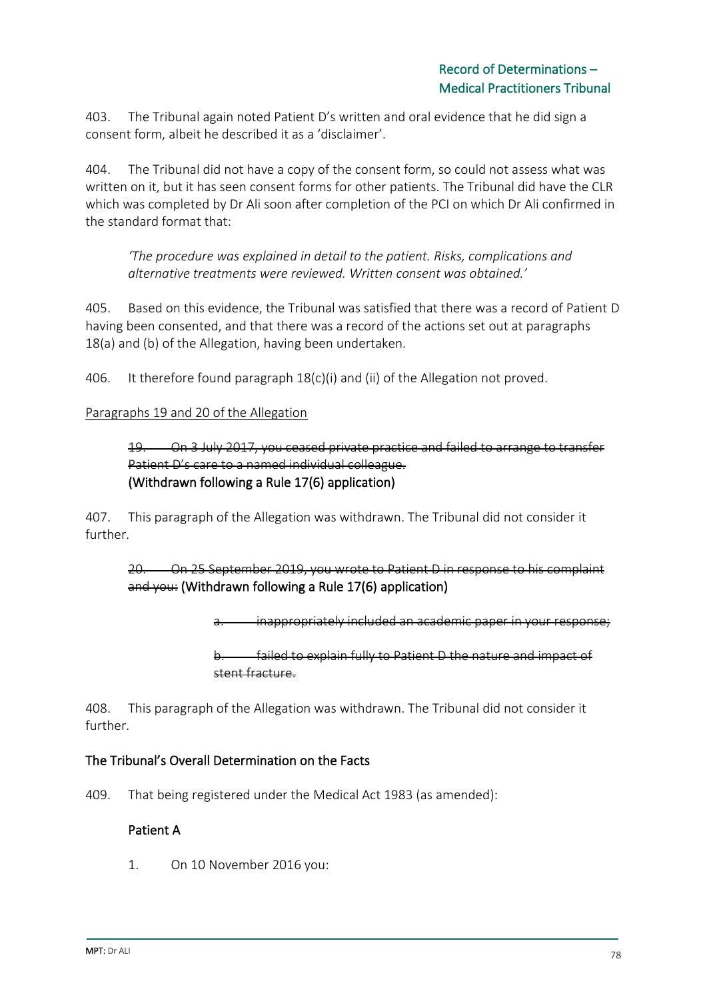403. The Tribunal again noted Patient D's written and oral evidence that he did sign a consent form, albeit he described it as a 'disclaimer'.

404. The Tribunal did not have a copy of the consent form, so could not assess what was written on it, but it has seen consent forms for other patients. The Tribunal did have the CLR which was completed by Dr Ali soon after completion of the PCI on which Dr Ali confirmed in the standard format that:

*'The procedure was explained in detail to the patient. Risks, complications and alternative treatments were reviewed. Written consent was obtained.'*

405. Based on this evidence, the Tribunal was satisfied that there was a record of Patient D having been consented, and that there was a record of the actions set out at paragraphs 18(a) and (b) of the Allegation, having been undertaken.

406. It therefore found paragraph 18(c)(i) and (ii) of the Allegation not proved.

#### Paragraphs 19 and 20 of the Allegation

# 19. On 3 July 2017, you ceased private practice and failed to arrange to transfer Patient D's care to a named individual colleague. (Withdrawn following a Rule 17(6) application)

407. This paragraph of the Allegation was withdrawn. The Tribunal did not consider it further.

### 20. On 25 September 2019, you wrote to Patient D in response to his and you: (Withdrawn following a Rule 17(6) application)

inappropriately included an academic paper in yo

b. failed to explain fully to Patient D the nature and impact of stent fracture.

408. This paragraph of the Allegation was withdrawn. The Tribunal did not consider it further.

#### The Tribunal's Overall Determination on the Facts

409. That being registered under the Medical Act 1983 (as amended):

#### Patient A

1. On 10 November 2016 you: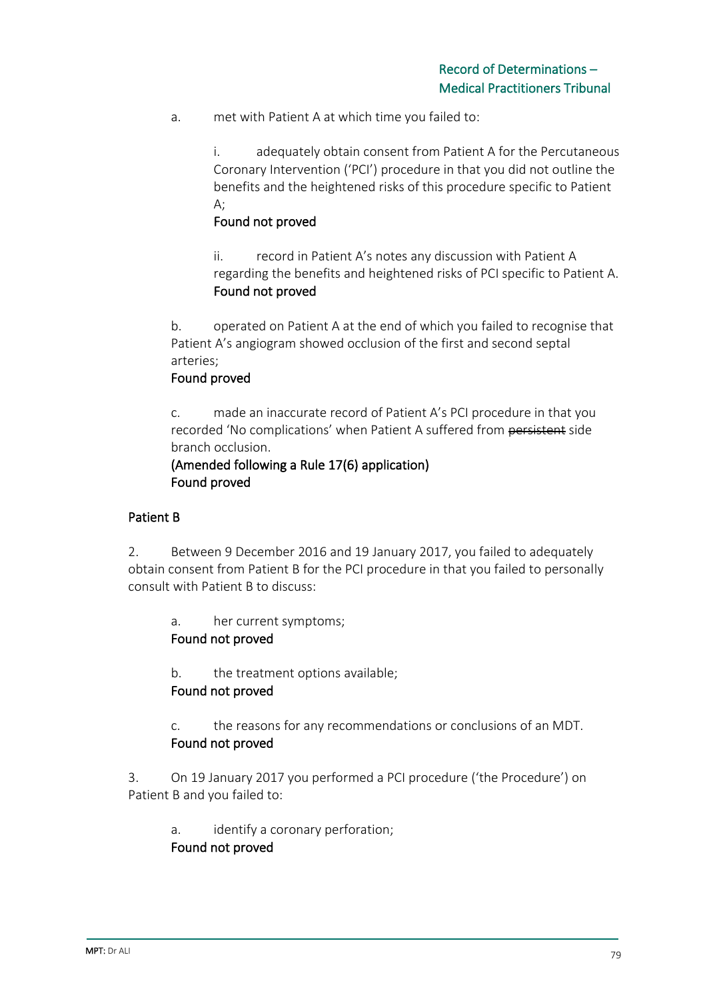a. met with Patient A at which time you failed to:

i. adequately obtain consent from Patient A for the Percutaneous Coronary Intervention ('PCI') procedure in that you did not outline the benefits and the heightened risks of this procedure specific to Patient  $A$ :

### Found not proved

ii. record in Patient A's notes any discussion with Patient A regarding the benefits and heightened risks of PCI specific to Patient A. Found not proved

b. operated on Patient A at the end of which you failed to recognise that Patient A's angiogram showed occlusion of the first and second septal arteries;

#### Found proved

c. made an inaccurate record of Patient A's PCI procedure in that you recorded 'No complications' when Patient A suffered from persistent side branch occlusion.

### (Amended following a Rule 17(6) application) Found proved

#### Patient B

2. Between 9 December 2016 and 19 January 2017, you failed to adequately obtain consent from Patient B for the PCI procedure in that you failed to personally consult with Patient B to discuss:

a. her current symptoms; Found not proved

b. the treatment options available; Found not proved

c. the reasons for any recommendations or conclusions of an MDT. Found not proved

3. On 19 January 2017 you performed a PCI procedure ('the Procedure') on Patient B and you failed to:

a. identify a coronary perforation; Found not proved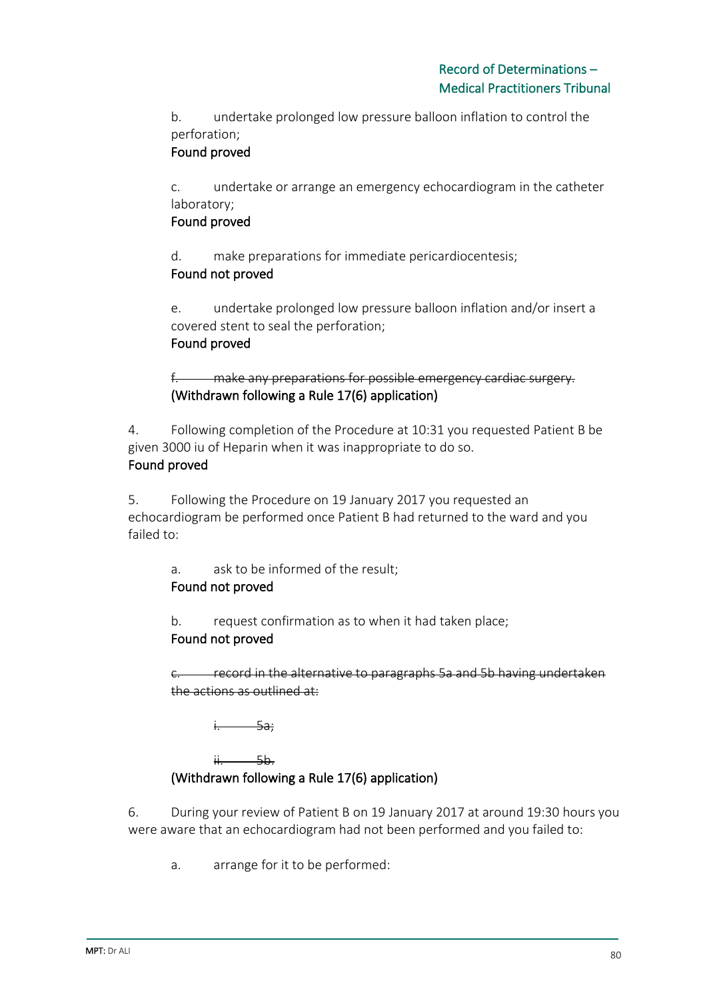b. undertake prolonged low pressure balloon inflation to control the perforation;

# Found proved

c. undertake or arrange an emergency echocardiogram in the catheter laboratory;

#### Found proved

d. make preparations for immediate pericardiocentesis; Found not proved

e. undertake prolonged low pressure balloon inflation and/or insert a covered stent to seal the perforation; Found proved

f. make any preparations for possible emergency cardiac surgery. (Withdrawn following a Rule 17(6) application)

4. Following completion of the Procedure at 10:31 you requested Patient B be given 3000 iu of Heparin when it was inappropriate to do so. Found proved

5. Following the Procedure on 19 January 2017 you requested an echocardiogram be performed once Patient B had returned to the ward and you failed to:

a. ask to be informed of the result; Found not proved

b. request confirmation as to when it had taken place; Found not proved

record in the alternative to paragraphs 5a and 5b having undertaken the actions as outlined at:

i. 5a;

#### $-5b$

# (Withdrawn following a Rule 17(6) application)

6. During your review of Patient B on 19 January 2017 at around 19:30 hours you were aware that an echocardiogram had not been performed and you failed to:

a. arrange for it to be performed: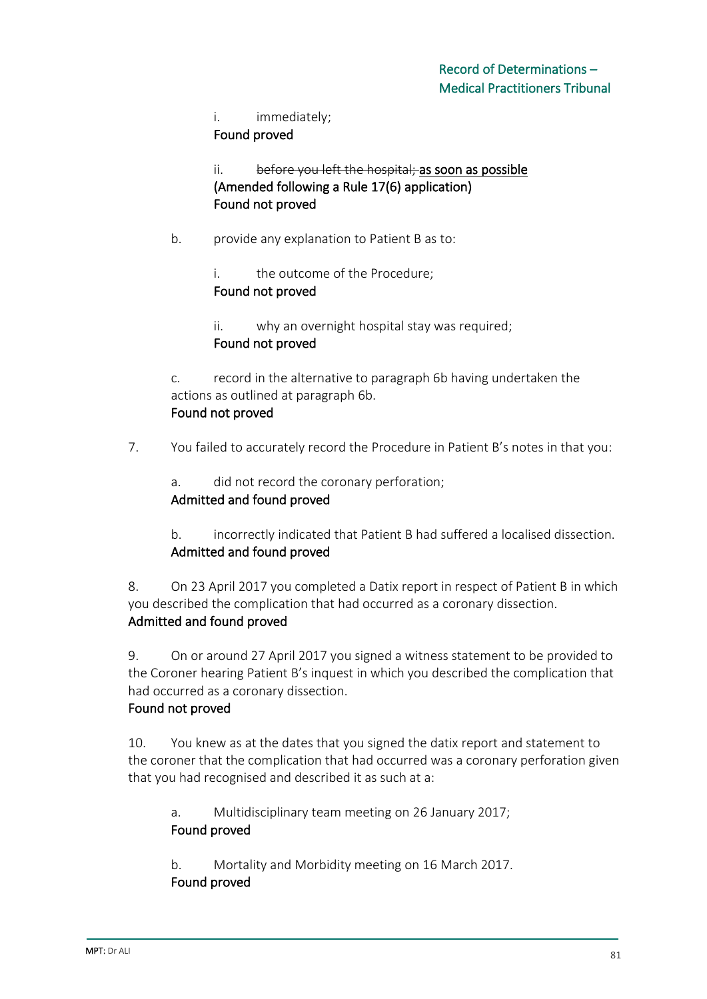i. immediately; Found proved

ii. before you left the hospital; as soon as possible (Amended following a Rule 17(6) application) Found not proved

b. provide any explanation to Patient B as to:

i. the outcome of the Procedure; Found not proved

ii. why an overnight hospital stay was required; Found not proved

c. record in the alternative to paragraph 6b having undertaken the actions as outlined at paragraph 6b. Found not proved

7. You failed to accurately record the Procedure in Patient B's notes in that you:

a. did not record the coronary perforation;

# Admitted and found proved

b. incorrectly indicated that Patient B had suffered a localised dissection. Admitted and found proved

8. On 23 April 2017 you completed a Datix report in respect of Patient B in which you described the complication that had occurred as a coronary dissection. Admitted and found proved

9. On or around 27 April 2017 you signed a witness statement to be provided to the Coroner hearing Patient B's inquest in which you described the complication that had occurred as a coronary dissection.

#### Found not proved

10. You knew as at the dates that you signed the datix report and statement to the coroner that the complication that had occurred was a coronary perforation given that you had recognised and described it as such at a:

a. Multidisciplinary team meeting on 26 January 2017; Found proved

b. Mortality and Morbidity meeting on 16 March 2017. Found proved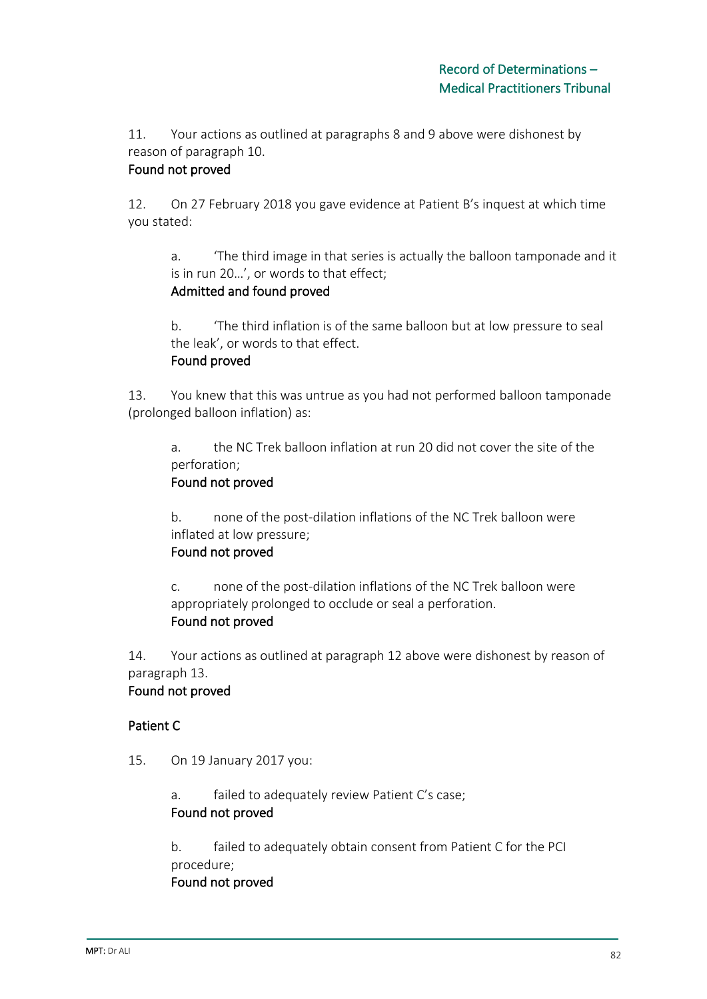11. Your actions as outlined at paragraphs 8 and 9 above were dishonest by reason of paragraph 10.

#### Found not proved

12. On 27 February 2018 you gave evidence at Patient B's inquest at which time you stated:

a. 'The third image in that series is actually the balloon tamponade and it is in run 20…', or words to that effect;

### Admitted and found proved

b. 'The third inflation is of the same balloon but at low pressure to seal the leak', or words to that effect. Found proved

13. You knew that this was untrue as you had not performed balloon tamponade (prolonged balloon inflation) as:

a. the NC Trek balloon inflation at run 20 did not cover the site of the perforation;

#### Found not proved

b. none of the post-dilation inflations of the NC Trek balloon were inflated at low pressure;

# Found not proved

c. none of the post-dilation inflations of the NC Trek balloon were appropriately prolonged to occlude or seal a perforation. Found not proved

14. Your actions as outlined at paragraph 12 above were dishonest by reason of paragraph 13.

#### Found not proved

#### Patient C

15. On 19 January 2017 you:

a. failed to adequately review Patient C's case; Found not proved

b. failed to adequately obtain consent from Patient C for the PCI procedure;

#### Found not proved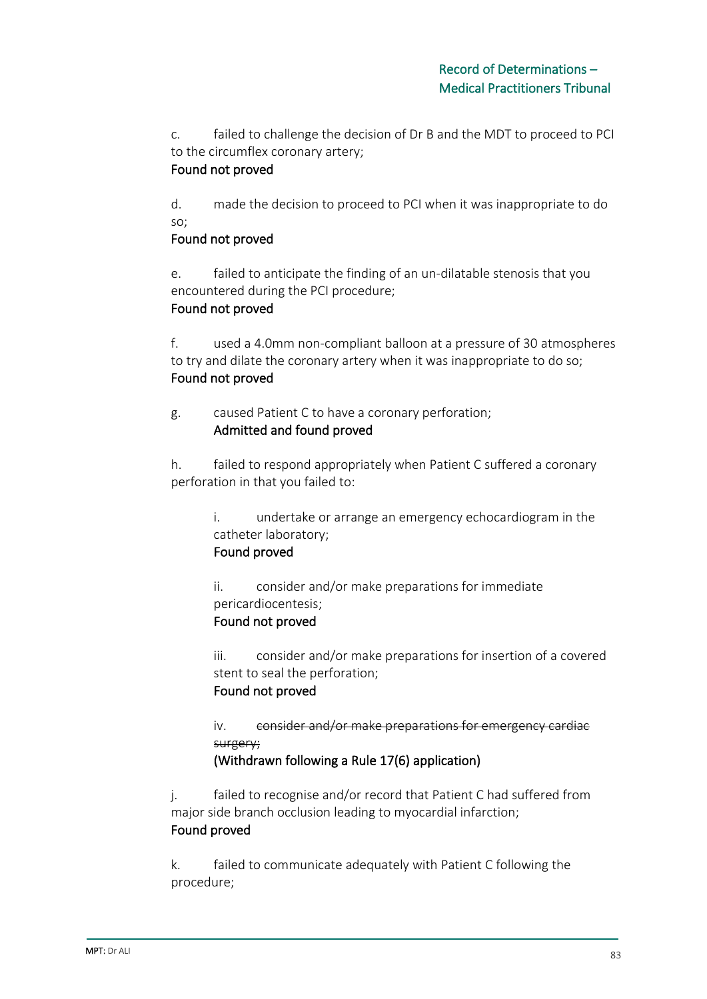c. failed to challenge the decision of Dr B and the MDT to proceed to PCI to the circumflex coronary artery;

# Found not proved

d. made the decision to proceed to PCI when it was inappropriate to do so;

# Found not proved

e. failed to anticipate the finding of an un-dilatable stenosis that you encountered during the PCI procedure;

### Found not proved

f. used a 4.0mm non-compliant balloon at a pressure of 30 atmospheres to try and dilate the coronary artery when it was inappropriate to do so; Found not proved

#### g. caused Patient C to have a coronary perforation; Admitted and found proved

h. failed to respond appropriately when Patient C suffered a coronary perforation in that you failed to:

i. undertake or arrange an emergency echocardiogram in the catheter laboratory;

# Found proved

ii. consider and/or make preparations for immediate pericardiocentesis;

### Found not proved

iii. consider and/or make preparations for insertion of a covered stent to seal the perforation;

# Found not proved

iv. consider and/or make preparations for emergency cardiac surgery;

# (Withdrawn following a Rule 17(6) application)

j. failed to recognise and/or record that Patient C had suffered from major side branch occlusion leading to myocardial infarction; Found proved

k. failed to communicate adequately with Patient C following the procedure;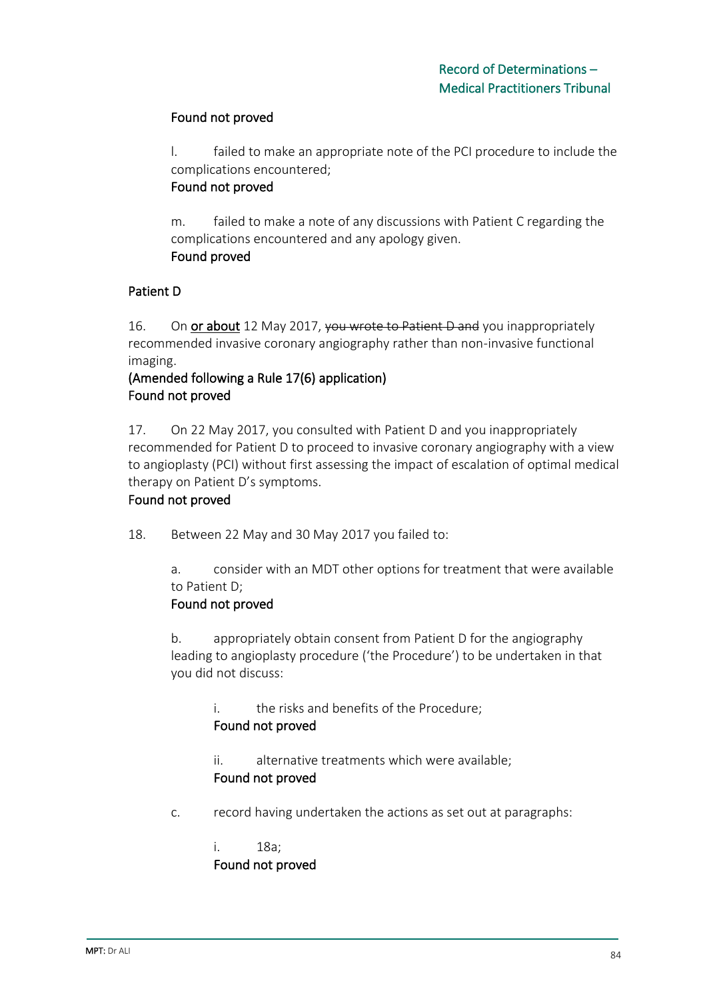### Found not proved

l. failed to make an appropriate note of the PCI procedure to include the complications encountered;

#### Found not proved

m. failed to make a note of any discussions with Patient C regarding the complications encountered and any apology given. Found proved

#### Patient D

16. On or about 12 May 2017, you wrote to Patient D and you inappropriately recommended invasive coronary angiography rather than non-invasive functional imaging.

### (Amended following a Rule 17(6) application) Found not proved

17. On 22 May 2017, you consulted with Patient D and you inappropriately recommended for Patient D to proceed to invasive coronary angiography with a view to angioplasty (PCI) without first assessing the impact of escalation of optimal medical therapy on Patient D's symptoms.

#### Found not proved

18. Between 22 May and 30 May 2017 you failed to:

a. consider with an MDT other options for treatment that were available to Patient D;

#### Found not proved

b. appropriately obtain consent from Patient D for the angiography leading to angioplasty procedure ('the Procedure') to be undertaken in that you did not discuss:

> i. the risks and benefits of the Procedure; Found not proved

ii. alternative treatments which were available; Found not proved

c. record having undertaken the actions as set out at paragraphs:

i. 18a; Found not proved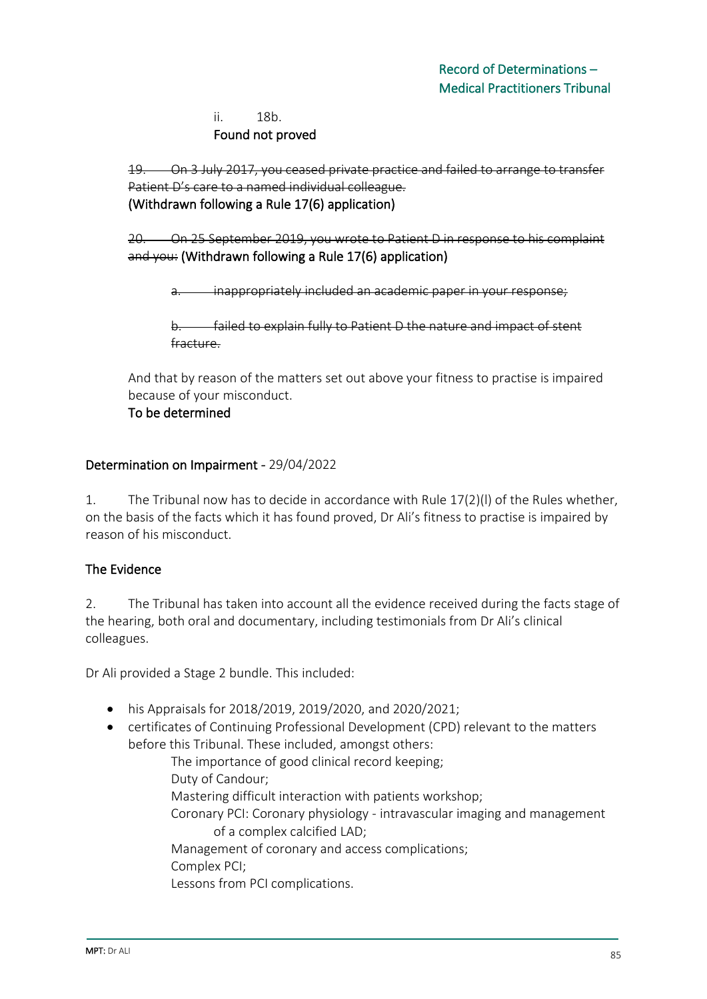ii. 18b. Found not proved

19. On 3 July 2017, you ceased private practice and failed to arrange to transfer Patient D's care to a named individual colleague. (Withdrawn following a Rule 17(6) application)

20. On 25 September 2019, you wrote to Patient D in response to his complaint and you: (Withdrawn following a Rule 17(6) application)

inappropriately included an academic paper in your response;

b. failed to explain fully to Patient D the nature and impact of stent fracture.

And that by reason of the matters set out above your fitness to practise is impaired because of your misconduct.

### To be determined

#### Determination on Impairment - 29/04/2022

1. The Tribunal now has to decide in accordance with Rule 17(2)(l) of the Rules whether, on the basis of the facts which it has found proved, Dr Ali's fitness to practise is impaired by reason of his misconduct.

#### The Evidence

2. The Tribunal has taken into account all the evidence received during the facts stage of the hearing, both oral and documentary, including testimonials from Dr Ali's clinical colleagues.

Dr Ali provided a Stage 2 bundle. This included:

- his Appraisals for 2018/2019, 2019/2020, and 2020/2021;
- certificates of Continuing Professional Development (CPD) relevant to the matters before this Tribunal. These included, amongst others:

The importance of good clinical record keeping; Duty of Candour; Mastering difficult interaction with patients workshop;

Coronary PCI: Coronary physiology - intravascular imaging and management of a complex calcified LAD;

Management of coronary and access complications;

Complex PCI;

Lessons from PCI complications.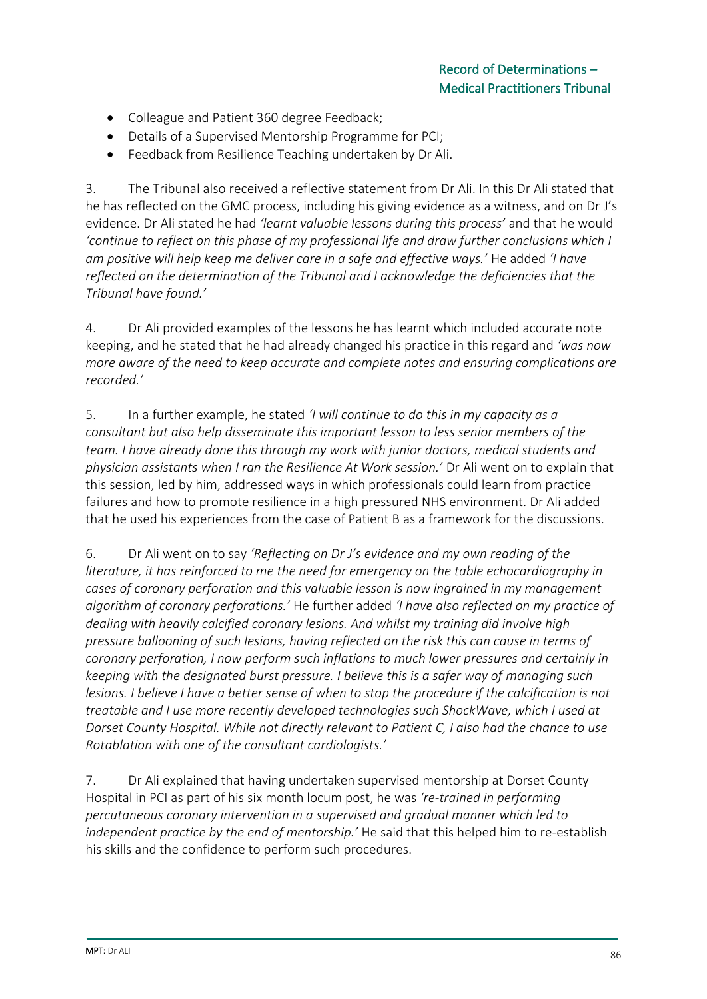- Colleague and Patient 360 degree Feedback;
- Details of a Supervised Mentorship Programme for PCI;
- Feedback from Resilience Teaching undertaken by Dr Ali.

3. The Tribunal also received a reflective statement from Dr Ali. In this Dr Ali stated that he has reflected on the GMC process, including his giving evidence as a witness, and on Dr J's evidence. Dr Ali stated he had *'learnt valuable lessons during this process'* and that he would *'continue to reflect on this phase of my professional life and draw further conclusions which I am positive will help keep me deliver care in a safe and effective ways.'* He added *'I have reflected on the determination of the Tribunal and I acknowledge the deficiencies that the Tribunal have found.'*

4. Dr Ali provided examples of the lessons he has learnt which included accurate note keeping, and he stated that he had already changed his practice in this regard and *'was now more aware of the need to keep accurate and complete notes and ensuring complications are recorded.'*

5. In a further example, he stated *'I will continue to do this in my capacity as a consultant but also help disseminate this important lesson to less senior members of the team. I have already done this through my work with junior doctors, medical students and physician assistants when I ran the Resilience At Work session.'* Dr Ali went on to explain that this session, led by him, addressed ways in which professionals could learn from practice failures and how to promote resilience in a high pressured NHS environment. Dr Ali added that he used his experiences from the case of Patient B as a framework for the discussions.

6. Dr Ali went on to say *'Reflecting on Dr J's evidence and my own reading of the literature, it has reinforced to me the need for emergency on the table echocardiography in cases of coronary perforation and this valuable lesson is now ingrained in my management algorithm of coronary perforations.'* He further added *'I have also reflected on my practice of dealing with heavily calcified coronary lesions. And whilst my training did involve high pressure ballooning of such lesions, having reflected on the risk this can cause in terms of coronary perforation, I now perform such inflations to much lower pressures and certainly in keeping with the designated burst pressure. I believe this is a safer way of managing such lesions. I believe I have a better sense of when to stop the procedure if the calcification is not treatable and I use more recently developed technologies such ShockWave, which I used at Dorset County Hospital. While not directly relevant to Patient C, I also had the chance to use Rotablation with one of the consultant cardiologists.'*

7. Dr Ali explained that having undertaken supervised mentorship at Dorset County Hospital in PCI as part of his six month locum post, he was *'re-trained in performing percutaneous coronary intervention in a supervised and gradual manner which led to independent practice by the end of mentorship.'* He said that this helped him to re-establish his skills and the confidence to perform such procedures.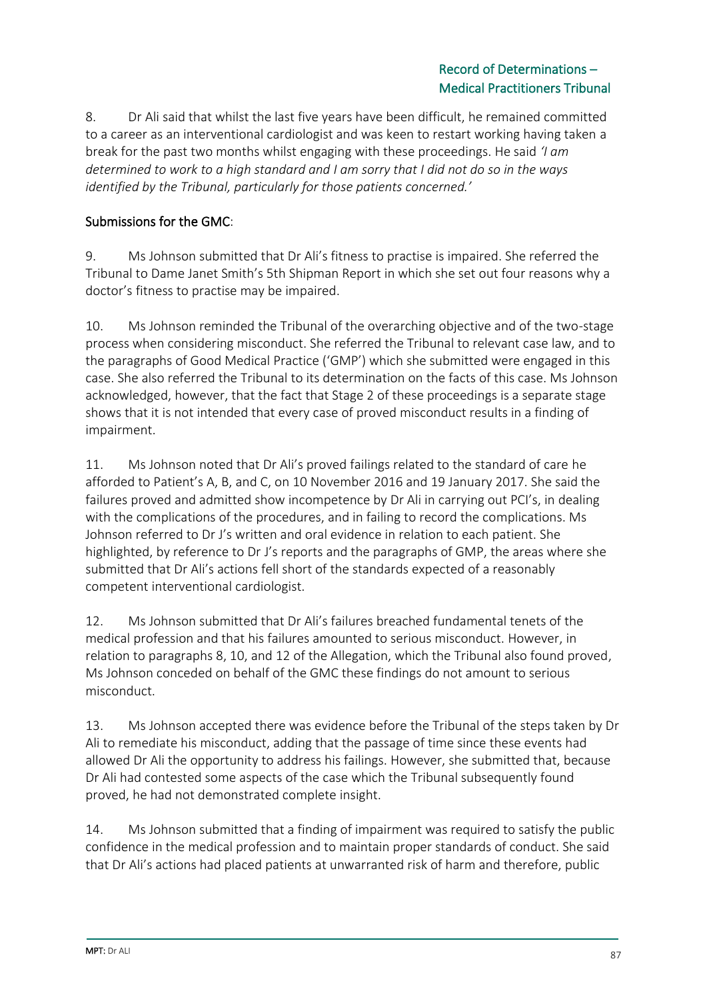## Record of Determinations – Medical Practitioners Tribunal

8. Dr Ali said that whilst the last five years have been difficult, he remained committed to a career as an interventional cardiologist and was keen to restart working having taken a break for the past two months whilst engaging with these proceedings. He said *'I am determined to work to a high standard and I am sorry that I did not do so in the ways identified by the Tribunal, particularly for those patients concerned.'*

# Submissions for the GMC:

9. Ms Johnson submitted that Dr Ali's fitness to practise is impaired. She referred the Tribunal to Dame Janet Smith's 5th Shipman Report in which she set out four reasons why a doctor's fitness to practise may be impaired.

10. Ms Johnson reminded the Tribunal of the overarching objective and of the two-stage process when considering misconduct. She referred the Tribunal to relevant case law, and to the paragraphs of Good Medical Practice ('GMP') which she submitted were engaged in this case. She also referred the Tribunal to its determination on the facts of this case. Ms Johnson acknowledged, however, that the fact that Stage 2 of these proceedings is a separate stage shows that it is not intended that every case of proved misconduct results in a finding of impairment.

11. Ms Johnson noted that Dr Ali's proved failings related to the standard of care he afforded to Patient's A, B, and C, on 10 November 2016 and 19 January 2017. She said the failures proved and admitted show incompetence by Dr Ali in carrying out PCI's, in dealing with the complications of the procedures, and in failing to record the complications. Ms Johnson referred to Dr J's written and oral evidence in relation to each patient. She highlighted, by reference to Dr J's reports and the paragraphs of GMP, the areas where she submitted that Dr Ali's actions fell short of the standards expected of a reasonably competent interventional cardiologist.

12. Ms Johnson submitted that Dr Ali's failures breached fundamental tenets of the medical profession and that his failures amounted to serious misconduct. However, in relation to paragraphs 8, 10, and 12 of the Allegation, which the Tribunal also found proved, Ms Johnson conceded on behalf of the GMC these findings do not amount to serious misconduct.

13. Ms Johnson accepted there was evidence before the Tribunal of the steps taken by Dr Ali to remediate his misconduct, adding that the passage of time since these events had allowed Dr Ali the opportunity to address his failings. However, she submitted that, because Dr Ali had contested some aspects of the case which the Tribunal subsequently found proved, he had not demonstrated complete insight.

14. Ms Johnson submitted that a finding of impairment was required to satisfy the public confidence in the medical profession and to maintain proper standards of conduct. She said that Dr Ali's actions had placed patients at unwarranted risk of harm and therefore, public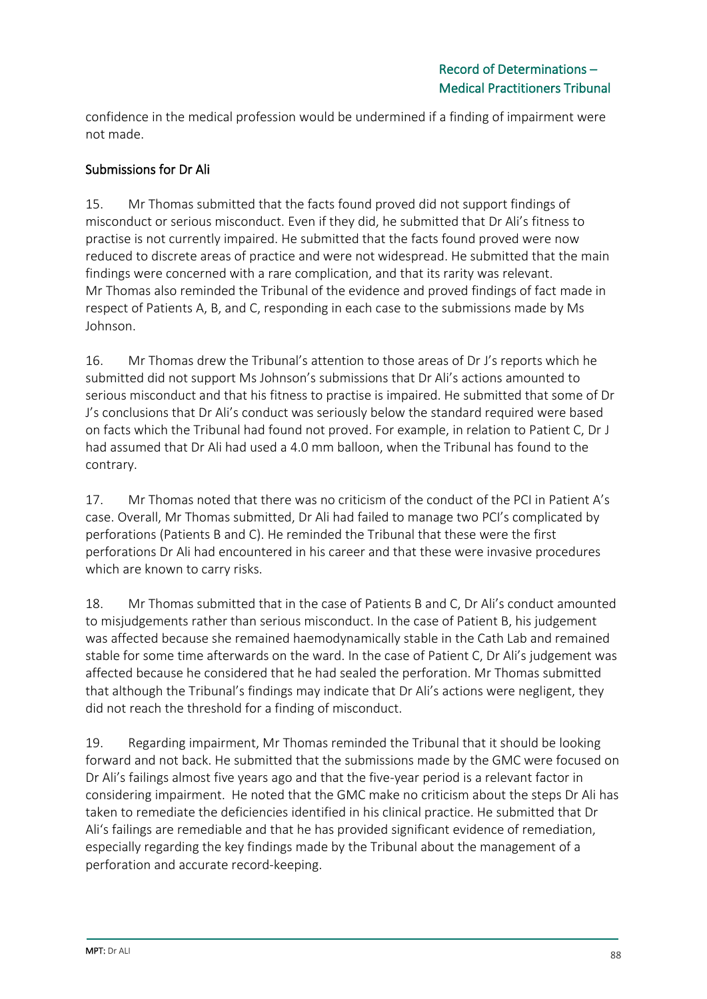confidence in the medical profession would be undermined if a finding of impairment were not made.

## Submissions for Dr Ali

15. Mr Thomas submitted that the facts found proved did not support findings of misconduct or serious misconduct. Even if they did, he submitted that Dr Ali's fitness to practise is not currently impaired. He submitted that the facts found proved were now reduced to discrete areas of practice and were not widespread. He submitted that the main findings were concerned with a rare complication, and that its rarity was relevant. Mr Thomas also reminded the Tribunal of the evidence and proved findings of fact made in respect of Patients A, B, and C, responding in each case to the submissions made by Ms Johnson.

16. Mr Thomas drew the Tribunal's attention to those areas of Dr J's reports which he submitted did not support Ms Johnson's submissions that Dr Ali's actions amounted to serious misconduct and that his fitness to practise is impaired. He submitted that some of Dr J's conclusions that Dr Ali's conduct was seriously below the standard required were based on facts which the Tribunal had found not proved. For example, in relation to Patient C, Dr J had assumed that Dr Ali had used a 4.0 mm balloon, when the Tribunal has found to the contrary.

17. Mr Thomas noted that there was no criticism of the conduct of the PCI in Patient A's case. Overall, Mr Thomas submitted, Dr Ali had failed to manage two PCI's complicated by perforations (Patients B and C). He reminded the Tribunal that these were the first perforations Dr Ali had encountered in his career and that these were invasive procedures which are known to carry risks.

18. Mr Thomas submitted that in the case of Patients B and C, Dr Ali's conduct amounted to misjudgements rather than serious misconduct. In the case of Patient B, his judgement was affected because she remained haemodynamically stable in the Cath Lab and remained stable for some time afterwards on the ward. In the case of Patient C, Dr Ali's judgement was affected because he considered that he had sealed the perforation. Mr Thomas submitted that although the Tribunal's findings may indicate that Dr Ali's actions were negligent, they did not reach the threshold for a finding of misconduct.

19. Regarding impairment, Mr Thomas reminded the Tribunal that it should be looking forward and not back. He submitted that the submissions made by the GMC were focused on Dr Ali's failings almost five years ago and that the five-year period is a relevant factor in considering impairment. He noted that the GMC make no criticism about the steps Dr Ali has taken to remediate the deficiencies identified in his clinical practice. He submitted that Dr Ali's failings are remediable and that he has provided significant evidence of remediation, especially regarding the key findings made by the Tribunal about the management of a perforation and accurate record-keeping.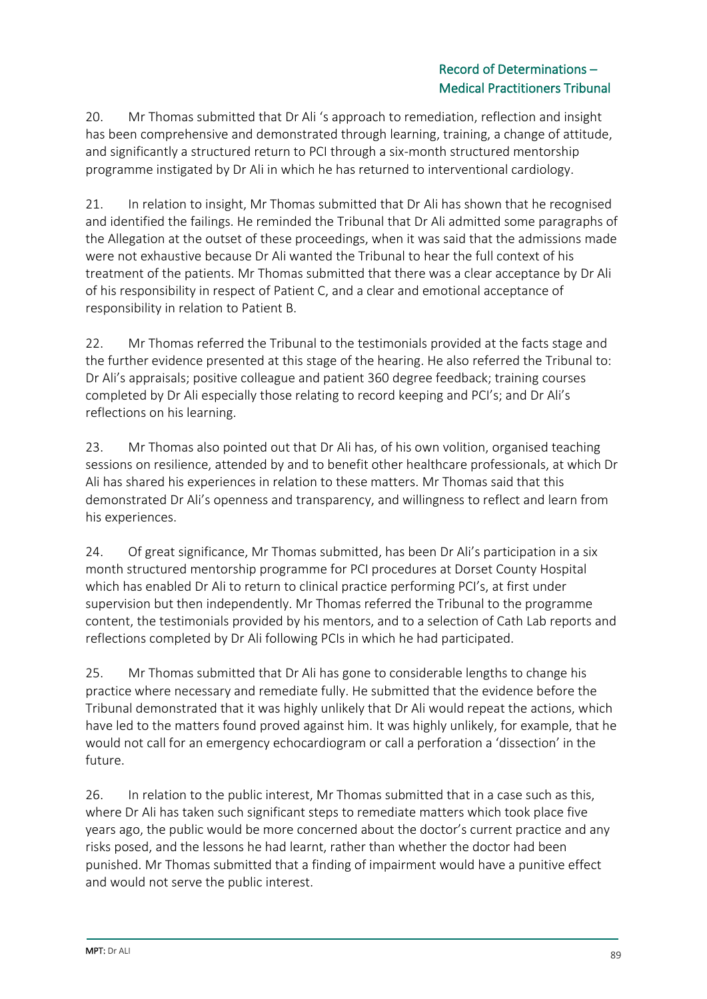## Record of Determinations – Medical Practitioners Tribunal

20. Mr Thomas submitted that Dr Ali 's approach to remediation, reflection and insight has been comprehensive and demonstrated through learning, training, a change of attitude, and significantly a structured return to PCI through a six-month structured mentorship programme instigated by Dr Ali in which he has returned to interventional cardiology.

21. In relation to insight, Mr Thomas submitted that Dr Ali has shown that he recognised and identified the failings. He reminded the Tribunal that Dr Ali admitted some paragraphs of the Allegation at the outset of these proceedings, when it was said that the admissions made were not exhaustive because Dr Ali wanted the Tribunal to hear the full context of his treatment of the patients. Mr Thomas submitted that there was a clear acceptance by Dr Ali of his responsibility in respect of Patient C, and a clear and emotional acceptance of responsibility in relation to Patient B.

22. Mr Thomas referred the Tribunal to the testimonials provided at the facts stage and the further evidence presented at this stage of the hearing. He also referred the Tribunal to: Dr Ali's appraisals; positive colleague and patient 360 degree feedback; training courses completed by Dr Ali especially those relating to record keeping and PCI's; and Dr Ali's reflections on his learning.

23. Mr Thomas also pointed out that Dr Ali has, of his own volition, organised teaching sessions on resilience, attended by and to benefit other healthcare professionals, at which Dr Ali has shared his experiences in relation to these matters. Mr Thomas said that this demonstrated Dr Ali's openness and transparency, and willingness to reflect and learn from his experiences.

24. Of great significance, Mr Thomas submitted, has been Dr Ali's participation in a six month structured mentorship programme for PCI procedures at Dorset County Hospital which has enabled Dr Ali to return to clinical practice performing PCI's, at first under supervision but then independently. Mr Thomas referred the Tribunal to the programme content, the testimonials provided by his mentors, and to a selection of Cath Lab reports and reflections completed by Dr Ali following PCIs in which he had participated.

25. Mr Thomas submitted that Dr Ali has gone to considerable lengths to change his practice where necessary and remediate fully. He submitted that the evidence before the Tribunal demonstrated that it was highly unlikely that Dr Ali would repeat the actions, which have led to the matters found proved against him. It was highly unlikely, for example, that he would not call for an emergency echocardiogram or call a perforation a 'dissection' in the future.

26. In relation to the public interest, Mr Thomas submitted that in a case such as this, where Dr Ali has taken such significant steps to remediate matters which took place five years ago, the public would be more concerned about the doctor's current practice and any risks posed, and the lessons he had learnt, rather than whether the doctor had been punished. Mr Thomas submitted that a finding of impairment would have a punitive effect and would not serve the public interest.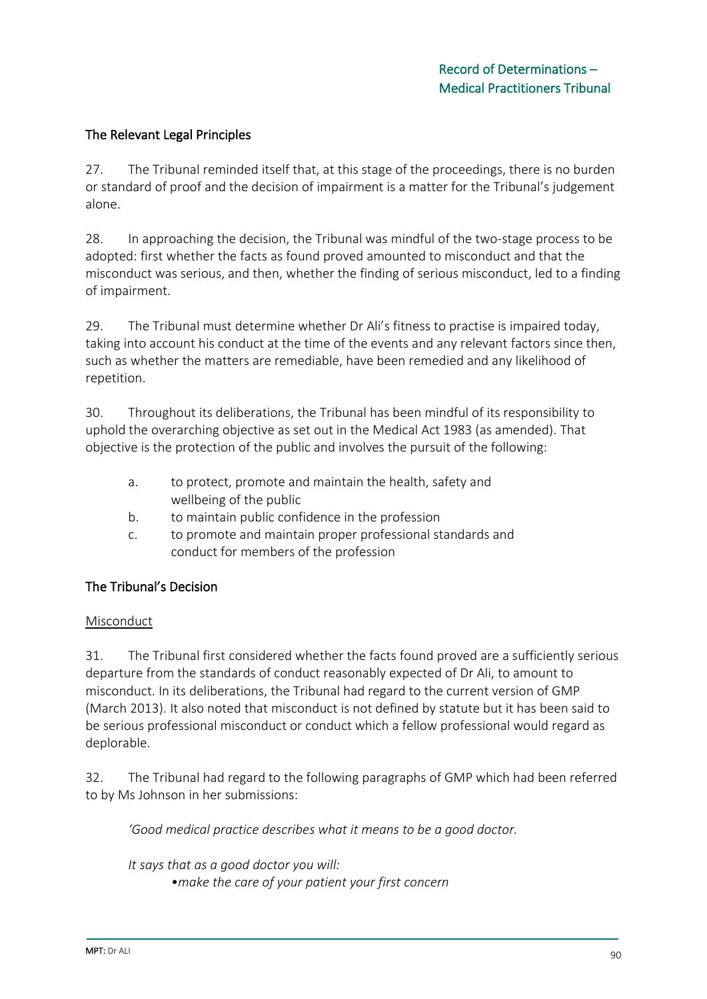#### The Relevant Legal Principles

27. The Tribunal reminded itself that, at this stage of the proceedings, there is no burden or standard of proof and the decision of impairment is a matter for the Tribunal's judgement alone.

28. In approaching the decision, the Tribunal was mindful of the two-stage process to be adopted: first whether the facts as found proved amounted to misconduct and that the misconduct was serious, and then, whether the finding of serious misconduct, led to a finding of impairment.

29. The Tribunal must determine whether Dr Ali's fitness to practise is impaired today, taking into account his conduct at the time of the events and any relevant factors since then, such as whether the matters are remediable, have been remedied and any likelihood of repetition.

30. Throughout its deliberations, the Tribunal has been mindful of its responsibility to uphold the overarching objective as set out in the Medical Act 1983 (as amended). That objective is the protection of the public and involves the pursuit of the following:

- a. to protect, promote and maintain the health, safety and wellbeing of the public
- b. to maintain public confidence in the profession
- c. to promote and maintain proper professional standards and conduct for members of the profession

#### The Tribunal's Decision

#### Misconduct

31. The Tribunal first considered whether the facts found proved are a sufficiently serious departure from the standards of conduct reasonably expected of Dr Ali, to amount to misconduct. In its deliberations, the Tribunal had regard to the current version of GMP (March 2013). It also noted that misconduct is not defined by statute but it has been said to be serious professional misconduct or conduct which a fellow professional would regard as deplorable.

32. The Tribunal had regard to the following paragraphs of GMP which had been referred to by Ms Johnson in her submissions:

*'Good medical practice describes what it means to be a good doctor.* 

*It says that as a good doctor you will:*

*•make the care of your patient your first concern*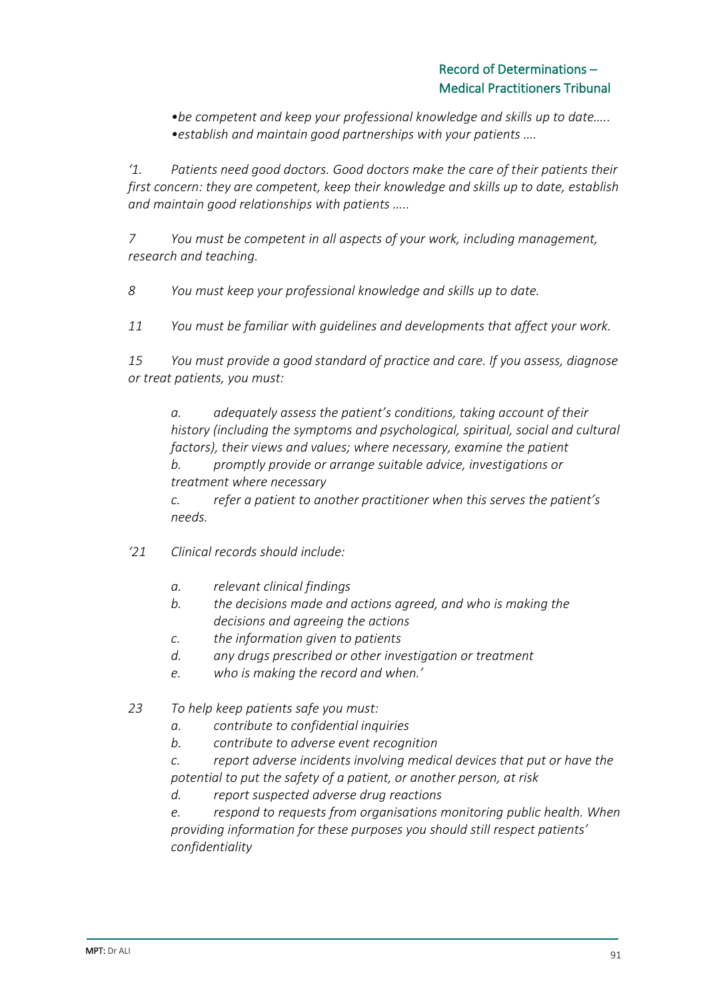*•be competent and keep your professional knowledge and skills up to date….. •establish and maintain good partnerships with your patients ….*

*'1. Patients need good doctors. Good doctors make the care of their patients their first concern: they are competent, keep their knowledge and skills up to date, establish and maintain good relationships with patients …..*

*7 You must be competent in all aspects of your work, including management, research and teaching.*

*8 You must keep your professional knowledge and skills up to date.*

*11 You must be familiar with guidelines and developments that affect your work.*

*15 You must provide a good standard of practice and care. If you assess, diagnose or treat patients, you must:* 

*a. adequately assess the patient's conditions, taking account of their history (including the symptoms and psychological, spiritual, social and cultural factors), their views and values; where necessary, examine the patient b. promptly provide or arrange suitable advice, investigations or* 

*treatment where necessary*

*c. refer a patient to another practitioner when this serves the patient's needs.*

- *'21 Clinical records should include:*
	- *a. relevant clinical findings*
	- *b. the decisions made and actions agreed, and who is making the decisions and agreeing the actions*
	- *c. the information given to patients*
	- *d. any drugs prescribed or other investigation or treatment*
	- *e. who is making the record and when.'*
- *23 To help keep patients safe you must:*
	- *a. contribute to confidential inquiries*
	- *b. contribute to adverse event recognition*

*c. report adverse incidents involving medical devices that put or have the potential to put the safety of a patient, or another person, at risk*

*d. report suspected adverse drug reactions*

*e. respond to requests from organisations monitoring public health. When providing information for these purposes you should still respect patients' confidentiality*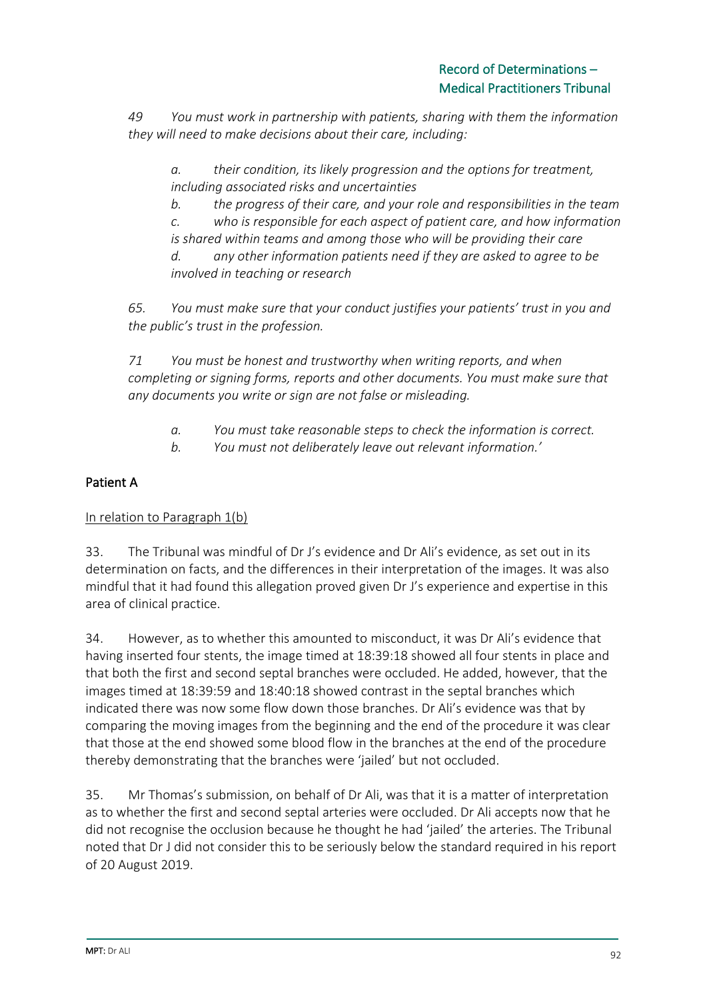*49 You must work in partnership with patients, sharing with them the information they will need to make decisions about their care, including:*

*a. their condition, its likely progression and the options for treatment, including associated risks and uncertainties*

*b. the progress of their care, and your role and responsibilities in the team c. who is responsible for each aspect of patient care, and how information is shared within teams and among those who will be providing their care d. any other information patients need if they are asked to agree to be involved in teaching or research*

*65. You must make sure that your conduct justifies your patients' trust in you and the public's trust in the profession.*

*71 You must be honest and trustworthy when writing reports, and when completing or signing forms, reports and other documents. You must make sure that any documents you write or sign are not false or misleading.*

- *a. You must take reasonable steps to check the information is correct.*
- *b. You must not deliberately leave out relevant information.'*

# Patient A

In relation to Paragraph 1(b)

33. The Tribunal was mindful of Dr J's evidence and Dr Ali's evidence, as set out in its determination on facts, and the differences in their interpretation of the images. It was also mindful that it had found this allegation proved given Dr J's experience and expertise in this area of clinical practice.

34. However, as to whether this amounted to misconduct, it was Dr Ali's evidence that having inserted four stents, the image timed at 18:39:18 showed all four stents in place and that both the first and second septal branches were occluded. He added, however, that the images timed at 18:39:59 and 18:40:18 showed contrast in the septal branches which indicated there was now some flow down those branches. Dr Ali's evidence was that by comparing the moving images from the beginning and the end of the procedure it was clear that those at the end showed some blood flow in the branches at the end of the procedure thereby demonstrating that the branches were 'jailed' but not occluded.

35. Mr Thomas's submission, on behalf of Dr Ali, was that it is a matter of interpretation as to whether the first and second septal arteries were occluded. Dr Ali accepts now that he did not recognise the occlusion because he thought he had 'jailed' the arteries. The Tribunal noted that Dr J did not consider this to be seriously below the standard required in his report of 20 August 2019.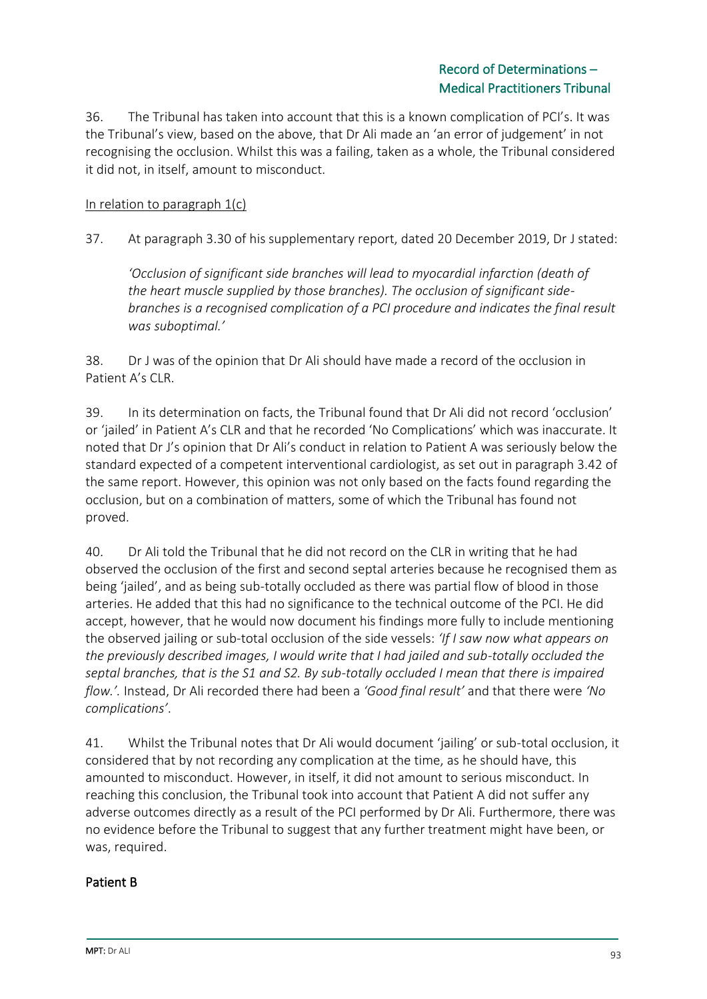### Record of Determinations – Medical Practitioners Tribunal

36. The Tribunal has taken into account that this is a known complication of PCI's. It was the Tribunal's view, based on the above, that Dr Ali made an 'an error of judgement' in not recognising the occlusion. Whilst this was a failing, taken as a whole, the Tribunal considered it did not, in itself, amount to misconduct.

### In relation to paragraph 1(c)

37. At paragraph 3.30 of his supplementary report, dated 20 December 2019, Dr J stated:

*'Occlusion of significant side branches will lead to myocardial infarction (death of the heart muscle supplied by those branches). The occlusion of significant sidebranches is a recognised complication of a PCI procedure and indicates the final result was suboptimal.'*

38. Dr J was of the opinion that Dr Ali should have made a record of the occlusion in Patient A's CLR.

39. In its determination on facts, the Tribunal found that Dr Ali did not record 'occlusion' or 'jailed' in Patient A's CLR and that he recorded 'No Complications' which was inaccurate. It noted that Dr J's opinion that Dr Ali's conduct in relation to Patient A was seriously below the standard expected of a competent interventional cardiologist, as set out in paragraph 3.42 of the same report. However, this opinion was not only based on the facts found regarding the occlusion, but on a combination of matters, some of which the Tribunal has found not proved.

40. Dr Ali told the Tribunal that he did not record on the CLR in writing that he had observed the occlusion of the first and second septal arteries because he recognised them as being 'jailed', and as being sub-totally occluded as there was partial flow of blood in those arteries. He added that this had no significance to the technical outcome of the PCI. He did accept, however, that he would now document his findings more fully to include mentioning the observed jailing or sub-total occlusion of the side vessels: *'If I saw now what appears on the previously described images, I would write that I had jailed and sub-totally occluded the septal branches, that is the S1 and S2. By sub-totally occluded I mean that there is impaired flow.'.* Instead, Dr Ali recorded there had been a *'Good final result'* and that there were *'No complications'*.

41. Whilst the Tribunal notes that Dr Ali would document 'jailing' or sub-total occlusion, it considered that by not recording any complication at the time, as he should have, this amounted to misconduct. However, in itself, it did not amount to serious misconduct. In reaching this conclusion, the Tribunal took into account that Patient A did not suffer any adverse outcomes directly as a result of the PCI performed by Dr Ali. Furthermore, there was no evidence before the Tribunal to suggest that any further treatment might have been, or was, required.

# Patient B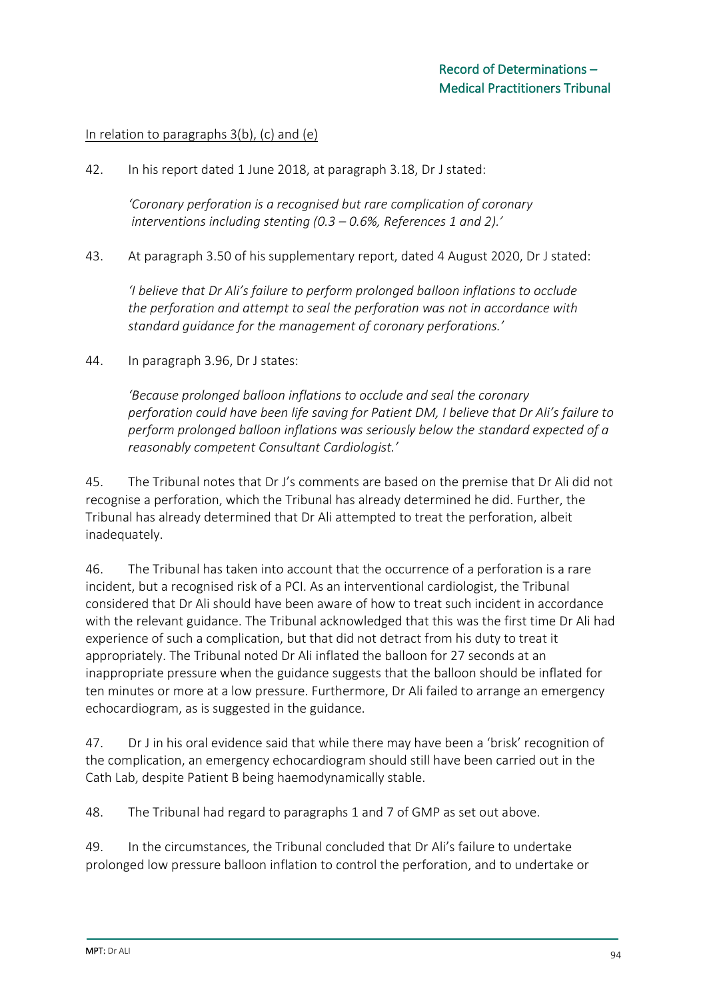#### In relation to paragraphs 3(b), (c) and (e)

42. In his report dated 1 June 2018, at paragraph 3.18, Dr J stated:

*'Coronary perforation is a recognised but rare complication of coronary interventions including stenting (0.3 – 0.6%, References 1 and 2).'*

43. At paragraph 3.50 of his supplementary report, dated 4 August 2020, Dr J stated:

*'I believe that Dr Ali's failure to perform prolonged balloon inflations to occlude the perforation and attempt to seal the perforation was not in accordance with standard guidance for the management of coronary perforations.'*

44. In paragraph 3.96, Dr J states:

*'Because prolonged balloon inflations to occlude and seal the coronary perforation could have been life saving for Patient DM, I believe that Dr Ali's failure to perform prolonged balloon inflations was seriously below the standard expected of a reasonably competent Consultant Cardiologist.'*

45. The Tribunal notes that Dr J's comments are based on the premise that Dr Ali did not recognise a perforation, which the Tribunal has already determined he did. Further, the Tribunal has already determined that Dr Ali attempted to treat the perforation, albeit inadequately.

46. The Tribunal has taken into account that the occurrence of a perforation is a rare incident, but a recognised risk of a PCI. As an interventional cardiologist, the Tribunal considered that Dr Ali should have been aware of how to treat such incident in accordance with the relevant guidance. The Tribunal acknowledged that this was the first time Dr Ali had experience of such a complication, but that did not detract from his duty to treat it appropriately. The Tribunal noted Dr Ali inflated the balloon for 27 seconds at an inappropriate pressure when the guidance suggests that the balloon should be inflated for ten minutes or more at a low pressure. Furthermore, Dr Ali failed to arrange an emergency echocardiogram, as is suggested in the guidance.

47. Dr J in his oral evidence said that while there may have been a 'brisk' recognition of the complication, an emergency echocardiogram should still have been carried out in the Cath Lab, despite Patient B being haemodynamically stable.

48. The Tribunal had regard to paragraphs 1 and 7 of GMP as set out above.

49. In the circumstances, the Tribunal concluded that Dr Ali's failure to undertake prolonged low pressure balloon inflation to control the perforation, and to undertake or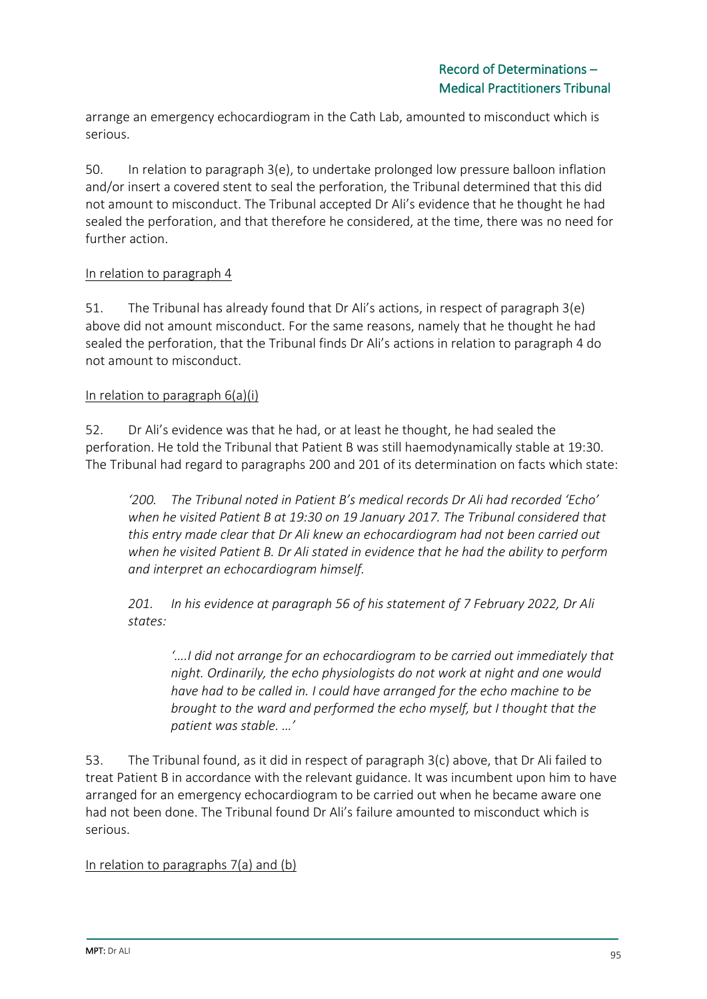arrange an emergency echocardiogram in the Cath Lab, amounted to misconduct which is serious.

50. In relation to paragraph 3(e), to undertake prolonged low pressure balloon inflation and/or insert a covered stent to seal the perforation, the Tribunal determined that this did not amount to misconduct. The Tribunal accepted Dr Ali's evidence that he thought he had sealed the perforation, and that therefore he considered, at the time, there was no need for further action.

#### In relation to paragraph 4

51. The Tribunal has already found that Dr Ali's actions, in respect of paragraph 3(e) above did not amount misconduct. For the same reasons, namely that he thought he had sealed the perforation, that the Tribunal finds Dr Ali's actions in relation to paragraph 4 do not amount to misconduct.

#### In relation to paragraph 6(a)(i)

52. Dr Ali's evidence was that he had, or at least he thought, he had sealed the perforation. He told the Tribunal that Patient B was still haemodynamically stable at 19:30. The Tribunal had regard to paragraphs 200 and 201 of its determination on facts which state:

*'200. The Tribunal noted in Patient B's medical records Dr Ali had recorded 'Echo' when he visited Patient B at 19:30 on 19 January 2017. The Tribunal considered that this entry made clear that Dr Ali knew an echocardiogram had not been carried out when he visited Patient B. Dr Ali stated in evidence that he had the ability to perform and interpret an echocardiogram himself.*

*201. In his evidence at paragraph 56 of his statement of 7 February 2022, Dr Ali states:*

*'….I did not arrange for an echocardiogram to be carried out immediately that night. Ordinarily, the echo physiologists do not work at night and one would have had to be called in. I could have arranged for the echo machine to be brought to the ward and performed the echo myself, but I thought that the patient was stable. …'*

53. The Tribunal found, as it did in respect of paragraph 3(c) above, that Dr Ali failed to treat Patient B in accordance with the relevant guidance. It was incumbent upon him to have arranged for an emergency echocardiogram to be carried out when he became aware one had not been done. The Tribunal found Dr Ali's failure amounted to misconduct which is serious.

#### In relation to paragraphs 7(a) and (b)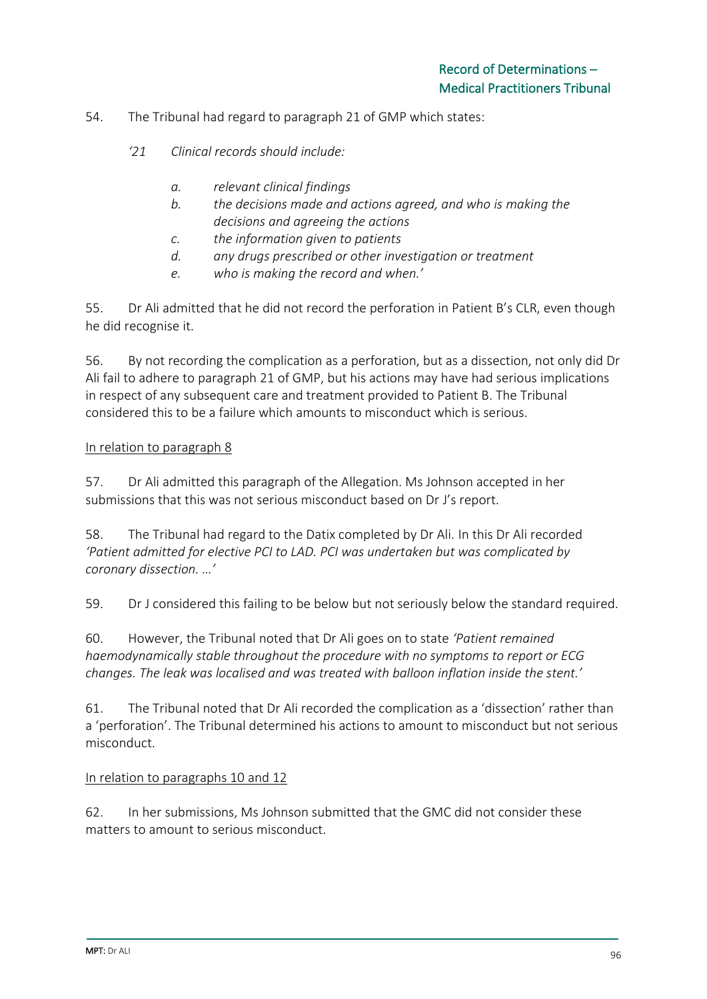54. The Tribunal had regard to paragraph 21 of GMP which states:

- *'21 Clinical records should include:*
	- *a. relevant clinical findings*
	- *b. the decisions made and actions agreed, and who is making the decisions and agreeing the actions*
	- *c. the information given to patients*
	- *d. any drugs prescribed or other investigation or treatment*
	- *e. who is making the record and when.'*

55. Dr Ali admitted that he did not record the perforation in Patient B's CLR, even though he did recognise it.

56. By not recording the complication as a perforation, but as a dissection, not only did Dr Ali fail to adhere to paragraph 21 of GMP, but his actions may have had serious implications in respect of any subsequent care and treatment provided to Patient B. The Tribunal considered this to be a failure which amounts to misconduct which is serious.

#### In relation to paragraph 8

57. Dr Ali admitted this paragraph of the Allegation. Ms Johnson accepted in her submissions that this was not serious misconduct based on Dr J's report.

58. The Tribunal had regard to the Datix completed by Dr Ali. In this Dr Ali recorded *'Patient admitted for elective PCI to LAD. PCI was undertaken but was complicated by coronary dissection. …'*

59. Dr J considered this failing to be below but not seriously below the standard required.

60. However, the Tribunal noted that Dr Ali goes on to state *'Patient remained haemodynamically stable throughout the procedure with no symptoms to report or ECG changes. The leak was localised and was treated with balloon inflation inside the stent.'*

61. The Tribunal noted that Dr Ali recorded the complication as a 'dissection' rather than a 'perforation'. The Tribunal determined his actions to amount to misconduct but not serious misconduct.

#### In relation to paragraphs 10 and 12

62. In her submissions, Ms Johnson submitted that the GMC did not consider these matters to amount to serious misconduct.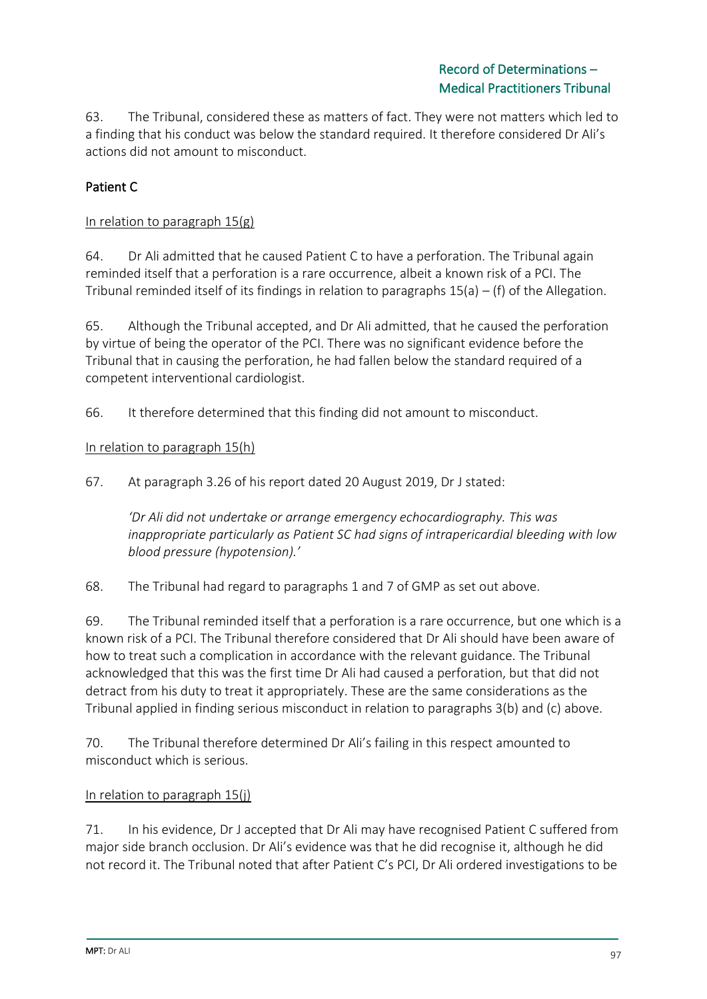63. The Tribunal, considered these as matters of fact. They were not matters which led to a finding that his conduct was below the standard required. It therefore considered Dr Ali's actions did not amount to misconduct.

# Patient C

#### In relation to paragraph 15(g)

64. Dr Ali admitted that he caused Patient C to have a perforation. The Tribunal again reminded itself that a perforation is a rare occurrence, albeit a known risk of a PCI. The Tribunal reminded itself of its findings in relation to paragraphs 15(a) – (f) of the Allegation.

65. Although the Tribunal accepted, and Dr Ali admitted, that he caused the perforation by virtue of being the operator of the PCI. There was no significant evidence before the Tribunal that in causing the perforation, he had fallen below the standard required of a competent interventional cardiologist.

66. It therefore determined that this finding did not amount to misconduct.

#### In relation to paragraph 15(h)

67. At paragraph 3.26 of his report dated 20 August 2019, Dr J stated:

*'Dr Ali did not undertake or arrange emergency echocardiography. This was inappropriate particularly as Patient SC had signs of intrapericardial bleeding with low blood pressure (hypotension).'*

68. The Tribunal had regard to paragraphs 1 and 7 of GMP as set out above.

69. The Tribunal reminded itself that a perforation is a rare occurrence, but one which is a known risk of a PCI. The Tribunal therefore considered that Dr Ali should have been aware of how to treat such a complication in accordance with the relevant guidance. The Tribunal acknowledged that this was the first time Dr Ali had caused a perforation, but that did not detract from his duty to treat it appropriately. These are the same considerations as the Tribunal applied in finding serious misconduct in relation to paragraphs 3(b) and (c) above.

70. The Tribunal therefore determined Dr Ali's failing in this respect amounted to misconduct which is serious.

#### In relation to paragraph 15(j)

71. In his evidence, Dr J accepted that Dr Ali may have recognised Patient C suffered from major side branch occlusion. Dr Ali's evidence was that he did recognise it, although he did not record it. The Tribunal noted that after Patient C's PCI, Dr Ali ordered investigations to be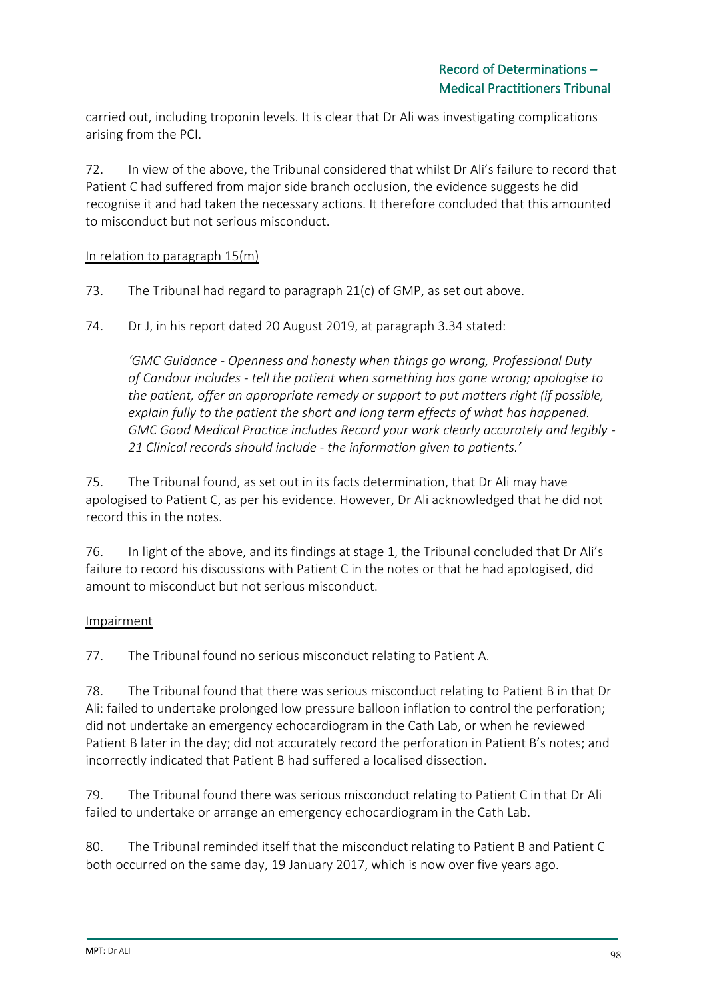carried out, including troponin levels. It is clear that Dr Ali was investigating complications arising from the PCI.

72. In view of the above, the Tribunal considered that whilst Dr Ali's failure to record that Patient C had suffered from major side branch occlusion, the evidence suggests he did recognise it and had taken the necessary actions. It therefore concluded that this amounted to misconduct but not serious misconduct.

#### In relation to paragraph 15(m)

73. The Tribunal had regard to paragraph 21(c) of GMP, as set out above.

74. Dr J, in his report dated 20 August 2019, at paragraph 3.34 stated:

*'GMC Guidance - Openness and honesty when things go wrong, Professional Duty of Candour includes - tell the patient when something has gone wrong; apologise to the patient, offer an appropriate remedy or support to put matters right (if possible, explain fully to the patient the short and long term effects of what has happened. GMC Good Medical Practice includes Record your work clearly accurately and legibly - 21 Clinical records should include - the information given to patients.'*

75. The Tribunal found, as set out in its facts determination, that Dr Ali may have apologised to Patient C, as per his evidence. However, Dr Ali acknowledged that he did not record this in the notes.

76. In light of the above, and its findings at stage 1, the Tribunal concluded that Dr Ali's failure to record his discussions with Patient C in the notes or that he had apologised, did amount to misconduct but not serious misconduct.

#### Impairment

77. The Tribunal found no serious misconduct relating to Patient A.

78. The Tribunal found that there was serious misconduct relating to Patient B in that Dr Ali: failed to undertake prolonged low pressure balloon inflation to control the perforation; did not undertake an emergency echocardiogram in the Cath Lab, or when he reviewed Patient B later in the day; did not accurately record the perforation in Patient B's notes; and incorrectly indicated that Patient B had suffered a localised dissection.

79. The Tribunal found there was serious misconduct relating to Patient C in that Dr Ali failed to undertake or arrange an emergency echocardiogram in the Cath Lab.

80. The Tribunal reminded itself that the misconduct relating to Patient B and Patient C both occurred on the same day, 19 January 2017, which is now over five years ago.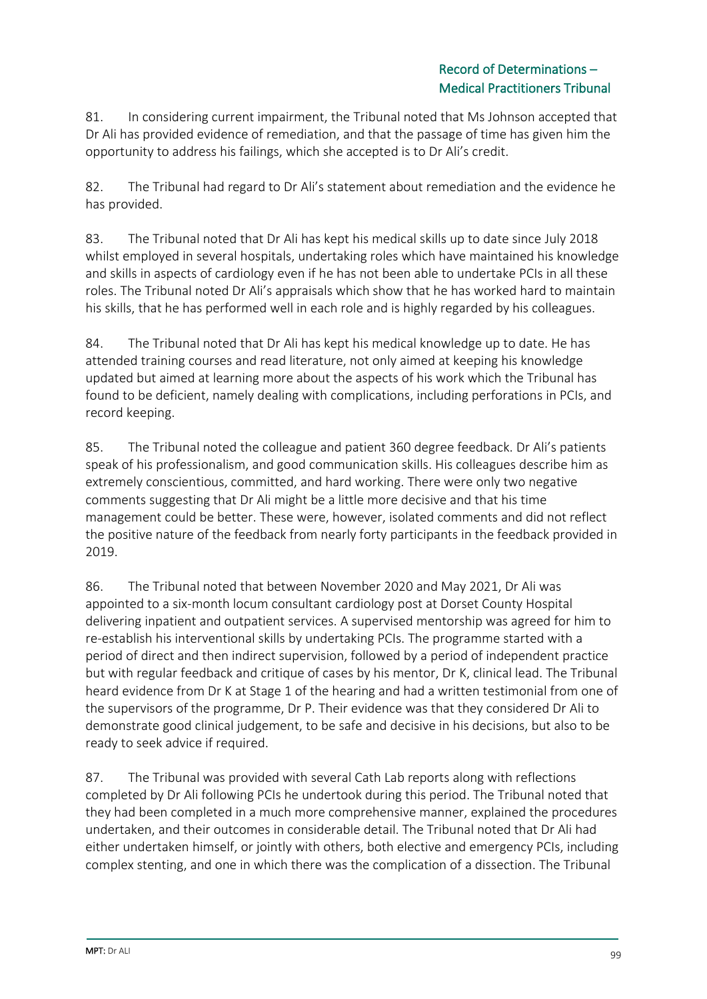81. In considering current impairment, the Tribunal noted that Ms Johnson accepted that Dr Ali has provided evidence of remediation, and that the passage of time has given him the opportunity to address his failings, which she accepted is to Dr Ali's credit.

82. The Tribunal had regard to Dr Ali's statement about remediation and the evidence he has provided.

83. The Tribunal noted that Dr Ali has kept his medical skills up to date since July 2018 whilst employed in several hospitals, undertaking roles which have maintained his knowledge and skills in aspects of cardiology even if he has not been able to undertake PCIs in all these roles. The Tribunal noted Dr Ali's appraisals which show that he has worked hard to maintain his skills, that he has performed well in each role and is highly regarded by his colleagues.

84. The Tribunal noted that Dr Ali has kept his medical knowledge up to date. He has attended training courses and read literature, not only aimed at keeping his knowledge updated but aimed at learning more about the aspects of his work which the Tribunal has found to be deficient, namely dealing with complications, including perforations in PCIs, and record keeping.

85. The Tribunal noted the colleague and patient 360 degree feedback. Dr Ali's patients speak of his professionalism, and good communication skills. His colleagues describe him as extremely conscientious, committed, and hard working. There were only two negative comments suggesting that Dr Ali might be a little more decisive and that his time management could be better. These were, however, isolated comments and did not reflect the positive nature of the feedback from nearly forty participants in the feedback provided in 2019.

86. The Tribunal noted that between November 2020 and May 2021, Dr Ali was appointed to a six-month locum consultant cardiology post at Dorset County Hospital delivering inpatient and outpatient services. A supervised mentorship was agreed for him to re-establish his interventional skills by undertaking PCIs. The programme started with a period of direct and then indirect supervision, followed by a period of independent practice but with regular feedback and critique of cases by his mentor, Dr K, clinical lead. The Tribunal heard evidence from Dr K at Stage 1 of the hearing and had a written testimonial from one of the supervisors of the programme, Dr P. Their evidence was that they considered Dr Ali to demonstrate good clinical judgement, to be safe and decisive in his decisions, but also to be ready to seek advice if required.

87. The Tribunal was provided with several Cath Lab reports along with reflections completed by Dr Ali following PCIs he undertook during this period. The Tribunal noted that they had been completed in a much more comprehensive manner, explained the procedures undertaken, and their outcomes in considerable detail. The Tribunal noted that Dr Ali had either undertaken himself, or jointly with others, both elective and emergency PCIs, including complex stenting, and one in which there was the complication of a dissection. The Tribunal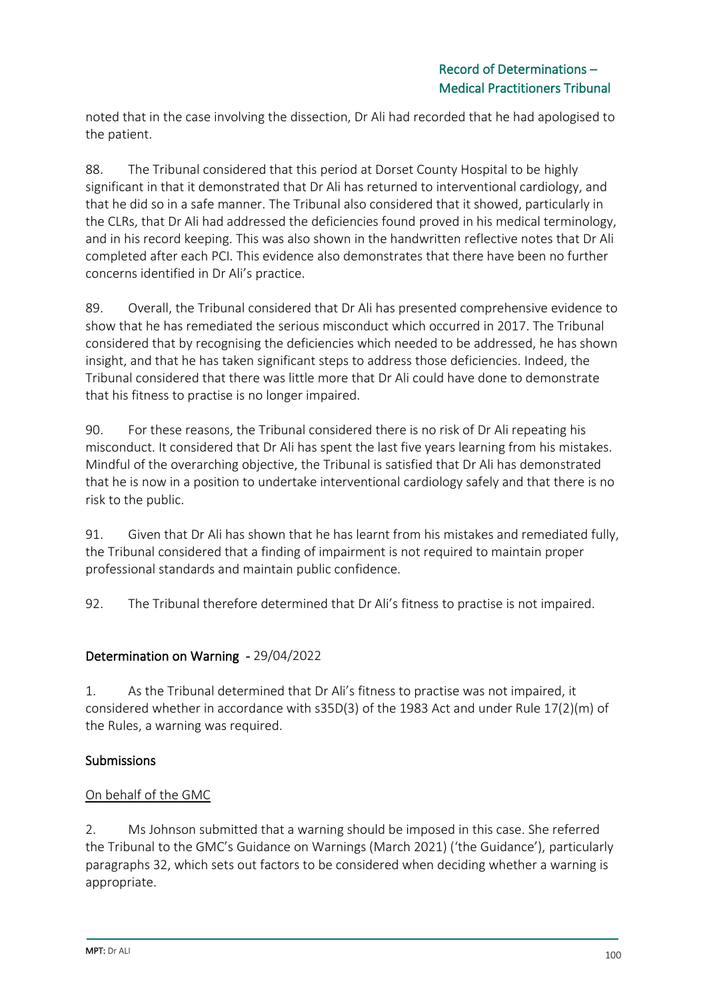noted that in the case involving the dissection, Dr Ali had recorded that he had apologised to the patient.

88. The Tribunal considered that this period at Dorset County Hospital to be highly significant in that it demonstrated that Dr Ali has returned to interventional cardiology, and that he did so in a safe manner. The Tribunal also considered that it showed, particularly in the CLRs, that Dr Ali had addressed the deficiencies found proved in his medical terminology, and in his record keeping. This was also shown in the handwritten reflective notes that Dr Ali completed after each PCI. This evidence also demonstrates that there have been no further concerns identified in Dr Ali's practice.

89. Overall, the Tribunal considered that Dr Ali has presented comprehensive evidence to show that he has remediated the serious misconduct which occurred in 2017. The Tribunal considered that by recognising the deficiencies which needed to be addressed, he has shown insight, and that he has taken significant steps to address those deficiencies. Indeed, the Tribunal considered that there was little more that Dr Ali could have done to demonstrate that his fitness to practise is no longer impaired.

90. For these reasons, the Tribunal considered there is no risk of Dr Ali repeating his misconduct. It considered that Dr Ali has spent the last five years learning from his mistakes. Mindful of the overarching objective, the Tribunal is satisfied that Dr Ali has demonstrated that he is now in a position to undertake interventional cardiology safely and that there is no risk to the public.

91. Given that Dr Ali has shown that he has learnt from his mistakes and remediated fully, the Tribunal considered that a finding of impairment is not required to maintain proper professional standards and maintain public confidence.

92. The Tribunal therefore determined that Dr Ali's fitness to practise is not impaired.

# Determination on Warning - 29/04/2022

1. As the Tribunal determined that Dr Ali's fitness to practise was not impaired, it considered whether in accordance with s35D(3) of the 1983 Act and under Rule 17(2)(m) of the Rules, a warning was required.

#### Submissions

# On behalf of the GMC

2. Ms Johnson submitted that a warning should be imposed in this case. She referred the Tribunal to the GMC's Guidance on Warnings (March 2021) ('the Guidance'), particularly paragraphs 32, which sets out factors to be considered when deciding whether a warning is appropriate.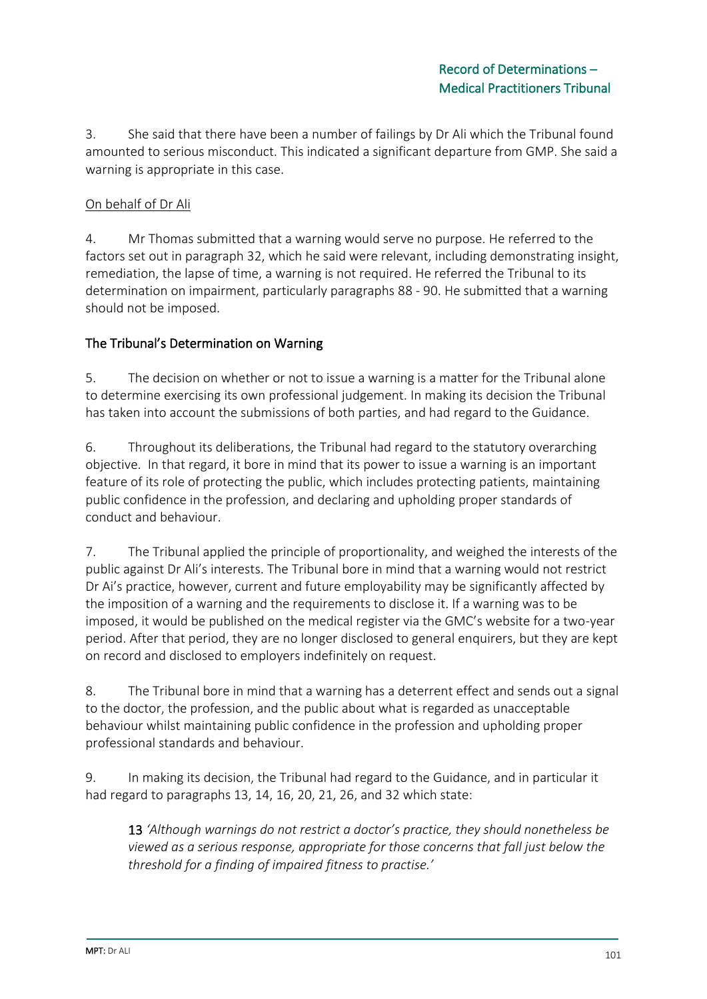3. She said that there have been a number of failings by Dr Ali which the Tribunal found amounted to serious misconduct. This indicated a significant departure from GMP. She said a warning is appropriate in this case.

### On behalf of Dr Ali

4. Mr Thomas submitted that a warning would serve no purpose. He referred to the factors set out in paragraph 32, which he said were relevant, including demonstrating insight, remediation, the lapse of time, a warning is not required. He referred the Tribunal to its determination on impairment, particularly paragraphs 88 - 90. He submitted that a warning should not be imposed.

### The Tribunal's Determination on Warning

5. The decision on whether or not to issue a warning is a matter for the Tribunal alone to determine exercising its own professional judgement. In making its decision the Tribunal has taken into account the submissions of both parties, and had regard to the Guidance.

6. Throughout its deliberations, the Tribunal had regard to the statutory overarching objective. In that regard, it bore in mind that its power to issue a warning is an important feature of its role of protecting the public, which includes protecting patients, maintaining public confidence in the profession, and declaring and upholding proper standards of conduct and behaviour.

7. The Tribunal applied the principle of proportionality, and weighed the interests of the public against Dr Ali's interests. The Tribunal bore in mind that a warning would not restrict Dr Ai's practice, however, current and future employability may be significantly affected by the imposition of a warning and the requirements to disclose it. If a warning was to be imposed, it would be published on the medical register via the GMC's website for a two-year period. After that period, they are no longer disclosed to general enquirers, but they are kept on record and disclosed to employers indefinitely on request.

8. The Tribunal bore in mind that a warning has a deterrent effect and sends out a signal to the doctor, the profession, and the public about what is regarded as unacceptable behaviour whilst maintaining public confidence in the profession and upholding proper professional standards and behaviour.

9. In making its decision, the Tribunal had regard to the Guidance, and in particular it had regard to paragraphs 13, 14, 16, 20, 21, 26, and 32 which state:

13 *'Although warnings do not restrict a doctor's practice, they should nonetheless be viewed as a serious response, appropriate for those concerns that fall just below the threshold for a finding of impaired fitness to practise.'*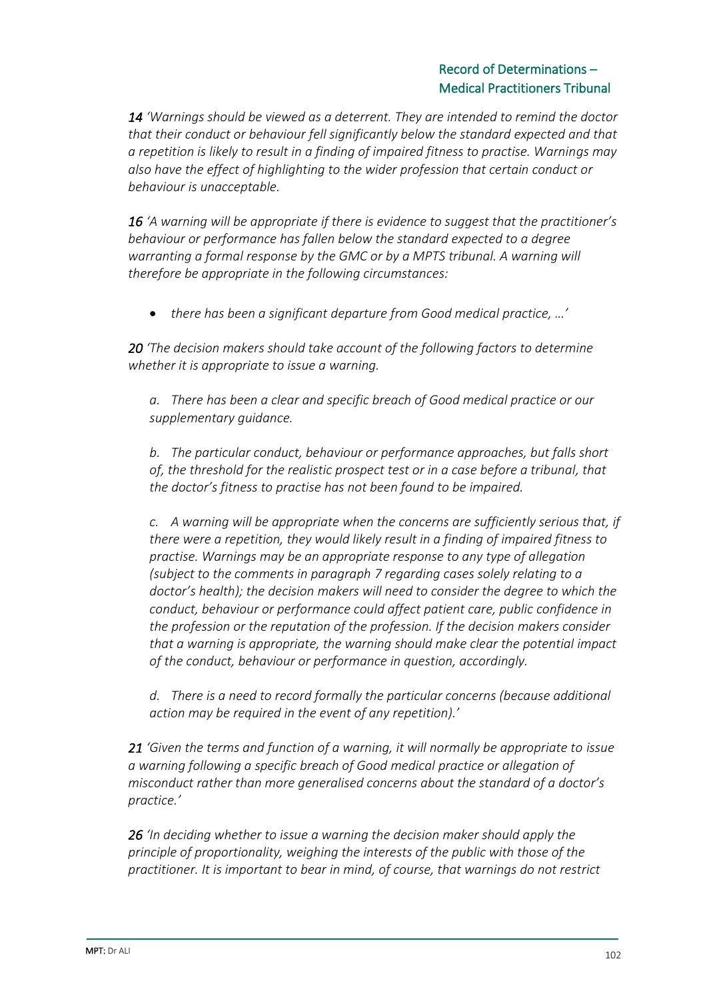### Record of Determinations – Medical Practitioners Tribunal

*14 'Warnings should be viewed as a deterrent. They are intended to remind the doctor that their conduct or behaviour fell significantly below the standard expected and that a repetition is likely to result in a finding of impaired fitness to practise. Warnings may also have the effect of highlighting to the wider profession that certain conduct or behaviour is unacceptable.*

*16 'A warning will be appropriate if there is evidence to suggest that the practitioner's behaviour or performance has fallen below the standard expected to a degree warranting a formal response by the GMC or by a MPTS tribunal. A warning will therefore be appropriate in the following circumstances:* 

• *there has been a significant departure from Good medical practice, …'* 

*20 'The decision makers should take account of the following factors to determine whether it is appropriate to issue a warning.* 

*a. There has been a clear and specific breach of Good medical practice or our supplementary guidance.* 

*b. The particular conduct, behaviour or performance approaches, but falls short of, the threshold for the realistic prospect test or in a case before a tribunal, that the doctor's fitness to practise has not been found to be impaired.*

*c. A warning will be appropriate when the concerns are sufficiently serious that, if there were a repetition, they would likely result in a finding of impaired fitness to practise. Warnings may be an appropriate response to any type of allegation (subject to the comments in paragraph 7 regarding cases solely relating to a doctor's health); the decision makers will need to consider the degree to which the conduct, behaviour or performance could affect patient care, public confidence in the profession or the reputation of the profession. If the decision makers consider that a warning is appropriate, the warning should make clear the potential impact of the conduct, behaviour or performance in question, accordingly.* 

*d. There is a need to record formally the particular concerns (because additional action may be required in the event of any repetition).'*

*21 'Given the terms and function of a warning, it will normally be appropriate to issue a warning following a specific breach of Good medical practice or allegation of misconduct rather than more generalised concerns about the standard of a doctor's practice.'*

*26 'In deciding whether to issue a warning the decision maker should apply the principle of proportionality, weighing the interests of the public with those of the practitioner. It is important to bear in mind, of course, that warnings do not restrict*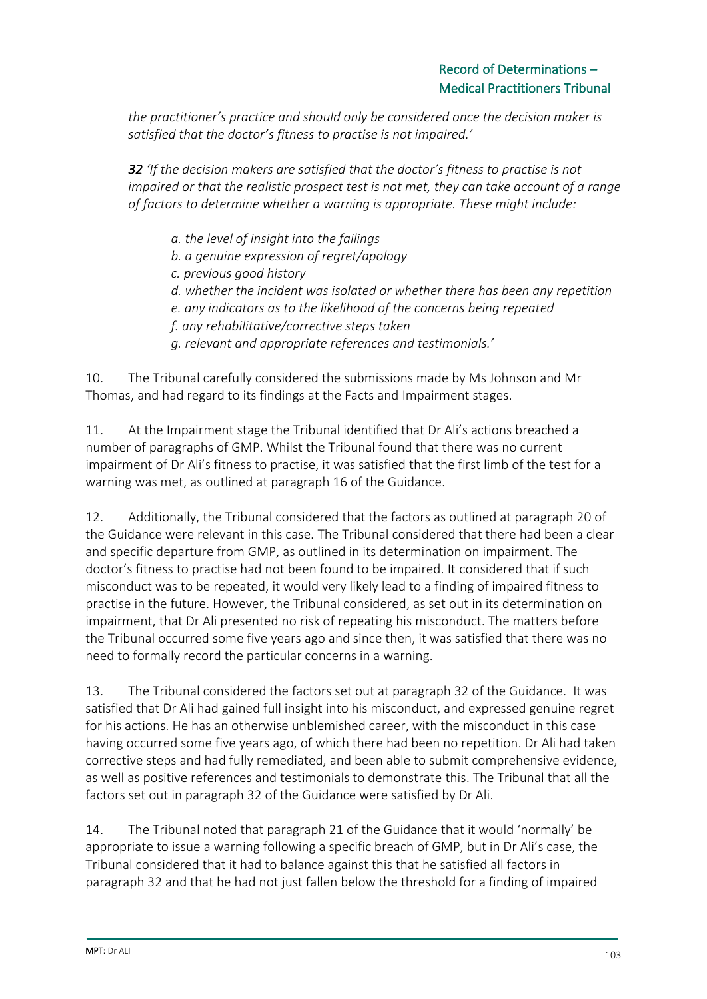*the practitioner's practice and should only be considered once the decision maker is satisfied that the doctor's fitness to practise is not impaired.'*

*32 'If the decision makers are satisfied that the doctor's fitness to practise is not impaired or that the realistic prospect test is not met, they can take account of a range of factors to determine whether a warning is appropriate. These might include:* 

- *a. the level of insight into the failings*
- *b. a genuine expression of regret/apology*
- *c. previous good history*
- *d. whether the incident was isolated or whether there has been any repetition*
- *e. any indicators as to the likelihood of the concerns being repeated*
- *f. any rehabilitative/corrective steps taken*
- *g. relevant and appropriate references and testimonials.'*

10. The Tribunal carefully considered the submissions made by Ms Johnson and Mr Thomas, and had regard to its findings at the Facts and Impairment stages.

11. At the Impairment stage the Tribunal identified that Dr Ali's actions breached a number of paragraphs of GMP. Whilst the Tribunal found that there was no current impairment of Dr Ali's fitness to practise, it was satisfied that the first limb of the test for a warning was met, as outlined at paragraph 16 of the Guidance.

12. Additionally, the Tribunal considered that the factors as outlined at paragraph 20 of the Guidance were relevant in this case. The Tribunal considered that there had been a clear and specific departure from GMP, as outlined in its determination on impairment. The doctor's fitness to practise had not been found to be impaired. It considered that if such misconduct was to be repeated, it would very likely lead to a finding of impaired fitness to practise in the future. However, the Tribunal considered, as set out in its determination on impairment, that Dr Ali presented no risk of repeating his misconduct. The matters before the Tribunal occurred some five years ago and since then, it was satisfied that there was no need to formally record the particular concerns in a warning.

13. The Tribunal considered the factors set out at paragraph 32 of the Guidance. It was satisfied that Dr Ali had gained full insight into his misconduct, and expressed genuine regret for his actions. He has an otherwise unblemished career, with the misconduct in this case having occurred some five years ago, of which there had been no repetition. Dr Ali had taken corrective steps and had fully remediated, and been able to submit comprehensive evidence, as well as positive references and testimonials to demonstrate this. The Tribunal that all the factors set out in paragraph 32 of the Guidance were satisfied by Dr Ali.

14. The Tribunal noted that paragraph 21 of the Guidance that it would 'normally' be appropriate to issue a warning following a specific breach of GMP, but in Dr Ali's case, the Tribunal considered that it had to balance against this that he satisfied all factors in paragraph 32 and that he had not just fallen below the threshold for a finding of impaired